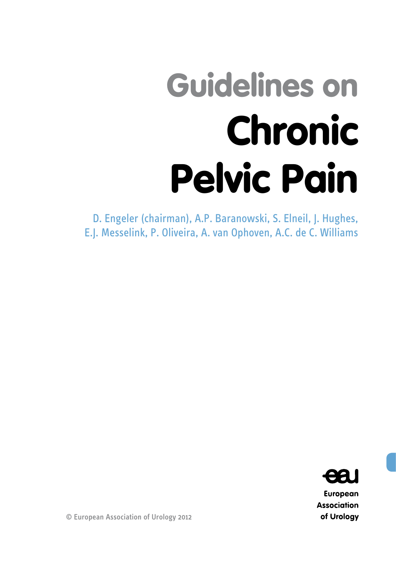# Guidelines on Chronic Pelvic Pain

D. Engeler (chairman), A.P. Baranowski, S. Elneil, J. Hughes, E.J. Messelink, P. Oliveira, A. van Ophoven, A.C. de C. Williams



European **Association** of Urology

© European Association of Urology 2012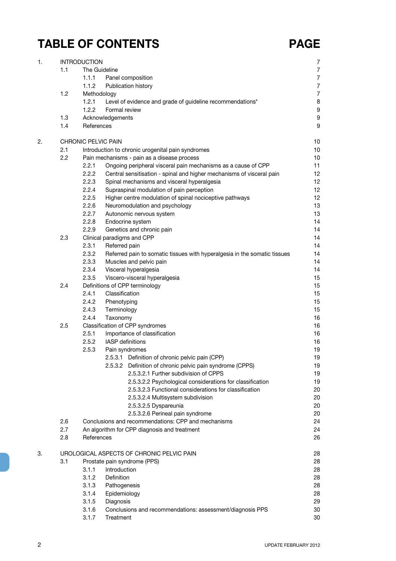# **Table of Contents page**

| 1. | <b>INTRODUCTION</b> |                     |                                                                           |                     |
|----|---------------------|---------------------|---------------------------------------------------------------------------|---------------------|
|    | 1.1                 | The Guideline       |                                                                           | 7<br>$\overline{7}$ |
|    |                     | 1.1.1               | Panel composition                                                         | $\overline{7}$      |
|    |                     | 1.1.2               | Publication history                                                       | $\overline{7}$      |
|    | 1.2                 | Methodology         |                                                                           | $\overline{7}$      |
|    |                     | 1.2.1               | Level of evidence and grade of guideline recommendations*                 | 8                   |
|    |                     | 1.2.2               | Formal review                                                             | 9                   |
|    | 1.3                 |                     | Acknowledgements                                                          | 9                   |
|    | 1.4                 | References          |                                                                           | 9                   |
| 2. |                     | CHRONIC PELVIC PAIN |                                                                           | 10                  |
|    | 2.1                 |                     | Introduction to chronic urogenital pain syndromes                         | 10                  |
|    | 2.2                 |                     | Pain mechanisms - pain as a disease process                               | 10 <sup>°</sup>     |
|    |                     | 2.2.1               | Ongoing peripheral visceral pain mechanisms as a cause of CPP             | 11                  |
|    |                     | 2.2.2               | Central sensitisation - spinal and higher mechanisms of visceral pain     | 12                  |
|    |                     | 2.2.3               | Spinal mechanisms and visceral hyperalgesia                               | 12 <sup>2</sup>     |
|    |                     | 2.2.4               | Supraspinal modulation of pain perception                                 | 12                  |
|    |                     | 2.2.5               | Higher centre modulation of spinal nociceptive pathways                   | 12                  |
|    |                     | 2.2.6               | Neuromodulation and psychology                                            | 13                  |
|    |                     | 2.2.7               | Autonomic nervous system                                                  | 13                  |
|    |                     | 2.2.8               | Endocrine system                                                          | 14                  |
|    |                     | 2.2.9               | Genetics and chronic pain                                                 | 14                  |
|    | 2.3                 |                     | Clinical paradigms and CPP                                                | 14                  |
|    |                     | 2.3.1               | Referred pain                                                             | 14                  |
|    |                     | 2.3.2               | Referred pain to somatic tissues with hyperalgesia in the somatic tissues | 14                  |
|    |                     | 2.3.3               | Muscles and pelvic pain                                                   | 14                  |
|    |                     | 2.3.4               | Visceral hyperalgesia                                                     | 14                  |
|    |                     | 2.3.5               | Viscero-visceral hyperalgesia                                             | 15                  |
|    | 2.4                 |                     | Definitions of CPP terminology                                            | 15                  |
|    |                     | 2.4.1               | Classification                                                            | 15                  |
|    |                     | 2.4.2               | Phenotyping                                                               | 15                  |
|    |                     | 2.4.3               | Terminology                                                               | 15                  |
|    |                     | 2.4.4               | Taxonomy                                                                  | 16                  |
|    | 2.5                 |                     | Classification of CPP syndromes                                           | 16                  |
|    |                     | 2.5.1               | Importance of classification                                              | 16                  |
|    |                     | 2.5.2               | <b>IASP</b> definitions                                                   | 16                  |
|    |                     | 2.5.3               | Pain syndromes                                                            | 19                  |
|    |                     |                     | 2.5.3.1 Definition of chronic pelvic pain (CPP)                           | 19                  |
|    |                     |                     | Definition of chronic pelvic pain syndrome (CPPS)<br>2.5.3.2              | 19                  |
|    |                     |                     | 2.5.3.2.1 Further subdivision of CPPS                                     | 19                  |
|    |                     |                     | 2.5.3.2.2 Psychological considerations for classification                 | 19                  |
|    |                     |                     | 2.5.3.2.3 Functional considerations for classification                    | 20                  |
|    |                     |                     | 2.5.3.2.4 Multisystem subdivision                                         | 20                  |
|    |                     |                     | 2.5.3.2.5 Dyspareunia                                                     | 20                  |
|    |                     |                     | 2.5.3.2.6 Perineal pain syndrome                                          | 20                  |
|    | 2.6                 |                     | Conclusions and recommendations: CPP and mechanisms                       | 24                  |
|    | 2.7<br>2.8          | References          | An algorithm for CPP diagnosis and treatment                              | 24<br>26            |
|    |                     |                     |                                                                           |                     |
| 3. |                     |                     | UROLOGICAL ASPECTS OF CHRONIC PELVIC PAIN                                 | 28                  |
|    | 3.1                 |                     | Prostate pain syndrome (PPS)                                              | 28                  |
|    |                     | 3.1.1               | Introduction                                                              | 28                  |
|    |                     | 3.1.2               | Definition                                                                | 28                  |
|    |                     | 3.1.3               | Pathogenesis                                                              | 28                  |
|    |                     | 3.1.4               | Epidemiology                                                              | 28                  |
|    |                     | 3.1.5               | Diagnosis                                                                 | 29                  |
|    |                     | 3.1.6               | Conclusions and recommendations: assessment/diagnosis PPS<br>Treatment    | 30<br>30            |
|    |                     | 3.1.7               |                                                                           |                     |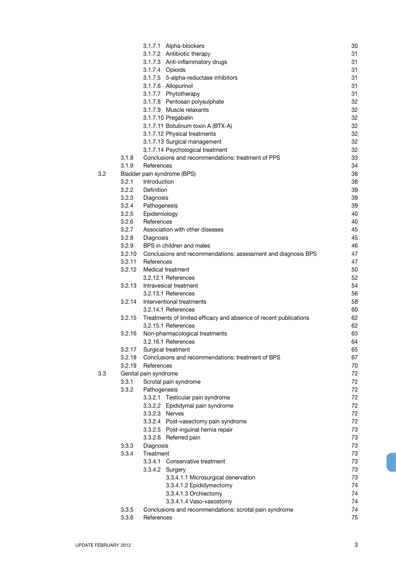|     |        | 3.1.7.1 Alpha-blockers                                            | 30 |
|-----|--------|-------------------------------------------------------------------|----|
|     |        | 3.1.7.2 Antibiotic therapy                                        | 31 |
|     |        | 3.1.7.3 Anti-inflammatory drugs                                   | 31 |
|     |        | 3.1.7.4 Opioids                                                   | 31 |
|     |        | 3.1.7.5 5-alpha-reductase inhibitors                              | 31 |
|     |        | 3.1.7.6 Allopurinol                                               | 31 |
|     |        | 3.1.7.7 Phytotherapy                                              | 31 |
|     |        | 3.1.7.8 Pentosan polysulphate                                     | 32 |
|     |        | 3.1.7.9 Muscle relaxants                                          | 32 |
|     |        | 3.1.7.10 Pregabalin                                               | 32 |
|     |        | 3.1.7.11 Botulinum toxin A (BTX-A)                                | 32 |
|     |        | 3.1.7.12 Physical treatments                                      | 32 |
|     |        | 3.1.7.13 Surgical management                                      | 32 |
|     |        | 3.1.7.14 Psychological treatment                                  | 32 |
|     | 3.1.8  | Conclusions and recommendations: treatment of PPS                 | 33 |
|     | 3.1.9  | References                                                        | 34 |
| 3.2 |        | Bladder pain syndrome (BPS)                                       | 38 |
|     | 3.2.1  | Introduction                                                      | 38 |
|     | 3.2.2  | Definition                                                        | 39 |
|     | 3.2.3  | Diagnosis                                                         | 39 |
|     | 3.2.4  | Pathogenesis                                                      | 39 |
|     | 3.2.5  | Epidemiology                                                      | 40 |
|     | 3.2.6  | References                                                        | 40 |
|     | 3.2.7  | Association with other diseases                                   | 45 |
|     | 3.2.8  | Diagnosis                                                         | 45 |
|     | 3.2.9  | BPS in children and males                                         | 46 |
|     | 3.2.10 | Conclusions and recommendations: assessment and diagnosis BPS     | 47 |
|     | 3.2.11 | References                                                        | 47 |
|     | 3.2.12 | Medical treatment                                                 | 50 |
|     |        | 3.2.12.1 References                                               | 52 |
|     | 3.2.13 | Intravesical treatment                                            | 54 |
|     |        | 3.2.13.1 References                                               | 56 |
|     | 3.2.14 | Interventional treatments                                         | 58 |
|     |        | 3.2.14.1 References                                               | 60 |
|     | 3.2.15 | Treatments of limited efficacy and absence of recent publications | 62 |
|     |        | 3.2.15.1 References                                               | 62 |
|     | 3.2.16 | Non-pharmacological treatments                                    | 63 |
|     |        | 3.2.16.1 References                                               | 64 |
|     | 3.2.17 | Surgical treatment                                                | 65 |
|     | 3.2.18 | Conclusions and recommendations: treatment of BPS                 | 67 |
|     | 3.2.19 | References                                                        | 70 |
| 3.3 |        | Genital pain syndrome                                             | 72 |
|     | 3.3.1  | Scrotal pain syndrome                                             | 72 |
|     | 3.3.2  | Pathogenesis                                                      | 72 |
|     |        | 3.3.2.1 Testicular pain syndrome                                  | 72 |
|     |        | 3.3.2.2 Epididymal pain syndrome                                  | 72 |
|     |        | 3.3.2.3 Nerves                                                    | 72 |
|     |        | 3.3.2.4 Post-vasectomy pain syndrome                              | 72 |
|     |        | 3.3.2.5 Post-inguinal hernia repair                               | 73 |
|     |        | 3.3.2.6 Referred pain                                             | 73 |
|     | 3.3.3  | Diagnosis                                                         | 73 |
|     | 3.3.4  | Treatment                                                         | 73 |
|     |        | 3.3.4.1 Conservative treatment                                    | 73 |
|     |        | 3.3.4.2 Surgery                                                   | 73 |
|     |        | 3.3.4.1.1 Microsurgical denervation                               | 73 |
|     |        | 3.3.4.1.2 Epididymectomy                                          | 74 |
|     |        | 3.3.4.1.3 Orchiectomy                                             | 74 |
|     |        | 3.3.4.1.4 Vaso-vasostomy                                          | 74 |
|     | 3.3.5  | Conclusions and recommendations: scrotal pain syndrome            | 74 |
|     | 3.3.6  | References                                                        | 75 |
|     |        |                                                                   |    |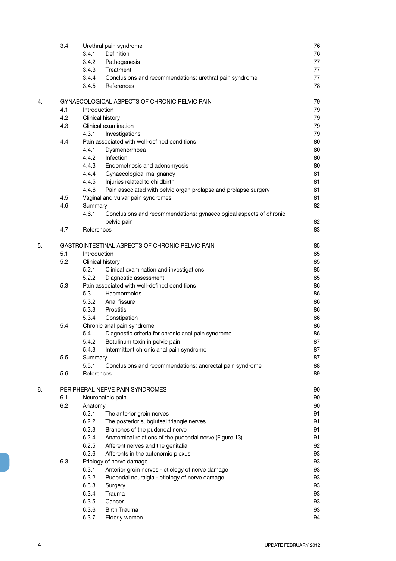|    | 3.4 |                  | Urethral pain syndrome                                             | 76 |  |  |  |
|----|-----|------------------|--------------------------------------------------------------------|----|--|--|--|
|    |     | 3.4.1            | Definition                                                         | 76 |  |  |  |
|    |     | 3.4.2            | Pathogenesis                                                       | 77 |  |  |  |
|    |     | 3.4.3            | Treatment                                                          | 77 |  |  |  |
|    |     | 3.4.4            | Conclusions and recommendations: urethral pain syndrome            | 77 |  |  |  |
|    |     | 3.4.5            | References                                                         | 78 |  |  |  |
| 4. |     |                  | GYNAECOLOGICAL ASPECTS OF CHRONIC PELVIC PAIN                      | 79 |  |  |  |
|    | 4.1 | Introduction     |                                                                    | 79 |  |  |  |
|    | 4.2 |                  | Clinical history                                                   | 79 |  |  |  |
|    | 4.3 |                  | Clinical examination                                               | 79 |  |  |  |
|    |     | 4.3.1            | Investigations                                                     | 79 |  |  |  |
|    | 4.4 |                  | Pain associated with well-defined conditions                       | 80 |  |  |  |
|    |     | 4.4.1            | Dysmenorrhoea                                                      | 80 |  |  |  |
|    |     | 4.4.2            | Infection                                                          | 80 |  |  |  |
|    |     | 4.4.3            | Endometriosis and adenomyosis                                      | 80 |  |  |  |
|    |     | 4.4.4            | Gynaecological malignancy                                          | 81 |  |  |  |
|    |     | 4.4.5            | Injuries related to childbirth                                     | 81 |  |  |  |
|    |     | 4.4.6            | Pain associated with pelvic organ prolapse and prolapse surgery    | 81 |  |  |  |
|    | 4.5 |                  | Vaginal and vulvar pain syndromes                                  | 81 |  |  |  |
|    | 4.6 | Summary          |                                                                    | 82 |  |  |  |
|    |     | 4.6.1            | Conclusions and recommendations: gynaecological aspects of chronic |    |  |  |  |
|    |     |                  | pelvic pain                                                        | 82 |  |  |  |
|    | 4.7 | References       |                                                                    | 83 |  |  |  |
| 5. |     |                  | GASTROINTESTINAL ASPECTS OF CHRONIC PELVIC PAIN                    | 85 |  |  |  |
|    | 5.1 | Introduction     |                                                                    | 85 |  |  |  |
|    | 5.2 |                  | Clinical history                                                   | 85 |  |  |  |
|    |     | 5.2.1            | Clinical examination and investigations                            | 85 |  |  |  |
|    |     | 5.2.2            | Diagnostic assessment                                              | 85 |  |  |  |
|    | 5.3 |                  | Pain associated with well-defined conditions                       | 86 |  |  |  |
|    |     | 5.3.1            | Haemorrhoids                                                       | 86 |  |  |  |
|    |     | 5.3.2            | Anal fissure                                                       | 86 |  |  |  |
|    |     | 5.3.3            | Proctitis                                                          | 86 |  |  |  |
|    |     | 5.3.4            | Constipation                                                       | 86 |  |  |  |
|    | 5.4 |                  | Chronic anal pain syndrome                                         | 86 |  |  |  |
|    |     | 5.4.1            | Diagnostic criteria for chronic anal pain syndrome                 | 86 |  |  |  |
|    |     |                  | 5.4.2 Botulinum toxin in pelvic pain                               | 87 |  |  |  |
|    |     | 5.4.3            | Intermittent chronic anal pain syndrome                            | 87 |  |  |  |
|    | 5.5 | Summary          |                                                                    | 87 |  |  |  |
|    |     | 5.5.1            | Conclusions and recommendations: anorectal pain syndrome           | 88 |  |  |  |
|    | 5.6 | References       |                                                                    | 89 |  |  |  |
| 6. |     |                  | PERIPHERAL NERVE PAIN SYNDROMES                                    | 90 |  |  |  |
|    | 6.1 | Neuropathic pain |                                                                    |    |  |  |  |
|    | 6.2 | Anatomy          |                                                                    | 90 |  |  |  |
|    |     | 6.2.1            | The anterior groin nerves                                          | 91 |  |  |  |
|    |     | 6.2.2            | The posterior subgluteal triangle nerves                           | 91 |  |  |  |
|    |     | 6.2.3            | Branches of the pudendal nerve                                     | 91 |  |  |  |
|    |     | 6.2.4            | Anatomical relations of the pudendal nerve (Figure 13)             | 91 |  |  |  |
|    |     | 6.2.5            | Afferent nerves and the genitalia                                  | 92 |  |  |  |
|    |     | 6.2.6            | Afferents in the autonomic plexus                                  | 93 |  |  |  |
|    | 6.3 |                  | Etiology of nerve damage                                           | 93 |  |  |  |
|    |     | 6.3.1            | Anterior groin nerves - etiology of nerve damage                   | 93 |  |  |  |
|    |     | 6.3.2            | Pudendal neuralgia - etiology of nerve damage                      | 93 |  |  |  |
|    |     | 6.3.3            | Surgery                                                            | 93 |  |  |  |
|    |     | 6.3.4            | Trauma                                                             | 93 |  |  |  |
|    |     | 6.3.5            | Cancer                                                             | 93 |  |  |  |
|    |     | 6.3.6            | <b>Birth Trauma</b>                                                | 93 |  |  |  |
|    |     | 6.3.7            | Elderly women                                                      | 94 |  |  |  |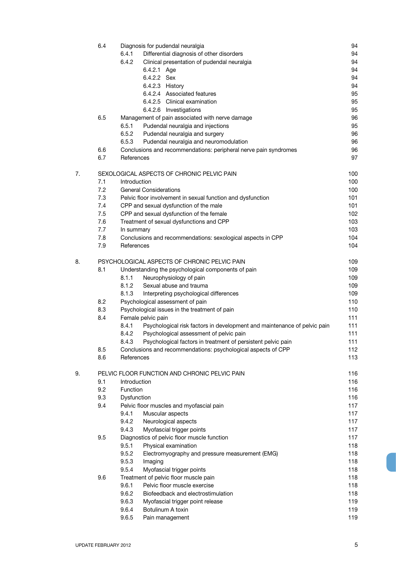|    | 6.4 | Diagnosis for pudendal neuralgia                                                  | 94  |
|----|-----|-----------------------------------------------------------------------------------|-----|
|    |     | Differential diagnosis of other disorders<br>6.4.1                                | 94  |
|    |     | 6.4.2<br>Clinical presentation of pudendal neuralgia                              | 94  |
|    |     | 6.4.2.1 Age                                                                       | 94  |
|    |     | 6.4.2.2 Sex                                                                       | 94  |
|    |     | 6.4.2.3 History                                                                   | 94  |
|    |     | 6.4.2.4 Associated features                                                       | 95  |
|    |     | 6.4.2.5 Clinical examination                                                      | 95  |
|    |     | 6.4.2.6 Investigations                                                            | 95  |
|    | 6.5 | Management of pain associated with nerve damage                                   | 96  |
|    |     | 6.5.1<br>Pudendal neuralgia and injections                                        | 95  |
|    |     | 6.5.2<br>Pudendal neuralgia and surgery                                           | 96  |
|    |     | 6.5.3<br>Pudendal neuralgia and neuromodulation                                   | 96  |
|    | 6.6 | Conclusions and recommendations: peripheral nerve pain syndromes                  | 96  |
|    | 6.7 | References                                                                        | 97  |
| 7. |     | SEXOLOGICAL ASPECTS OF CHRONIC PELVIC PAIN                                        | 100 |
|    | 7.1 | Introduction                                                                      | 100 |
|    | 7.2 | <b>General Considerations</b>                                                     | 100 |
|    | 7.3 | Pelvic floor involvement in sexual function and dysfunction                       | 101 |
|    | 7.4 | CPP and sexual dysfunction of the male                                            | 101 |
|    | 7.5 | CPP and sexual dysfunction of the female                                          | 102 |
|    | 7.6 | Treatment of sexual dysfunctions and CPP                                          | 103 |
|    | 7.7 | In summary                                                                        | 103 |
|    | 7.8 | Conclusions and recommendations: sexological aspects in CPP                       | 104 |
|    | 7.9 | References                                                                        | 104 |
| 8. |     | PSYCHOLOGICAL ASPECTS OF CHRONIC PELVIC PAIN                                      | 109 |
|    | 8.1 | Understanding the psychological components of pain                                | 109 |
|    |     | 8.1.1<br>Neurophysiology of pain                                                  | 109 |
|    |     | Sexual abuse and trauma<br>8.1.2                                                  | 109 |
|    |     | 8.1.3<br>Interpreting psychological differences                                   | 109 |
|    | 8.2 | Psychological assessment of pain                                                  | 110 |
|    | 8.3 | Psychological issues in the treatment of pain                                     | 110 |
|    | 8.4 | Female pelvic pain                                                                | 111 |
|    |     | 8.4.1<br>Psychological risk factors in development and maintenance of pelvic pain | 111 |
|    |     | Psychological assessment of pelvic pain<br>8.4.2                                  | 111 |
|    |     | 8.4.3<br>Psychological factors in treatment of persistent pelvic pain             | 111 |
|    | 8.5 | Conclusions and recommendations: psychological aspects of CPP                     | 112 |
|    | 8.6 | References                                                                        | 113 |
| 9. |     | PELVIC FLOOR FUNCTION AND CHRONIC PELVIC PAIN                                     | 116 |
|    | 9.1 | Introduction                                                                      | 116 |
|    | 9.2 | Function                                                                          | 116 |
|    | 9.3 | Dysfunction                                                                       | 116 |
|    | 9.4 | Pelvic floor muscles and myofascial pain                                          | 117 |
|    |     | 9.4.1<br>Muscular aspects                                                         | 117 |
|    |     | 9.4.2<br>Neurological aspects                                                     | 117 |
|    |     | 9.4.3<br>Myofascial trigger points                                                | 117 |
|    | 9.5 | Diagnostics of pelvic floor muscle function                                       | 117 |
|    |     | 9.5.1<br>Physical examination                                                     | 118 |
|    |     | 9.5.2<br>Electromyography and pressure measurement (EMG)                          | 118 |
|    |     | 9.5.3<br>Imaging                                                                  | 118 |
|    |     | 9.5.4<br>Myofascial trigger points                                                | 118 |
|    | 9.6 | Treatment of pelvic floor muscle pain                                             | 118 |
|    |     | 9.6.1<br>Pelvic floor muscle exercise                                             | 118 |
|    |     | 9.6.2<br>Biofeedback and electrostimulation                                       | 118 |
|    |     | 9.6.3<br>Myofascial trigger point release                                         | 119 |
|    |     | 9.6.4<br>Botulinum A toxin                                                        | 119 |
|    |     | 9.6.5<br>Pain management                                                          | 119 |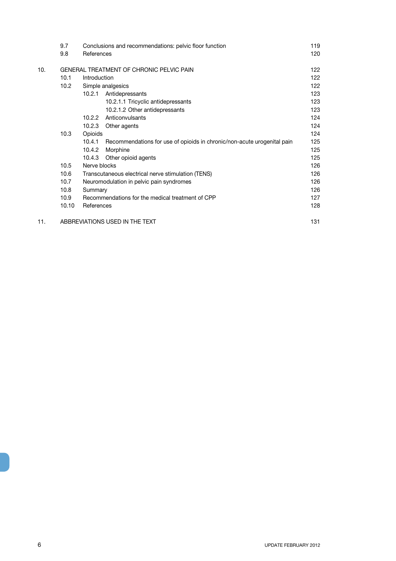|     | 9.7   | Conclusions and recommendations: pelvic floor function                            | 119 |
|-----|-------|-----------------------------------------------------------------------------------|-----|
|     | 9.8   | References                                                                        | 120 |
| 10. |       | <b>GENERAL TREATMENT OF CHRONIC PELVIC PAIN</b>                                   | 122 |
|     | 10.1  | Introduction                                                                      | 122 |
|     | 10.2  | Simple analgesics                                                                 | 122 |
|     |       | 10.2.1<br>Antidepressants                                                         | 123 |
|     |       | 10.2.1.1 Tricyclic antidepressants                                                | 123 |
|     |       | 10.2.1.2 Other antidepressants                                                    | 123 |
|     |       | 10.2.2<br>Anticonvulsants                                                         | 124 |
|     |       | 10.2.3<br>Other agents                                                            | 124 |
|     | 10.3  | Opioids                                                                           | 124 |
|     |       | 10.4.1<br>Recommendations for use of opioids in chronic/non-acute urogenital pain | 125 |
|     |       | 10.4.2<br>Morphine                                                                | 125 |
|     |       | 10.4.3<br>Other opioid agents                                                     | 125 |
|     | 10.5  | Nerve blocks                                                                      | 126 |
|     | 10.6  | Transcutaneous electrical nerve stimulation (TENS)                                | 126 |
|     | 10.7  | Neuromodulation in pelvic pain syndromes                                          |     |
|     | 10.8  | Summary                                                                           |     |
|     | 10.9  | Recommendations for the medical treatment of CPP                                  |     |
|     | 10.10 | References                                                                        | 128 |
| 11. |       | ABBREVIATIONS USED IN THE TEXT                                                    | 131 |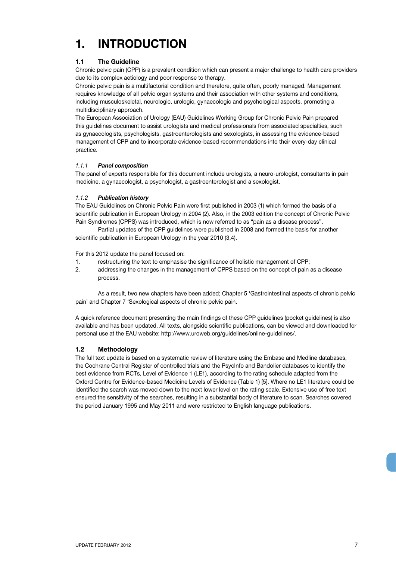# **1. INTRODUCTION**

# **1.1 The Guideline**

Chronic pelvic pain (CPP) is a prevalent condition which can present a major challenge to health care providers due to its complex aetiology and poor response to therapy.

Chronic pelvic pain is a multifactorial condition and therefore, quite often, poorly managed. Management requires knowledge of all pelvic organ systems and their association with other systems and conditions, including musculoskeletal, neurologic, urologic, gynaecologic and psychological aspects, promoting a multidisciplinary approach.

The European Association of Urology (EAU) Guidelines Working Group for Chronic Pelvic Pain prepared this guidelines document to assist urologists and medical professionals from associated specialties, such as gynaecologists, psychologists, gastroenterologists and sexologists, in assessing the evidence-based management of CPP and to incorporate evidence-based recommendations into their every-day clinical practice.

# *1.1.1 Panel composition*

The panel of experts responsible for this document include urologists, a neuro-urologist, consultants in pain medicine, a gynaecologist, a psychologist, a gastroenterologist and a sexologist.

# *1.1.2 Publication history*

The EAU Guidelines on Chronic Pelvic Pain were first published in 2003 (1) which formed the basis of a scientific publication in European Urology in 2004 (2). Also, in the 2003 edition the concept of Chronic Pelvic Pain Syndromes (CPPS) was introduced, which is now referred to as "pain as a disease process".

Partial updates of the CPP guidelines were published in 2008 and formed the basis for another scientific publication in European Urology in the year 2010 (3,4).

For this 2012 update the panel focused on:

- 1. restructuring the text to emphasise the significance of holistic management of CPP;
- 2. addressing the changes in the management of CPPS based on the concept of pain as a disease process.

As a result, two new chapters have been added; Chapter 5 'Gastrointestinal aspects of chronic pelvic pain' and Chapter 7 'Sexological aspects of chronic pelvic pain.

A quick reference document presenting the main findings of these CPP guidelines (pocket guidelines) is also available and has been updated. All texts, alongside scientific publications, can be viewed and downloaded for personal use at the EAU website: http://www.uroweb.org/guidelines/online-guidelines/.

# **1.2 Methodology**

The full text update is based on a systematic review of literature using the Embase and Medline databases, the Cochrane Central Register of controlled trials and the PsycInfo and Bandolier databases to identify the best evidence from RCTs, Level of Evidence 1 (LE1), according to the rating schedule adapted from the Oxford Centre for Evidence-based Medicine Levels of Evidence (Table 1) [5]. Where no LE1 literature could be identified the search was moved down to the next lower level on the rating scale. Extensive use of free text ensured the sensitivity of the searches, resulting in a substantial body of literature to scan. Searches covered the period January 1995 and May 2011 and were restricted to English language publications.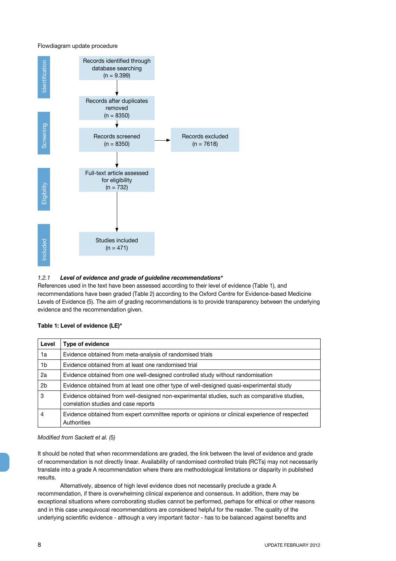#### Flowdiagram update procedure



#### *1.2.1 Level of evidence and grade of guideline recommendations\**

References used in the text have been assessed according to their level of evidence (Table 1), and recommendations have been graded (Table 2) according to the Oxford Centre for Evidence-based Medicine Levels of Evidence (5). The aim of grading recommendations is to provide transparency between the underlying evidence and the recommendation given.

#### **Table 1: Level of evidence (LE)\***

| Level          | <b>Type of evidence</b>                                                                                                             |
|----------------|-------------------------------------------------------------------------------------------------------------------------------------|
| 1a             | Evidence obtained from meta-analysis of randomised trials                                                                           |
| 1b             | Evidence obtained from at least one randomised trial                                                                                |
| 2a             | Evidence obtained from one well-designed controlled study without randomisation                                                     |
| 2 <sub>b</sub> | Evidence obtained from at least one other type of well-designed quasi-experimental study                                            |
| 3              | Evidence obtained from well-designed non-experimental studies, such as comparative studies,<br>correlation studies and case reports |
| 4              | Evidence obtained from expert committee reports or opinions or clinical experience of respected<br>Authorities                      |

#### *Modified from Sackett et al. (5)*

It should be noted that when recommendations are graded, the link between the level of evidence and grade of recommendation is not directly linear. Availability of randomised controlled trials (RCTs) may not necessarily translate into a grade A recommendation where there are methodological limitations or disparity in published results.

Alternatively, absence of high level evidence does not necessarily preclude a grade A recommendation, if there is overwhelming clinical experience and consensus. In addition, there may be exceptional situations where corroborating studies cannot be performed, perhaps for ethical or other reasons and in this case unequivocal recommendations are considered helpful for the reader. The quality of the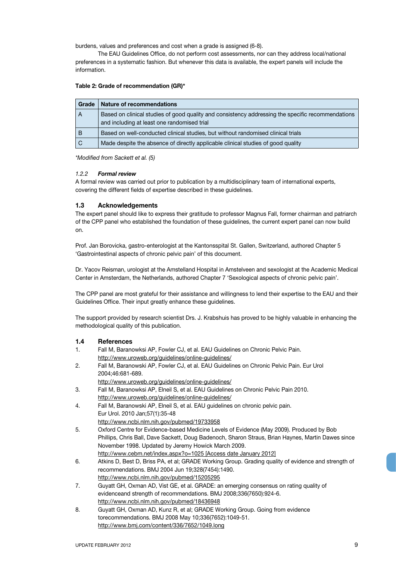burdens, values and preferences and cost when a grade is assigned (6-8).

The EAU Guidelines Office, do not perform cost assessments, nor can they address local/national preferences in a systematic fashion. But whenever this data is available, the expert panels will include the information.

# **Table 2: Grade of recommendation (GR)\***

| Grade        | Nature of recommendations                                                                                                                        |
|--------------|--------------------------------------------------------------------------------------------------------------------------------------------------|
| A            | Based on clinical studies of good quality and consistency addressing the specific recommendations<br>and including at least one randomised trial |
| в            | Based on well-conducted clinical studies, but without randomised clinical trials                                                                 |
| <sup>C</sup> | Made despite the absence of directly applicable clinical studies of good quality                                                                 |

*\*Modified from Sackett et al. (5)*

# *1.2.2 Formal review*

A formal review was carried out prior to publication by a multidisciplinary team of international experts, covering the different fields of expertise described in these guidelines.

# **1.3 Acknowledgements**

The expert panel should like to express their gratitude to professor Magnus Fall, former chairman and patriarch of the CPP panel who established the foundation of these guidelines, the current expert panel can now build on.

Prof. Jan Borovicka, gastro-enterologist at the Kantonsspital St. Gallen, Switzerland, authored Chapter 5 'Gastrointestinal aspects of chronic pelvic pain' of this document.

Dr. Yacov Reisman, urologist at the Amstelland Hospital in Amstelveen and sexologist at the Academic Medical Center in Amsterdam, the Netherlands, authored Chapter 7 'Sexological aspects of chronic pelvic pain'.

The CPP panel are most grateful for their assistance and willingness to lend their expertise to the EAU and their Guidelines Office. Their input greatly enhance these guidelines.

The support provided by research scientist Drs. J. Krabshuis has proved to be highly valuable in enhancing the methodological quality of this publication.

# **1.4 References**

- 1. Fall M, Baranowksi AP, Fowler CJ, et al. EAU Guidelines on Chronic Pelvic Pain. http://www.uroweb.org/guidelines/online-guidelines/
- 2. Fall M, Baranowski AP, Fowler CJ, et al. EAU Guidelines on Chronic Pelvic Pain. Eur Urol 2004;46:681-689.
	- http://www.uroweb.org/guidelines/online-guidelines/
- 3. Fall M, Baranowksi AP, Elneil S, et al. EAU Guidelines on Chronic Pelvic Pain 2010. http://www.uroweb.org/guidelines/online-guidelines/
- 4. Fall M, Baranowski AP, Elneil S, et al. EAU guidelines on chronic pelvic pain. Eur Urol. 2010 Jan;57(1):35-48 http://www.ncbi.nlm.nih.gov/pubmed/19733958
- 5. Oxford Centre for Evidence-based Medicine Levels of Evidence (May 2009). Produced by Bob Phillips, Chris Ball, Dave Sackett, Doug Badenoch, Sharon Straus, Brian Haynes, Martin Dawes since November 1998. Updated by Jeremy Howick March 2009. http://www.cebm.net/index.aspx?o=1025 [Access date January 2012]
- 6. Atkins D, Best D, Briss PA, et al; GRADE Working Group. Grading quality of evidence and strength of recommendations. BMJ 2004 Jun 19;328(7454):1490. http://www.ncbi.nlm.nih.gov/pubmed/15205295
- 7. Guyatt GH, Oxman AD, Vist GE, et al. GRADE: an emerging consensus on rating quality of evidenceand strength of recommendations. BMJ 2008;336(7650):924-6. http://www.ncbi.nlm.nih.gov/pubmed/18436948
- 8. Guyatt GH, Oxman AD, Kunz R, et al; GRADE Working Group. Going from evidence torecommendations. BMJ 2008 May 10;336(7652):1049-51. http://www.bmj.com/content/336/7652/1049.long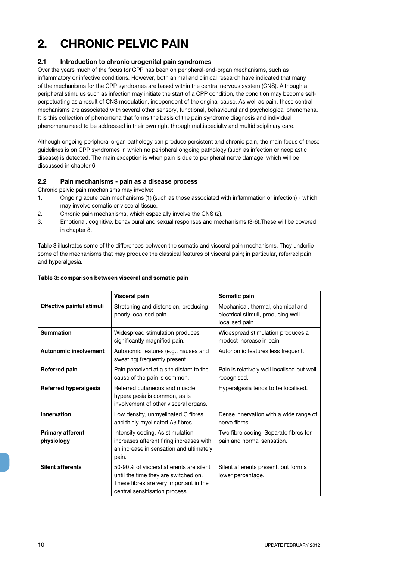# **2. CHRONIC PELVIC PAIN**

# **2.1 Introduction to chronic urogenital pain syndromes**

Over the years much of the focus for CPP has been on peripheral-end-organ mechanisms, such as inflammatory or infective conditions. However, both animal and clinical research have indicated that many of the mechanisms for the CPP syndromes are based within the central nervous system (CNS). Although a peripheral stimulus such as infection may initiate the start of a CPP condition, the condition may become selfperpetuating as a result of CNS modulation, independent of the original cause. As well as pain, these central mechanisms are associated with several other sensory, functional, behavioural and psychological phenomena. It is this collection of phenomena that forms the basis of the pain syndrome diagnosis and individual phenomena need to be addressed in their own right through multispecialty and multidisciplinary care.

Although ongoing peripheral organ pathology can produce persistent and chronic pain, the main focus of these guidelines is on CPP syndromes in which no peripheral ongoing pathology (such as infection or neoplastic disease) is detected. The main exception is when pain is due to peripheral nerve damage, which will be discussed in chapter 6.

# **2.2 Pain mechanisms - pain as a disease process**

Chronic pelvic pain mechanisms may involve:

- 1. Ongoing acute pain mechanisms (1) (such as those associated with inflammation or infection) which may involve somatic or visceral tissue.
- 2. Chronic pain mechanisms, which especially involve the CNS (2).
- 3. Emotional, cognitive, behavioural and sexual responses and mechanisms (3-6).These will be covered in chapter 8.

Table 3 illustrates some of the differences between the somatic and visceral pain mechanisms. They underlie some of the mechanisms that may produce the classical features of visceral pain; in particular, referred pain and hyperalgesia.

# **Table 3: comparison between visceral and somatic pain**

|                                       | <b>Visceral pain</b>                                                                                                                                        | Somatic pain                                                                               |
|---------------------------------------|-------------------------------------------------------------------------------------------------------------------------------------------------------------|--------------------------------------------------------------------------------------------|
| <b>Effective painful stimuli</b>      | Stretching and distension, producing<br>poorly localised pain.                                                                                              | Mechanical, thermal, chemical and<br>electrical stimuli, producing well<br>localised pain. |
| <b>Summation</b>                      | Widespread stimulation produces<br>significantly magnified pain.                                                                                            | Widespread stimulation produces a<br>modest increase in pain.                              |
| <b>Autonomic involvement</b>          | Autonomic features (e.g., nausea and<br>sweating) frequently present.                                                                                       | Autonomic features less frequent.                                                          |
| <b>Referred pain</b>                  | Pain perceived at a site distant to the<br>cause of the pain is common.                                                                                     | Pain is relatively well localised but well<br>recognised.                                  |
| Referred hyperalgesia                 | Referred cutaneous and muscle<br>hyperalgesia is common, as is<br>involvement of other visceral organs.                                                     | Hyperalgesia tends to be localised.                                                        |
| Innervation                           | Low density, unmyelinated C fibres<br>and thinly myelinated $A\partial$ fibres.                                                                             | Dense innervation with a wide range of<br>nerve fibres.                                    |
| <b>Primary afferent</b><br>physiology | Intensity coding. As stimulation<br>increases afferent firing increases with<br>an increase in sensation and ultimately<br>pain.                            | Two fibre coding. Separate fibres for<br>pain and normal sensation.                        |
| <b>Silent afferents</b>               | 50-90% of visceral afferents are silent<br>until the time they are switched on.<br>These fibres are very important in the<br>central sensitisation process. | Silent afferents present, but form a<br>lower percentage.                                  |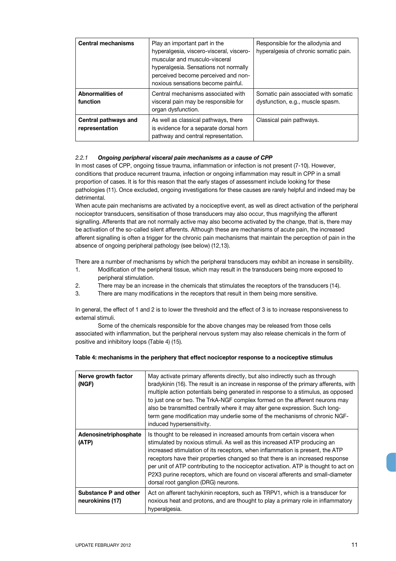| <b>Central mechanisms</b>              | Play an important part in the<br>hyperalgesia, viscero-visceral, viscero-<br>muscular and musculo-visceral<br>hyperalgesia. Sensations not normally<br>perceived become perceived and non-<br>noxious sensations become painful. | Responsible for the allodynia and<br>hyperalgesia of chronic somatic pain. |
|----------------------------------------|----------------------------------------------------------------------------------------------------------------------------------------------------------------------------------------------------------------------------------|----------------------------------------------------------------------------|
| <b>Abnormalities of</b><br>function    | Central mechanisms associated with<br>visceral pain may be responsible for<br>organ dysfunction.                                                                                                                                 | Somatic pain associated with somatic<br>dysfunction, e.g., muscle spasm.   |
| Central pathways and<br>representation | As well as classical pathways, there<br>is evidence for a separate dorsal horn<br>pathway and central representation.                                                                                                            | Classical pain pathways.                                                   |

#### *2.2.1 Ongoing peripheral visceral pain mechanisms as a cause of CPP*

In most cases of CPP, ongoing tissue trauma, inflammation or infection is not present (7-10). However, conditions that produce recurrent trauma, infection or ongoing inflammation may result in CPP in a small proportion of cases. It is for this reason that the early stages of assessment include looking for these pathologies (11). Once excluded, ongoing investigations for these causes are rarely helpful and indeed may be detrimental.

When acute pain mechanisms are activated by a nociceptive event, as well as direct activation of the peripheral nociceptor transducers, sensitisation of those transducers may also occur, thus magnifying the afferent signalling. Afferents that are not normally active may also become activated by the change, that is, there may be activation of the so-called silent afferents. Although these are mechanisms of acute pain, the increased afferent signalling is often a trigger for the chronic pain mechanisms that maintain the perception of pain in the absence of ongoing peripheral pathology (see below) (12,13).

There are a number of mechanisms by which the peripheral transducers may exhibit an increase in sensibility.

- 1. Modification of the peripheral tissue, which may result in the transducers being more exposed to peripheral stimulation.
- 2. There may be an increase in the chemicals that stimulates the receptors of the transducers (14).
- 3. There are many modifications in the receptors that result in them being more sensitive.

In general, the effect of 1 and 2 is to lower the threshold and the effect of 3 is to increase responsiveness to external stimuli.

Some of the chemicals responsible for the above changes may be released from those cells associated with inflammation, but the peripheral nervous system may also release chemicals in the form of positive and inhibitory loops (Table 4) (15).

| Nerve growth factor | May activate primary afferents directly, but also indirectly such as through          |
|---------------------|---------------------------------------------------------------------------------------|
| (NGF)               | bradykinin (16). The result is an increase in response of the primary afferents, with |
|                     | multiple action potentials being generated in response to a stimulus, as opposed      |
|                     | to just one or two. The TrkA-NGF complex formed on the afferent neurons may           |
|                     | also be transmitted centrally where it may alter gene expression. Such long-          |

#### **Table 4: mechanisms in the periphery that effect nociceptor response to a nociceptive stimulus**

|                                                  | also be transmitted centrally where it may alter gene expression. Such long-<br>term gene modification may underlie some of the mechanisms of chronic NGF-<br>induced hypersensitivity.                                                                                                                                                                                                                                                                                                                                                   |
|--------------------------------------------------|-------------------------------------------------------------------------------------------------------------------------------------------------------------------------------------------------------------------------------------------------------------------------------------------------------------------------------------------------------------------------------------------------------------------------------------------------------------------------------------------------------------------------------------------|
| Adenosinetriphosphate<br>(ATP)                   | Is thought to be released in increased amounts from certain viscera when<br>stimulated by noxious stimuli. As well as this increased ATP producing an<br>increased stimulation of its receptors, when inflammation is present, the ATP<br>receptors have their properties changed so that there is an increased response<br>per unit of ATP contributing to the nociceptor activation. ATP is thought to act on<br>P2X3 purine receptors, which are found on visceral afferents and small-diameter<br>dorsal root ganglion (DRG) neurons. |
| <b>Substance P and other</b><br>neurokinins (17) | Act on afferent tachykinin receptors, such as TRPV1, which is a transducer for<br>noxious heat and protons, and are thought to play a primary role in inflammatory<br>hyperalgesia.                                                                                                                                                                                                                                                                                                                                                       |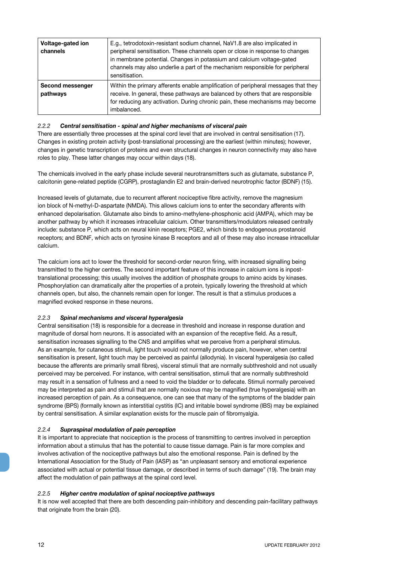| Voltage-gated ion<br>channels | E.g., tetrodotoxin-resistant sodium channel, NaV1.8 are also implicated in<br>peripheral sensitisation. These channels open or close in response to changes<br>in membrane potential. Changes in potassium and calcium voltage-gated<br>channels may also underlie a part of the mechanism responsible for peripheral<br>sensitisation. |
|-------------------------------|-----------------------------------------------------------------------------------------------------------------------------------------------------------------------------------------------------------------------------------------------------------------------------------------------------------------------------------------|
| Second messenger<br>pathways  | Within the primary afferents enable amplification of peripheral messages that they<br>receive. In general, these pathways are balanced by others that are responsible<br>for reducing any activation. During chronic pain, these mechanisms may become<br>imbalanced.                                                                   |

#### *2.2.2 Central sensitisation - spinal and higher mechanisms of visceral pain*

There are essentially three processes at the spinal cord level that are involved in central sensitisation (17). Changes in existing protein activity (post-translational processing) are the earliest (within minutes); however, changes in genetic transcription of proteins and even structural changes in neuron connectivity may also have roles to play. These latter changes may occur within days (18).

The chemicals involved in the early phase include several neurotransmitters such as glutamate, substance P, calcitonin gene-related peptide (CGRP), prostaglandin E2 and brain-derived neurotrophic factor (BDNF) (15).

Increased levels of glutamate, due to recurrent afferent nociceptive fibre activity, remove the magnesium ion block of N-methyl-D-aspartate (NMDA). This allows calcium ions to enter the secondary afferents with enhanced depolarisation. Glutamate also binds to amino-methylene-phosphonic acid (AMPA), which may be another pathway by which it increases intracellular calcium. Other transmitters/modulators released centrally include: substance P, which acts on neural kinin receptors; PGE2, which binds to endogenous prostanoid receptors; and BDNF, which acts on tyrosine kinase B receptors and all of these may also increase intracellular calcium.

The calcium ions act to lower the threshold for second-order neuron firing, with increased signalling being transmitted to the higher centres. The second important feature of this increase in calcium ions is inposttranslational processing; this usually involves the addition of phosphate groups to amino acids by kinases. Phosphorylation can dramatically alter the properties of a protein, typically lowering the threshold at which channels open, but also, the channels remain open for longer. The result is that a stimulus produces a magnified evoked response in these neurons.

# *2.2.3 Spinal mechanisms and visceral hyperalgesia*

Central sensitisation (18) is responsible for a decrease in threshold and increase in response duration and magnitude of dorsal horn neurons. It is associated with an expansion of the receptive field. As a result, sensitisation increases signalling to the CNS and amplifies what we perceive from a peripheral stimulus. As an example, for cutaneous stimuli, light touch would not normally produce pain, however, when central sensitisation is present, light touch may be perceived as painful (allodynia). In visceral hyperalgesia (so called because the afferents are primarily small fibres), visceral stimuli that are normally subthreshold and not usually perceived may be perceived. For instance, with central sensitisation, stimuli that are normally subthreshold may result in a sensation of fullness and a need to void the bladder or to defecate. Stimuli normally perceived may be interpreted as pain and stimuli that are normally noxious may be magnified (true hyperalgesia) with an increased perception of pain. As a consequence, one can see that many of the symptoms of the bladder pain syndrome (BPS) (formally known as interstitial cystitis (IC) and irritable bowel syndrome (IBS) may be explained by central sensitisation. A similar explanation exists for the muscle pain of fibromyalgia.

# *2.2.4 Supraspinal modulation of pain perception*

It is important to appreciate that nociception is the process of transmitting to centres involved in perception information about a stimulus that has the potential to cause tissue damage. Pain is far more complex and involves activation of the nociceptive pathways but also the emotional response. Pain is defined by the International Association for the Study of Pain (IASP) as "an unpleasant sensory and emotional experience associated with actual or potential tissue damage, or described in terms of such damage" (19). The brain may affect the modulation of pain pathways at the spinal cord level.

#### *2.2.5 Higher centre modulation of spinal nociceptive pathways*

It is now well accepted that there are both descending pain-inhibitory and descending pain-facilitary pathways that originate from the brain (20).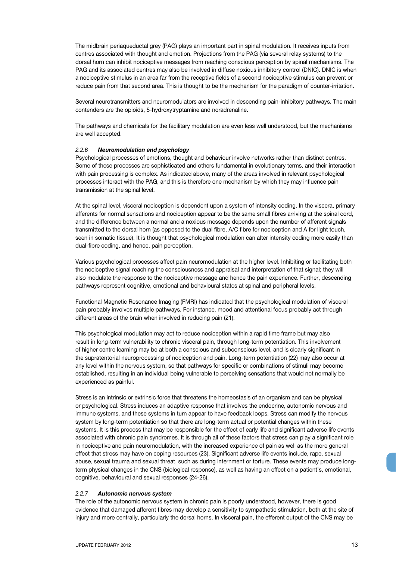The midbrain periaqueductal grey (PAG) plays an important part in spinal modulation. It receives inputs from centres associated with thought and emotion. Projections from the PAG (via several relay systems) to the dorsal horn can inhibit nociceptive messages from reaching conscious perception by spinal mechanisms. The PAG and its associated centres may also be involved in diffuse noxious inhibitory control (DNIC). DNIC is when a nociceptive stimulus in an area far from the receptive fields of a second nociceptive stimulus can prevent or reduce pain from that second area. This is thought to be the mechanism for the paradigm of counter-irritation.

Several neurotransmitters and neuromodulators are involved in descending pain-inhibitory pathways. The main contenders are the opioids, 5-hydroxytryptamine and noradrenaline.

The pathways and chemicals for the facilitary modulation are even less well understood, but the mechanisms are well accepted.

#### *2.2.6 Neuromodulation and psychology*

Psychological processes of emotions, thought and behaviour involve networks rather than distinct centres. Some of these processes are sophisticated and others fundamental in evolutionary terms, and their interaction with pain processing is complex. As indicated above, many of the areas involved in relevant psychological processes interact with the PAG, and this is therefore one mechanism by which they may influence pain transmission at the spinal level.

At the spinal level, visceral nociception is dependent upon a system of intensity coding. In the viscera, primary afferents for normal sensations and nociception appear to be the same small fibres arriving at the spinal cord, and the difference between a normal and a noxious message depends upon the number of afferent signals transmitted to the dorsal horn (as opposed to the dual fibre, A/C fibre for nociception and A for light touch, seen in somatic tissue). It is thought that psychological modulation can alter intensity coding more easily than dual-fibre coding, and hence, pain perception.

Various psychological processes affect pain neuromodulation at the higher level. Inhibiting or facilitating both the nociceptive signal reaching the consciousness and appraisal and interpretation of that signal; they will also modulate the response to the nociceptive message and hence the pain experience. Further, descending pathways represent cognitive, emotional and behavioural states at spinal and peripheral levels.

Functional Magnetic Resonance Imaging (FMRI) has indicated that the psychological modulation of visceral pain probably involves multiple pathways. For instance, mood and attentional focus probably act through different areas of the brain when involved in reducing pain (21).

This psychological modulation may act to reduce nociception within a rapid time frame but may also result in long-term vulnerability to chronic visceral pain, through long-term potentiation. This involvement of higher centre learning may be at both a conscious and subconscious level, and is clearly significant in the supratentorial neuroprocessing of nociception and pain. Long-term potentiation (22) may also occur at any level within the nervous system, so that pathways for specific or combinations of stimuli may become established, resulting in an individual being vulnerable to perceiving sensations that would not normally be experienced as painful.

Stress is an intrinsic or extrinsic force that threatens the homeostasis of an organism and can be physical or psychological. Stress induces an adaptive response that involves the endocrine, autonomic nervous and immune systems, and these systems in turn appear to have feedback loops. Stress can modify the nervous system by long-term potentiation so that there are long-term actual or potential changes within these systems. It is this process that may be responsible for the effect of early life and significant adverse life events associated with chronic pain syndromes. It is through all of these factors that stress can play a significant role in nociceptive and pain neuromodulation, with the increased experience of pain as well as the more general effect that stress may have on coping resources (23). Significant adverse life events include, rape, sexual abuse, sexual trauma and sexual threat, such as during internment or torture. These events may produce longterm physical changes in the CNS (biological response), as well as having an effect on a patient's, emotional, cognitive, behavioural and sexual responses (24-26).

#### *2.2.7 Autonomic nervous system*

The role of the autonomic nervous system in chronic pain is poorly understood, however, there is good evidence that damaged afferent fibres may develop a sensitivity to sympathetic stimulation, both at the site of injury and more centrally, particularly the dorsal horns. In visceral pain, the efferent output of the CNS may be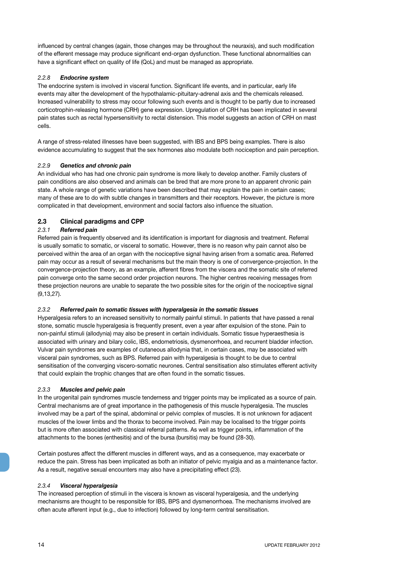influenced by central changes (again, those changes may be throughout the neuraxis), and such modification of the efferent message may produce significant end-organ dysfunction. These functional abnormalities can have a significant effect on quality of life (QoL) and must be managed as appropriate.

# *2.2.8 Endocrine system*

The endocrine system is involved in visceral function. Significant life events, and in particular, early life events may alter the development of the hypothalamic-pituitary-adrenal axis and the chemicals released. Increased vulnerability to stress may occur following such events and is thought to be partly due to increased corticotrophin-releasing hormone (CRH) gene expression. Upregulation of CRH has been implicated in several pain states such as rectal hypersensitivity to rectal distension. This model suggests an action of CRH on mast cells.

A range of stress-related illnesses have been suggested, with IBS and BPS being examples. There is also evidence accumulating to suggest that the sex hormones also modulate both nociception and pain perception.

# *2.2.9 Genetics and chronic pain*

An individual who has had one chronic pain syndrome is more likely to develop another. Family clusters of pain conditions are also observed and animals can be bred that are more prone to an apparent chronic pain state. A whole range of genetic variations have been described that may explain the pain in certain cases; many of these are to do with subtle changes in transmitters and their receptors. However, the picture is more complicated in that development, environment and social factors also influence the situation.

# **2.3 Clinical paradigms and CPP**

# *2.3.1 Referred pain*

Referred pain is frequently observed and its identification is important for diagnosis and treatment. Referral is usually somatic to somatic, or visceral to somatic. However, there is no reason why pain cannot also be perceived within the area of an organ with the nociceptive signal having arisen from a somatic area. Referred pain may occur as a result of several mechanisms but the main theory is one of convergence-projection. In the convergence-projection theory, as an example, afferent fibres from the viscera and the somatic site of referred pain converge onto the same second order projection neurons. The higher centres receiving messages from these projection neurons are unable to separate the two possible sites for the origin of the nociceptive signal (9,13,27).

# *2.3.2 Referred pain to somatic tissues with hyperalgesia in the somatic tissues*

Hyperalgesia refers to an increased sensitivity to normally painful stimuli. In patients that have passed a renal stone, somatic muscle hyperalgesia is frequently present, even a year after expulsion of the stone. Pain to non-painful stimuli (allodynia) may also be present in certain individuals. Somatic tissue hyperaesthesia is associated with urinary and bilary colic, IBS, endometriosis, dysmenorrhoea, and recurrent bladder infection. Vulvar pain syndromes are examples of cutaneous allodynia that, in certain cases, may be associated with visceral pain syndromes, such as BPS. Referred pain with hyperalgesia is thought to be due to central sensitisation of the converging viscero-somatic neurones. Central sensitisation also stimulates efferent activity that could explain the trophic changes that are often found in the somatic tissues.

# *2.3.3 Muscles and pelvic pain*

In the urogenital pain syndromes muscle tenderness and trigger points may be implicated as a source of pain. Central mechanisms are of great importance in the pathogenesis of this muscle hyperalgesia. The muscles involved may be a part of the spinal, abdominal or pelvic complex of muscles. It is not unknown for adjacent muscles of the lower limbs and the thorax to become involved. Pain may be localised to the trigger points but is more often associated with classical referral patterns. As well as trigger points, inflammation of the attachments to the bones (enthesitis) and of the bursa (bursitis) may be found (28-30).

Certain postures affect the different muscles in different ways, and as a consequence, may exacerbate or reduce the pain. Stress has been implicated as both an initiator of pelvic myalgia and as a maintenance factor. As a result, negative sexual encounters may also have a precipitating effect (23).

# *2.3.4 Visceral hyperalgesia*

The increased perception of stimuli in the viscera is known as visceral hyperalgesia, and the underlying mechanisms are thought to be responsible for IBS, BPS and dysmenorrhoea. The mechanisms involved are often acute afferent input (e.g., due to infection) followed by long-term central sensitisation.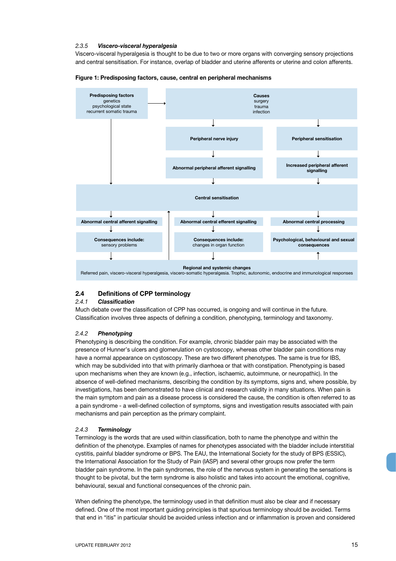# *2.3.5 Viscero-visceral hyperalgesia*

Viscero-visceral hyperalgesia is thought to be due to two or more organs with converging sensory projections and central sensitisation. For instance, overlap of bladder and uterine afferents or uterine and colon afferents.





# **2.4 Definitions of CPP terminology**

# *2.4.1 Classification*

Much debate over the classification of CPP has occurred, is ongoing and will continue in the future. Classification involves three aspects of defining a condition, phenotyping, terminology and taxonomy.

# *2.4.2 Phenotyping*

Phenotyping is describing the condition. For example, chronic bladder pain may be associated with the presence of Hunner's ulcers and glomerulation on cystoscopy, whereas other bladder pain conditions may have a normal appearance on cystoscopy. These are two different phenotypes. The same is true for IBS, which may be subdivided into that with primarily diarrhoea or that with constipation. Phenotyping is based upon mechanisms when they are known (e.g., infection, ischaemic, autoimmune, or neuropathic). In the absence of well-defined mechanisms, describing the condition by its symptoms, signs and, where possible, by investigations, has been demonstrated to have clinical and research validity in many situations. When pain is the main symptom and pain as a disease process is considered the cause, the condition is often referred to as a pain syndrome - a well-defined collection of symptoms, signs and investigation results associated with pain mechanisms and pain perception as the primary complaint.

#### *2.4.3 Terminology*

Terminology is the words that are used within classification, both to name the phenotype and within the definition of the phenotype. Examples of names for phenotypes associated with the bladder include interstitial cystitis, painful bladder syndrome or BPS. The EAU, the International Society for the study of BPS (ESSIC), the International Association for the Study of Pain (IASP) and several other groups now prefer the term bladder pain syndrome. In the pain syndromes, the role of the nervous system in generating the sensations is thought to be pivotal, but the term syndrome is also holistic and takes into account the emotional, cognitive, behavioural, sexual and functional consequences of the chronic pain.

When defining the phenotype, the terminology used in that definition must also be clear and if necessary defined. One of the most important guiding principles is that spurious terminology should be avoided. Terms that end in "itis" in particular should be avoided unless infection and or inflammation is proven and considered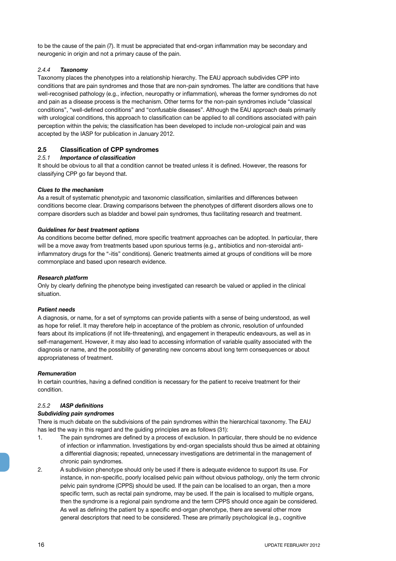to be the cause of the pain (7). It must be appreciated that end-organ inflammation may be secondary and neurogenic in origin and not a primary cause of the pain.

# *2.4.4 Taxonomy*

Taxonomy places the phenotypes into a relationship hierarchy. The EAU approach subdivides CPP into conditions that are pain syndromes and those that are non-pain syndromes. The latter are conditions that have well-recognised pathology (e.g., infection, neuropathy or inflammation), whereas the former syndromes do not and pain as a disease process is the mechanism. Other terms for the non-pain syndromes include "classical conditions", "well-defined conditions" and "confusable diseases". Although the EAU approach deals primarily with urological conditions, this approach to classification can be applied to all conditions associated with pain perception within the pelvis; the classification has been developed to include non-urological pain and was accepted by the IASP for publication in January 2012.

# **2.5 Classification of CPP syndromes**

# *2.5.1 Importance of classification*

It should be obvious to all that a condition cannot be treated unless it is defined. However, the reasons for classifying CPP go far beyond that.

#### *Clues to the mechanism*

As a result of systematic phenotypic and taxonomic classification, similarities and differences between conditions become clear. Drawing comparisons between the phenotypes of different disorders allows one to compare disorders such as bladder and bowel pain syndromes, thus facilitating research and treatment.

#### *Guidelines for best treatment options*

As conditions become better defined, more specific treatment approaches can be adopted. In particular, there will be a move away from treatments based upon spurious terms (e.g., antibiotics and non-steroidal antiinflammatory drugs for the "-itis" conditions). Generic treatments aimed at groups of conditions will be more commonplace and based upon research evidence.

#### *Research platform*

Only by clearly defining the phenotype being investigated can research be valued or applied in the clinical situation.

# *Patient needs*

A diagnosis, or name, for a set of symptoms can provide patients with a sense of being understood, as well as hope for relief. It may therefore help in acceptance of the problem as chronic, resolution of unfounded fears about its implications (if not life-threatening), and engagement in therapeutic endeavours, as well as in self-management. However, it may also lead to accessing information of variable quality associated with the diagnosis or name, and the possibility of generating new concerns about long term consequences or about appropriateness of treatment.

#### *Remuneration*

In certain countries, having a defined condition is necessary for the patient to receive treatment for their condition.

# *2.5.2 IASP definitions*

#### *Subdividing pain syndromes*

There is much debate on the subdivisions of the pain syndromes within the hierarchical taxonomy. The EAU has led the way in this regard and the guiding principles are as follows (31):

- 1. The pain syndromes are defined by a process of exclusion. In particular, there should be no evidence of infection or inflammation. Investigations by end-organ specialists should thus be aimed at obtaining a differential diagnosis; repeated, unnecessary investigations are detrimental in the management of chronic pain syndromes.
- 2. A subdivision phenotype should only be used if there is adequate evidence to support its use. For instance, in non-specific, poorly localised pelvic pain without obvious pathology, only the term chronic pelvic pain syndrome (CPPS) should be used. If the pain can be localised to an organ, then a more specific term, such as rectal pain syndrome, may be used. If the pain is localised to multiple organs, then the syndrome is a regional pain syndrome and the term CPPS should once again be considered. As well as defining the patient by a specific end-organ phenotype, there are several other more general descriptors that need to be considered. These are primarily psychological (e.g., cognitive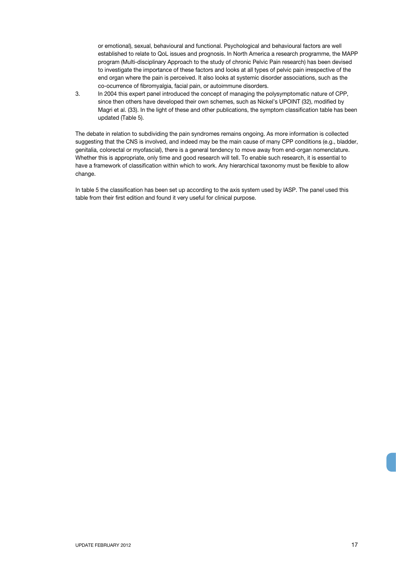or emotional), sexual, behavioural and functional. Psychological and behavioural factors are well established to relate to QoL issues and prognosis. In North America a research programme, the MAPP program (Multi-disciplinary Approach to the study of chronic Pelvic Pain research) has been devised to investigate the importance of these factors and looks at all types of pelvic pain irrespective of the end organ where the pain is perceived. It also looks at systemic disorder associations, such as the co-ocurrence of fibromyalgia, facial pain, or autoimmune disorders.

3. In 2004 this expert panel introduced the concept of managing the polysymptomatic nature of CPP, since then others have developed their own schemes, such as Nickel's UPOINT (32), modified by Magri et al. (33). In the light of these and other publications, the symptom classification table has been updated (Table 5).

The debate in relation to subdividing the pain syndromes remains ongoing. As more information is collected suggesting that the CNS is involved, and indeed may be the main cause of many CPP conditions (e.g., bladder, genitalia, colorectal or myofascial), there is a general tendency to move away from end-organ nomenclature. Whether this is appropriate, only time and good research will tell. To enable such research, it is essential to have a framework of classification within which to work. Any hierarchical taxonomy must be flexible to allow change.

In table 5 the classification has been set up according to the axis system used by IASP. The panel used this table from their first edition and found it very useful for clinical purpose.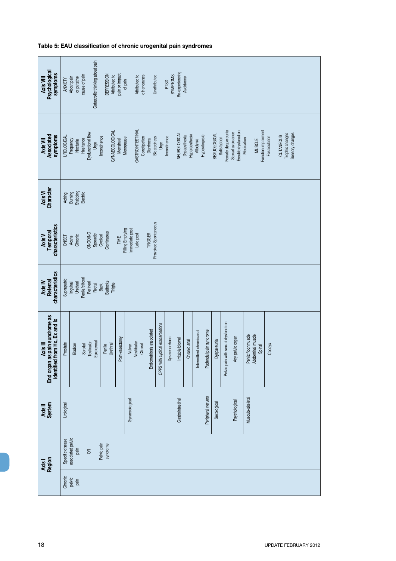| Psychological<br>symptoms<br>Axis VIII                                     | or putative<br>About pain<br>ANXIETY          | cause of pain                   | Catastrofic thinking about pain | <b>DEPRESSION</b>  | pain or impact<br>Attributed to    | of pain                            | Attributed to<br>other causes             | Unattributed                    |                                  | <b>SYMPTOMS</b><br>PTSD | Re-experiencing     | Avoidance                      |                           |                           |                                     |                                     |                                          |                                                   |                                                                                                |  |
|----------------------------------------------------------------------------|-----------------------------------------------|---------------------------------|---------------------------------|--------------------|------------------------------------|------------------------------------|-------------------------------------------|---------------------------------|----------------------------------|-------------------------|---------------------|--------------------------------|---------------------------|---------------------------|-------------------------------------|-------------------------------------|------------------------------------------|---------------------------------------------------|------------------------------------------------------------------------------------------------|--|
| Associated<br>symptoms<br>Axis VII                                         | <b>UROLOGICAL</b><br>Frequency<br>Nocturia    | Dysfunctional flow<br>Hesitance | Incontinence<br>Urge            |                    | <b>GYNAECOLOGICAL</b><br>Menstrual | Menopause                          | <b>GAST ROINT ESTINAL</b><br>Constipation | <b>Bloatedness</b><br>Diarrhoea | Urge                             | Incontinence            | <b>NEUROLOGICAL</b> | Hyperaesthesia<br>Dysaesthesia | Allodynia                 | Hyperalegesie             | <b>SEXUOLOGICAL</b><br>Satisfaction | Female dyspareunia                  | Erectile dysfunction<br>Sexual avoidance | Medication<br><b>MUSCLE</b>                       | Function impairment<br>Trophic changes<br>Sensory changes<br><b>CUTANEOUS</b><br>Fasciculation |  |
| Character<br>Axis VI                                                       | Stabbing<br>Burning<br>Aching                 | Electric                        |                                 |                    |                                    |                                    |                                           |                                 |                                  |                         |                     |                                |                           |                           |                                     |                                     |                                          |                                                   |                                                                                                |  |
| characteristics<br><b>Temporal</b><br>Axis V                               | Chronic<br>ONSET<br>Acute                     | <b>ONGOING</b>                  | Sporadic<br>Cyclical            | Continuous         | TIME                               | Filling Emptying<br>Immediate post | Late post                                 | Provoked Spontaneous<br>TRIGGER |                                  |                         |                     |                                |                           |                           |                                     |                                     |                                          |                                                   |                                                                                                |  |
| characteristics<br><b>Referral</b><br>Axis IV                              | Suprapubic<br>Urethral<br>Inguinal            | Penile/clitoral<br>Perineal     | Rectal<br><b>Back</b>           | <b>Buttocks</b>    | Thighs                             |                                    |                                           |                                 |                                  |                         |                     |                                |                           |                           |                                     |                                     |                                          |                                                   |                                                                                                |  |
| End organ as pain sundrome as<br>identified from Hx, Ex and lx<br>Axis III | Prostate<br>Bladder                           | Scrotal                         | Testicular<br>Epididymal        | Urethral<br>Penile | Post-vasectomy                     | Vestibular<br>Vulvar               | Clitoral                                  | Endometriosis associated        | CPPS with cyclical exacerbations | Dysmenorrhoea           | Irritable blowel    | Chronic anal                   | Intermittent chronic anal | pain syndrome<br>Pudendal | Dyspareunia                         | Pelvic pain with sexual dysfunction | Any pelvic organ                         | Pelvic floor muscle<br>Abdominal muscle<br>Spinal | Соссух                                                                                         |  |
| Axis II<br>System                                                          | Urological                                    |                                 |                                 |                    |                                    | Gynaecological                     |                                           |                                 |                                  |                         | Gastrointestinal    |                                |                           | Peripheral nervers        | Sexological                         |                                     | Psychological                            | Musculo-skeletal                                  |                                                                                                |  |
| Axis I<br>Region                                                           | associated pelvic<br>Specific disease<br>pain | $\mathfrak{E}$                  | Pelvic pain                     | syndrome           |                                    |                                    |                                           |                                 |                                  |                         |                     |                                |                           |                           |                                     |                                     |                                          |                                                   |                                                                                                |  |
|                                                                            | Chronic<br>pelvic<br>pain                     |                                 |                                 |                    |                                    |                                    |                                           |                                 |                                  |                         |                     |                                |                           |                           |                                     |                                     |                                          |                                                   |                                                                                                |  |

# **Table 5: EAU classification of chronic urogenital pain syndromes**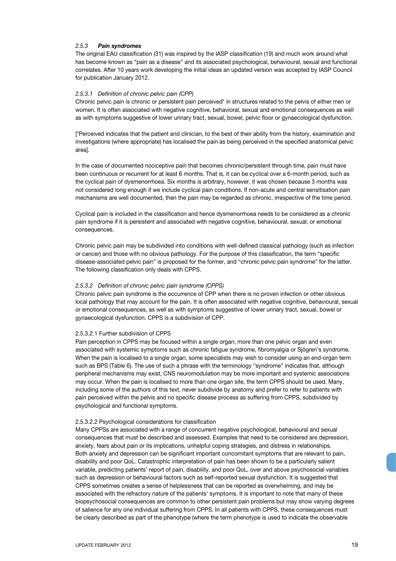#### *2.5.3 Pain syndromes*

The original EAU classification (31) was inspired by the IASP classification (19) and much work around what has become known as "pain as a disease" and its associated psychological, behavioural, sexual and functional correlates. After 10 years work developing the initial ideas an updated version was accepted by IASP Council for publication January 2012.

#### *2.5.3.1 Definition of chronic pelvic pain (CPP)*

Chronic pelvic pain is chronic or persistent pain perceived\* in structures related to the pelvis of either men or women. It is often associated with negative cognitive, behavioral, sexual and emotional consequences as well as with symptoms suggestive of lower urinary tract, sexual, bowel, pelvic floor or gynaecological dysfunction.

[\*Perceived indicates that the patient and clinician, to the best of their ability from the history, examination and investigations (where appropriate) has localised the pain as being perceived in the specified anatomical pelvic area].

In the case of documented nociceptive pain that becomes chronic/persistent through time, pain must have been continuous or recurrent for at least 6 months. That is, it can be cyclical over a 6-month period, such as the cyclical pain of dysmenorrhoea. Six months is arbitrary, however, it was chosen because 3 months was not considered long enough if we include cyclical pain conditions. If non-acute and central sensitisation pain mechanisms are well documented, then the pain may be regarded as chronic, irrespective of the time period.

Cyclical pain is included in the classification and hence dysmenorrhoea needs to be considered as a chronic pain syndrome if it is persistent and associated with negative cognitive, behavioural, sexual, or emotional consequences.

Chronic pelvic pain may be subdivided into conditions with well-defined classical pathology (such as infection or cancer) and those with no obvious pathology. For the purpose of this classification, the term "specific disease-associated pelvic pain" is proposed for the former, and "chronic pelvic pain syndrome" for the latter. The following classification only deals with CPPS.

#### *2.5.3.2 Definition of chronic pelvic pain syndrome (CPPS)*

Chronic pelvic pain syndrome is the occurrence of CPP when there is no proven infection or other obvious local pathology that may account for the pain. It is often associated with negative cognitive, behavioural, sexual or emotional consequences, as well as with symptoms suggestive of lower urinary tract, sexual, bowel or gynaecological dysfunction. CPPS is a subdivision of CPP.

#### 2.5.3.2.1 Further subdivision of CPPS

Pain perception in CPPS may be focused within a single organ, more than one pelvic organ and even associated with systemic symptoms such as chronic fatigue syndrome, fibromyalgia or Sjögren's syndrome. When the pain is localised to a single organ, some specialists may wish to consider using an end-organ term such as BPS (Table 6). The use of such a phrase with the terminology "syndrome" indicates that, although peripheral mechanisms may exist, CNS neuromodulation may be more important and systemic associations may occur. When the pain is localised to more than one organ site, the term CPPS should be used. Many, including some of the authors of this text, never subdivide by anatomy and prefer to refer to patients with pain perceived within the pelvis and no specific disease process as suffering from CPPS, subdivided by psychological and functional symptoms.

#### 2.5.3.2.2 Psychological considerations for classification

Many CPPSs are associated with a range of concurrent negative psychological, behavioural and sexual consequences that must be described and assessed. Examples that need to be considered are depression, anxiety, fears about pain or its implications, unhelpful coping strategies, and distress in relationships. Both anxiety and depression can be significant important concomitant symptoms that are relevant to pain, disability and poor QoL. Catastrophic interpretation of pain has been shown to be a particularly salient variable, predicting patients' report of pain, disability, and poor QoL, over and above psychosocial variables such as depression or behavioural factors such as self-reported sexual dysfunction. It is suggested that CPPS sometimes creates a sense of helplessness that can be reported as overwhelming, and may be associated with the refractory nature of the patients' symptoms. It is important to note that many of these biopsychosocial consequences are common to other persistent pain problems but may show varying degrees of salience for any one individual suffering from CPPS. In all patients with CPPS, these consequences must be clearly described as part of the phenotype (where the term phenotype is used to indicate the observable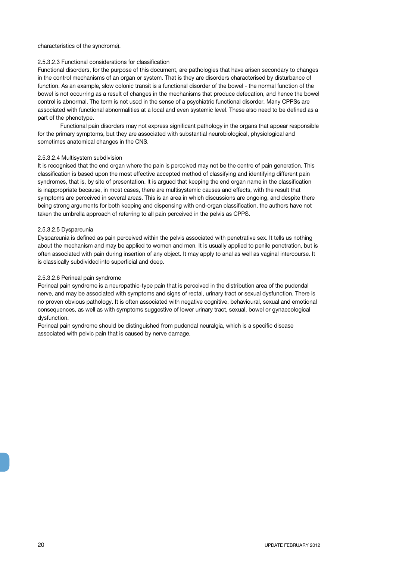#### characteristics of the syndrome).

#### 2.5.3.2.3 Functional considerations for classification

Functional disorders, for the purpose of this document, are pathologies that have arisen secondary to changes in the control mechanisms of an organ or system. That is they are disorders characterised by disturbance of function. As an example, slow colonic transit is a functional disorder of the bowel - the normal function of the bowel is not occurring as a result of changes in the mechanisms that produce defecation, and hence the bowel control is abnormal. The term is not used in the sense of a psychiatric functional disorder. Many CPPSs are associated with functional abnormalities at a local and even systemic level. These also need to be defined as a part of the phenotype.

Functional pain disorders may not express significant pathology in the organs that appear responsible for the primary symptoms, but they are associated with substantial neurobiological, physiological and sometimes anatomical changes in the CNS.

#### 2.5.3.2.4 Multisystem subdivision

It is recognised that the end organ where the pain is perceived may not be the centre of pain generation. This classification is based upon the most effective accepted method of classifying and identifying different pain syndromes, that is, by site of presentation. It is argued that keeping the end organ name in the classification is inappropriate because, in most cases, there are multisystemic causes and effects, with the result that symptoms are perceived in several areas. This is an area in which discussions are ongoing, and despite there being strong arguments for both keeping and dispensing with end-organ classification, the authors have not taken the umbrella approach of referring to all pain perceived in the pelvis as CPPS.

#### 2.5.3.2.5 Dyspareunia

Dyspareunia is defined as pain perceived within the pelvis associated with penetrative sex. It tells us nothing about the mechanism and may be applied to women and men. It is usually applied to penile penetration, but is often associated with pain during insertion of any object. It may apply to anal as well as vaginal intercourse. It is classically subdivided into superficial and deep.

#### 2.5.3.2.6 Perineal pain syndrome

Perineal pain syndrome is a neuropathic-type pain that is perceived in the distribution area of the pudendal nerve, and may be associated with symptoms and signs of rectal, urinary tract or sexual dysfunction. There is no proven obvious pathology. It is often associated with negative cognitive, behavioural, sexual and emotional consequences, as well as with symptoms suggestive of lower urinary tract, sexual, bowel or gynaecological dysfunction.

Perineal pain syndrome should be distinguished from pudendal neuralgia, which is a specific disease associated with pelvic pain that is caused by nerve damage.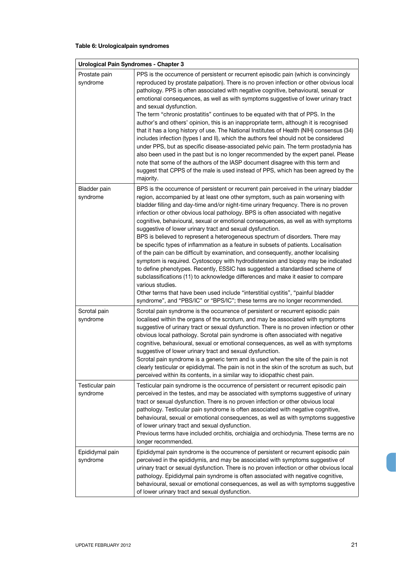# **Table 6: Urologicalpain syndromes**

| Urological Pain Syndromes - Chapter 3 |                                                                                                                                                                                                                                                                                                                                                                                                                                                                                                                                                                                                                                                                                                                                                                                                                                                                                                                                                                                                                                                                                                                                                                                                                       |  |  |  |
|---------------------------------------|-----------------------------------------------------------------------------------------------------------------------------------------------------------------------------------------------------------------------------------------------------------------------------------------------------------------------------------------------------------------------------------------------------------------------------------------------------------------------------------------------------------------------------------------------------------------------------------------------------------------------------------------------------------------------------------------------------------------------------------------------------------------------------------------------------------------------------------------------------------------------------------------------------------------------------------------------------------------------------------------------------------------------------------------------------------------------------------------------------------------------------------------------------------------------------------------------------------------------|--|--|--|
| Prostate pain<br>syndrome             | PPS is the occurrence of persistent or recurrent episodic pain (which is convincingly<br>reproduced by prostate palpation). There is no proven infection or other obvious local<br>pathology. PPS is often associated with negative cognitive, behavioural, sexual or<br>emotional consequences, as well as with symptoms suggestive of lower urinary tract<br>and sexual dysfunction.<br>The term "chronic prostatitis" continues to be equated with that of PPS. In the<br>author's and others' opinion, this is an inappropriate term, although it is recognised<br>that it has a long history of use. The National Institutes of Health (NIH) consensus (34)<br>includes infection (types I and II), which the authors feel should not be considered<br>under PPS, but as specific disease-associated pelvic pain. The term prostadynia has<br>also been used in the past but is no longer recommended by the expert panel. Please<br>note that some of the authors of the IASP document disagree with this term and<br>suggest that CPPS of the male is used instead of PPS, which has been agreed by the<br>majority.                                                                                           |  |  |  |
| Bladder pain<br>syndrome              | BPS is the occurrence of persistent or recurrent pain perceived in the urinary bladder<br>region, accompanied by at least one other symptom, such as pain worsening with<br>bladder filling and day-time and/or night-time urinary frequency. There is no proven<br>infection or other obvious local pathology. BPS is often associated with negative<br>cognitive, behavioural, sexual or emotional consequences, as well as with symptoms<br>suggestive of lower urinary tract and sexual dysfunction.<br>BPS is believed to represent a heterogeneous spectrum of disorders. There may<br>be specific types of inflammation as a feature in subsets of patients. Localisation<br>of the pain can be difficult by examination, and consequently, another localising<br>symptom is required. Cystoscopy with hydrodistension and biopsy may be indicated<br>to define phenotypes. Recently, ESSIC has suggested a standardised scheme of<br>subclassifications (11) to acknowledge differences and make it easier to compare<br>various studies.<br>Other terms that have been used include "interstitial cystitis", "painful bladder<br>syndrome", and "PBS/IC" or "BPS/IC"; these terms are no longer recommended. |  |  |  |
| Scrotal pain<br>syndrome              | Scrotal pain syndrome is the occurrence of persistent or recurrent episodic pain<br>localised within the organs of the scrotum, and may be associated with symptoms<br>suggestive of urinary tract or sexual dysfunction. There is no proven infection or other<br>obvious local pathology. Scrotal pain syndrome is often associated with negative<br>cognitive, behavioural, sexual or emotional consequences, as well as with symptoms<br>suggestive of lower urinary tract and sexual dysfunction.<br>Scrotal pain syndrome is a generic term and is used when the site of the pain is not<br>clearly testicular or epididymal. The pain is not in the skin of the scrotum as such, but<br>perceived within its contents, in a similar way to idiopathic chest pain.                                                                                                                                                                                                                                                                                                                                                                                                                                              |  |  |  |
| Testicular pain<br>syndrome           | Testicular pain syndrome is the occurrence of persistent or recurrent episodic pain<br>perceived in the testes, and may be associated with symptoms suggestive of urinary<br>tract or sexual dysfunction. There is no proven infection or other obvious local<br>pathology. Testicular pain syndrome is often associated with negative cognitive,<br>behavioural, sexual or emotional consequences, as well as with symptoms suggestive<br>of lower urinary tract and sexual dysfunction.<br>Previous terms have included orchitis, orchialgia and orchiodynia. These terms are no<br>longer recommended.                                                                                                                                                                                                                                                                                                                                                                                                                                                                                                                                                                                                             |  |  |  |
| Epididymal pain<br>syndrome           | Epididymal pain syndrome is the occurrence of persistent or recurrent episodic pain<br>perceived in the epididymis, and may be associated with symptoms suggestive of<br>urinary tract or sexual dysfunction. There is no proven infection or other obvious local<br>pathology. Epididymal pain syndrome is often associated with negative cognitive,<br>behavioural, sexual or emotional consequences, as well as with symptoms suggestive<br>of lower urinary tract and sexual dysfunction.                                                                                                                                                                                                                                                                                                                                                                                                                                                                                                                                                                                                                                                                                                                         |  |  |  |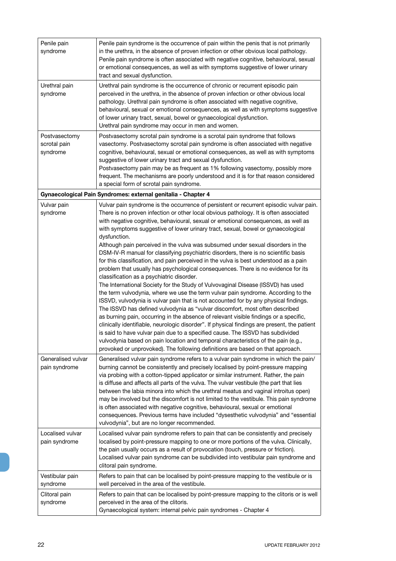| Penile pain<br>syndrome                   | Penile pain syndrome is the occurrence of pain within the penis that is not primarily<br>in the urethra, in the absence of proven infection or other obvious local pathology.<br>Penile pain syndrome is often associated with negative cognitive, behavioural, sexual<br>or emotional consequences, as well as with symptoms suggestive of lower urinary<br>tract and sexual dysfunction.                                                                                                                                                                                                                                                                                                                                                                                                                                                                                                                                                               |
|-------------------------------------------|----------------------------------------------------------------------------------------------------------------------------------------------------------------------------------------------------------------------------------------------------------------------------------------------------------------------------------------------------------------------------------------------------------------------------------------------------------------------------------------------------------------------------------------------------------------------------------------------------------------------------------------------------------------------------------------------------------------------------------------------------------------------------------------------------------------------------------------------------------------------------------------------------------------------------------------------------------|
| Urethral pain<br>syndrome                 | Urethral pain syndrome is the occurrence of chronic or recurrent episodic pain<br>perceived in the urethra, in the absence of proven infection or other obvious local<br>pathology. Urethral pain syndrome is often associated with negative cognitive,<br>behavioural, sexual or emotional consequences, as well as with symptoms suggestive<br>of lower urinary tract, sexual, bowel or gynaecological dysfunction.<br>Urethral pain syndrome may occur in men and women.                                                                                                                                                                                                                                                                                                                                                                                                                                                                              |
| Postvasectomy<br>scrotal pain<br>syndrome | Postvasectomy scrotal pain syndrome is a scrotal pain syndrome that follows<br>vasectomy. Postvasectomy scrotal pain syndrome is often associated with negative<br>cognitive, behavioural, sexual or emotional consequences, as well as with symptoms<br>suggestive of lower urinary tract and sexual dysfunction.<br>Postvasectomy pain may be as frequent as 1% following vasectomy, possibly more<br>frequent. The mechanisms are poorly understood and it is for that reason considered<br>a special form of scrotal pain syndrome.                                                                                                                                                                                                                                                                                                                                                                                                                  |
|                                           | Gynaecological Pain Syndromes: external genitalia - Chapter 4                                                                                                                                                                                                                                                                                                                                                                                                                                                                                                                                                                                                                                                                                                                                                                                                                                                                                            |
| Vulvar pain<br>syndrome                   | Vulvar pain syndrome is the occurrence of persistent or recurrent episodic vulvar pain.<br>There is no proven infection or other local obvious pathology. It is often associated<br>with negative cognitive, behavioural, sexual or emotional consequences, as well as<br>with symptoms suggestive of lower urinary tract, sexual, bowel or gynaecological<br>dysfunction.<br>Although pain perceived in the vulva was subsumed under sexual disorders in the<br>DSM-IV-R manual for classifying psychiatric disorders, there is no scientific basis<br>for this classification, and pain perceived in the vulva is best understood as a pain<br>problem that usually has psychological consequences. There is no evidence for its<br>classification as a psychiatric disorder.<br>The International Society for the Study of Vulvovaginal Disease (ISSVD) has used<br>the term vulvodynia, where we use the term vulvar pain syndrome. According to the |
|                                           | ISSVD, vulvodynia is vulvar pain that is not accounted for by any physical findings.<br>The ISSVD has defined vulvodynia as "vulvar discomfort, most often described<br>as burning pain, occurring in the absence of relevant visible findings or a specific,<br>clinically identifiable, neurologic disorder". If physical findings are present, the patient<br>is said to have vulvar pain due to a specified cause. The ISSVD has subdivided<br>vulvodynia based on pain location and temporal characteristics of the pain (e.g.,<br>provoked or unprovoked). The following definitions are based on that approach.                                                                                                                                                                                                                                                                                                                                   |
| Generalised vulvar<br>pain syndrome       | Generalised vulvar pain syndrome refers to a vulvar pain syndrome in which the pain/<br>burning cannot be consistently and precisely localised by point-pressure mapping<br>via probing with a cotton-tipped applicator or similar instrument. Rather, the pain<br>is diffuse and affects all parts of the vulva. The vulvar vestibule (the part that lies<br>between the labia minora into which the urethral meatus and vaginal introitus open)<br>may be involved but the discomfort is not limited to the vestibule. This pain syndrome<br>is often associated with negative cognitive, behavioural, sexual or emotional<br>consequences. Previous terms have included "dysesthetic vulvodynia" and "essential<br>vulvodynia", but are no longer recommended.                                                                                                                                                                                        |
| Localised vulvar<br>pain syndrome         | Localised vulvar pain syndrome refers to pain that can be consistently and precisely<br>localised by point-pressure mapping to one or more portions of the vulva. Clinically,<br>the pain usually occurs as a result of provocation (touch, pressure or friction).<br>Localised vulvar pain syndrome can be subdivided into vestibular pain syndrome and<br>clitoral pain syndrome.                                                                                                                                                                                                                                                                                                                                                                                                                                                                                                                                                                      |
| Vestibular pain<br>syndrome               | Refers to pain that can be localised by point-pressure mapping to the vestibule or is<br>well perceived in the area of the vestibule.                                                                                                                                                                                                                                                                                                                                                                                                                                                                                                                                                                                                                                                                                                                                                                                                                    |
| Clitoral pain<br>syndrome                 | Refers to pain that can be localised by point-pressure mapping to the clitoris or is well<br>perceived in the area of the clitoris.<br>Gynaecological system: internal pelvic pain syndromes - Chapter 4                                                                                                                                                                                                                                                                                                                                                                                                                                                                                                                                                                                                                                                                                                                                                 |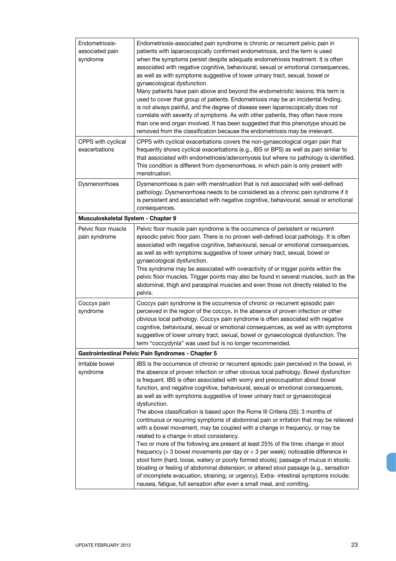| Endometriosis-<br>associated pain<br>syndrome | Endometriosis-associated pain syndrome is chronic or recurrent pelvic pain in<br>patients with laparoscopically confirmed endometriosis, and the term is used<br>when the symptoms persist despite adequate endometriosis treatment. It is often<br>associated with negative cognitive, behavioural, sexual or emotional consequences,<br>as well as with symptoms suggestive of lower urinary tract, sexual, bowel or<br>gynaecological dysfunction.<br>Many patients have pain above and beyond the endometriotic lesions; this term is<br>used to cover that group of patients. Endometriosis may be an incidental finding,<br>is not always painful, and the degree of disease seen laparoscopically does not<br>correlate with severity of symptoms. As with other patients, they often have more<br>than one end organ involved. It has been suggested that this phenotype should be<br>removed from the classification because the endometriosis may be irrelevant.                                                                                                                                                                                                                                                                                                                      |
|-----------------------------------------------|-------------------------------------------------------------------------------------------------------------------------------------------------------------------------------------------------------------------------------------------------------------------------------------------------------------------------------------------------------------------------------------------------------------------------------------------------------------------------------------------------------------------------------------------------------------------------------------------------------------------------------------------------------------------------------------------------------------------------------------------------------------------------------------------------------------------------------------------------------------------------------------------------------------------------------------------------------------------------------------------------------------------------------------------------------------------------------------------------------------------------------------------------------------------------------------------------------------------------------------------------------------------------------------------------|
| CPPS with cyclical<br>exacerbations           | CPPS with cyclical exacerbations covers the non-gynaecological organ pain that<br>frequently shows cyclical exacerbations (e.g., IBS or BPS) as well as pain similar to<br>that associated with endometriosis/adenomyosis but where no pathology is identified.<br>This condition is different from dysmenorrhoea, in which pain is only present with<br>menstruation.                                                                                                                                                                                                                                                                                                                                                                                                                                                                                                                                                                                                                                                                                                                                                                                                                                                                                                                          |
| Dysmenorrhoea                                 | Dysmenorrhoea is pain with menstruation that is not associated with well-defined<br>pathology. Dysmenorrhoea needs to be considered as a chronic pain syndrome if it<br>is persistent and associated with negative cognitive, behavioural, sexual or emotional<br>consequences.                                                                                                                                                                                                                                                                                                                                                                                                                                                                                                                                                                                                                                                                                                                                                                                                                                                                                                                                                                                                                 |
| Musculoskeletal System - Chapter 9            |                                                                                                                                                                                                                                                                                                                                                                                                                                                                                                                                                                                                                                                                                                                                                                                                                                                                                                                                                                                                                                                                                                                                                                                                                                                                                                 |
| Pelvic floor muscle<br>pain syndrome          | Pelvic floor muscle pain syndrome is the occurrence of persistent or recurrent<br>episodic pelvic floor pain. There is no proven well-defined local pathology. It is often<br>associated with negative cognitive, behavioural, sexual or emotional consequences,<br>as well as with symptoms suggestive of lower urinary tract, sexual, bowel or<br>gynaecological dysfunction.<br>This syndrome may be associated with overactivity of or trigger points within the<br>pelvic floor muscles. Trigger points may also be found in several muscles, such as the<br>abdominal, thigh and paraspinal muscles and even those not directly related to the<br>pelvis.                                                                                                                                                                                                                                                                                                                                                                                                                                                                                                                                                                                                                                 |
| Coccyx pain<br>syndrome                       | Coccyx pain syndrome is the occurrence of chronic or recurrent episodic pain<br>perceived in the region of the coccyx, in the absence of proven infection or other<br>obvious local pathology. Coccyx pain syndrome is often associated with negative<br>cognitive, behavioural, sexual or emotional consequences, as well as with symptoms<br>suggestive of lower urinary tract, sexual, bowel or gynaecological dysfunction. The<br>term "coccydynia" was used but is no longer recommended.                                                                                                                                                                                                                                                                                                                                                                                                                                                                                                                                                                                                                                                                                                                                                                                                  |
|                                               | Gastrointestinal Pelvic Pain Syndromes - Chapter 5                                                                                                                                                                                                                                                                                                                                                                                                                                                                                                                                                                                                                                                                                                                                                                                                                                                                                                                                                                                                                                                                                                                                                                                                                                              |
| Irritable bowel<br>syndrome                   | IBS is the occurrence of chronic or recurrent episodic pain perceived in the bowel, in<br>the absence of proven infection or other obvious local pathology. Bowel dysfunction<br>is frequent. IBS is often associated with worry and preoccupation about bowel<br>function, and negative cognitive, behavioural, sexual or emotional consequences,<br>as well as with symptoms suggestive of lower urinary tract or gynaecological<br>dysfunction.<br>The above classification is based upon the Rome III Criteria (35): 3 months of<br>continuous or recurring symptoms of abdominal pain or irritation that may be relieved<br>with a bowel movement, may be coupled with a change in frequency, or may be<br>related to a change in stool consistency.<br>Two or more of the following are present at least 25% of the time: change in stool<br>frequency ( $>$ 3 bowel movements per day or $<$ 3 per week); noticeable difference in<br>stool form (hard, loose, watery or poorly formed stools); passage of mucus in stools;<br>bloating or feeling of abdominal distension; or altered stool passage (e.g., sensation<br>of incomplete evacuation, straining, or urgency). Extra- intestinal symptoms include:<br>nausea, fatigue, full sensation after even a small meal, and vomiting. |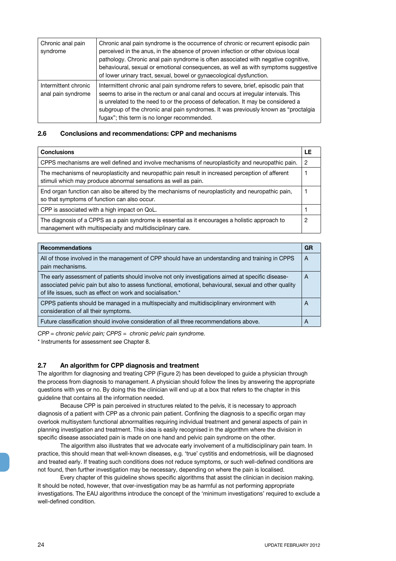| Chronic anal pain<br>syndrome              | Chronic anal pain syndrome is the occurrence of chronic or recurrent episodic pain<br>perceived in the anus, in the absence of proven infection or other obvious local<br>pathology. Chronic anal pain syndrome is often associated with negative cognitive,<br>behavioural, sexual or emotional consequences, as well as with symptoms suggestive<br>of lower urinary tract, sexual, bowel or gynaecological dysfunction. |
|--------------------------------------------|----------------------------------------------------------------------------------------------------------------------------------------------------------------------------------------------------------------------------------------------------------------------------------------------------------------------------------------------------------------------------------------------------------------------------|
| Intermittent chronic<br>anal pain syndrome | Intermittent chronic anal pain syndrome refers to severe, brief, episodic pain that<br>seems to arise in the rectum or anal canal and occurs at irregular intervals. This<br>is unrelated to the need to or the process of defecation. It may be considered a<br>subgroup of the chronic anal pain syndromes. It was previously known as "proctalgia<br>fugax"; this term is no longer recommended.                        |

# **2.6 Conclusions and recommendations: CPP and mechanisms**

| <b>Conclusions</b>                                                                                                                                                  | LE |
|---------------------------------------------------------------------------------------------------------------------------------------------------------------------|----|
| CPPS mechanisms are well defined and involve mechanisms of neuroplasticity and neuropathic pain.                                                                    | 2  |
| The mechanisms of neuroplasticity and neuropathic pain result in increased perception of afferent<br>stimuli which may produce abnormal sensations as well as pain. |    |
| End organ function can also be altered by the mechanisms of neuroplasticity and neuropathic pain,<br>so that symptoms of function can also occur.                   |    |
| CPP is associated with a high impact on QoL.                                                                                                                        |    |
| The diagnosis of a CPPS as a pain syndrome is essential as it encourages a holistic approach to<br>management with multispecialty and multidisciplinary care.       | 2  |

| <b>Recommendations</b>                                                                                                                                                                                                                                                     | <b>GR</b> |
|----------------------------------------------------------------------------------------------------------------------------------------------------------------------------------------------------------------------------------------------------------------------------|-----------|
| All of those involved in the management of CPP should have an understanding and training in CPPS<br>pain mechanisms.                                                                                                                                                       | A         |
| The early assessment of patients should involve not only investigations aimed at specific disease-<br>associated pelvic pain but also to assess functional, emotional, behavioural, sexual and other quality<br>of life issues, such as effect on work and socialisation.* | A         |
| CPPS patients should be managed in a multispecialty and multidisciplinary environment with<br>consideration of all their symptoms.                                                                                                                                         | A         |
| Future classification should involve consideration of all three recommendations above.                                                                                                                                                                                     | A         |

*CPP = chronic pelvic pain; CPPS = chronic pelvic pain syndrome.*

\* Instruments for assessment *see* Chapter 8.

# **2.7 An algorithm for CPP diagnosis and treatment**

The algorithm for diagnosing and treating CPP (Figure 2) has been developed to guide a physician through the process from diagnosis to management. A physician should follow the lines by answering the appropriate questions with yes or no. By doing this the clinician will end up at a box that refers to the chapter in this guideline that contains all the information needed.

Because CPP is pain perceived in structures related to the pelvis, it is necessary to approach diagnosis of a patient with CPP as a chronic pain patient. Confining the diagnosis to a specific organ may overlook multisystem functional abnormalities requiring individual treatment and general aspects of pain in planning investigation and treatment. This idea is easily recognised in the algorithm where the division in specific disease associated pain is made on one hand and pelvic pain syndrome on the other.

The algorithm also illustrates that we advocate early involvement of a multidisciplinary pain team. In practice, this should mean that well-known diseases, e.g. 'true' cystitis and endometriosis, will be diagnosed and treated early. If treating such conditions does not reduce symptoms, or such well-defined conditions are not found, then further investigation may be necessary, depending on where the pain is localised.

Every chapter of this guideline shows specific algorithms that assist the clinician in decision making. It should be noted, however, that over-investigation may be as harmful as not performing appropriate investigations. The EAU algorithms introduce the concept of the 'minimum investigations' required to exclude a well-defined condition.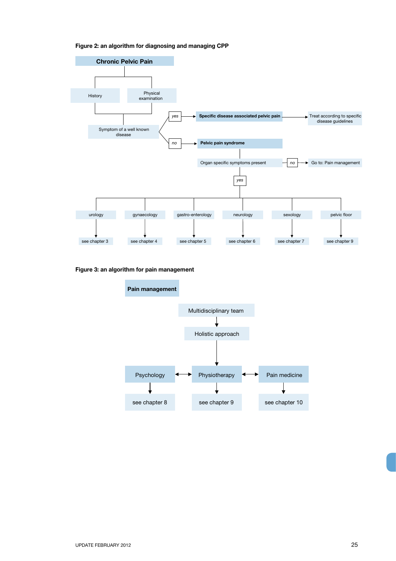# **Figure 2: an algorithm for diagnosing and managing CPP**



**Figure 3: an algorithm for pain management**

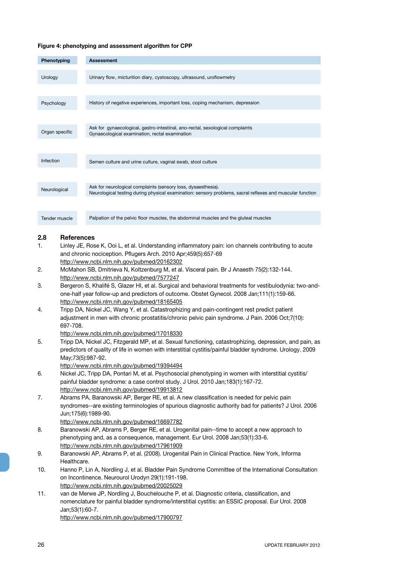#### **Figure 4: phenotyping and assessment algorithm for CPP**

|              | Phenotyping                                                                                               | <b>Assessment</b>                                                                                         |  |  |  |  |  |
|--------------|-----------------------------------------------------------------------------------------------------------|-----------------------------------------------------------------------------------------------------------|--|--|--|--|--|
|              |                                                                                                           |                                                                                                           |  |  |  |  |  |
| Urology      |                                                                                                           | Urinary flow, micturition diary, cystoscopy, ultrasound, uroflowmetry                                     |  |  |  |  |  |
|              |                                                                                                           |                                                                                                           |  |  |  |  |  |
|              |                                                                                                           |                                                                                                           |  |  |  |  |  |
| Psychology   |                                                                                                           | History of negative experiences, important loss, coping mechanism, depression                             |  |  |  |  |  |
|              |                                                                                                           |                                                                                                           |  |  |  |  |  |
|              |                                                                                                           | Ask for gynaecological, gastro-intestinal, ano-rectal, sexological complaints                             |  |  |  |  |  |
|              | Organ specific                                                                                            | Gynaecological examination, rectal examination                                                            |  |  |  |  |  |
|              |                                                                                                           |                                                                                                           |  |  |  |  |  |
|              |                                                                                                           |                                                                                                           |  |  |  |  |  |
| Infection    |                                                                                                           | Semen culture and urine culture, vaginal swab, stool culture                                              |  |  |  |  |  |
|              |                                                                                                           |                                                                                                           |  |  |  |  |  |
|              |                                                                                                           |                                                                                                           |  |  |  |  |  |
| Neurological |                                                                                                           | Ask for neurological complaints (sensory loss, dysaesthesia).                                             |  |  |  |  |  |
|              |                                                                                                           | Neurological testing during physical examination: sensory problems, sacral reflexes and muscular function |  |  |  |  |  |
|              |                                                                                                           |                                                                                                           |  |  |  |  |  |
|              | Tender muscle                                                                                             | Palpation of the pelvic floor muscles, the abdominal muscles and the gluteal muscles                      |  |  |  |  |  |
|              |                                                                                                           |                                                                                                           |  |  |  |  |  |
| 2.8          |                                                                                                           | <b>References</b>                                                                                         |  |  |  |  |  |
| 1.           |                                                                                                           | Linley JE, Rose K, Ooi L, et al. Understanding inflammatory pain: ion channels contributing to acute      |  |  |  |  |  |
|              |                                                                                                           | and chronic nociception. Pflugers Arch. 2010 Apr;459(5):657-69                                            |  |  |  |  |  |
|              |                                                                                                           | http://www.ncbi.nlm.nih.gov/pubmed/20162302                                                               |  |  |  |  |  |
| 2.           |                                                                                                           | McMahon SB, Dmitrieva N, Koltzenburg M, et al. Visceral pain. Br J Anaesth 75(2):132-144.                 |  |  |  |  |  |
|              |                                                                                                           | http://www.ncbi.nlm.nih.gov/pubmed/7577247                                                                |  |  |  |  |  |
| 3.           |                                                                                                           | Bergeron S, Khalifé S, Glazer HI, et al. Surgical and behavioral treatments for vestibulodynia: two-and-  |  |  |  |  |  |
|              |                                                                                                           | one-half year follow-up and predictors of outcome. Obstet Gynecol. 2008 Jan;111(1):159-66.                |  |  |  |  |  |
|              |                                                                                                           | http://www.ncbi.nlm.nih.gov/pubmed/18165405                                                               |  |  |  |  |  |
| 4.           |                                                                                                           | Tripp DA, Nickel JC, Wang Y, et al. Catastrophizing and pain-contingent rest predict patient              |  |  |  |  |  |
|              |                                                                                                           | adjustment in men with chronic prostatitis/chronic pelvic pain syndrome. J Pain. 2006 Oct;7(10):          |  |  |  |  |  |
|              | 697-708.                                                                                                  |                                                                                                           |  |  |  |  |  |
|              |                                                                                                           | http://www.ncbi.nlm.nih.gov/pubmed/17018330                                                               |  |  |  |  |  |
| 5.           |                                                                                                           | Tripp DA, Nickel JC, Fitzgerald MP, et al. Sexual functioning, catastrophizing, depression, and pain, as  |  |  |  |  |  |
|              | predictors of quality of life in women with interstitial cystitis/painful bladder syndrome. Urology. 2009 |                                                                                                           |  |  |  |  |  |
|              |                                                                                                           | May;73(5):987-92.                                                                                         |  |  |  |  |  |
|              |                                                                                                           | http://www.ncbi.nlm.nih.gov/pubmed/19394494                                                               |  |  |  |  |  |
| 6.           |                                                                                                           | Nickel JC, Tripp DA, Pontari M, et al. Psychosocial phenotyping in women with interstitial cystitis/      |  |  |  |  |  |
|              |                                                                                                           | painful bladder syndrome: a case control study. J Urol. 2010 Jan;183(1):167-72.                           |  |  |  |  |  |
|              |                                                                                                           | http://www.ncbi.nlm.nih.gov/pubmed/19913812                                                               |  |  |  |  |  |
| 7.           |                                                                                                           | Abrams PA, Baranowski AP, Berger RE, et al. A new classification is needed for pelvic pain                |  |  |  |  |  |
|              |                                                                                                           | syndromes--are existing terminologies of spurious diagnostic authority bad for patients? J Urol. 2006     |  |  |  |  |  |
|              |                                                                                                           | Jun;175(6):1989-90.                                                                                       |  |  |  |  |  |
|              |                                                                                                           | http://www.ncbi.nlm.nih.gov/pubmed/16697782                                                               |  |  |  |  |  |
| 8.           |                                                                                                           | Baranowski AP, Abrams P, Berger RE, et al. Urogenital pain--time to accept a new approach to              |  |  |  |  |  |
|              |                                                                                                           | phenotyping and, as a consequence, management. Eur Urol. 2008 Jan;53(1):33-6.                             |  |  |  |  |  |
|              |                                                                                                           | http://www.ncbi.nlm.nih.gov/pubmed/17961909                                                               |  |  |  |  |  |
|              |                                                                                                           |                                                                                                           |  |  |  |  |  |

- 9. Baranowski AP, Abrams P, et al. (2008). Urogenital Pain in Clinical Practice. New York, Informa Healthcare.
- 10. Hanno P, Lin A, Nordling J, et al. Bladder Pain Syndrome Committee of the International Consultation on Incontinence. Neurourol Urodyn 29(1):191-198. http://www.ncbi.nlm.nih.gov/pubmed/20025029
- 11. van de Merwe JP, Nordling J, Bouchelouche P, et al. Diagnostic criteria, classification, and nomenclature for painful bladder syndrome/interstitial cystitis: an ESSIC proposal. Eur Urol. 2008 Jan;53(1):60-7. http://www.ncbi.nlm.nih.gov/pubmed/17900797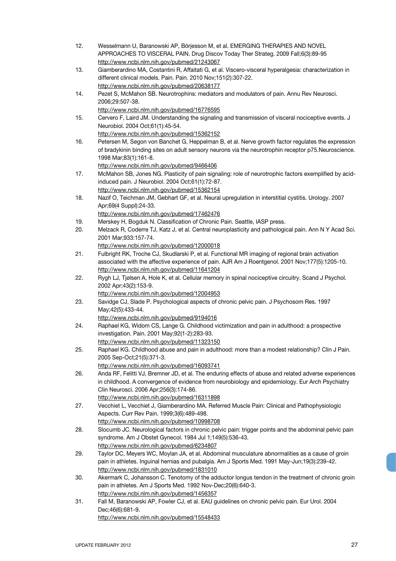- 12. Wesselmann U, Baranowski AP, Börjesson M, et al. EMERGING THERAPIES AND NOVEL APPROACHES TO VISCERAL PAIN. Drug Discov Today Ther Strateg. 2009 Fall;6(3):89-95 http://www.ncbi.nlm.nih.gov/pubmed/21243067
- 13. Giamberardino MA, Costantini R, Affaitati G, et al. Viscero-visceral hyperalgesia: characterization in different clinical models. Pain. Pain. 2010 Nov;151(2):307-22. http://www.ncbi.nlm.nih.gov/pubmed/20638177
- 14. Pezet S, McMahon SB. Neurotrophins: mediators and modulators of pain. Annu Rev Neurosci. 2006;29:507-38.
	- http://www.ncbi.nlm.nih.gov/pubmed/16776595
- 15. Cervero F, Laird JM. Understanding the signaling and transmission of visceral nociceptive events. J Neurobiol. 2004 Oct;61(1):45-54. http://www.ncbi.nlm.nih.gov/pubmed/15362152
- 16. Petersen M, Segon von Banchet G, Heppelman B, et al. Nerve growth factor regulates the expression of bradykinin binding sites on adult sensory neurons via the neurotrophin receptor p75.Neuroscience. 1998 Mar;83(1):161-8.

http://www.ncbi.nlm.nih.gov/pubmed/9466406

- 17. McMahon SB, Jones NG. Plasticity of pain signaling: role of neurotrophic factors exemplified by acidinduced pain. J Neurobiol. 2004 Oct;61(1):72-87. http://www.ncbi.nlm.nih.gov/pubmed/15362154
- 18. Nazif O, Teichman JM, Gebhart GF, et al. Neural upregulation in interstitial cystitis. Urology. 2007 Apr;69(4 Suppl):24-33.
	- http://www.ncbi.nlm.nih.gov/pubmed/17462476
- 19. Merskey H, Bogduk N. Classification of Chronic Pain. Seattle, IASP press.
- 20. Melzack R, Coderre TJ, Katz J, et al. Central neuroplasticity and pathological pain. Ann N Y Acad Sci. 2001 Mar;933:157-74.

http://www.ncbi.nlm.nih.gov/pubmed/12000018

- 21. Fulbright RK, Troche CJ, Skudlarski P, et al. Functional MR imaging of regional brain activation associated with the affective experience of pain. AJR Am J Roentgenol. 2001 Nov;177(5):1205-10. http://www.ncbi.nlm.nih.gov/pubmed/11641204
- 22. Rygh LJ, Tjølsen A, Hole K, et al. Cellular memory in spinal nociceptive circuitry. Scand J Psychol. 2002 Apr;43(2):153-9.

http://www.ncbi.nlm.nih.gov/pubmed/12004953

- 23. Savidge CJ, Slade P. Psychological aspects of chronic pelvic pain. J Psychosom Res. 1997 May;42(5):433-44.
	- http://www.ncbi.nlm.nih.gov/pubmed/9194016
- 24. Raphael KG, Widom CS, Lange G. Childhood victimization and pain in adulthood: a prospective investigation. Pain. 2001 May;92(1-2):283-93. http://www.ncbi.nlm.nih.gov/pubmed/11323150
- 25. Raphael KG. Childhood abuse and pain in adulthood: more than a modest relationship? Clin J Pain. 2005 Sep-Oct;21(5):371-3.
	- http://www.ncbi.nlm.nih.gov/pubmed/16093741
- 26. Anda RF, Felitti VJ, Bremner JD, et al. The enduring effects of abuse and related adverse experiences in childhood. A convergence of evidence from neurobiology and epidemiology. Eur Arch Psychiatry Clin Neurosci. 2006 Apr;256(3):174-86. http://www.ncbi.nlm.nih.gov/pubmed/16311898
- 27. Vecchiet L, Vecchiet J, Giamberardino MA. Referred Muscle Pain: Clinical and Pathophysiologic Aspects. Curr Rev Pain. 1999;3(6):489-498.
	- http://www.ncbi.nlm.nih.gov/pubmed/10998708
- 28. Slocumb JC. Neurological factors in chronic pelvic pain: trigger points and the abdominal pelvic pain syndrome. Am J Obstet Gynecol. 1984 Jul 1;149(5):536-43. http://www.ncbi.nlm.nih.gov/pubmed/6234807
- 29. Taylor DC, Meyers WC, Moylan JA, et al. Abdominal musculature abnormalities as a cause of groin pain in athletes. Inguinal hernias and pubalgia. Am J Sports Med. 1991 May-Jun;19(3):239-42. http://www.ncbi.nlm.nih.gov/pubmed/1831010
- 30. Akermark C, Johansson C. Tenotomy of the adductor longus tendon in the treatment of chronic groin pain in athletes. Am J Sports Med. 1992 Nov-Dec;20(6):640-3. http://www.ncbi.nlm.nih.gov/pubmed/1456357
- 31. Fall M, Baranowski AP, Fowler CJ, et al. EAU guidelines on chronic pelvic pain. Eur Urol. 2004 Dec;46(6):681-9.

http://www.ncbi.nlm.nih.gov/pubmed/15548433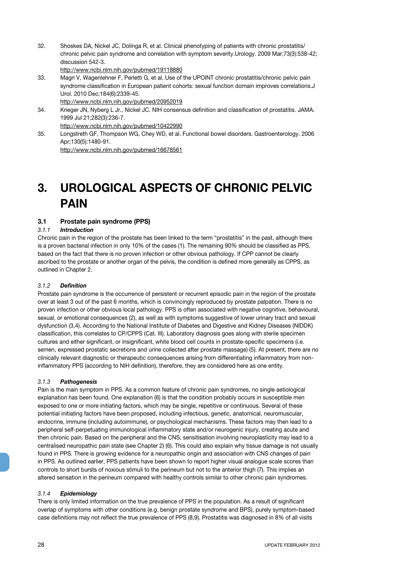32. Shoskes DA, Nickel JC, Dolinga R, et al. Clinical phenotyping of patients with chronic prostatitis/ chronic pelvic pain syndrome and correlation with symptom severity.Urology. 2009 Mar;73(3):538-42; discussion 542-3.

http://www.ncbi.nlm.nih.gov/pubmed/19118880

33. Magri V, Wagenlehner F, Perletti G, et al. Use of the UPOINT chronic prostatitis/chronic pelvic pain syndrome classification in European patient cohorts: sexual function domain improves correlations.J Urol. 2010 Dec;184(6):2339-45.

http://www.ncbi.nlm.nih.gov/pubmed/20952019

34. Krieger JN, Nyberg L Jr., Nickel JC. NIH consensus definition and classification of prostatitis. JAMA. 1999 Jul 21;282(3):236-7.

http://www.ncbi.nlm.nih.gov/pubmed/10422990

35. Longstreth GF, Thompson WG, Chey WD, et al. Functional bowel disorders. Gastroenterology. 2006 Apr;130(5):1480-91.

http://www.ncbi.nlm.nih.gov/pubmed/16678561

# **3. Urological aspects of chronic pelvic pain**

# **3.1 Prostate pain syndrome (PPS)**

# *3.1.1 Introduction*

Chronic pain in the region of the prostate has been linked to the term "prostatitis" in the past, although there is a proven bacterial infection in only 10% of the cases (1). The remaining 90% should be classified as PPS, based on the fact that there is no proven infection or other obvious pathology. If CPP cannot be clearly ascribed to the prostate or another organ of the pelvis, the condition is defined more generally as CPPS, as outlined in Chapter 2.

# *3.1.2 Definition*

Prostate pain syndrome is the occurrence of persistent or recurrent episodic pain in the region of the prostate over at least 3 out of the past 6 months, which is convincingly reproduced by prostate palpation. There is no proven infection or other obvious local pathology. PPS is often associated with negative cognitive, behavioural, sexual, or emotional consequences (2), as well as with symptoms suggestive of lower urinary tract and sexual dysfunction (3,4). According to the National Institute of Diabetes and Digestive and Kidney Diseases (NIDDK) classification, this correlates to CP/CPPS (Cat. III). Laboratory diagnosis goes along with sterile specimen cultures and either significant, or insignificant, white blood cell counts in prostate-specific specimens (i.e. semen, expressed prostatic secretions and urine collected after prostate massage) (5). At present, there are no clinically relevant diagnostic or therapeutic consequences arising from differentiating inflammatory from noninflammatory PPS (according to NIH definition), therefore, they are considered here as one entity.

# *3.1.3 Pathogenesis*

Pain is the main symptom in PPS. As a common feature of chronic pain syndromes, no single aetiological explanation has been found. One explanation (6) is that the condition probably occurs in susceptible men exposed to one or more initiating factors, which may be single, repetitive or continuous. Several of these potential initiating factors have been proposed, including infectious, genetic, anatomical, neuromuscular, endocrine, immune (including autoimmune), or psychological mechanisms. These factors may then lead to a peripheral self-perpetuating immunological inflammatory state and/or neurogenic injury, creating acute and then chronic pain. Based on the peripheral and the CNS, sensitisation involving neuroplasticity may lead to a centralised neuropathic pain state (see Chapter 2) (6). This could also explain why tissue damage is not usually found in PPS. There is growing evidence for a neuropathic origin and association with CNS changes of pain in PPS. As outlined earlier, PPS patients have been shown to report higher visual analogue scale scores than controls to short bursts of noxious stimuli to the perineum but not to the anterior thigh (7). This implies an altered sensation in the perineum compared with healthy controls similar to other chronic pain syndromes.

# *3.1.4 Epidemiology*

There is only limited information on the true prevalence of PPS in the population. As a result of significant overlap of symptoms with other conditions (e.g. benign prostate syndrome and BPS), purely symptom-based case definitions may not reflect the true prevalence of PPS (8,9). Prostatitis was diagnosed in 8% of all visits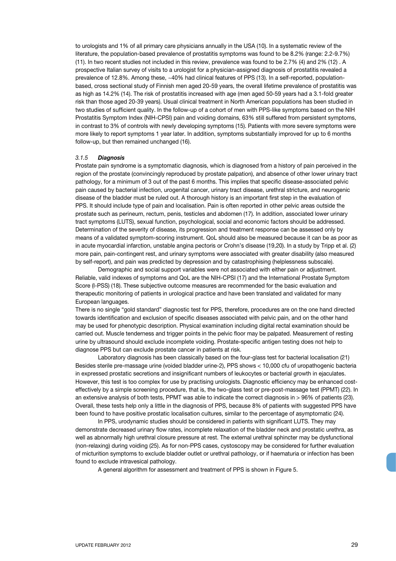to urologists and 1% of all primary care physicians annually in the USA (10). In a systematic review of the literature, the population-based prevalence of prostatitis symptoms was found to be 8.2% (range: 2.2-9.7%) (11). In two recent studies not included in this review, prevalence was found to be 2.7% (4) and 2% (12) . A prospective Italian survey of visits to a urologist for a physician-assigned diagnosis of prostatitis revealed a prevalence of 12.8%. Among these, ~40% had clinical features of PPS (13). In a self-reported, populationbased, cross sectional study of Finnish men aged 20-59 years, the overall lifetime prevalence of prostatitis was as high as 14.2% (14). The risk of prostatitis increased with age (men aged 50-59 years had a 3.1-fold greater risk than those aged 20-39 years). Usual clinical treatment in North American populations has been studied in two studies of sufficient quality. In the follow-up of a cohort of men with PPS-like symptoms based on the NIH Prostatitis Symptom Index (NIH-CPSI) pain and voiding domains, 63% still suffered from persistent symptoms, in contrast to 3% of controls with newly developing symptoms (15). Patients with more severe symptoms were more likely to report symptoms 1 year later. In addition, symptoms substantially improved for up to 6 months follow-up, but then remained unchanged (16).

#### *3.1.5 Diagnosis*

Prostate pain syndrome is a symptomatic diagnosis, which is diagnosed from a history of pain perceived in the region of the prostate (convincingly reproduced by prostate palpation), and absence of other lower urinary tract pathology, for a minimum of 3 out of the past 6 months. This implies that specific disease-associated pelvic pain caused by bacterial infection, urogenital cancer, urinary tract disease, urethral stricture, and neurogenic disease of the bladder must be ruled out. A thorough history is an important first step in the evaluation of PPS. It should include type of pain and localisation. Pain is often reported in other pelvic areas outside the prostate such as perineum, rectum, penis, testicles and abdomen (17). In addition, associated lower urinary tract symptoms (LUTS), sexual function, psychological, social and economic factors should be addressed. Determination of the severity of disease, its progression and treatment response can be assessed only by means of a validated symptom-scoring instrument. QoL should also be measured because it can be as poor as in acute myocardial infarction, unstable angina pectoris or Crohn's disease (19,20). In a study by Tripp et al. (2) more pain, pain-contingent rest, and urinary symptoms were associated with greater disability (also measured by self-report), and pain was predicted by depression and by catastrophising (helplessness subscale).

Demographic and social support variables were not associated with either pain or adjustment. Reliable, valid indexes of symptoms and QoL are the NIH-CPSI (17) and the International Prostate Symptom Score (I-PSS) (18). These subjective outcome measures are recommended for the basic evaluation and therapeutic monitoring of patients in urological practice and have been translated and validated for many European languages.

There is no single "gold standard" diagnostic test for PPS, therefore, procedures are on the one hand directed towards identification and exclusion of specific diseases associated with pelvic pain, and on the other hand may be used for phenotypic description. Physical examination including digital rectal examination should be carried out. Muscle tenderness and trigger points in the pelvic floor may be palpated. Measurement of resting urine by ultrasound should exclude incomplete voiding. Prostate-specific antigen testing does not help to diagnose PPS but can exclude prostate cancer in patients at risk.

Laboratory diagnosis has been classically based on the four-glass test for bacterial localisation (21) Besides sterile pre-massage urine (voided bladder urine-2), PPS shows < 10,000 cfu of uropathogenic bacteria in expressed prostatic secretions and insignificant numbers of leukocytes or bacterial growth in ejaculates. However, this test is too complex for use by practising urologists. Diagnostic efficiency may be enhanced costeffectively by a simple screening procedure, that is, the two-glass test or pre-post-massage test (PPMT) (22). In an extensive analysis of both tests, PPMT was able to indicate the correct diagnosis in > 96% of patients (23). Overall, these tests help only a little in the diagnosis of PPS, because 8% of patients with suggested PPS have been found to have positive prostatic localisation cultures, similar to the percentage of asymptomatic (24).

In PPS, urodynamic studies should be considered in patients with significant LUTS. They may demonstrate decreased urinary flow rates, incomplete relaxation of the bladder neck and prostatic urethra, as well as abnormally high urethral closure pressure at rest. The external urethral sphincter may be dysfunctional (non-relaxing) during voiding (25). As for non-PPS cases, cystoscopy may be considered for further evaluation of micturition symptoms to exclude bladder outlet or urethral pathology, or if haematuria or infection has been found to exclude intravesical pathology.

A general algorithm for assessment and treatment of PPS is shown in Figure 5.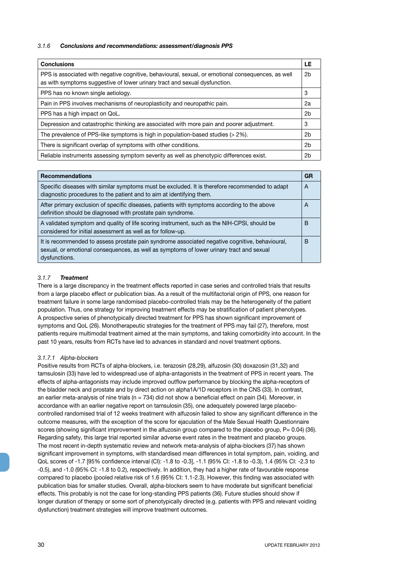#### *3.1.6 Conclusions and recommendations: assessment/diagnosis PPS*

| <b>Conclusions</b>                                                                                                                                                               | LE             |
|----------------------------------------------------------------------------------------------------------------------------------------------------------------------------------|----------------|
| PPS is associated with negative cognitive, behavioural, sexual, or emotional consequences, as well<br>as with symptoms suggestive of lower urinary tract and sexual dysfunction. | 2b             |
| PPS has no known single aetiology.                                                                                                                                               | 3              |
| Pain in PPS involves mechanisms of neuroplasticity and neuropathic pain.                                                                                                         | 2a             |
| PPS has a high impact on QoL.                                                                                                                                                    | 2 <sub>b</sub> |
| Depression and catastrophic thinking are associated with more pain and poorer adjustment.                                                                                        | 3              |
| The prevalence of PPS-like symptoms is high in population-based studies $(>2\%)$ .                                                                                               | 2b             |
| There is significant overlap of symptoms with other conditions.                                                                                                                  | 2b             |
| Reliable instruments assessing symptom severity as well as phenotypic differences exist.                                                                                         | 2b             |

| <b>Recommendations</b>                                                                                                                                                                                      | <b>GR</b> |
|-------------------------------------------------------------------------------------------------------------------------------------------------------------------------------------------------------------|-----------|
| Specific diseases with similar symptoms must be excluded. It is therefore recommended to adapt<br>diagnostic procedures to the patient and to aim at identifying them.                                      | A         |
| After primary exclusion of specific diseases, patients with symptoms according to the above<br>definition should be diagnosed with prostate pain syndrome.                                                  | A         |
| A validated symptom and quality of life scoring instrument, such as the NIH-CPSI, should be<br>considered for initial assessment as well as for follow-up.                                                  | в         |
| It is recommended to assess prostate pain syndrome associated negative cognitive, behavioural,<br>sexual, or emotional consequences, as well as symptoms of lower urinary tract and sexual<br>dysfunctions. | B         |

# *3.1.7 Treatment*

There is a large discrepancy in the treatment effects reported in case series and controlled trials that results from a large placebo effect or publication bias. As a result of the multifactorial origin of PPS, one reason for treatment failure in some large randomised placebo-controlled trials may be the heterogeneity of the patient population. Thus, one strategy for improving treatment effects may be stratification of patient phenotypes. A prospective series of phenotypically directed treatment for PPS has shown significant improvement of symptoms and QoL (26). Monotherapeutic strategies for the treatment of PPS may fail (27), therefore, most patients require multimodal treatment aimed at the main symptoms, and taking comorbidity into account. In the past 10 years, results from RCTs have led to advances in standard and novel treatment options.

#### *3.1.7.1 Alpha-blockers*

Positive results from RCTs of alpha-blockers, i.e. terazosin (28,29), alfuzosin (30) doxazosin (31,32) and tamsulosin (33) have led to widespread use of alpha-antagonists in the treatment of PPS in recent years. The effects of alpha-antagonists may include improved outflow performance by blocking the alpha-receptors of the bladder neck and prostate and by direct action on alpha1A/1D receptors in the CNS (33). In contrast, an earlier meta-analysis of nine trials ( $n = 734$ ) did not show a beneficial effect on pain (34). Moreover, in accordance with an earlier negative report on tamsulosin (35), one adequately powered large placebocontrolled randomised trial of 12 weeks treatment with alfuzosin failed to show any significant difference in the outcome measures, with the exception of the score for ejaculation of the Male Sexual Health Questionnaire scores (showing significant improvement in the alfuzosin group compared to the placebo group, P= 0.04) (36). Regarding safety, this large trial reported similar adverse event rates in the treatment and placebo groups. The most recent in-depth systematic review and network meta-analysis of alpha-blockers (37) has shown significant improvement in symptoms, with standardised mean differences in total symptom, pain, voiding, and QoL scores of -1.7 [95% confidence interval (CI): -1.8 to -0.3], -1.1 (95% CI: -1.8 to -0.3), 1.4 (95% CI: -2.3 to -0.5), and -1.0 (95% CI: -1.8 to 0.2), respectively. In addition, they had a higher rate of favourable response compared to placebo (pooled relative risk of 1.6 (95% CI: 1.1-2.3). However, this finding was associated with publication bias for smaller studies. Overall, alpha-blockers seem to have moderate but significant beneficial effects. This probably is not the case for long-standing PPS patients (36). Future studies should show if longer duration of therapy or some sort of phenotypically directed (e.g. patients with PPS and relevant voiding dysfunction) treatment strategies will improve treatment outcomes.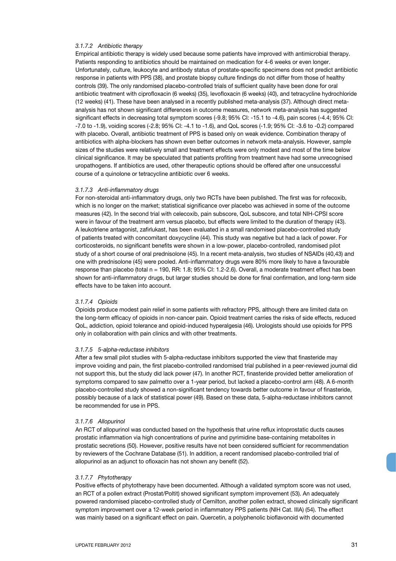#### *3.1.7.2 Antibiotic therapy*

Empirical antibiotic therapy is widely used because some patients have improved with antimicrobial therapy. Patients responding to antibiotics should be maintained on medication for 4-6 weeks or even longer. Unfortunately, culture, leukocyte and antibody status of prostate-specific specimens does not predict antibiotic response in patients with PPS (38), and prostate biopsy culture findings do not differ from those of healthy controls (39). The only randomised placebo-controlled trials of sufficient quality have been done for oral antibiotic treatment with ciprofloxacin (6 weeks) (35), levofloxacin (6 weeks) (40), and tetracycline hydrochloride (12 weeks) (41). These have been analysed in a recently published meta-analysis (37). Although direct metaanalysis has not shown significant differences in outcome measures, network meta-analysis has suggested significant effects in decreasing total symptom scores (-9.8; 95% CI: -15.1 to -4.6), pain scores (-4.4; 95% CI: -7.0 to -1.9), voiding scores (-2.8; 95% CI: -4.1 to -1.6), and QoL scores (-1.9; 95% CI: -3.6 to -0.2) compared with placebo. Overall, antibiotic treatment of PPS is based only on weak evidence. Combination therapy of antibiotics with alpha-blockers has shown even better outcomes in network meta-analysis. However, sample sizes of the studies were relatively small and treatment effects were only modest and most of the time below clinical significance. It may be speculated that patients profiting from treatment have had some unrecognised uropathogens. If antibiotics are used, other therapeutic options should be offered after one unsuccessful course of a quinolone or tetracycline antibiotic over 6 weeks.

#### *3.1.7.3 Anti-inflammatory drugs*

For non-steroidal anti-inflammatory drugs, only two RCTs have been published. The first was for rofecoxib, which is no longer on the market; statistical significance over placebo was achieved in some of the outcome measures (42). In the second trial with celecoxib, pain subscore, QoL subscore, and total NIH-CPSI score were in favour of the treatment arm versus placebo, but effects were limited to the duration of therapy (43). A leukotriene antagonist, zafirlukast, has been evaluated in a small randomised placebo-controlled study of patients treated with concomitant doxycycline (44). This study was negative but had a lack of power. For corticosteroids, no significant benefits were shown in a low-power, placebo-controlled, randomised pilot study of a short course of oral prednisolone (45). In a recent meta-analysis, two studies of NSAIDs (40,43) and one with prednisolone (45) were pooled. Anti-inflammatory drugs were 80% more likely to have a favourable response than placebo (total n = 190, RR: 1.8; 95% CI: 1.2-2.6). Overall, a moderate treatment effect has been shown for anti-inflammatory drugs, but larger studies should be done for final confirmation, and long-term side effects have to be taken into account.

#### *3.1.7.4 Opioids*

Opioids produce modest pain relief in some patients with refractory PPS, although there are limited data on the long-term efficacy of opioids in non-cancer pain. Opioid treatment carries the risks of side effects, reduced QoL, addiction, opioid tolerance and opioid-induced hyperalgesia (46). Urologists should use opioids for PPS only in collaboration with pain clinics and with other treatments.

#### *3.1.7.5 5-alpha-reductase inhibitors*

After a few small pilot studies with 5-alpha-reductase inhibitors supported the view that finasteride may improve voiding and pain, the first placebo-controlled randomised trial published in a peer-reviewed journal did not support this, but the study did lack power (47). In another RCT, finasteride provided better amelioration of symptoms compared to saw palmetto over a 1-year period, but lacked a placebo-control arm (48). A 6-month placebo-controlled study showed a non-significant tendency towards better outcome in favour of finasteride, possibly because of a lack of statistical power (49). Based on these data, 5-alpha-reductase inhibitors cannot be recommended for use in PPS.

#### *3.1.7.6 Allopurinol*

An RCT of allopurinol was conducted based on the hypothesis that urine reflux intoprostatic ducts causes prostatic inflammation via high concentrations of purine and pyrimidine base-containing metabolites in prostatic secretions (50). However, positive results have not been considered sufficient for recommendation by reviewers of the Cochrane Database (51). In addition, a recent randomised placebo-controlled trial of allopurinol as an adjunct to ofloxacin has not shown any benefit (52).

#### *3.1.7.7 Phytotherapy*

Positive effects of phytotherapy have been documented. Although a validated symptom score was not used, an RCT of a pollen extract (Prostat/Poltit) showed significant symptom improvement (53). An adequately powered randomised placebo-controlled study of Cernilton, another pollen extract, showed clinically significant symptom improvement over a 12-week period in inflammatory PPS patients (NIH Cat. IIIA) (54). The effect was mainly based on a significant effect on pain. Quercetin, a polyphenolic bioflavonoid with documented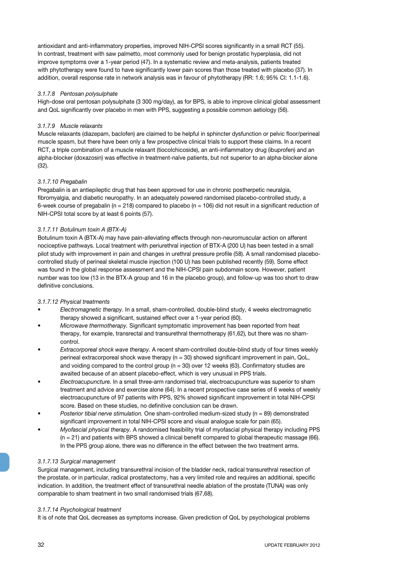antioxidant and anti-inflammatory properties, improved NIH-CPSI scores significantly in a small RCT (55). In contrast, treatment with saw palmetto, most commonly used for benign prostatic hyperplasia, did not improve symptoms over a 1-year period (47). In a systematic review and meta-analysis, patients treated with phytotherapy were found to have significantly lower pain scores than those treated with placebo (37). In addition, overall response rate in network analysis was in favour of phytotherapy (RR: 1.6; 95% CI: 1.1-1.6).

#### *3.1.7.8 Pentosan polysulphate*

High-dose oral pentosan polysulphate (3 300 mg/day), as for BPS, is able to improve clinical global assessment and QoL significantly over placebo in men with PPS, suggesting a possible common aetiology (56).

# *3.1.7.9 Muscle relaxants*

Muscle relaxants (diazepam, baclofen) are claimed to be helpful in sphincter dysfunction or pelvic floor/perineal muscle spasm, but there have been only a few prospective clinical trials to support these claims. In a recent RCT, a triple combination of a muscle relaxant (tiocolchicoside), an anti-inflammatory drug (ibuprofen) and an alpha-blocker (doxazosin) was effective in treatment-naïve patients, but not superior to an alpha-blocker alone (32).

#### *3.1.7.10 Pregabalin*

Pregabalin is an antiepileptic drug that has been approved for use in chronic postherpetic neuralgia, fibromyalgia, and diabetic neuropathy. In an adequately powered randomised placebo-controlled study, a 6-week course of pregabalin ( $n = 218$ ) compared to placebo ( $n = 106$ ) did not result in a significant reduction of NIH-CPSI total score by at least 6 points (57).

#### *3.1.7.11 Botulinum toxin A (BTX-A)*

Botulinum toxin A (BTX-A) may have pain-alleviating effects through non-neuromuscular action on afferent nociceptive pathways. Local treatment with periurethral injection of BTX-A (200 U) has been tested in a small pilot study with improvement in pain and changes in urethral pressure profile (58). A small randomised placebocontrolled study of perineal skeletal muscle injection (100 U) has been published recently (59). Some effect was found in the global response assessment and the NIH-CPSI pain subdomain score. However, patient number was too low (13 in the BTX-A group and 16 in the placebo group), and follow-up was too short to draw definitive conclusions.

#### *3.1.7.12 Physical treatments*

- *Electromagnetic therapy*. In a small, sham-controlled, double-blind study, 4 weeks electromagnetic therapy showed a significant, sustained effect over a 1-year period (60).
- *Microwave thermotherapy.* Significant symptomatic improvement has been reported from heat therapy, for example, transrectal and transurethral thermotherapy (61,62), but there was no shamcontrol.
- Extracorporeal shock wave therapy. A recent sham-controlled double-blind study of four times weekly perineal extracorporeal shock wave therapy (n = 30) showed significant improvement in pain, QoL, and voiding compared to the control group ( $n = 30$ ) over 12 weeks (63). Confirmatory studies are awaited because of an absent placebo-effect, which is very unusual in PPS trials.
- *Electroacupuncture.* In a small three-arm randomised trial, electroacupuncture was superior to sham treatment and advice and exercise alone (64). In a recent prospective case series of 6 weeks of weekly electroacupuncture of 97 patients with PPS, 92% showed significant improvement in total NIH-CPSI score. Based on these studies, no definitive conclusion can be drawn.
- • *Posterior tibial nerve stimulation.* One sham-controlled medium-sized study (n = 89) demonstrated significant improvement in total NIH-CPSI score and visual analogue scale for pain (65).
- • *Myofascial physical therapy.* A randomised feasibility trial of myofascial physical therapy including PPS  $(n = 21)$  and patients with BPS showed a clinical benefit compared to global therapeutic massage (66). In the PPS group alone, there was no difference in the effect between the two treatment arms.

#### *3.1.7.13 Surgical management*

Surgical management, including transurethral incision of the bladder neck, radical transurethral resection of the prostate, or in particular, radical prostatectomy, has a very limited role and requires an additional, specific indication. In addition, the treatment effect of transurethral needle ablation of the prostate (TUNA) was only comparable to sham treatment in two small randomised trials (67,68).

#### *3.1.7.14 Psychological treatment*

It is of note that QoL decreases as symptoms increase. Given prediction of QoL by psychological problems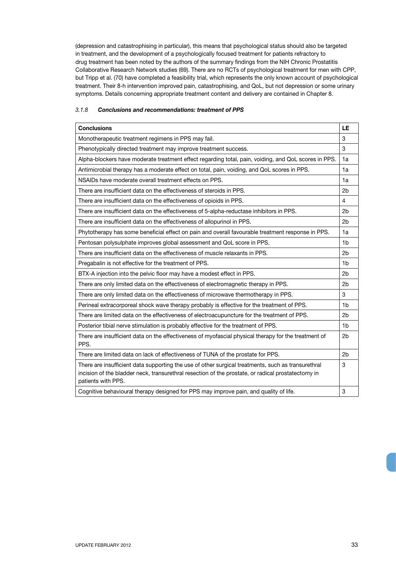(depression and catastrophising in particular), this means that psychological status should also be targeted in treatment, and the development of a psychologically focused treatment for patients refractory to drug treatment has been noted by the authors of the summary findings from the NIH Chronic Prostatitis Collaborative Research Network studies (69). There are no RCTs of psychological treatment for men with CPP, but Tripp et al. (70) have completed a feasibility trial, which represents the only known account of psychological treatment. Their 8-h intervention improved pain, catastrophising, and QoL, but not depression or some urinary symptoms. Details concerning appropriate treatment content and delivery are contained in Chapter 8.

#### *3.1.8 Conclusions and recommendations: treatment of PPS*

| <b>Conclusions</b>                                                                                                                                                                                                             | LE             |
|--------------------------------------------------------------------------------------------------------------------------------------------------------------------------------------------------------------------------------|----------------|
| Monotherapeutic treatment regimens in PPS may fail.                                                                                                                                                                            | 3              |
| Phenotypically directed treatment may improve treatment success.                                                                                                                                                               | 3              |
| Alpha-blockers have moderate treatment effect regarding total, pain, voiding, and QoL scores in PPS.                                                                                                                           | 1a             |
| Antimicrobial therapy has a moderate effect on total, pain, voiding, and QoL scores in PPS.                                                                                                                                    | 1a             |
| NSAIDs have moderate overall treatment effects on PPS.                                                                                                                                                                         | 1a             |
| There are insufficient data on the effectiveness of steroids in PPS.                                                                                                                                                           | 2 <sub>b</sub> |
| There are insufficient data on the effectiveness of opioids in PPS.                                                                                                                                                            | 4              |
| There are insufficient data on the effectiveness of 5-alpha-reductase inhibitors in PPS.                                                                                                                                       | 2 <sub>b</sub> |
| There are insufficient data on the effectiveness of allopurinol in PPS.                                                                                                                                                        | 2 <sub>b</sub> |
| Phytotherapy has some beneficial effect on pain and overall favourable treatment response in PPS.                                                                                                                              | 1a             |
| Pentosan polysulphate improves global assessment and QoL score in PPS.                                                                                                                                                         | 1 <sub>b</sub> |
| There are insufficient data on the effectiveness of muscle relaxants in PPS.                                                                                                                                                   | 2 <sub>b</sub> |
| Pregabalin is not effective for the treatment of PPS.                                                                                                                                                                          | 1 <sub>b</sub> |
| BTX-A injection into the pelvic floor may have a modest effect in PPS.                                                                                                                                                         | 2 <sub>b</sub> |
| There are only limited data on the effectiveness of electromagnetic therapy in PPS.                                                                                                                                            | 2 <sub>b</sub> |
| There are only limited data on the effectiveness of microwave thermotherapy in PPS.                                                                                                                                            | 3              |
| Perineal extracorporeal shock wave therapy probably is effective for the treatment of PPS.                                                                                                                                     | 1 <sub>b</sub> |
| There are limited data on the effectiveness of electroacupuncture for the treatment of PPS.                                                                                                                                    | 2 <sub>b</sub> |
| Posterior tibial nerve stimulation is probably effective for the treatment of PPS.                                                                                                                                             | 1 <sub>b</sub> |
| There are insufficient data on the effectiveness of myofascial physical therapy for the treatment of<br>PPS.                                                                                                                   | 2 <sub>b</sub> |
| There are limited data on lack of effectiveness of TUNA of the prostate for PPS.                                                                                                                                               | 2 <sub>b</sub> |
| There are insufficient data supporting the use of other surgical treatments, such as transurethral<br>incision of the bladder neck, transurethral resection of the prostate, or radical prostatectomy in<br>patients with PPS. | 3              |
| Cognitive behavioural therapy designed for PPS may improve pain, and quality of life.                                                                                                                                          | 3              |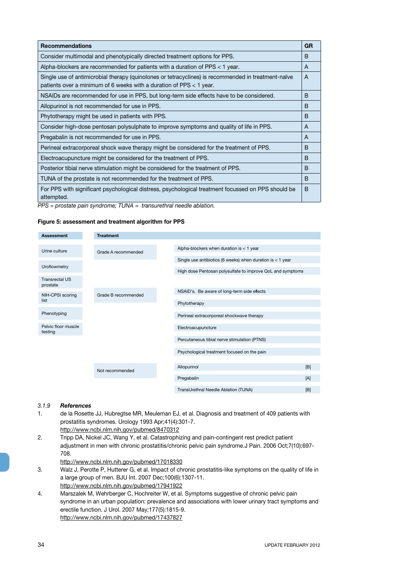| <b>Recommendations</b>                                                                                                                                                       | <b>GR</b> |
|------------------------------------------------------------------------------------------------------------------------------------------------------------------------------|-----------|
| Consider multimodal and phenotypically directed treatment options for PPS.                                                                                                   | B         |
| Alpha-blockers are recommended for patients with a duration of $PPS < 1$ year.                                                                                               | A         |
| Single use of antimicrobial therapy (quinolones or tetracyclines) is recommended in treatment-naïve<br>patients over a minimum of 6 weeks with a duration of PPS $<$ 1 year. | A         |
| NSAIDs are recommended for use in PPS, but long-term side effects have to be considered.                                                                                     | B         |
| Allopurinol is not recommended for use in PPS.                                                                                                                               | B         |
| Phytotherapy might be used in patients with PPS.                                                                                                                             | B         |
| Consider high-dose pentosan polysulphate to improve symptoms and quality of life in PPS.                                                                                     | A         |
| Pregabalin is not recommended for use in PPS.                                                                                                                                | A         |
| Perineal extracorporeal shock wave therapy might be considered for the treatment of PPS.                                                                                     | B         |
| Electroacupuncture might be considered for the treatment of PPS.                                                                                                             | B         |
| Posterior tibial nerve stimulation might be considered for the treatment of PPS.                                                                                             | B         |
| TUNA of the prostate is not recommended for the treatment of PPS.                                                                                                            | B         |
| For PPS with significant psychological distress, psychological treatment focussed on PPS should be<br>attempted.                                                             | B         |

*PPS = prostate pain syndrome; TUNA = transurethral needle ablation.*

#### **Figure 5: assessment and treatment algorithm for PPS**

| <b>Assessment</b>                 | <b>Treatment</b>                       |                                                                                                                                                                                                                                                                                                                                                                                                                                                      |
|-----------------------------------|----------------------------------------|------------------------------------------------------------------------------------------------------------------------------------------------------------------------------------------------------------------------------------------------------------------------------------------------------------------------------------------------------------------------------------------------------------------------------------------------------|
|                                   |                                        |                                                                                                                                                                                                                                                                                                                                                                                                                                                      |
| Urine culture                     | Grade A recommended                    |                                                                                                                                                                                                                                                                                                                                                                                                                                                      |
|                                   |                                        |                                                                                                                                                                                                                                                                                                                                                                                                                                                      |
| Uroflowmetry                      |                                        | Alpha-blockers when duration is $<$ 1 year<br>Single use antibiotics (6 weeks) when duration is $<$ 1 year<br>High dose Pentosan polysulfate to improve QoL and symptoms<br>NSAID's. Be aware of long-term side effects<br>Phytotherapy<br>Perineal extracorporeal shockwave therapy<br>Electroacupuncture<br>Percutaneous tibial nerve stimulation (PTNS)<br>Psychological treatment focused on the pain<br>Allopurinol<br>[B]<br>Pregabalin<br>[A] |
|                                   |                                        |                                                                                                                                                                                                                                                                                                                                                                                                                                                      |
| <b>Transrectal US</b><br>prostate |                                        |                                                                                                                                                                                                                                                                                                                                                                                                                                                      |
| NIH-CPSI scoring                  | Grade B recommended<br>Not recommended |                                                                                                                                                                                                                                                                                                                                                                                                                                                      |
| list                              |                                        |                                                                                                                                                                                                                                                                                                                                                                                                                                                      |
|                                   |                                        |                                                                                                                                                                                                                                                                                                                                                                                                                                                      |
| Phenotyping                       |                                        |                                                                                                                                                                                                                                                                                                                                                                                                                                                      |
| Pelvic floor muscle<br>testing    |                                        |                                                                                                                                                                                                                                                                                                                                                                                                                                                      |
|                                   |                                        |                                                                                                                                                                                                                                                                                                                                                                                                                                                      |
|                                   |                                        |                                                                                                                                                                                                                                                                                                                                                                                                                                                      |
|                                   |                                        | TransUrethral Needle Ablation (TUNA)<br>[B]                                                                                                                                                                                                                                                                                                                                                                                                          |
|                                   |                                        |                                                                                                                                                                                                                                                                                                                                                                                                                                                      |
|                                   |                                        |                                                                                                                                                                                                                                                                                                                                                                                                                                                      |
|                                   |                                        |                                                                                                                                                                                                                                                                                                                                                                                                                                                      |

#### *3.1.9 References*

1. de la Rosette JJ, Hubregtse MR, Meuleman EJ, et al. Diagnosis and treatment of 409 patients with prostatitis syndromes. Urology 1993 Apr;41(4):301-7.

http://www.ncbi.nlm.nih.gov/pubmed/8470312

2. Tripp DA, Nickel JC, Wang Y, et al. Catastrophizing and pain-contingent rest predict patient adjustment in men with chronic prostatitis/chronic pelvic pain syndrome.J Pain. 2006 Oct;7(10):697- 708.

http://www.ncbi.nlm.nih.gov/pubmed/17018330

- 3. Walz J, Perotte P, Hutterer G, et al. Impact of chronic prostatitis-like symptoms on the quality of life in a large group of men. BJU Int. 2007 Dec;100(6):1307-11. http://www.ncbi.nlm.nih.gov/pubmed/17941922
- 4. Marszalek M, Wehrberger C, Hochreiter W, et al. Symptoms suggestive of chronic pelvic pain syndrome in an urban population: prevalence and associations with lower urinary tract symptoms and erectile function. J Urol. 2007 May;177(5):1815-9. http://www.ncbi.nlm.nih.gov/pubmed/17437827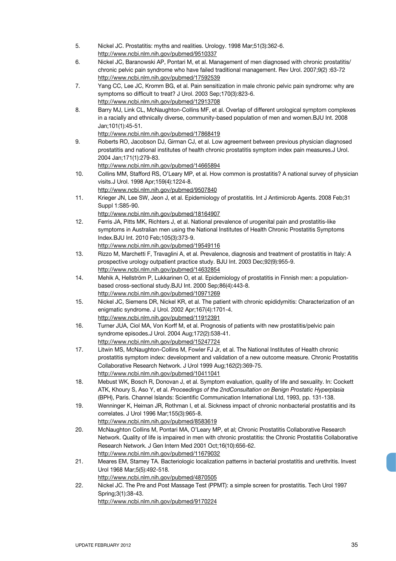- 5. Nickel JC. Prostatitis: myths and realities. Urology. 1998 Mar;51(3):362-6. http://www.ncbi.nlm.nih.gov/pubmed/9510337
- 6. Nickel JC, Baranowski AP, Pontari M, et al. Management of men diagnosed with chronic prostatitis/ chronic pelvic pain syndrome who have failed traditional management. Rev Urol. 2007;9(2) :63-72 http://www.ncbi.nlm.nih.gov/pubmed/17592539
- 7. Yang CC, Lee JC, Kromm BG, et al. Pain sensitization in male chronic pelvic pain syndrome: why are symptoms so difficult to treat? J Urol. 2003 Sep;170(3):823-6. http://www.ncbi.nlm.nih.gov/pubmed/12913708
- 8. Barry MJ, Link CL, McNaughton-Collins MF, et al. Overlap of different urological symptom complexes in a racially and ethnically diverse, community-based population of men and women.BJU Int. 2008 Jan;101(1):45-51.
	- http://www.ncbi.nlm.nih.gov/pubmed/17868419
- 9. Roberts RO, Jacobson DJ, Girman CJ, et al. Low agreement between previous physician diagnosed prostatitis and national institutes of health chronic prostatitis symptom index pain measures.J Urol. 2004 Jan;171(1):279-83.

http://www.ncbi.nlm.nih.gov/pubmed/14665894

- 10. Collins MM, Stafford RS, O'Leary MP, et al. How common is prostatitis? A national survey of physician visits.J Urol. 1998 Apr;159(4):1224-8. http://www.ncbi.nlm.nih.gov/pubmed/9507840
- 11. Krieger JN, Lee SW, Jeon J, et al. Epidemiology of prostatitis. Int J Antimicrob Agents. 2008 Feb;31 Suppl 1:S85-90.
	- http://www.ncbi.nlm.nih.gov/pubmed/18164907
- 12. Ferris JA, Pitts MK, Richters J, et al. National prevalence of urogenital pain and prostatitis-like symptoms in Australian men using the National Institutes of Health Chronic Prostatitis Symptoms Index.BJU Int. 2010 Feb;105(3):373-9. http://www.ncbi.nlm.nih.gov/pubmed/19549116
- 13. Rizzo M, Marchetti F, Travaglini A, et al. Prevalence, diagnosis and treatment of prostatitis in Italy: A prospective urology outpatient practice study. BJU Int. 2003 Dec;92(9):955-9. http://www.ncbi.nlm.nih.gov/pubmed/14632854
- 14. Mehik A, Hellström P, Lukkarinen O, et al. Epidemiology of prostatitis in Finnish men: a populationbased cross-sectional study.BJU Int. 2000 Sep;86(4):443-8. http://www.ncbi.nlm.nih.gov/pubmed/10971269
- 15. Nickel JC, Siemens DR, Nickel KR, et al. The patient with chronic epididymitis: Characterization of an enigmatic syndrome. J Urol. 2002 Apr;167(4):1701-4. http://www.ncbi.nlm.nih.gov/pubmed/11912391
- 16. Turner JUA, Ciol MA, Von Korff M, et al. Prognosis of patients with new prostatitis/pelvic pain syndrome episodes.J Urol. 2004 Aug;172(2):538-41. http://www.ncbi.nlm.nih.gov/pubmed/15247724
- 17. Litwin MS, McNaughton-Collins M, Fowler FJ Jr, et al. The National Institutes of Health chronic prostatitis symptom index: development and validation of a new outcome measure. Chronic Prostatitis Collaborative Research Network. J Urol 1999 Aug;162(2):369-75. http://www.ncbi.nlm.nih.gov/pubmed/10411041
- 18. Mebust WK, Bosch R, Donovan J, et al. Symptom evaluation, quality of life and sexuality. In: Cockett ATK, Khoury S, Aso Y, et al. *Proceedings of the 2ndConsultation on Benign Prostatic Hyperplasia* (BPH), Paris. Channel Islands: Scientific Communication International Ltd, 1993, pp. 131-138.
- 19. Wenninger K, Heiman JR, Rothman I, et al. Sickness impact of chronic nonbacterial prostatitis and its correlates. J Urol 1996 Mar;155(3):965-8. http://www.ncbi.nlm.nih.gov/pubmed/8583619
- 20. McNaughton Collins M, Pontari MA, O'Leary MP, et al; Chronic Prostatitis Collaborative Research Network. Quality of life is impaired in men with chronic prostatitis: the Chronic Prostatitis Collaborative Research Network. J Gen Intern Med 2001 Oct;16(10):656-62. http://www.ncbi.nlm.nih.gov/pubmed/11679032
- 21. Meares EM, Stamey TA. Bacteriologic localization patterns in bacterial prostatitis and urethritis. Invest Urol 1968 Mar;5(5):492-518.
	- http://www.ncbi.nlm.nih.gov/pubmed/4870505
- 22. Nickel JC. The Pre and Post Massage Test (PPMT): a simple screen for prostatitis. Tech Urol 1997 Spring;3(1):38-43. http://www.ncbi.nlm.nih.gov/pubmed/9170224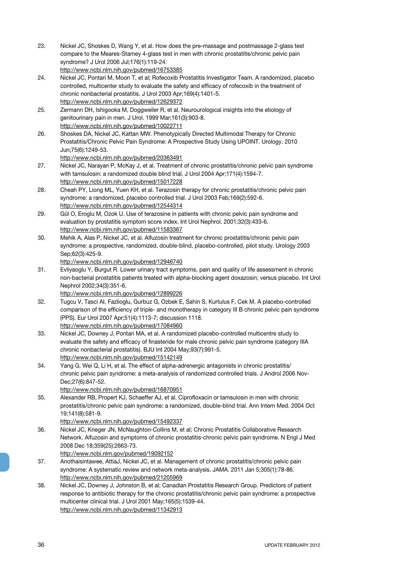23. Nickel JC, Shoskes D, Wang Y, et al. How does the pre-massage and postmassage 2-glass test compare to the Meares-Stamey 4-glass test in men with chronic prostatitis/chronic pelvic pain syndrome? J Urol 2006 Jul;176(1):119-24.

http://www.ncbi.nlm.nih.gov/pubmed/16753385

- 24. Nickel JC, Pontari M, Moon T, et al; Rofecoxib Prostatitis Investigator Team. A randomized, placebo controlled, multicenter study to evaluate the safety and efficacy of rofecoxib in the treatment of chronic nonbacterial prostatitis. J Urol 2003 Apr;169(4):1401-5. http://www.ncbi.nlm.nih.gov/pubmed/12629372
- 25. Zermann DH, Ishigooka M, Doggweiler R, et al. Neurourological insights into the etiology of genitourinary pain in men. J Urol. 1999 Mar;161(3):903-8. http://www.ncbi.nlm.nih.gov/pubmed/10022711
- 26. Shoskes DA, Nickel JC, Kattan MW. Phenotypically Directed Multimodal Therapy for Chronic Prostatitis/Chronic Pelvic Pain Syndrome: A Prospective Study Using UPOINT. Urology. 2010 Jun;75(6):1249-53.

http://www.ncbi.nlm.nih.gov/pubmed/20363491

- 27. Nickel JC, Narayan P, McKay J, et al. Treatment of chronic prostatitis/chronic pelvic pain syndrome with tamsulosin: a randomized double blind trial. J Urol 2004 Apr;171(4):1594-7. http://www.ncbi.nlm.nih.gov/pubmed/15017228
- 28. Cheah PY, Liong ML, Yuen KH, et al. Terazosin therapy for chronic prostatitis/chronic pelvic pain syndrome: a randomized, placebo controlled trial. J Urol 2003 Feb;169(2):592-6. http://www.ncbi.nlm.nih.gov/pubmed/12544314
- 29. Gül O, Eroglu M, Ozok U. Use of terazosine in patients with chronic pelvic pain syndrome and evaluation by prostatitis symptom score index. Int Urol Nephrol. 2001;32(3):433-6. http://www.ncbi.nlm.nih.gov/pubmed/11583367
- 30. Mehik A, Alas P, Nickel JC, et al. Alfuzosin treatment for chronic prostatitis/chronic pelvic pain syndrome: a prospective, randomized, double-blind, placebo-controlled, pilot study. Urology 2003 Sep;62(3):425-9.

http://www.ncbi.nlm.nih.gov/pubmed/12946740

31. Evliyaoglu Y, Burgut R. Lower urinary tract symptoms, pain and quality of life assessment in chronic non-bacterial prostatitis patients treated with alpha-blocking agent doxazosin; versus placebo. Int Urol Nephrol 2002;34(3):351-6.

http://www.ncbi.nlm.nih.gov/pubmed/12899226

- 32. Tugcu V, Tasci AI, Fazlioglu, Gurbuz G, Ozbek E, Sahin S, Kurtulus F, Cek M. A placebo-controlled comparison of the efficiency of triple- and monotherapy in category III B chronic pelvic pain syndrome (PPS). Eur Urol 2007 Apr;51(4):1113-7; discussion 1118. http://www.ncbi.nlm.nih.gov/pubmed/17084960
- 33. Nickel JC, Downey J, Pontari MA, et al. A randomized placebo-controlled multicentre study to evaluate the safety and efficacy of finasteride for male chronic pelvic pain syndrome (category IIIA chronic nonbacterial prostatitis). BJU Int 2004 May;93(7):991-5. http://www.ncbi.nlm.nih.gov/pubmed/15142149
- 34. Yang G, Wei Q, Li H, et al. The effect of alpha-adrenergic antagonists in chronic prostatitis/ chronic pelvic pain syndrome: a meta-analysis of randomized controlled trials. J Androl 2006 Nov-Dec;27(6):847-52.

http://www.ncbi.nlm.nih.gov/pubmed/16870951

35. Alexander RB, Propert KJ, Schaeffer AJ, et al. Ciprofloxacin or tamsulosin in men with chronic prostatitis/chronic pelvic pain syndrome: a randomized, double-blind trial. Ann Intern Med. 2004 Oct 19;141(8):581-9.

http://www.ncbi.nlm.nih.gov/pubmed/15492337

36. Nickel JC, Krieger JN, McNaughton-Collins M, et al; Chronic Prostatitis Collaborative Research Network. Alfuzosin and symptoms of chronic prostatitis-chronic pelvic pain syndrome. N Engl J Med 2008 Dec 18;359(25):2663-73.

http://www.ncbi.nlm.gov/pubmed/19092152

- 37. Anothaisintawee, AttiaJ, Nickel JC, et al. Management of chronic prostatitis/chronic pelvic pain syndrome: A systematic review and network meta-analysis. JAMA. 2011 Jan 5;305(1):78-86. http://www.ncbi.nlm.nih.gov/pubmed/21205969
- 38. Nickel JC, Downey J, Johnston B, et al; Canadian Prostatitis Research Group. Predictors of patient response to antibiotic therapy for the chronic prostatitis/chronic pelvic pain syndrome: a prospective multicenter clinical trial. J Urol 2001 May;165(5):1539-44. http://www.ncbi.nlm.nih.gov/pubmed/11342913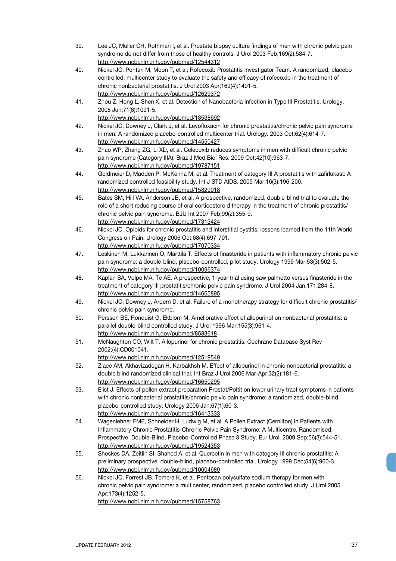- 39. Lee JC, Muller CH, Rothman I, et al. Prostate biopsy culture findings of men with chronic pelvic pain syndrome do not differ from those of healthy controls. J Urol 2003 Feb;169(2):584-7. http://www.ncbi.nlm.nih.gov/pubmed/12544312
- 40. Nickel JC, Pontari M, Moon T, et al; Rofecoxib Prostatitis Investigator Team. A randomized, placebo controlled, multicenter study to evaluate the safety and efficacy of rofecoxib in the treatment of chronic nonbacterial prostatitis. J Urol 2003 Apr;169(4):1401-5. http://www.ncbi.nlm.nih.gov/pubmed/12629372
- 41. Zhou Z, Hong L, Shen X, et al. Detection of Nanobacteria Infection in Type III Prostatitis. Urology. 2008 Jun;71(6):1091-5.
	- http://www.ncbi.nlm.nih.gov/pubmed/18538692
- 42. Nickel JC, Downey J, Clark J, et al. Levofloxacin for chronic prostatitis/chronic pelvic pain syndrome in men: A randomized placebo-controlled multicenter trial. Urology. 2003 Oct;62(4):614-7. http://www.ncbi.nlm.nih.gov/pubmed/14550427
- 43. Zhao WP, Zhang ZG, Li XD, et al. Celecoxib reduces symptoms in men with difficult chronic pelvic pain syndrome (Category IIIA). Braz J Med Biol Res. 2009 Oct;42(10):963-7. http://www.ncbi.nlm.nih.gov/pubmed/19787151
- 44. Goldmeier D, Madden P, McKenna M, et al. Treatment of category III A prostatitis with zafirlukast: A randomized controlled feasibility study. Int J STD AIDS. 2005 Mar;16(3):196-200. http://www.ncbi.nlm.nih.gov/pubmed/15829018
- 45. Bates SM, Hill VA, Anderson JB, et al. A prospective, randomized, double-blind trial to evaluate the role of a short reducing course of oral corticosteroid therapy in the treatment of chronic prostatitis/ chronic pelvic pain syndrome. BJU Int 2007 Feb;99(2):355-9. http://www.ncbi.nlm.nih.gov/pubmed/17313424
- 46. Nickel JC. Opioids for chronic prostatitis and interstitial cystitis: lessons learned from the 11th World Congress on Pain. Urology 2006 Oct;68(4):697-701. http://www.ncbi.nlm.nih.gov/pubmed/17070334
- 47. Leskinen M, Lukkarinen O, Marttila T. Effects of finasteride in patients with inflammatory chronic pelvic pain syndrome: a double-blind, placebo-controlled, pilot study. Urology 1999 Mar;53(3):502-5. http://www.ncbi.nlm.nih.gov/pubmed/10096374
- 48. Kaplan SA, Volpe MA, Te AE. A prospective, 1-year trial using saw palmetto versus finasteride in the treatment of category III prostatitis/chronic pelvic pain syndrome. J Urol 2004 Jan;171:284-8. http://www.ncbi.nlm.nih.gov/pubmed/14665895
- 49. Nickel JC, Downey J, Ardern D, et al. Failure of a monotherapy strategy for difficult chronic prostatitis/ chronic pelvic pain syndrome.
- 50. Persson BE, Ronquist G, Ekblom M. Ameliorative effect of allopurinol on nonbacterial prostatitis: a parallel double-blind controlled study. J Urol 1996 Mar;155(3):961-4. http://www.ncbi.nlm.nih.gov/pubmed/8583618
- 51. McNaughton CO, Wilt T. Allopurinol for chronic prostatitis. Cochrane Database Syst Rev 2002;(4):CD001041. http://www.ncbi.nlm.nih.gov/pubmed/12519549
- 52. Ziaee AM, Akhavizadegan H, Karbakhsh M. Effect of allopurinol in chronic nonbacterial prostatitis: a double blind randomized clinical trial. Int Braz J Urol 2006 Mar-Apr;32(2):181-6. http://www.ncbi.nlm.nih.gov/pubmed/16650295
- 53. Elist J. Effects of pollen extract preparation Prostat/Poltit on lower urinary tract symptoms in patients with chronic nonbacterial prostatitis/chronic pelvic pain syndrome: a randomized, double-blind, placebo-controlled study. Urology 2006 Jan;67(1):60-3. http://www.ncbi.nlm.nih.gov/pubmed/16413333
- 54. Wagenlehner FME, Schneider H, Ludwig M, et al. A Pollen Extract (Cernilton) in Patients with Inflammatory Chronic Prostatitis-Chronic Pelvic Pain Syndrome: A Multicentre, Randomised, Prospective, Double-Blind, Placebo-Controlled Phase 3 Study. Eur Urol. 2009 Sep;56(3):544-51. http://www.ncbi.nlm.nih.gov/pubmed/19524353
- 55. Shoskes DA, Zeitlin SI, Shahed A, et al. Quercetin in men with category III chronic prostatitis: A preliminary prospective, double-blind, placebo-controlled trial. Urology 1999 Dec;54(6):960-3. http://www.ncbi.nlm.nih.gov/pubmed/10604689
- 56. Nickel JC, Forrest JB, Tomera K, et al. Pentosan polysulfate sodium therapy for men with chronic pelvic pain syndrome: a multicenter, randomized, placebo controlled study. J Urol 2005 Apr;173(4):1252-5. http://www.ncbi.nlm.nih.gov/pubmed/15758763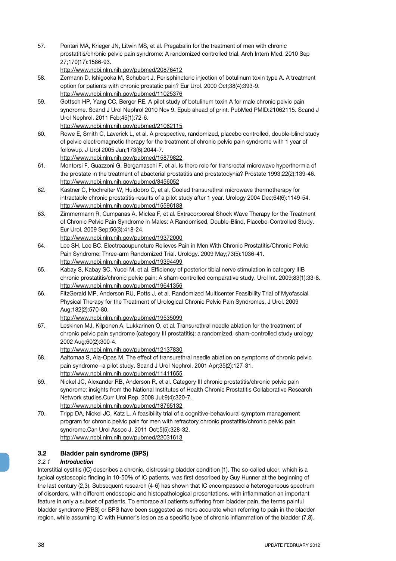57. Pontari MA, Krieger JN, Litwin MS, et al. Pregabalin for the treatment of men with chronic prostatitis/chronic pelvic pain syndrome: A randomized controlled trial. Arch Intern Med. 2010 Sep 27;170(17):1586-93.

http://www.ncbi.nlm.nih.gov/pubmed/20876412

- 58. Zermann D, Ishigooka M, Schubert J. Perisphincteric injection of botulinum toxin type A. A treatment option for patients with chronic prostatic pain? Eur Urol. 2000 Oct;38(4):393-9. http://www.ncbi.nlm.nih.gov/pubmed/11025376
- 59. Gottsch HP, Yang CC, Berger RE. A pilot study of botulinum toxin A for male chronic pelvic pain syndrome. Scand J Urol Nephrol 2010 Nov 9. Epub ahead of print. PubMed PMID:21062115. Scand J Urol Nephrol. 2011 Feb;45(1):72-6.

http://www.ncbi.nlm.nih.gov/pubmed/21062115

- 60. Rowe E, Smith C, Laverick L, et al. A prospective, randomized, placebo controlled, double-blind study of pelvic electromagnetic therapy for the treatment of chronic pelvic pain syndrome with 1 year of followup. J Urol 2005 Jun;173(6):2044-7. http://www.ncbi.nlm.nih.gov/pubmed/15879822
- 61. Montorsi F, Guazzoni G, Bergamaschi F, et al. Is there role for transrectal microwave hyperthermia of the prostate in the treatment of abacterial prostatitis and prostatodynia? Prostate 1993;22(2):139-46. http://www.ncbi.nlm.nih.gov/pubmed/8456052
- 62. Kastner C, Hochreiter W, Huidobro C, et al. Cooled transurethral microwave thermotherapy for intractable chronic prostatitis-results of a pilot study after 1 year. Urology 2004 Dec;64(6):1149-54. http://www.ncbi.nlm.nih.gov/pubmed/15596188
- 63. Zimmermann R, Cumpanas A. Miclea F, et al. Extracorporeal Shock Wave Therapy for the Treatment of Chronic Pelvic Pain Syndrome in Males: A Randomised, Double-Blind, Placebo-Controlled Study. Eur Urol. 2009 Sep;56(3):418-24.

http://www.ncbi.nlm.nih.gov/pubmed/19372000

- 64. Lee SH, Lee BC. Electroacupuncture Relieves Pain in Men With Chronic Prostatitis/Chronic Pelvic Pain Syndrome: Three-arm Randomized Trial. Urology. 2009 May;73(5):1036-41. http://www.ncbi.nlm.nih.gov/pubmed/19394499
- 65. Kabay S, Kabay SC, Yucel M, et al. Efficiency of posterior tibial nerve stimulation in category IIIB chronic prostatitis/chronic pelvic pain: A sham-controlled comparative study. Urol Int. 2009;83(1):33-8. http://www.ncbi.nlm.nih.gov/pubmed/19641356
- 66. FitzGerald MP, Anderson RU, Potts J, et al. Randomized Multicenter Feasibility Trial of Myofascial Physical Therapy for the Treatment of Urological Chronic Pelvic Pain Syndromes. J Urol. 2009 Aug;182(2):570-80.

http://www.ncbi.nlm.nih.gov/pubmed/19535099

67. Leskinen MJ, Kilponen A, Lukkarinen O, et al. Transurethral needle ablation for the treatment of chronic pelvic pain syndrome (category III prostatitis): a randomized, sham-controlled study urology 2002 Aug;60(2):300-4.

http://www.ncbi.nlm.nih.gov/pubmed/12137830

- 68. Aaltomaa S, Ala-Opas M. The effect of transurethral needle ablation on symptoms of chronic pelvic pain syndrome--a pilot study. Scand J Urol Nephrol. 2001 Apr;35(2):127-31. http://www.ncbi.nlm.nih.gov/pubmed/11411655
- 69. Nickel JC, Alexander RB, Anderson R, et al. Category III chronic prostatitis/chronic pelvic pain syndrome: insights from the National Institutes of Health Chronic Prostatitis Collaborative Research Network studies.Curr Urol Rep. 2008 Jul;9(4):320-7. http://www.ncbi.nlm.nih.gov/pubmed/18765132
- 70. Tripp DA, Nickel JC, Katz L. A feasibility trial of a cognitive-behavioural symptom management program for chronic pelvic pain for men with refractory chronic prostatitis/chronic pelvic pain syndrome.Can Urol Assoc J. 2011 Oct;5(5):328-32. http://www.ncbi.nlm.nih.gov/pubmed/22031613

# **3.2 Bladder pain syndrome (BPS)**

### *3.2.1 Introduction*

Interstitial cystitis (IC) describes a chronic, distressing bladder condition (1). The so-called ulcer, which is a typical cystoscopic finding in 10-50% of IC patients, was first described by Guy Hunner at the beginning of the last century (2,3). Subsequent research (4-6) has shown that IC encompassed a heterogeneous spectrum of disorders, with different endoscopic and histopathological presentations, with inflammation an important feature in only a subset of patients. To embrace all patients suffering from bladder pain, the terms painful bladder syndrome (PBS) or BPS have been suggested as more accurate when referring to pain in the bladder region, while assuming IC with Hunner's lesion as a specific type of chronic inflammation of the bladder (7,8).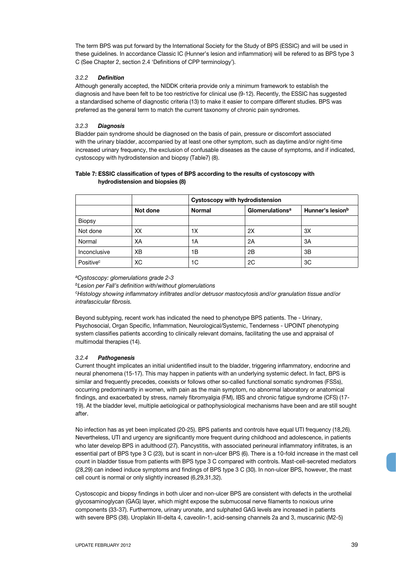The term BPS was put forward by the International Society for the Study of BPS (ESSIC) and will be used in these guidelines. In accordance Classic IC (Hunner's lesion and inflammation) will be refered to as BPS type 3 C (See Chapter 2, section 2.4 'Definitions of CPP terminology').

### *3.2.2 Definition*

Although generally accepted, the NIDDK criteria provide only a minimum framework to establish the diagnosis and have been felt to be too restrictive for clinical use (9-12). Recently, the ESSIC has suggested a standardised scheme of diagnostic criteria (13) to make it easier to compare different studies. BPS was preferred as the general term to match the current taxonomy of chronic pain syndromes.

### *3.2.3 Diagnosis*

Bladder pain syndrome should be diagnosed on the basis of pain, pressure or discomfort associated with the urinary bladder, accompanied by at least one other symptom, such as daytime and/or night-time increased urinary frequency, the exclusion of confusable diseases as the cause of symptoms, and if indicated, cystoscopy with hydrodistension and biopsy (Table7) (8).

|                       |          |               | <b>Cystoscopy with hydrodistension</b> |                              |
|-----------------------|----------|---------------|----------------------------------------|------------------------------|
|                       | Not done | <b>Normal</b> | Glomerulations <sup>a</sup>            | Hunner's lesion <sup>b</sup> |
| <b>Biopsy</b>         |          |               |                                        |                              |
| Not done              | XX       | 1X            | 2X                                     | 3X                           |
| Normal                | XA       | 1Α            | 2A                                     | 3A                           |
| Inconclusive          | ХB       | 1Β            | 2B                                     | 3B                           |
| Positive <sup>c</sup> | ХC       | 1C            | 2C                                     | 3C                           |

#### **Table 7: ESSIC classification of types of BPS according to the results of cystoscopy with hydrodistension and biopsies (8)**

*aCystoscopy: glomerulations grade 2-3*

*bLesion per Fall's definition with/without glomerulations*

*cHistology showing inflammatory infiltrates and/or detrusor mastocytosis and/or granulation tissue and/or intrafascicular fibrosis.*

Beyond subtyping, recent work has indicated the need to phenotype BPS patients. The - Urinary, Psychosocial, Organ Specific, Inflammation, Neurological/Systemic, Tenderness - UPOINT phenotyping system classifies patients according to clinically relevant domains, facilitating the use and appraisal of multimodal therapies (14).

### *3.2.4 Pathogenesis*

Current thought implicates an initial unidentified insult to the bladder, triggering inflammatory, endocrine and neural phenomena (15-17). This may happen in patients with an underlying systemic defect. In fact, BPS is similar and frequently precedes, coexists or follows other so-called functional somatic syndromes (FSSs), occurring predominantly in women, with pain as the main symptom, no abnormal laboratory or anatomical findings, and exacerbated by stress, namely fibromyalgia (FM), IBS and chronic fatigue syndrome (CFS) (17- 19). At the bladder level, multiple aetiological or pathophysiological mechanisms have been and are still sought after.

No infection has as yet been implicated (20-25). BPS patients and controls have equal UTI frequency (18,26). Nevertheless, UTI and urgency are significantly more frequent during childhood and adolescence, in patients who later develop BPS in adulthood (27). Pancystitis, with associated perineural inflammatory infiltrates, is an essential part of BPS type 3 C (23), but is scant in non-ulcer BPS (6). There is a 10-fold increase in the mast cell count in bladder tissue from patients with BPS type 3 C compared with controls. Mast-cell-secreted mediators (28,29) can indeed induce symptoms and findings of BPS type 3 C (30). In non-ulcer BPS, however, the mast cell count is normal or only slightly increased (6,29,31,32).

Cystoscopic and biopsy findings in both ulcer and non-ulcer BPS are consistent with defects in the urothelial glycosaminoglycan (GAG) layer, which might expose the submucosal nerve filaments to noxious urine components (33-37). Furthermore, urinary uronate, and sulphated GAG levels are increased in patients with severe BPS (38). Uroplakin III-delta 4, caveolin-1, acid-sensing channels 2a and 3, muscarinic (M2-5)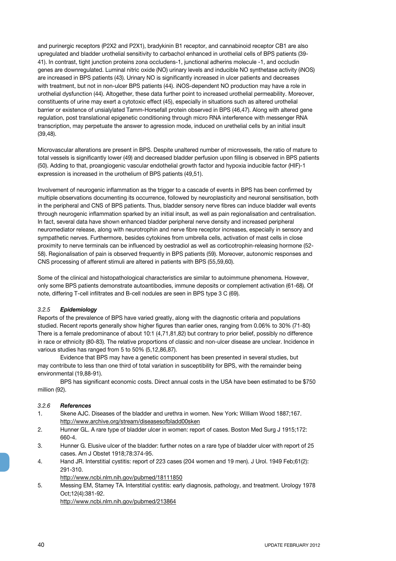and purinergic receptors (P2X2 and P2X1), bradykinin B1 receptor, and cannabinoid receptor CB1 are also upregulated and bladder urothelial sensitivity to carbachol enhanced in urothelial cells of BPS patients (39- 41). In contrast, tight junction proteins zona occludens-1, junctional adherins molecule -1, and occludin genes are downregulated. Luminal nitric oxide (NO) urinary levels and inducible NO synthetase activity (iNOS) are increased in BPS patients (43). Urinary NO is significantly increased in ulcer patients and decreases with treatment, but not in non-ulcer BPS patients (44). iNOS-dependent NO production may have a role in urothelial dysfunction (44). Altogether, these data further point to increased urothelial permeability. Moreover, constituents of urine may exert a cytotoxic effect (45), especially in situations such as altered urothelial barrier or existence of unsialylated Tamm-Horsefall protein observed in BPS (46,47). Along with altered gene regulation, post translational epigenetic conditioning through micro RNA interference with messenger RNA transcription, may perpetuate the answer to agression mode, induced on urethelial cells by an initial insult (39,48).

Microvascular alterations are present in BPS. Despite unaltered number of microvessels, the ratio of mature to total vessels is significantly lower (49) and decreased bladder perfusion upon filling is observed in BPS patients (50). Adding to that, proangiogenic vascular endothelial growth factor and hypoxia inducible factor (HIF)-1 expression is increased in the urothelium of BPS patients (49,51).

Involvement of neurogenic inflammation as the trigger to a cascade of events in BPS has been confirmed by multiple observations documenting its occurrence, followed by neuroplasticity and neuronal sensitisation, both in the peripheral and CNS of BPS patients. Thus, bladder sensory nerve fibres can induce bladder wall events through neurogenic inflammation sparked by an initial insult, as well as pain regionalisation and centralisation. In fact, several data have shown enhanced bladder peripheral nerve density and increased peripheral neuromediator release, along with neurotrophin and nerve fibre receptor increases, especially in sensory and sympathetic nerves. Furthermore, besides cytokines from umbrella cells, activation of mast cells in close proximity to nerve terminals can be influenced by oestradiol as well as corticotrophin-releasing hormone (52- 58). Regionalisation of pain is observed frequently in BPS patients (59). Moreover, autonomic responses and CNS processing of afferent stimuli are altered in patients with BPS (55,59,60).

Some of the clinical and histopathological characteristics are similar to autoimmune phenomena. However, only some BPS patients demonstrate autoantibodies, immune deposits or complement activation (61-68). Of note, differing T-cell infiltrates and B-cell nodules are seen in BPS type 3 C (69).

### *3.2.5 Epidemiology*

Reports of the prevalence of BPS have varied greatly, along with the diagnostic criteria and populations studied. Recent reports generally show higher figures than earlier ones, ranging from 0.06% to 30% (71-80) There is a female predominance of about 10:1 (4,71,81,82) but contrary to prior belief, possibly no difference in race or ethnicity (80-83). The relative proportions of classic and non-ulcer disease are unclear. Incidence in various studies has ranged from 5 to 50% (5,12,86,87).

Evidence that BPS may have a genetic component has been presented in several studies, but may contribute to less than one third of total variation in susceptibility for BPS, with the remainder being environmental (19,88-91).

BPS has significant economic costs. Direct annual costs in the USA have been estimated to be \$750 million (92).

### *3.2.6 References*

- 1. Skene AJC. Diseases of the bladder and urethra in women. New York: William Wood 1887;167. http://www.archive.org/stream/diseasesofbladd00sken
- 2. Hunner GL. A rare type of bladder ulcer in women: report of cases. Boston Med Surg J 1915;172: 660-4.
- 3. Hunner G. Elusive ulcer of the bladder: further notes on a rare type of bladder ulcer with report of 25 cases. Am J Obstet 1918;78:374-95.
- 4. Hand JR. Interstitial cystitis: report of 223 cases (204 women and 19 men). J Urol. 1949 Feb;61(2): 291-310.
	- http://www.ncbi.nlm.nih.gov/pubmed/18111850
- 5. Messing EM, Stamey TA. Interstitial cystitis: early diagnosis, pathology, and treatment. Urology 1978 Oct;12(4):381-92.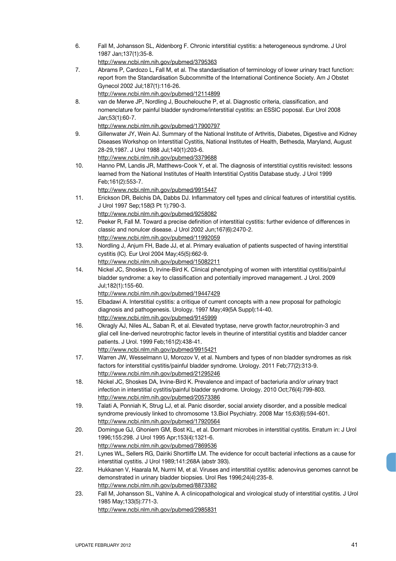- 6. Fall M, Johansson SL, Aldenborg F. Chronic interstitial cystitis: a heterogeneous syndrome. J Urol 1987 Jan;137(1):35-8.
	- http://www.ncbi.nlm.nih.gov/pubmed/3795363
- 7. Abrams P, Cardozo L, Fall M, et al. The standardisation of terminology of lower urinary tract function: report from the Standardisation Subcommitte of the International Continence Society. Am J Obstet Gynecol 2002 Jul;187(1):116-26.

8. van de Merwe JP, Nordling J, Bouchelouche P, et al. Diagnostic criteria, classification, and nomenclature for painful bladder syndrome/interstitial cystitis: an ESSIC poposal. Eur Urol 2008 Jan;53(1):60-7.

http://www.ncbi.nlm.nih.gov/pubmed/17900797

- 9. Gillenwater JY, Wein AJ. Summary of the National Institute of Arthritis, Diabetes, Digestive and Kidney Diseases Workshop on Interstitial Cystitis, National Institutes of Health, Bethesda, Maryland, August 28-29,1987. J Urol 1988 Jul;140(1):203-6. http://www.ncbi.nlm.nih.gov/pubmed/3379688
- 10. Hanno PM, Landis JR, Matthews-Cook Y, et al. The diagnosis of interstitial cystitis revisited: lessons learned from the National Institutes of Health Interstitial Cystitis Database study. J Urol 1999 Feb;161(2):553-7.

http://www.ncbi.nlm.nih.gov/pubmed/9915447

- 11. Erickson DR, Belchis DA, Dabbs DJ. Inflammatory cell types and clinical features of interstitial cystitis. J Urol 1997 Sep;158(3 Pt 1):790-3. http://www.ncbi.nlm.nih.gov/pubmed/9258082
- 12. Peeker R, Fall M. Toward a precise definition of interstitial cystitis: further evidence of differences in classic and nonulcer disease. J Urol 2002 Jun;167(6):2470-2. http://www.ncbi.nlm.nih.gov/pubmed/11992059
- 13. Nordling J, Anjum FH, Bade JJ, et al. Primary evaluation of patients suspected of having interstitial cystitis (IC). Eur Urol 2004 May;45(5):662-9. http://www.ncbi.nlm.nih.gov/pubmed/15082211
- 14. Nickel JC, Shoskes D, Irvine-Bird K. Clinical phenotyping of women with interstitial cystitis/painful bladder syndrome: a key to classification and potentially improved management. J Urol. 2009 Jul;182(1):155-60.

- 15. Elbadawi A. Interstitial cystitis: a critique of current concepts with a new proposal for pathologic diagnosis and pathogenesis. Urology. 1997 May;49(5A Suppl):14-40. http://www.ncbi.nlm.nih.gov/pubmed/9145999
- 16. Okragly AJ, Niles AL, Saban R, et al. Elevated tryptase, nerve growth factor,neurotrophin-3 and glial cell line-derived neurotrophic factor levels in theurine of interstitial cystitis and bladder cancer patients. J Urol. 1999 Feb;161(2):438-41. http://www.ncbi.nlm.nih.gov/pubmed/9915421
- 17. Warren JW, Wesselmann U, Morozov V, et al. Numbers and types of non bladder syndromes as risk factors for interstitial cystitis/painful bladder syndrome. Urology. 2011 Feb;77(2):313-9. http://www.ncbi.nlm.nih.gov/pubmed/21295246
- 18. Nickel JC, Shoskes DA, Irvine-Bird K. Prevalence and impact of bacteriuria and/or urinary tract infection in interstitial cystitis/painful bladder syndrome. Urology. 2010 Oct;76(4):799-803. http://www.ncbi.nlm.nih.gov/pubmed/20573386
- 19. Talati A, Ponniah K, Strug LJ, et al. Panic disorder, social anxiety disorder, and a possible medical syndrome previously linked to chromosome 13.Biol Psychiatry. 2008 Mar 15;63(6):594-601. http://www.ncbi.nlm.nih.gov/pubmed/17920564
- 20. Domingue GJ, Ghoniem GM, Bost KL, et al. Dormant microbes in interstitial cystitis. Erratum in: J Urol 1996;155:298. J Urol 1995 Apr;153(4):1321-6. http://www.ncbi.nlm.nih.gov/pubmed/7869536
- 21. Lynes WL, Sellers RG, Dairiki Shortliffe LM. The evidence for occult bacterial infections as a cause for interstitial cystitis. J Urol 1989;141:268A (abstr 393).
- 22. Hukkanen V, Haarala M, Nurmi M, et al. Viruses and interstitial cystitis: adenovirus genomes cannot be demonstrated in urinary bladder biopsies. Urol Res 1996;24(4):235-8. http://www.ncbi.nlm.nih.gov/pubmed/8873382
- 23. Fall M, Johansson SL, Vahlne A. A clinicopathological and virological study of interstitial cystitis. J Urol 1985 May;133(5):771-3.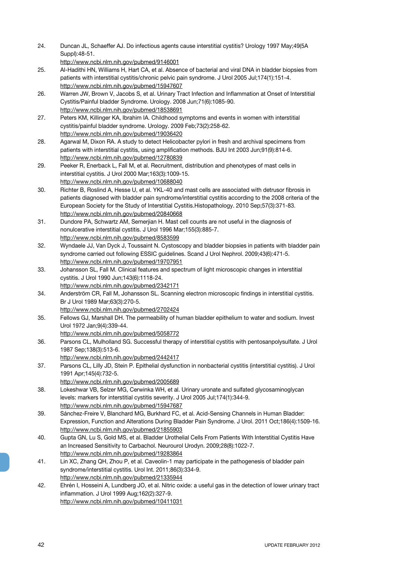- 24. Duncan JL, Schaeffer AJ. Do infectious agents cause interstitial cystitis? Urology 1997 May;49(5A Suppl):48-51. http://www.ncbi.nlm.nih.gov/pubmed/9146001
- 25. Al-Hadithi HN, Williams H, Hart CA, et al. Absence of bacterial and viral DNA in bladder biopsies from patients with interstitial cystitis/chronic pelvic pain syndrome. J Urol 2005 Jul;174(1):151-4. http://www.ncbi.nlm.nih.gov/pubmed/15947607
- 26. Warren JW, Brown V, Jacobs S, et al. Urinary Tract Infection and Inflammation at Onset of Interstitial Cystitis/Painful bladder Syndrome. Urology. 2008 Jun;71(6):1085-90. http://www.ncbi.nlm.nih.gov/pubmed/18538691
- 27. Peters KM, Killinger KA, Ibrahim IA. Childhood symptoms and events in women with interstitial cystitis/painful bladder syndrome. Urology. 2009 Feb;73(2):258-62. http://www.ncbi.nlm.nih.gov/pubmed/19036420
- 28. Agarwal M, Dixon RA. A study to detect Helicobacter pylori in fresh and archival specimens from patients with interstitial cystitis, using amplification methods. BJU Int 2003 Jun;91(9):814-6. http://www.ncbi.nlm.nih.gov/pubmed/12780839
- 29. Peeker R, Enerback L, Fall M, et al. Recruitment, distribution and phenotypes of mast cells in interstitial cystitis. J Urol 2000 Mar;163(3):1009-15. http://www.ncbi.nlm.nih.gov/pubmed/10688040
- 30. Richter B, Roslind A, Hesse U, et al. YKL-40 and mast cells are associated with detrusor fibrosis in patients diagnosed with bladder pain syndrome/interstitial cystitis according to the 2008 criteria of the European Society for the Study of Interstitial Cystitis.Histopathology. 2010 Sep;57(3):371-83. http://www.ncbi.nlm.nih.gov/pubmed/20840668
- 31. Dundore PA, Schwartz AM, Semerjian H. Mast cell counts are not useful in the diagnosis of nonulcerative interstitial cystitis. J Urol 1996 Mar;155(3):885-7. http://www.ncbi.nlm.nih.gov/pubmed/8583599
- 32. Wyndaele JJ, Van Dyck J, Toussaint N. Cystoscopy and bladder biopsies in patients with bladder pain syndrome carried out following ESSIC guidelines. Scand J Urol Nephrol. 2009;43(6):471-5. http://www.ncbi.nlm.nih.gov/pubmed/19707951
- 33. Johansson SL, Fall M. Clinical features and spectrum of light microscopic changes in interstitial cystitis. J Urol 1990 Jun;143(6):1118-24. http://www.ncbi.nlm.nih.gov/pubmed/2342171
- 34. Anderström CR, Fall M, Johansson SL. Scanning electron microscopic findings in interstitial cystitis. Br J Urol 1989 Mar;63(3):270-5.
	- http://www.ncbi.nlm.nih.gov/pubmed/2702424
- 35. Fellows GJ, Marshall DH. The permeability of human bladder epithelium to water and sodium. Invest Urol 1972 Jan;9(4):339-44.
	- http://www.ncbi.nlm.nih.gov/pubmed/5058772
- 36. Parsons CL, Mulholland SG. Successful therapy of interstitial cystitis with pentosanpolysulfate. J Urol 1987 Sep;138(3):513-6.
- http://www.ncbi.nlm.nih.gov/pubmed/2442417
- 37. Parsons CL, Lilly JD, Stein P. Epithelial dysfunction in nonbacterial cystitis (interstitial cystitis). J Urol 1991 Apr;145(4):732-5.
	- http://www.ncbi.nlm.nih.gov/pubmed/2005689
- 38. Lokeshwar VB, Selzer MG, Cerwinka WH, et al. Urinary uronate and sulfated glycosaminoglycan levels: markers for interstitial cystitis severity. J Urol 2005 Jul;174(1):344-9. http://www.ncbi.nlm.nih.gov/pubmed/15947687
- 39. Sánchez-Freire V, Blanchard MG, Burkhard FC, et al. Acid-Sensing Channels in Human Bladder: Expression, Function and Alterations During Bladder Pain Syndrome. J Urol. 2011 Oct;186(4):1509-16. http://www.ncbi.nlm.nih.gov/pubmed/21855903
- 40. Gupta GN, Lu S, Gold MS, et al. Bladder Urothelial Cells From Patients With Interstitial Cystitis Have an Increased Sensitivity to Carbachol. Neurourol Urodyn. 2009;28(8):1022-7. http://www.ncbi.nlm.nih.gov/pubmed/19283864
- 41. Lin XC, Zhang QH, Zhou P, et al. Caveolin-1 may participate in the pathogenesis of bladder pain syndrome/interstitial cystitis. Urol Int. 2011;86(3):334-9. http://www.ncbi.nlm.nih.gov/pubmed/21335944
- 42. Ehrén I, Hosseini A, Lundberg JO, et al. Nitric oxide: a useful gas in the detection of lower urinary tract inflammation. J Urol 1999 Aug;162(2):327-9. http://www.ncbi.nlm.nih.gov/pubmed/10411031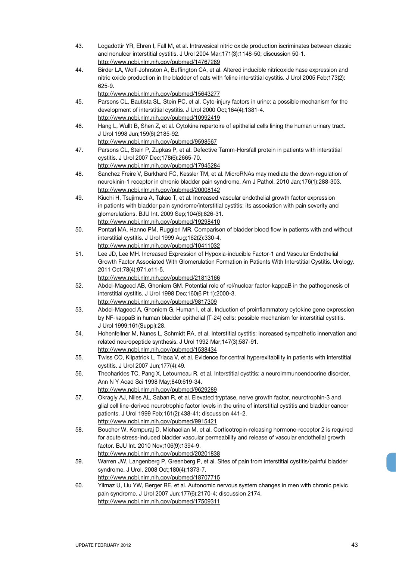- 43. Logadottir YR, Ehren I, Fall M, et al. Intravesical nitric oxide production iscriminates between classic and nonulcer interstitial cystitis. J Urol 2004 Mar;171(3):1148-50; discussion 50-1. http://www.ncbi.nlm.nih.gov/pubmed/14767289
- 44. Birder LA, Wolf-Johnston A, Buffington CA, et al. Altered inducible nitricoxide hase expression and nitric oxide production in the bladder of cats with feline interstitial cystitis. J Urol 2005 Feb;173(2): 625-9.

- 45. Parsons CL, Bautista SL, Stein PC, et al. Cyto-injury factors in urine: a possible mechanism for the development of interstitial cystitis. J Urol 2000 Oct;164(4):1381-4. http://www.ncbi.nlm.nih.gov/pubmed/10992419
- 46. Hang L, Wullt B, Shen Z, et al. Cytokine repertoire of epithelial cells lining the human urinary tract. J Urol 1998 Jun;159(6):2185-92.
	- http://www.ncbi.nlm.nih.gov/pubmed/9598567
- 47. Parsons CL, Stein P, Zupkas P, et al. Defective Tamm-Horsfall protein in patients with interstitial cystitis. J Urol 2007 Dec;178(6):2665-70.

http://www.ncbi.nlm.nih.gov/pubmed/17945284

- 48. Sanchez Freire V, Burkhard FC, Kessler TM, et al. MicroRNAs may mediate the down-regulation of neurokinin-1 receptor in chronic bladder pain syndrome. Am J Pathol. 2010 Jan;176(1):288-303. http://www.ncbi.nlm.nih.gov/pubmed/20008142
- 49. Kiuchi H, Tsujimura A, Takao T, et al. Increased vascular endothelial growth factor expression in patients with bladder pain syndrome/interstitial cystitis: its association with pain severity and glomerulations. BJU Int. 2009 Sep;104(6):826-31. http://www.ncbi.nlm.nih.gov/pubmed/19298410
- 50. Pontari MA, Hanno PM, Ruggieri MR. Comparison of bladder blood flow in patients with and without interstitial cystitis. J Urol 1999 Aug;162(2):330-4. http://www.ncbi.nlm.nih.gov/pubmed/10411032
- 51. Lee JD, Lee MH. Increased Expression of Hypoxia-inducible Factor-1 and Vascular Endothelial Growth Factor Associated With Glomerulation Formation in Patients With Interstitial Cystitis. Urology. 2011 Oct;78(4):971.e11-5.

- 52. Abdel-Mageed AB, Ghoniem GM. Potential role of rel/nuclear factor-kappaB in the pathogenesis of interstitial cystitis. J Urol 1998 Dec;160(6 Pt 1):2000-3. http://www.ncbi.nlm.nih.gov/pubmed/9817309
- 53. Abdel-Mageed A, Ghoniem G, Human I, et al. Induction of proinflammatory cytokine gene expression by NF-kappaB in human bladder epithelial (T-24) cells: possible mechanism for interstitial cystitis. J Urol 1999;161(Suppl):28.
- 54. Hohenfellner M, Nunes L, Schmidt RA, et al. Interstitial cystitis: increased sympathetic innervation and related neuropeptide synthesis. J Urol 1992 Mar;147(3):587-91. http://www.ncbi.nlm.nih.gov/pubmed/1538434
- 55. Twiss CO, Kilpatrick L, Triaca V, et al. Evidence for central hyperexitability in patients with interstitial cystitis. J Urol 2007 Jun;177(4):49.
- 56. Theoharides TC, Pang X, Letourneau R, et al. Interstitial cystitis: a neuroimmunoendocrine disorder. Ann N Y Acad Sci 1998 May;840:619-34. http://www.ncbi.nlm.nih.gov/pubmed/9629289
- 57. Okragly AJ, Niles AL, Saban R, et al. Elevated tryptase, nerve growth factor, neurotrophin-3 and glial cell line-derived neurotrophic factor levels in the urine of interstitial cystitis and bladder cancer patients. J Urol 1999 Feb;161(2):438-41; discussion 441-2. http://www.ncbi.nlm.nih.gov/pubmed/9915421
- 58. Boucher W, Kempuraj D, Michaelian M, et al. Corticotropin-releasing hormone-receptor 2 is required for acute stress-induced bladder vascular permeability and release of vascular endothelial growth factor. BJU Int. 2010 Nov;106(9):1394-9. http://www.ncbi.nlm.nih.gov/pubmed/20201838
- 59. Warren JW, Langenberg P, Greenberg P, et al. Sites of pain from interstitial cystitis/painful bladder syndrome. J Urol. 2008 Oct;180(4):1373-7. http://www.ncbi.nlm.nih.gov/pubmed/18707715
- 60. Yilmaz U, Liu YW, Berger RE, et al. Autonomic nervous system changes in men with chronic pelvic pain syndrome. J Urol 2007 Jun;177(6):2170-4; discussion 2174. http://www.ncbi.nlm.nih.gov/pubmed/17509311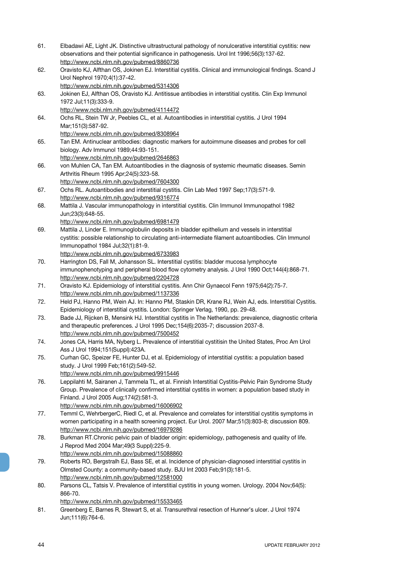| 61. | Elbadawi AE, Light JK. Distinctive ultrastructural pathology of nonulcerative interstitial cystitis: new<br>observations and their potential significance in pathogenesis. Urol Int 1996;56(3):137-62.         |
|-----|----------------------------------------------------------------------------------------------------------------------------------------------------------------------------------------------------------------|
|     | http://www.ncbi.nlm.nih.gov/pubmed/8860736                                                                                                                                                                     |
| 62. | Oravisto KJ, Alfthan OS, Jokinen EJ. Interstitial cystitis. Clinical and immunological findings. Scand J<br>Urol Nephrol 1970;4(1):37-42.                                                                      |
|     | http://www.ncbi.nlm.nih.gov/pubmed/5314306                                                                                                                                                                     |
| 63. | Jokinen EJ, Alfthan OS, Oravisto KJ. Antitissue antibodies in interstitial cystitis. Clin Exp Immunol<br>1972 Jul;11(3):333-9.                                                                                 |
|     | http://www.ncbi.nlm.nih.gov/pubmed/4114472                                                                                                                                                                     |
| 64. | Ochs RL, Stein TW Jr, Peebles CL, et al. Autoantibodies in interstitial cystitis. J Urol 1994                                                                                                                  |
|     | Mar; 151(3): 587-92.                                                                                                                                                                                           |
| 65. | http://www.ncbi.nlm.nih.gov/pubmed/8308964<br>Tan EM. Antinuclear antibodies: diagnostic markers for autoimmune diseases and probes for cell                                                                   |
|     | biology. Adv Immunol 1989;44:93-151.                                                                                                                                                                           |
|     | http://www.ncbi.nlm.nih.gov/pubmed/2646863                                                                                                                                                                     |
| 66. | von Muhlen CA, Tan EM. Autoantibodies in the diagnosis of systemic rheumatic diseases. Semin<br>Arthritis Rheum 1995 Apr;24(5):323-58.                                                                         |
|     | http://www.ncbi.nlm.nih.gov/pubmed/7604300                                                                                                                                                                     |
| 67. | Ochs RL. Autoantibodies and interstitial cystitis. Clin Lab Med 1997 Sep;17(3):571-9.                                                                                                                          |
|     | http://www.ncbi.nlm.nih.gov/pubmed/9316774                                                                                                                                                                     |
| 68. | Mattila J. Vascular immunopathology in interstitial cystitis. Clin Immunol Immunopathol 1982<br>Jun;23(3):648-55.                                                                                              |
|     | http://www.ncbi.nlm.nih.gov/pubmed/6981479                                                                                                                                                                     |
| 69. | Mattila J, Linder E. Immunoglobulin deposits in bladder epithelium and vessels in interstitial                                                                                                                 |
|     | cystitis: possible relationship to circulating anti-intermediate filament autoantibodies. Clin Immunol<br>Immunopathol 1984 Jul;32(1):81-9.                                                                    |
|     | http://www.ncbi.nlm.nih.gov/pubmed/6733983                                                                                                                                                                     |
| 70. | Harrington DS, Fall M, Johansson SL. Interstitial cystitis: bladder mucosa lymphocyte                                                                                                                          |
|     | immunophenotyping and peripheral blood flow cytometry analysis. J Urol 1990 Oct;144(4):868-71.                                                                                                                 |
|     | http://www.ncbi.nlm.nih.gov/pubmed/2204728                                                                                                                                                                     |
| 71. | Oravisto KJ. Epidemiology of interstitial cystitis. Ann Chir Gynaecol Fenn 1975;64(2):75-7.                                                                                                                    |
| 72. | http://www.ncbi.nlm.nih.gov/pubmed/1137336<br>Held PJ, Hanno PM, Wein AJ. In: Hanno PM, Staskin DR, Krane RJ, Wein AJ, eds. Interstitial Cystitis.                                                             |
|     | Epidemiology of interstitial cystitis. London: Springer Verlag, 1990, pp. 29-48.                                                                                                                               |
| 73. | Bade JJ, Rijcken B, Mensink HJ. Interstitial cystitis in The Netherlands: prevalence, diagnostic criteria                                                                                                      |
|     | and therapeutic preferences. J Urol 1995 Dec;154(6):2035-7; discussion 2037-8.                                                                                                                                 |
|     | http://www.ncbi.nlm.nih.gov/pubmed/7500452                                                                                                                                                                     |
| 74. | Jones CA, Harris MA, Nyberg L. Prevalence of interstitial cystitisin the United States, Proc Am Urol<br>Ass J Urol 1994;151(Suppl):423A.                                                                       |
| 75. | Curhan GC, Speizer FE, Hunter DJ, et al. Epidemiology of interstitial cystitis: a population based                                                                                                             |
|     | study. J Urol 1999 Feb;161(2):549-52.                                                                                                                                                                          |
|     | http://www.ncbi.nlm.nih.gov/pubmed/9915446                                                                                                                                                                     |
| 76. | Leppilahti M, Sairanen J, Tammela TL, et al. Finnish Interstitial Cystitis-Pelvic Pain Syndrome Study<br>Group. Prevalence of clinically confirmed interstitial cystitis in women: a population based study in |
|     | Finland. J Urol 2005 Aug; 174(2): 581-3.                                                                                                                                                                       |
|     | http://www.ncbi.nlm.nih.gov/pubmed/16006902                                                                                                                                                                    |
| 77. | Temml C, WehrbergerC, Riedl C, et al. Prevalence and correlates for interstitial cystitis symptoms in                                                                                                          |
|     | women participating in a health screening project. Eur Urol. 2007 Mar;51(3):803-8; discussion 809.                                                                                                             |
|     | http://www.ncbi.nlm.nih.gov/pubmed/16979286                                                                                                                                                                    |
| 78. | Burkman RT.Chronic pelvic pain of bladder origin: epidemiology, pathogenesis and quality of life.                                                                                                              |
|     | J Reprod Med 2004 Mar; 49(3 Suppl): 225-9.                                                                                                                                                                     |
| 79. | http://www.ncbi.nlm.nih.gov/pubmed/15088860<br>Roberts RO, Bergstralh EJ, Bass SE, et al. Incidence of physician-diagnosed interstitial cystitis in                                                            |
|     | Olmsted County: a community-based study. BJU Int 2003 Feb;91(3):181-5.                                                                                                                                         |
|     | http://www.ncbi.nlm.nih.gov/pubmed/12581000                                                                                                                                                                    |
| 80. | Parsons CL, Tatsis V. Prevalence of interstitial cystitis in young women. Urology. 2004 Nov;64(5):                                                                                                             |
|     | 866-70.                                                                                                                                                                                                        |
|     | http://www.ncbi.nlm.nih.gov/pubmed/15533465                                                                                                                                                                    |
| 81. | Greenberg E, Barnes R, Stewart S, et al. Transurethral resection of Hunner's ulcer. J Urol 1974                                                                                                                |
|     | Jun;111(6):764-6.                                                                                                                                                                                              |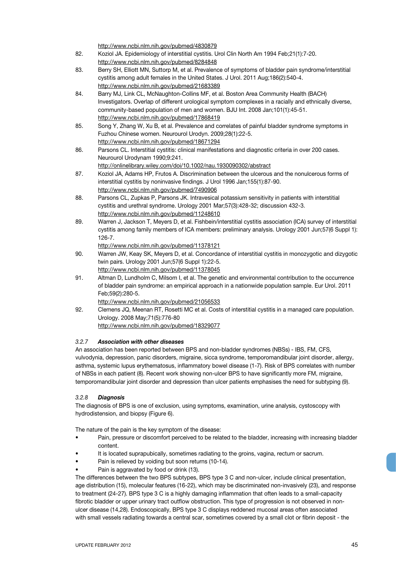- 82. Koziol JA. Epidemiology of interstitial cystitis. Urol Clin North Am 1994 Feb; 21(1): 7-20. http://www.ncbi.nlm.nih.gov/pubmed/8284848
- 83. Berry SH, Elliott MN, Suttorp M, et al. Prevalence of symptoms of bladder pain syndrome/interstitial cystitis among adult females in the United States. J Urol. 2011 Aug;186(2):540-4. http://www.ncbi.nlm.nih.gov/pubmed/21683389
- 84. Barry MJ, Link CL, McNaughton-Collins MF, et al. Boston Area Community Health (BACH) Investigators. Overlap of different urological symptom complexes in a racially and ethnically diverse, community-based population of men and women. BJU Int. 2008 Jan;101(1):45-51. http://www.ncbi.nlm.nih.gov/pubmed/17868419
- 85. Song Y, Zhang W, Xu B, et al. Prevalence and correlates of painful bladder syndrome symptoms in Fuzhou Chinese women. Neurourol Urodyn. 2009;28(1):22-5. http://www.ncbi.nlm.nih.gov/pubmed/18671294
- 86. Parsons CL. Interstitial cystitis: clinical manifestations and diagnostic criteria in over 200 cases. Neurourol Urodynam 1990;9:241.

http://onlinelibrary.wiley.com/doi/10.1002/nau.1930090302/abstract

- 87. Koziol JA, Adams HP, Frutos A. Discrimination between the ulcerous and the nonulcerous forms of interstitial cystitis by noninvasive findings. J Urol 1996 Jan;155(1):87-90. http://www.ncbi.nlm.nih.gov/pubmed/7490906
- 88. Parsons CL, Zupkas P, Parsons JK. Intravesical potassium sensitivity in patients with interstitial cystitis and urethral syndrome. Urology 2001 Mar;57(3):428-32; discussion 432-3. http://www.ncbi.nlm.nih.gov/pubmed/11248610
- 89. Warren J, Jackson T, Meyers D, et al. Fishbein/interstitial cystitis association (ICA) survey of interstitial cystitis among family members of ICA members: preliminary analysis. Urology 2001 Jun;57(6 Suppl 1): 126-7.
	- http://www.ncbi.nlm.nih.gov/pubmed/11378121
- 90. Warren JW, Keay SK, Meyers D, et al. Concordance of interstitial cystitis in monozygotic and dizygotic twin pairs. Urology 2001 Jun;57(6 Suppl 1):22-5. http://www.ncbi.nlm.nih.gov/pubmed/11378045
- 91. Altman D, Lundholm C, Milsom I, et al. The genetic and environmental contribution to the occurrence of bladder pain syndrome: an empirical approach in a nationwide population sample. Eur Urol. 2011 Feb;59(2):280-5.
	- http://www.ncbi.nlm.nih.gov/pubmed/21056533
- 92. Clemens JQ, Meenan RT, Rosetti MC et al. Costs of interstitial cystitis in a managed care population. Urology. 2008 May;71(5):776-80 http://www.ncbi.nlm.nih.gov/pubmed/18329077

### *3.2.7 Association with other diseases*

An association has been reported between BPS and non-bladder syndromes (NBSs) - IBS, FM, CFS, vulvodynia, depression, panic disorders, migraine, sicca syndrome, temporomandibular joint disorder, allergy, asthma, systemic lupus erythematosus, inflammatory bowel disease (1-7). Risk of BPS correlates with number of NBSs in each patient (8). Recent work showing non-ulcer BPS to have significantly more FM, migraine, temporomandibular joint disorder and depression than ulcer patients emphasises the need for subtyping (9).

### *3.2.8 Diagnosis*

The diagnosis of BPS is one of exclusion, using symptoms, examination, urine analysis, cystoscopy with hydrodistension, and biopsy (Figure 6).

The nature of the pain is the key symptom of the disease:

- Pain, pressure or discomfort perceived to be related to the bladder, increasing with increasing bladder content.
- It is located suprapubically, sometimes radiating to the groins, vagina, rectum or sacrum.
- Pain is relieved by voiding but soon returns (10-14).
- Pain is aggravated by food or drink (13).

The differences between the two BPS subtypes, BPS type 3 C and non-ulcer, include clinical presentation, age distribution (15), molecular features (16-22), which may be discriminated non-invasively (23), and response to treatment (24-27). BPS type 3 C is a highly damaging inflammation that often leads to a small-capacity fibrotic bladder or upper urinary tract outflow obstruction. This type of progression is not observed in nonulcer disease (14,28). Endoscopically, BPS type 3 C displays reddened mucosal areas often associated with small vessels radiating towards a central scar, sometimes covered by a small clot or fibrin deposit - the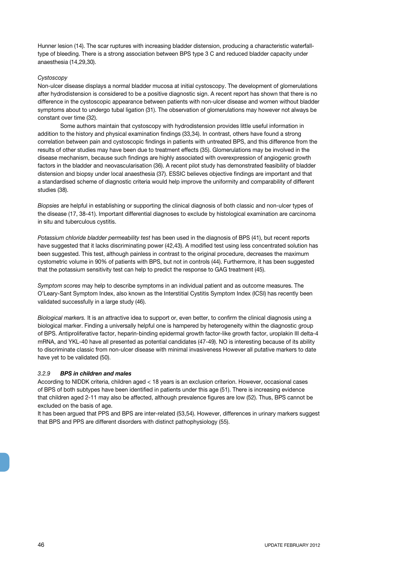Hunner lesion (14). The scar ruptures with increasing bladder distension, producing a characteristic waterfalltype of bleeding. There is a strong association between BPS type 3 C and reduced bladder capacity under anaesthesia (14,29,30).

#### *Cystoscopy*

Non-ulcer disease displays a normal bladder mucosa at initial cystoscopy. The development of glomerulations after hydrodistension is considered to be a positive diagnostic sign. A recent report has shown that there is no difference in the cystoscopic appearance between patients with non-ulcer disease and women without bladder symptoms about to undergo tubal ligation (31). The observation of glomerulations may however not always be constant over time (32).

Some authors maintain that cystoscopy with hydrodistension provides little useful information in addition to the history and physical examination findings (33,34). In contrast, others have found a strong correlation between pain and cystoscopic findings in patients with untreated BPS, and this difference from the results of other studies may have been due to treatment effects (35). Glomerulations may be involved in the disease mechanism, because such findings are highly associated with overexpression of angiogenic growth factors in the bladder and neovascularisation (36). A recent pilot study has demonstrated feasibility of bladder distension and biopsy under local anaesthesia (37). ESSIC believes objective findings are important and that a standardised scheme of diagnostic criteria would help improve the uniformity and comparability of different studies (38).

*Biopsies* are helpful in establishing or supporting the clinical diagnosis of both classic and non-ulcer types of the disease (17, 38-41). Important differential diagnoses to exclude by histological examination are carcinoma in situ and tuberculous cystitis.

*Potassium chloride bladder permeability test* has been used in the diagnosis of BPS (41), but recent reports have suggested that it lacks discriminating power (42,43). A modified test using less concentrated solution has been suggested. This test, although painless in contrast to the original procedure, decreases the maximum cystometric volume in 90% of patients with BPS, but not in controls (44). Furthermore, it has been suggested that the potassium sensitivity test can help to predict the response to GAG treatment (45).

*Symptom scores* may help to describe symptoms in an individual patient and as outcome measures. The O'Leary-Sant Symptom Index, also known as the Interstitial Cystitis Symptom Index (ICSI) has recently been validated successfully in a large study (46).

*Biological markers.* It is an attractive idea to support or, even better, to confirm the clinical diagnosis using a biological marker. Finding a universally helpful one is hampered by heterogeneity within the diagnostic group of BPS. Antiproliferative factor, heparin-binding epidermal growth factor-like growth factor, uroplakin III delta-4 mRNA, and YKL-40 have all presented as potential candidates (47-49). NO is interesting because of its ability to discriminate classic from non-ulcer disease with minimal invasiveness However all putative markers to date have yet to be validated (50).

#### *3.2.9 BPS in children and males*

According to NIDDK criteria, children aged < 18 years is an exclusion criterion. However, occasional cases of BPS of both subtypes have been identified in patients under this age (51). There is increasing evidence that children aged 2-11 may also be affected, although prevalence figures are low (52). Thus, BPS cannot be excluded on the basis of age.

It has been argued that PPS and BPS are inter-related (53,54). However, differences in urinary markers suggest that BPS and PPS are different disorders with distinct pathophysiology (55).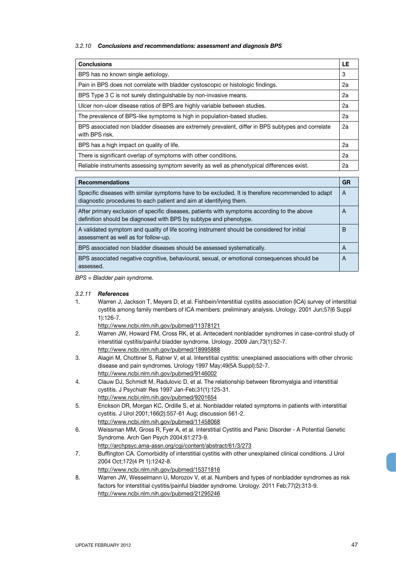### *3.2.10 Conclusions and recommendations: assessment and diagnosis BPS*

| <b>Conclusions</b>                                                                                                  | LE |
|---------------------------------------------------------------------------------------------------------------------|----|
| BPS has no known single aetiology.                                                                                  |    |
| Pain in BPS does not correlate with bladder cystoscopic or histologic findings.                                     |    |
| BPS Type 3 C is not surely distinguishable by non-invasive means.                                                   |    |
| Ulcer non-ulcer disease ratios of BPS are highly variable between studies.                                          |    |
| The prevalence of BPS-like symptoms is high in population-based studies.                                            |    |
| BPS associated non bladder diseases are extremely prevalent, differ in BPS subtypes and correlate<br>with BPS risk. |    |
| BPS has a high impact on quality of life.                                                                           |    |
| There is significant overlap of symptoms with other conditions.                                                     |    |
| Reliable instruments assessing symptom severity as well as phenotypical differences exist.                          |    |

| <b>Recommendations</b>                                                                                                                                                  | GR |
|-------------------------------------------------------------------------------------------------------------------------------------------------------------------------|----|
| Specific diseases with similar symptoms have to be excluded. It is therefore recommended to adapt<br>diagnostic procedures to each patient and aim at identifying them. |    |
| After primary exclusion of specific diseases, patients with symptoms according to the above<br>definition should be diagnosed with BPS by subtype and phenotype.        | A  |
| A validated symptom and quality of life scoring instrument should be considered for initial<br>assessment as well as for follow-up.                                     |    |
| BPS associated non bladder diseases should be assessed systematically.                                                                                                  | A  |
| BPS associated negative cognitive, behavioural, sexual, or emotional consequences should be<br>assessed.                                                                | A  |

*BPS = Bladder pain syndrome.*

### *3.2.11 References*

1. Warren J, Jackson T, Meyers D, et al. Fishbein/interstitial cystitis association (ICA) survey of interstitial cystitis among family members of ICA members: preliminary analysis. Urology. 2001 Jun;57(6 Suppl 1):126-7.

http://www.ncbi.nlm.nih.gov/pubmed/11378121

- 2. Warren JW, Howard FM, Cross RK, et al. Antecedent nonbladder syndromes in case-control study of interstitial cystitis/painful bladder syndrome. Urology. 2009 Jan;73(1):52-7. http://www.ncbi.nlm.nih.gov/pubmed/18995888
- 3. Alagiri M, Chottiner S, Ratner V, et al. Interstitial cystitis: unexplained associations with other chronic disease and pain syndromes. Urology 1997 May;49(5A Suppl):52-7. http://www.ncbi.nlm.nih.gov/pubmed/9146002
- 4. Clauw DJ, Schmidt M, Radulovic D, et al. The relationship between fibromyalgia and interstitial cystitis. J Psychiatr Res 1997 Jan-Feb;31(1):125-31. http://www.ncbi.nlm.nih.gov/pubmed/9201654
- 5. Erickson DR, Morgan KC, Ordille S, et al. Nonbladder related symptoms in patients with interstitial cystitis. J Urol 2001;166(2):557-61 Aug; discussion 561-2. http://www.ncbi.nlm.nih.gov/pubmed/11458068
- 6. Weissman MM, Gross R, Fyer A, et al. Interstitial Cystitis and Panic Disorder A Potential Genetic Syndrome. Arch Gen Psych 2004;61:273-9.

http://archpsyc.ama-assn.org/cgi/content/abstract/61/3/273

7. Buffington CA. Comorbidity of interstitial cystitis with other unexplained clinical conditions. J Urol 2004 Oct;172(4 Pt 1):1242-8.

http://www.ncbi.nlm.nih.gov/pubmed/15371816

8. Warren JW, Wesselmann U, Morozov V, et al. Numbers and types of nonbladder syndromes as risk factors for interstitial cystitis/painful bladder syndrome. Urology. 2011 Feb;77(2):313-9. http://www.ncbi.nlm.nih.gov/pubmed/21295246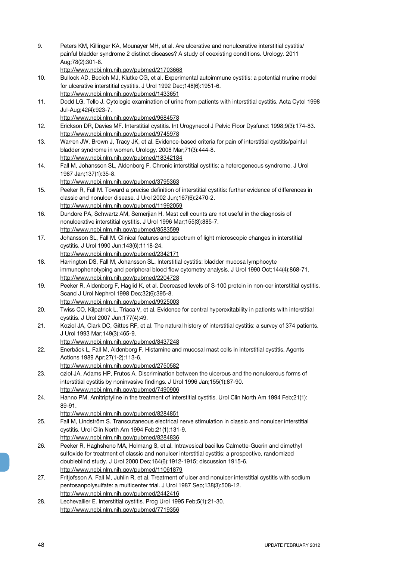9. Peters KM, Killinger KA, Mounayer MH, et al. Are ulcerative and nonulcerative interstitial cystitis/ painful bladder syndrome 2 distinct diseases? A study of coexisting conditions. Urology. 2011 Aug;78(2):301-8. http://www.ncbi.nlm.nih.gov/pubmed/21703668 10. Bullock AD, Becich MJ, Klutke CG, et al. Experimental autoimmune cystitis: a potential murine model for ulcerative interstitial cystitis. J Urol 1992 Dec;148(6):1951-6. http://www.ncbi.nlm.nih.gov/pubmed/1433651 11. Dodd LG, Tello J. Cytologic examination of urine from patients with interstitial cystitis. Acta Cytol 1998 Jul-Aug;42(4):923-7. http://www.ncbi.nlm.nih.gov/pubmed/9684578 12. Erickson DR, Davies MF. Interstitial cystitis. Int Urogynecol J Pelvic Floor Dysfunct 1998;9(3):174-83. http://www.ncbi.nlm.nih.gov/pubmed/9745978 13. Warren JW, Brown J, Tracy JK, et al. Evidence-based criteria for pain of interstitial cystitis/painful bladder syndrome in women. Urology. 2008 Mar;71(3):444-8. http://www.ncbi.nlm.nih.gov/pubmed/18342184 14. Fall M, Johansson SL, Aldenborg F. Chronic interstitial cystitis: a heterogeneous syndrome. J Urol 1987 Jan;137(1):35-8. http://www.ncbi.nlm.nih.gov/pubmed/3795363 15. Peeker R, Fall M. Toward a precise definition of interstitial cystitis: further evidence of differences in classic and nonulcer disease. J Urol 2002 Jun;167(6):2470-2. http://www.ncbi.nlm.nih.gov/pubmed/11992059 16. Dundore PA, Schwartz AM, Semerjian H. Mast cell counts are not useful in the diagnosis of nonulcerative interstitial cystitis. J Urol 1996 Mar;155(3):885-7. http://www.ncbi.nlm.nih.gov/pubmed/8583599 17. Johansson SL, Fall M. Clinical features and spectrum of light microscopic changes in interstitial cystitis. J Urol 1990 Jun;143(6):1118-24. http://www.ncbi.nlm.nih.gov/pubmed/2342171 18. Harrington DS, Fall M, Johansson SL. Interstitial cystitis: bladder mucosa lymphocyte immunophenotyping and peripheral blood flow cytometry analysis. J Urol 1990 Oct; 144(4):868-71. http://www.ncbi.nlm.nih.gov/pubmed/2204728 19. Peeker R, Aldenborg F, Haglid K, et al. Decreased levels of S-100 protein in non-cer interstitial cystitis. Scand J Urol Nephrol 1998 Dec;32(6):395-8. http://www.ncbi.nlm.nih.gov/pubmed/9925003 20. Twiss CO, Kilpatrick L, Triaca V, et al. Evidence for central hyperexitability in patients with interstitial cystitis. J Urol 2007 Jun;177(4):49. 21. Koziol JA, Clark DC, Gittes RF, et al. The natural history of interstitial cystitis: a survey of 374 patients. J Urol 1993 Mar;149(3):465-9. http://www.ncbi.nlm.nih.gov/pubmed/8437248 22. Enerbäck L, Fall M, Aldenborg F. Histamine and mucosal mast cells in interstitial cystitis. Agents Actions 1989 Apr;27(1-2):113-6. http://www.ncbi.nlm.nih.gov/pubmed/2750582 23. oziol JA, Adams HP, Frutos A. Discrimination between the ulcerous and the nonulcerous forms of interstitial cystitis by noninvasive findings. J Urol 1996 Jan;155(1):87-90. http://www.ncbi.nlm.nih.gov/pubmed/7490906 24. Hanno PM. Amitriptyline in the treatment of interstitial cystitis. Urol Clin North Am 1994 Feb;21(1): 89-91. http://www.ncbi.nlm.nih.gov/pubmed/8284851 25. Fall M, Lindström S. Transcutaneous electrical nerve stimulation in classic and nonulcer interstitial cystitis. Urol Clin North Am 1994 Feb;21(1):131-9. http://www.ncbi.nlm.nih.gov/pubmed/8284836 26. Peeker R, Haghsheno MA, Holmang S, et al. Intravesical bacillus Calmette-Guerin and dimethyl sulfoxide for treatment of classic and nonulcer interstitial cystitis: a prospective, randomized doubleblind study. J Urol 2000 Dec;164(6):1912-1915; discussion 1915-6. http://www.ncbi.nlm.nih.gov/pubmed/11061879 27. Fritjofsson A, Fall M, Juhlin R, et al. Treatment of ulcer and nonulcer interstitial cystitis with sodium pentosanpolysulfate: a multicenter trial. J Urol 1987 Sep;138(3):508-12. http://www.ncbi.nlm.nih.gov/pubmed/2442416 28. Lechevallier E. Interstitial cystitis. Prog Urol 1995 Feb;5(1):21-30. http://www.ncbi.nlm.nih.gov/pubmed/7719356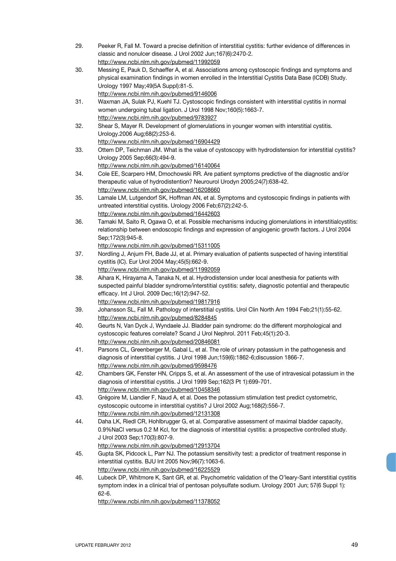- 29. Peeker R, Fall M. Toward a precise definition of interstitial cystitis: further evidence of differences in classic and nonulcer disease. J Urol 2002 Jun;167(6):2470-2. http://www.ncbi.nlm.nih.gov/pubmed/11992059
- 30. Messing E, Pauk D, Schaeffer A, et al. Associations among cystoscopic findings and symptoms and physical examination findings in women enrolled in the Interstitial Cystitis Data Base (ICDB) Study. Urology 1997 May;49(5A Suppl):81-5.

- 31. Waxman JA, Sulak PJ, Kuehl TJ. Cystoscopic findings consistent with interstitial cystitis in normal women undergoing tubal ligation. J Urol 1998 Nov;160(5):1663-7. http://www.ncbi.nlm.nih.gov/pubmed/9783927
- 32. Shear S, Mayer R. Development of glomerulations in younger women with interstitial cystitis. Urology.2006 Aug;68(2):253-6.
- http://www.ncbi.nlm.nih.gov/pubmed/16904429 33. Ottem DP, Teichman JM. What is the value of cystoscopy with hydrodistension for interstitial cystitis?
	- Urology 2005 Sep;66(3):494-9. http://www.ncbi.nlm.nih.gov/pubmed/16140064
- 34. Cole EE, Scarpero HM, Dmochowski RR. Are patient symptoms predictive of the diagnostic and/or therapeutic value of hydrodistention? Neurourol Urodyn 2005;24(7):638-42. http://www.ncbi.nlm.nih.gov/pubmed/16208660
- 35. Lamale LM, Lutgendorf SK, Hoffman AN, et al. Symptoms and cystoscopic findings in patients with untreated interstitial cystitis. Urology 2006 Feb;67(2):242-5. http://www.ncbi.nlm.nih.gov/pubmed/16442603
- 36. Tamaki M, Saito R, Ogawa O, et al. Possible mechanisms inducing glomerulations in interstitialcystitis: relationship between endoscopic findings and expression of angiogenic growth factors. J Urol 2004 Sep;172(3):945-8.
	- http://www.ncbi.nlm.nih.gov/pubmed/15311005
- 37. Nordling J, Anjum FH, Bade JJ, et al. Primary evaluation of patients suspected of having interstitial cystitis (IC). Eur Urol 2004 May;45(5):662-9.
- http://www.ncbi.nlm.nih.gov/pubmed/11992059 38. Aihara K, Hirayama A, Tanaka N, et al. Hydrodistension under local anesthesia for patients with suspected painful bladder syndrome/interstitial cystitis: safety, diagnostic potential and therapeutic efficacy. Int J Urol. 2009 Dec;16(12):947-52.
	- http://www.ncbi.nlm.nih.gov/pubmed/19817916
- 39. Johansson SL, Fall M. Pathology of interstitial cystitis. Urol Clin North Am 1994 Feb;21(1):55-62. http://www.ncbi.nlm.nih.gov/pubmed/8284845
- 40. Geurts N, Van Dyck J, Wyndaele JJ. Bladder pain syndrome: do the different morphological and cystoscopic features correlate? Scand J Urol Nephrol. 2011 Feb;45(1):20-3. http://www.ncbi.nlm.nih.gov/pubmed/20846081
- 41. Parsons CL, Greenberger M, Gabal L, et al. The role of urinary potassium in the pathogenesis and diagnosis of interstitial cystitis. J Urol 1998 Jun;159(6):1862-6;discussion 1866-7. http://www.ncbi.nlm.nih.gov/pubmed/9598476
- 42. Chambers GK, Fenster HN, Cripps S, et al. An assessment of the use of intravesical potassium in the diagnosis of interstitial cystitis. J Urol 1999 Sep;162(3 Pt 1):699-701. http://www.ncbi.nlm.nih.gov/pubmed/10458346
- 43. Grégoire M, Liandier F, Naud A, et al. Does the potassium stimulation test predict cystometric, cystoscopic outcome in interstitial cystitis? J Urol 2002 Aug;168(2):556-7. http://www.ncbi.nlm.nih.gov/pubmed/12131308
- 44. Daha LK, Riedl CR, Hohlbrugger G, et al. Comparative assessment of maximal bladder capacity, 0.9%NaCl versus 0.2 M Kcl, for the diagnosis of interstitial cystitis: a prospective controlled study. J Urol 2003 Sep;170(3):807-9. http://www.ncbi.nlm.nih.gov/pubmed/12913704
- 45. Gupta SK, Pidcock L, Parr NJ. The potassium sensitivity test: a predictor of treatment response in interstitial cystitis. BJU Int 2005 Nov;96(7):1063-6. http://www.ncbi.nlm.nih.gov/pubmed/16225529
- 46. Lubeck DP, Whitmore K, Sant GR, et al. Psychometric validation of the O'leary-Sant interstitial cystitis symptom index in a clinical trial of pentosan polysulfate sodium. Urology 2001 Jun; 57(6 Suppl 1): 62-6.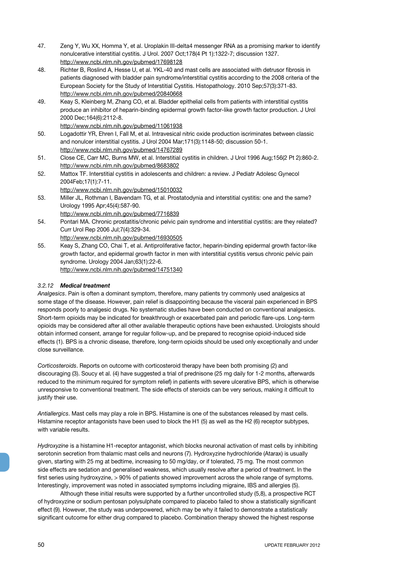- 47. Zeng Y, Wu XX, Homma Y, et al. Uroplakin III-delta4 messenger RNA as a promising marker to identify nonulcerative interstitial cystitis. J Urol. 2007 Oct;178(4 Pt 1):1322-7; discussion 1327. http://www.ncbi.nlm.nih.gov/pubmed/17698128
- 48. Richter B, Roslind A, Hesse U, et al. YKL-40 and mast cells are associated with detrusor fibrosis in patients diagnosed with bladder pain syndrome/interstitial cystitis according to the 2008 criteria of the European Society for the Study of Interstitial Cystitis. Histopathology. 2010 Sep;57(3):371-83. http://www.ncbi.nlm.nih.gov/pubmed/20840668
- 49. Keay S, Kleinberg M, Zhang CO, et al. Bladder epithelial cells from patients with interstitial cystitis produce an inhibitor of heparin-binding epidermal growth factor-like growth factor production. J Urol 2000 Dec;164(6):2112-8.

- 50. Logadottir YR, Ehren I, Fall M, et al. Intravesical nitric oxide production iscriminates between classic and nonulcer interstitial cystitis. J Urol 2004 Mar;171(3):1148-50; discussion 50-1. http://www.ncbi.nlm.nih.gov/pubmed/14767289
- 51. Close CE, Carr MC, Burns MW, et al. Interstitial cystitis in children. J Urol 1996 Aug;156(2 Pt 2):860-2. http://www.ncbi.nlm.nih.gov/pubmed/8683802
- 52. Mattox TF. Interstitial cystitis in adolescents and children: a review. J Pediatr Adolesc Gynecol 2004Feb;17(1):7-11.
	- http://www.ncbi.nlm.nih.gov/pubmed/15010032
- 53. Miller JL, Rothman I, Bavendam TG, et al. Prostatodynia and interstitial cystitis: one and the same? Urology 1995 Apr;45(4):587-90.
	- http://www.ncbi.nlm.nih.gov/pubmed/7716839
- 54. Pontari MA. Chronic prostatitis/chronic pelvic pain syndrome and interstitial cystitis: are they related? Curr Urol Rep 2006 Jul;7(4):329-34.

http://www.ncbi.nlm.nih.gov/pubmed/16930505

55. Keay S, Zhang CO, Chai T, et al. Antiproliferative factor, heparin-binding epidermal growth factor-like growth factor, and epidermal growth factor in men with interstitial cystitis versus chronic pelvic pain syndrome. Urology 2004 Jan;63(1):22-6. http://www.ncbi.nlm.nih.gov/pubmed/14751340

### *3.2.12 Medical treatment*

*Analgesics*. Pain is often a dominant symptom, therefore, many patients try commonly used analgesics at some stage of the disease. However, pain relief is disappointing because the visceral pain experienced in BPS responds poorly to analgesic drugs. No systematic studies have been conducted on conventional analgesics. Short-term opioids may be indicated for breakthrough or exacerbated pain and periodic flare-ups. Long-term opioids may be considered after all other available therapeutic options have been exhausted. Urologists should obtain informed consent, arrange for regular follow-up, and be prepared to recognise opioid-induced side effects (1). BPS is a chronic disease, therefore, long-term opioids should be used only exceptionally and under close surveillance.

*Corticosteroids*. Reports on outcome with corticosteroid therapy have been both promising (2) and discouraging (3). Soucy et al. (4) have suggested a trial of prednisone (25 mg daily for 1-2 months, afterwards reduced to the minimum required for symptom relief) in patients with severe ulcerative BPS, which is otherwise unresponsive to conventional treatment. The side effects of steroids can be very serious, making it difficult to justify their use.

*Antiallergics*. Mast cells may play a role in BPS. Histamine is one of the substances released by mast cells. Histamine receptor antagonists have been used to block the H1 (5) as well as the H2 (6) receptor subtypes, with variable results.

*Hydroxyzine* is a histamine H1-receptor antagonist, which blocks neuronal activation of mast cells by inhibiting serotonin secretion from thalamic mast cells and neurons (7). Hydroxyzine hydrochloride (Atarax) is usually given, starting with 25 mg at bedtime, increasing to 50 mg/day, or if tolerated, 75 mg. The most common side effects are sedation and generalised weakness, which usually resolve after a period of treatment. In the first series using hydroxyzine, > 90% of patients showed improvement across the whole range of symptoms. Interestingly, improvement was noted in associated symptoms including migraine, IBS and allergies (5).

Although these initial results were supported by a further uncontrolled study (5,8), a prospective RCT of hydroxyzine or sodium pentosan polysulphate compared to placebo failed to show a statistically significant effect (9). However, the study was underpowered, which may be why it failed to demonstrate a statistically significant outcome for either drug compared to placebo. Combination therapy showed the highest response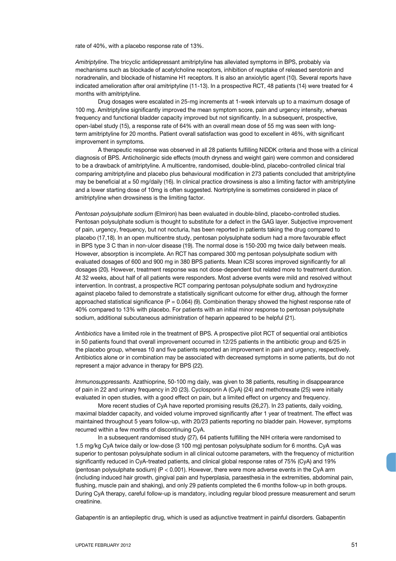rate of 40%, with a placebo response rate of 13%.

*Amitriptyline*. The tricyclic antidepressant amitriptyline has alleviated symptoms in BPS, probably via mechanisms such as blockade of acetylcholine receptors, inhibition of reuptake of released serotonin and noradrenalin, and blockade of histamine H1 receptors. It is also an anxiolytic agent (10). Several reports have indicated amelioration after oral amitriptyline (11-13). In a prospective RCT, 48 patients (14) were treated for 4 months with amitriptyline.

Drug dosages were escalated in 25-mg increments at 1-week intervals up to a maximum dosage of 100 mg. Amitriptyline significantly improved the mean symptom score, pain and urgency intensity, whereas frequency and functional bladder capacity improved but not significantly. In a subsequent, prospective, open-label study (15), a response rate of 64% with an overall mean dose of 55 mg was seen with longterm amitriptyline for 20 months. Patient overall satisfaction was good to excellent in 46%, with significant improvement in symptoms.

A therapeutic response was observed in all 28 patients fulfilling NIDDK criteria and those with a clinical diagnosis of BPS. Anticholinergic side effects (mouth dryness and weight gain) were common and considered to be a drawback of amitriptyline. A multicentre, randomised, double-blind, placebo-controlled clinical trial comparing amitriptyline and placebo plus behavioural modification in 273 patients concluded that amitriptyline may be beneficial at ≥ 50 mg/daily (16). In clinical practice drowsiness is also a limiting factor with amitriptyline and a lower starting dose of 10mg is often suggested. Nortriptyline is sometimes considered in place of amitriptyline when drowsiness is the limiting factor.

*Pentosan polysulphate sodium* (Elmiron) has been evaluated in double-blind, placebo-controlled studies. Pentosan polysulphate sodium is thought to substitute for a defect in the GAG layer. Subjective improvement of pain, urgency, frequency, but not nocturia, has been reported in patients taking the drug compared to placebo (17,18). In an open multicentre study, pentosan polysulphate sodium had a more favourable effect in BPS type 3 C than in non-ulcer disease (19). The normal dose is 150-200 mg twice daily between meals. However, absorption is incomplete. An RCT has compared 300 mg pentosan polysulphate sodium with evaluated dosages of 600 and 900 mg in 380 BPS patients. Mean ICSI scores improved significantly for all dosages (20). However, treatment response was not dose-dependent but related more to treatment duration. At 32 weeks, about half of all patients were responders. Most adverse events were mild and resolved without intervention. In contrast, a prospective RCT comparing pentosan polysulphate sodium and hydroxyzine against placebo failed to demonstrate a statistically significant outcome for either drug, although the former approached statistical significance  $(P = 0.064)$  (9). Combination therapy showed the highest response rate of 40% compared to 13% with placebo. For patients with an initial minor response to pentosan polysulphate sodium, additional subcutaneous administration of heparin appeared to be helpful (21).

*Antibiotics* have a limited role in the treatment of BPS. A prospective pilot RCT of sequential oral antibiotics in 50 patients found that overall improvement occurred in 12/25 patients in the antibiotic group and 6/25 in the placebo group, whereas 10 and five patients reported an improvement in pain and urgency, respectively. Antibiotics alone or in combination may be associated with decreased symptoms in some patients, but do not represent a major advance in therapy for BPS (22).

*Immunosuppressants*. Azathioprine, 50-100 mg daily, was given to 38 patients, resulting in disappearance of pain in 22 and urinary frequency in 20 (23). Cyclosporin A (CyA) (24) and methotrexate (25) were initially evaluated in open studies, with a good effect on pain, but a limited effect on urgency and frequency.

More recent studies of CyA have reported promising results (26,27). In 23 patients, daily voiding, maximal bladder capacity, and voided volume improved significantly after 1 year of treatment. The effect was maintained throughout 5 years follow-up, with 20/23 patients reporting no bladder pain. However, symptoms recurred within a few months of discontinuing CyA.

In a subsequent randomised study (27), 64 patients fulfilling the NIH criteria were randomised to 1.5 mg/kg CyA twice daily or low-dose (3 100 mg) pentosan polysulphate sodium for 6 months. CyA was superior to pentosan polysulphate sodium in all clinical outcome parameters, with the frequency of micturition significantly reduced in CyA-treated patients, and clinical global response rates of 75% (CyA) and 19% (pentosan polysulphate sodium) (P < 0.001). However, there were more adverse events in the CyA arm (including induced hair growth, gingival pain and hyperplasia, paraesthesia in the extremities, abdominal pain, flushing, muscle pain and shaking), and only 29 patients completed the 6 months follow-up in both groups. During CyA therapy, careful follow-up is mandatory, including regular blood pressure measurement and serum creatinine.

*Gabapentin* is an antiepileptic drug, which is used as adjunctive treatment in painful disorders. Gabapentin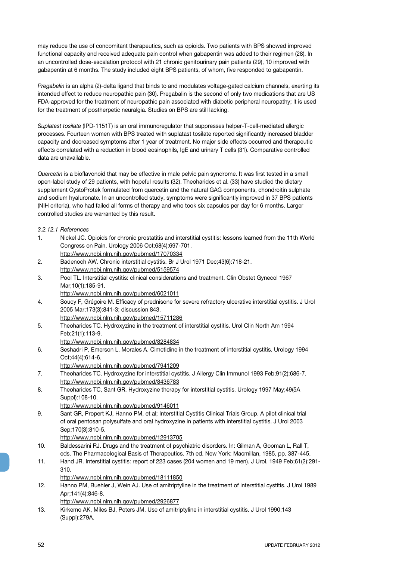may reduce the use of concomitant therapeutics, such as opioids. Two patients with BPS showed improved functional capacity and received adequate pain control when gabapentin was added to their regimen (28). In an uncontrolled dose-escalation protocol with 21 chronic genitourinary pain patients (29), 10 improved with gabapentin at 6 months. The study included eight BPS patients, of whom, five responded to gabapentin.

*Pregabalin* is an alpha (2)-delta ligand that binds to and modulates voltage-gated calcium channels, exerting its intended effect to reduce neuropathic pain (30). Pregabalin is the second of only two medications that are US FDA-approved for the treatment of neuropathic pain associated with diabetic peripheral neuropathy; it is used for the treatment of postherpetic neuralgia. Studies on BPS are still lacking.

*Suplatast tosilate* (IPD-1151T) is an oral immunoregulator that suppresses helper-T-cell-mediated allergic processes. Fourteen women with BPS treated with suplatast tosilate reported significantly increased bladder capacity and decreased symptoms after 1 year of treatment. No major side effects occurred and therapeutic effects correlated with a reduction in blood eosinophils, IgE and urinary T cells (31). Comparative controlled data are unavailable.

*Quercetin* is a bioflavonoid that may be effective in male pelvic pain syndrome. It was first tested in a small open-label study of 29 patients, with hopeful results (32). Theoharides et al. (33) have studied the dietary supplement CystoProtek formulated from quercetin and the natural GAG components, chondroitin sulphate and sodium hyaluronate. In an uncontrolled study, symptoms were significantly improved in 37 BPS patients (NIH criteria), who had failed all forms of therapy and who took six capsules per day for 6 months. Larger controlled studies are warranted by this result.

### *3.2.12.1 References*

- 1. Nickel JC. Opioids for chronic prostatitis and interstitial cystitis: lessons learned from the 11th World Congress on Pain. Urology 2006 Oct;68(4):697-701. http://www.ncbi.nlm.nih.gov/pubmed/17070334
- 2. Badenoch AW. Chronic interstitial cystitis. Br J Urol 1971 Dec;43(6):718-21. http://www.ncbi.nlm.nih.gov/pubmed/5159574
- 3. Pool TL. Interstitial cystitis: clinical considerations and treatment. Clin Obstet Gynecol 1967 Mar;10(1):185-91.
	- http://www.ncbi.nlm.nih.gov/pubmed/6021011
- 4. Soucy F, Grégoire M. Efficacy of prednisone for severe refractory ulcerative interstitial cystitis. J Urol 2005 Mar;173(3):841-3; discussion 843.
	- http://www.ncbi.nlm.nih.gov/pubmed/15711286
- 5. Theoharides TC. Hydroxyzine in the treatment of interstitial cystitis. Urol Clin North Am 1994 Feb;21(1):113-9.
	- http://www.ncbi.nlm.nih.gov/pubmed/8284834
- 6. Seshadri P, Emerson L, Morales A. Cimetidine in the treatment of interstitial cystitis. Urology 1994 Oct;44(4):614-6.
- http://www.ncbi.nlm.nih.gov/pubmed/7941209
- 7. Theoharides TC. Hydroxyzine for interstitial cystitis. J Allergy Clin Immunol 1993 Feb;91(2):686-7. http://www.ncbi.nlm.nih.gov/pubmed/8436783
- 8. Theoharides TC, Sant GR. Hydroxyzine therapy for interstitial cystitis. Urology 1997 May;49(5A Suppl):108-10.
	- http://www.ncbi.nlm.nih.gov/pubmed/9146011
- 9. Sant GR, Propert KJ, Hanno PM, et al; Interstitial Cystitis Clinical Trials Group. A pilot clinical trial of oral pentosan polysulfate and oral hydroxyzine in patients with interstitial cystitis. J Urol 2003 Sep;170(3):810-5.
	- http://www.ncbi.nlm.nih.gov/pubmed/12913705
- 10. Baldessarini RJ. Drugs and the treatment of psychiatric disorders. In: Gilman A, Gooman L, Rall T, eds. The Pharmacological Basis of Therapeutics. 7th ed. New York: Macmillan, 1985, pp. 387-445.
- 11. Hand JR. Interstitial cystitis: report of 223 cases (204 women and 19 men). J Urol. 1949 Feb;61(2):291- 310.
	- http://www.ncbi.nlm.nih.gov/pubmed/18111850
- 12. Hanno PM, Buehler J, Wein AJ. Use of amitriptyline in the treatment of interstitial cystitis. J Urol 1989 Apr;141(4):846-8.
	- http://www.ncbi.nlm.nih.gov/pubmed/2926877
- 13. Kirkemo AK, Miles BJ, Peters JM. Use of amitriptyline in interstitial cystitis. J Urol 1990;143 (Suppl):279A.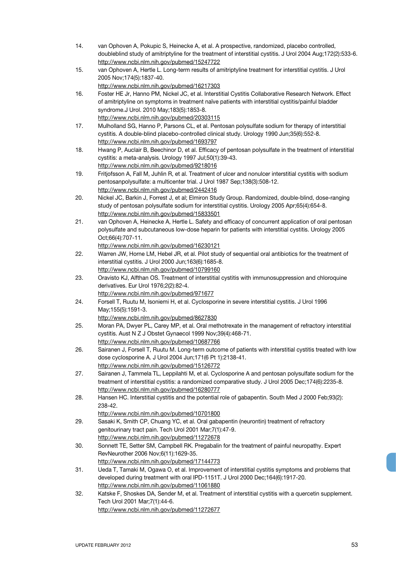- 14. van Ophoven A, Pokupic S, Heinecke A, et al. A prospective, randomized, placebo controlled, doubleblind study of amitriptyline for the treatment of interstitial cystitis. J Urol 2004 Aug;172(2):533-6. http://www.ncbi.nlm.nih.gov/pubmed/15247722
- 15. van Ophoven A, Hertle L. Long-term results of amitriptyline treatment for interstitial cystitis. J Urol 2005 Nov;174(5):1837-40. http://www.ncbi.nlm.nih.gov/pubmed/16217303
- 16. Foster HE Jr, Hanno PM, Nickel JC, et al. Interstitial Cystitis Collaborative Research Network. Effect of amitriptyline on symptoms in treatment naïve patients with interstitial cystitis/painful bladder syndrome.J Urol. 2010 May;183(5):1853-8. http://www.ncbi.nlm.nih.gov/pubmed/20303115
- 17. Mulholland SG, Hanno P, Parsons CL, et al. Pentosan polysulfate sodium for therapy of interstitial cystitis. A double-blind placebo-controlled clinical study. Urology 1990 Jun;35(6):552-8. http://www.ncbi.nlm.nih.gov/pubmed/1693797
- 18. Hwang P, Auclair B, Beechinor D, et al. Efficacy of pentosan polysulfate in the treatment of interstitial cystitis: a meta-analysis. Urology 1997 Jul;50(1):39-43. http://www.ncbi.nlm.nih.gov/pubmed/9218016
- 19. Fritjofsson A, Fall M, Juhlin R, et al. Treatment of ulcer and nonulcer interstitial cystitis with sodium pentosanpolysulfate: a multicenter trial. J Urol 1987 Sep;138(3):508-12. http://www.ncbi.nlm.nih.gov/pubmed/2442416
- 20. Nickel JC, Barkin J, Forrest J, et al; Elmiron Study Group. Randomized, double-blind, dose-ranging study of pentosan polysulfate sodium for interstitial cystitis. Urology 2005 Apr;65(4):654-8. http://www.ncbi.nlm.nih.gov/pubmed/15833501
- 21. van Ophoven A, Heinecke A, Hertle L. Safety and efficacy of concurrent application of oral pentosan polysulfate and subcutaneous low-dose heparin for patients with interstitial cystitis. Urology 2005 Oct;66(4):707-11.
	- http://www.ncbi.nlm.nih.gov/pubmed/16230121
- 22. Warren JW, Horne LM, Hebel JR, et al. Pilot study of sequential oral antibiotics for the treatment of interstitial cystitis. J Urol 2000 Jun;163(6):1685-8. http://www.ncbi.nlm.nih.gov/pubmed/10799160
- 23. Oravisto KJ, Alfthan OS. Treatment of interstitial cystitis with immunosuppression and chloroquine derivatives. Eur Urol 1976;2(2):82-4.
	- http://www.ncbi.nlm.nih.gov/pubmed/971677
- 24. Forsell T, Ruutu M, Isoniemi H, et al. Cyclosporine in severe interstitial cystitis. J Urol 1996 May;155(5):1591-3.
	- http://www.ncbi.nlm.nih.gov/pubmed/8627830
- 25. Moran PA, Dwyer PL, Carey MP, et al. Oral methotrexate in the management of refractory interstitial cystitis. Aust N Z J Obstet Gynaecol 1999 Nov;39(4):468-71. http://www.ncbi.nlm.nih.gov/pubmed/10687766
- 26. Sairanen J, Forsell T, Ruutu M. Long-term outcome of patients with interstitial cystitis treated with low dose cyclosporine A. J Urol 2004 Jun;171(6 Pt 1):2138-41. http://www.ncbi.nlm.nih.gov/pubmed/15126772
- 27. Sairanen J, Tammela TL, Leppilahti M, et al. Cyclosporine A and pentosan polysulfate sodium for the treatment of interstitial cystitis: a randomized comparative study. J Urol 2005 Dec;174(6):2235-8. http://www.ncbi.nlm.nih.gov/pubmed/16280777
- 28. Hansen HC. Interstitial cystitis and the potential role of gabapentin. South Med J 2000 Feb;93(2): 238-42.
	- http://www.ncbi.nlm.nih.gov/pubmed/10701800
- 29. Sasaki K, Smith CP, Chuang YC, et al. Oral gabapentin (neurontin) treatment of refractory genitourinary tract pain. Tech Urol 2001 Mar;7(1):47-9. http://www.ncbi.nlm.nih.gov/pubmed/11272678
- 30. Sonnett TE, Setter SM, Campbell RK. Pregabalin for the treatment of painful neuropathy. Expert RevNeurother 2006 Nov;6(11):1629-35. http://www.ncbi.nlm.nih.gov/pubmed/17144773
- 31. Ueda T, Tamaki M, Ogawa O, et al. Improvement of interstitial cystitis symptoms and problems that developed during treatment with oral IPD-1151T. J Urol 2000 Dec;164(6):1917-20. http://www.ncbi.nlm.nih.gov/pubmed/11061880
- 32. Katske F, Shoskes DA, Sender M, et al. Treatment of interstitial cystitis with a quercetin supplement. Tech Urol 2001 Mar;7(1):44-6. http://www.ncbi.nlm.nih.gov/pubmed/11272677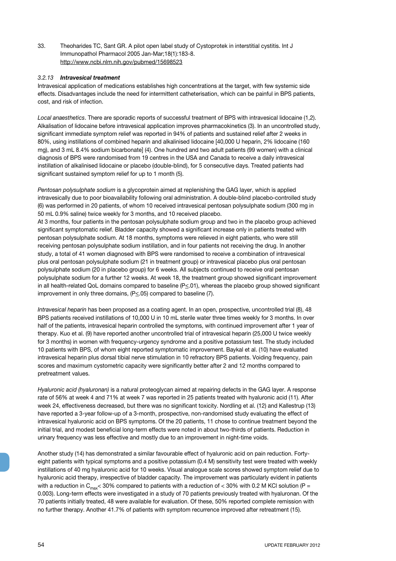33. Theoharides TC, Sant GR. A pilot open label study of Cystoprotek in interstitial cystitis. Int J Immunopathol Pharmacol 2005 Jan-Mar;18(1):183-8. http://www.ncbi.nlm.nih.gov/pubmed/15698523

### *3.2.13 Intravesical treatment*

Intravesical application of medications establishes high concentrations at the target, with few systemic side effects. Disadvantages include the need for intermittent catheterisation, which can be painful in BPS patients, cost, and risk of infection.

*Local anaesthetics*. There are sporadic reports of successful treatment of BPS with intravesical lidocaine (1,2). Alkalisation of lidocaine before intravesical application improves pharmacokinetics (3). In an uncontrolled study, significant immediate symptom relief was reported in 94% of patients and sustained relief after 2 weeks in 80%, using instillations of combined heparin and alkalinised lidocaine [40,000 U heparin, 2% lidocaine (160 mg), and 3 mL 8.4% sodium bicarbonate] (4). One hundred and two adult patients (99 women) with a clinical diagnosis of BPS were randomised from 19 centres in the USA and Canada to receive a daily intravesical instillation of alkalinised lidocaine or placebo (double-blind), for 5 consecutive days. Treated patients had significant sustained symptom relief for up to 1 month (5).

*Pentosan polysulphate sodium* is a glycoprotein aimed at replenishing the GAG layer, which is applied intravesically due to poor bioavailability following oral administration. A double-blind placebo-controlled study (6) was performed in 20 patients, of whom 10 received intravesical pentosan polysulphate sodium (300 mg in 50 mL 0.9% saline) twice weekly for 3 months, and 10 received placebo.

At 3 months, four patients in the pentosan polysulphate sodium group and two in the placebo group achieved significant symptomatic relief. Bladder capacity showed a significant increase only in patients treated with pentosan polysulphate sodium. At 18 months, symptoms were relieved in eight patients, who were still receiving pentosan polysulphate sodium instillation, and in four patients not receiving the drug. In another study, a total of 41 women diagnosed with BPS were randomised to receive a combination of intravesical plus oral pentosan polysulphate sodium (21 in treatment group) or intravesical placebo plus oral pentosan polysulphate sodium (20 in placebo group) for 6 weeks. All subjects continued to receive oral pentosan polysulphate sodium for a further 12 weeks. At week 18, the treatment group showed significant improvement in all health-related QoL domains compared to baseline (P<.01), whereas the placebo group showed significant improvement in only three domains,  $(P \le 0.05)$  compared to baseline (7).

*Intravesical heparin* has been proposed as a coating agent. In an open, prospective, uncontrolled trial (8), 48 BPS patients received instillations of 10,000 U in 10 mL sterile water three times weekly for 3 months. In over half of the patients, intravesical heparin controlled the symptoms, with continued improvement after 1 year of therapy. Kuo et al. (9) have reported another uncontrolled trial of intravesical heparin (25,000 U twice weekly for 3 months) in women with frequency-urgency syndrome and a positive potassium test. The study included 10 patients with BPS, of whom eight reported symptomatic improvement. Baykal et al. (10) have evaluated intravesical heparin plus dorsal tibial nerve stimulation in 10 refractory BPS patients. Voiding frequency, pain scores and maximum cystometric capacity were significantly better after 2 and 12 months compared to pretreatment values.

*Hyaluronic acid (hyaluronan)* is a natural proteoglycan aimed at repairing defects in the GAG layer. A response rate of 56% at week 4 and 71% at week 7 was reported in 25 patients treated with hyaluronic acid (11). After week 24, effectiveness decreased, but there was no significant toxicity. Nordling et al. (12) and Kallestrup (13) have reported a 3-year follow-up of a 3-month, prospective, non-randomised study evaluating the effect of intravesical hyaluronic acid on BPS symptoms. Of the 20 patients, 11 chose to continue treatment beyond the initial trial, and modest beneficial long-term effects were noted in about two-thirds of patients. Reduction in urinary frequency was less effective and mostly due to an improvement in night-time voids.

Another study (14) has demonstrated a similar favourable effect of hyaluronic acid on pain reduction. Fortyeight patients with typical symptoms and a positive potassium (0.4 M) sensitivity test were treated with weekly instillations of 40 mg hyaluronic acid for 10 weeks. Visual analogue scale scores showed symptom relief due to hyaluronic acid therapy, irrespective of bladder capacity. The improvement was particularly evident in patients with a reduction in  $C<sub>max</sub> < 30%$  compared to patients with a reduction of < 30% with 0.2 M KCl solution (P = 0.003). Long-term effects were investigated in a study of 70 patients previously treated with hyaluronan. Of the 70 patients initially treated, 48 were available for evaluation. Of these, 50% reported complete remission with no further therapy. Another 41.7% of patients with symptom recurrence improved after retreatment (15).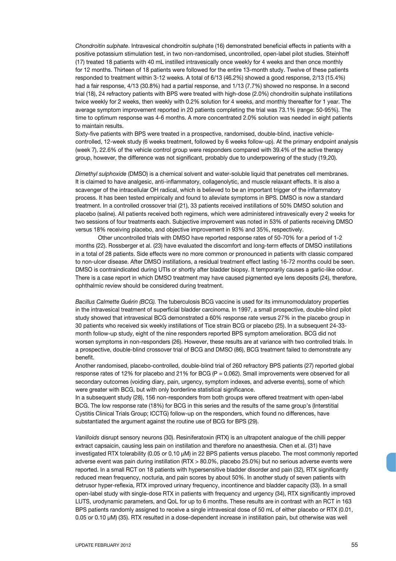*Chondroitin sulphate*. Intravesical chondroitin sulphate (16) demonstrated beneficial effects in patients with a positive potassium stimulation test, in two non-randomised, uncontrolled, open-label pilot studies. Steinhoff (17) treated 18 patients with 40 mL instilled intravesically once weekly for 4 weeks and then once monthly for 12 months. Thirteen of 18 patients were followed for the entire 13-month study. Twelve of these patients responded to treatment within 3-12 weeks. A total of 6/13 (46.2%) showed a good response, 2/13 (15.4%) had a fair response, 4/13 (30.8%) had a partial response, and 1/13 (7.7%) showed no response. In a second trial (18), 24 refractory patients with BPS were treated with high-dose (2.0%) chondroitin sulphate instillations twice weekly for 2 weeks, then weekly with 0.2% solution for 4 weeks, and monthly thereafter for 1 year. The average symptom improvement reported in 20 patients completing the trial was 73.1% (range: 50-95%). The time to optimum response was 4-6 months. A more concentrated 2.0% solution was needed in eight patients to maintain results.

Sixty-five patients with BPS were treated in a prospective, randomised, double-blind, inactive vehiclecontrolled, 12-week study (6 weeks treatment, followed by 6 weeks follow-up). At the primary endpoint analysis (week 7), 22.6% of the vehicle control group were responders compared with 39.4% of the active therapy group, however, the difference was not significant, probably due to underpowering of the study (19,20).

*Dimethyl sulphoxide* (DMSO) is a chemical solvent and water-soluble liquid that penetrates cell membranes. It is claimed to have analgesic, anti-inflammatory, collagenolytic, and muscle relaxant effects. It is also a scavenger of the intracellular OH radical, which is believed to be an important trigger of the inflammatory process. It has been tested empirically and found to alleviate symptoms in BPS. DMSO is now a standard treatment. In a controlled crossover trial (21), 33 patients received instillations of 50% DMSO solution and placebo (saline). All patients received both regimens, which were administered intravesically every 2 weeks for two sessions of four treatments each. Subjective improvement was noted in 53% of patients receiving DMSO versus 18% receiving placebo, and objective improvement in 93% and 35%, respectively.

Other uncontrolled trials with DMSO have reported response rates of 50-70% for a period of 1-2 months (22). Rossberger et al. (23) have evaluated the discomfort and long-term effects of DMSO instillations in a total of 28 patients. Side effects were no more common or pronounced in patients with classic compared to non-ulcer disease. After DMSO instillations, a residual treatment effect lasting 16-72 months could be seen. DMSO is contraindicated during UTIs or shortly after bladder biopsy. It temporarily causes a garlic-like odour. There is a case report in which DMSO treatment may have caused pigmented eye lens deposits (24), therefore, ophthalmic review should be considered during treatment.

*Bacillus Calmette Guérin (BCG).* The tuberculosis BCG vaccine is used for its immunomodulatory properties in the intravesical treatment of superficial bladder carcinoma. In 1997, a small prospective, double-blind pilot study showed that intravesical BCG demonstrated a 60% response rate versus 27% in the placebo group in 30 patients who received six weekly instillations of Tice strain BCG or placebo (25). In a subsequent 24-33 month follow-up study, eight of the nine responders reported BPS symptom amelioration. BCG did not worsen symptoms in non-responders (26). However, these results are at variance with two controlled trials. In a prospective, double-blind crossover trial of BCG and DMSO (86), BCG treatment failed to demonstrate any benefit.

Another randomised, placebo-controlled, double-blind trial of 260 refractory BPS patients (27) reported global response rates of 12% for placebo and 21% for BCG ( $P = 0.062$ ). Small improvements were observed for all secondary outcomes (voiding diary, pain, urgency, symptom indexes, and adverse events), some of which were greater with BCG, but with only borderline statistical significance.

In a subsequent study (28), 156 non-responders from both groups were offered treatment with open-label BCG. The low response rate (18%) for BCG in this series and the results of the same group's (Interstitial Cystitis Clinical Trials Group; ICCTG) follow-up on the responders, which found no differences, have substantiated the argument against the routine use of BCG for BPS (29).

*Vanilloids* disrupt sensory neurons (30). Resiniferatoxin (RTX) is an ultrapotent analogue of the chilli pepper extract capsaicin, causing less pain on instillation and therefore no anaesthesia. Chen et al. (31) have investigated RTX tolerability (0.05 or 0.10 μM) in 22 BPS patients versus placebo. The most commonly reported adverse event was pain during instillation (RTX > 80.0%, placebo 25.0%) but no serious adverse events were reported. In a small RCT on 18 patients with hypersensitive bladder disorder and pain (32), RTX significantly reduced mean frequency, nocturia, and pain scores by about 50%. In another study of seven patients with detrusor hyper-reflexia, RTX improved urinary frequency, incontinence and bladder capacity (33). In a small open-label study with single-dose RTX in patients with frequency and urgency (34), RTX significantly improved LUTS, urodynamic parameters, and QoL for up to 6 months. These results are in contrast with an RCT in 163 BPS patients randomly assigned to receive a single intravesical dose of 50 mL of either placebo or RTX (0.01, 0.05 or 0.10 μM) (35). RTX resulted in a dose-dependent increase in instillation pain, but otherwise was well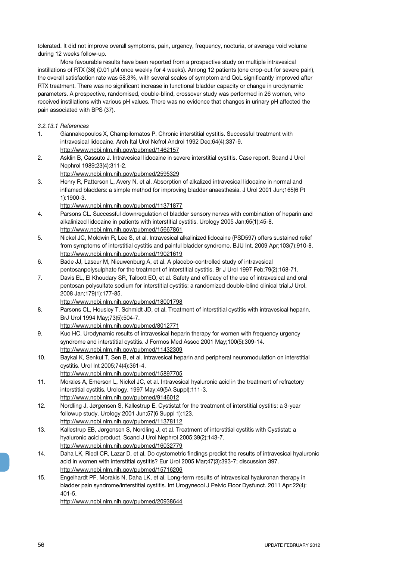tolerated. It did not improve overall symptoms, pain, urgency, frequency, nocturia, or average void volume during 12 weeks follow-up.

More favourable results have been reported from a prospective study on multiple intravesical instillations of RTX (36) (0.01 μM once weekly for 4 weeks). Among 12 patients (one drop-out for severe pain), the overall satisfaction rate was 58.3%, with several scales of symptom and QoL significantly improved after RTX treatment. There was no significant increase in functional bladder capacity or change in urodynamic parameters. A prospective, randomised, double-blind, crossover study was performed in 26 women, who received instillations with various pH values. There was no evidence that changes in urinary pH affected the pain associated with BPS (37).

*3.2.13.1 References*

- 1. Giannakopoulos X, Champilomatos P. Chronic interstitial cystitis. Successful treatment with intravesical lidocaine. Arch Ital Urol Nefrol Androl 1992 Dec;64(4):337-9. http://www.ncbi.nlm.nih.gov/pubmed/1462157
- 2. Asklin B, Cassuto J. Intravesical lidocaine in severe interstitial cystitis. Case report. Scand J Urol Nephrol 1989;23(4):311-2.

http://www.ncbi.nlm.nih.gov/pubmed/2595329

3. Henry R, Patterson L, Avery N, et al. Absorption of alkalized intravesical lidocaine in normal and inflamed bladders: a simple method for improving bladder anaesthesia. J Urol 2001 Jun;165(6 Pt 1):1900-3.

http://www.ncbi.nlm.nih.gov/pubmed/11371877

- 4. Parsons CL. Successful downregulation of bladder sensory nerves with combination of heparin and alkalinized lidocaine in patients with interstitial cystitis. Urology 2005 Jan;65(1):45-8. http://www.ncbi.nlm.nih.gov/pubmed/15667861
- 5. Nickel JC, Moldwin R, Lee S, et al. Intravesical alkalinized lidocaine (PSD597) offers sustained relief from symptoms of interstitial cystitis and painful bladder syndrome. BJU Int. 2009 Apr;103(7):910-8. http://www.ncbi.nlm.nih.gov/pubmed/19021619
- 6. Bade JJ, Laseur M, Nieuwenburg A, et al. A placebo-controlled study of intravesical pentosanpolysulphate for the treatment of interstitial cystitis. Br J Urol 1997 Feb;79(2):168-71.
- 7. Davis EL, El Khoudary SR, Talbott EO, et al. Safety and efficacy of the use of intravesical and oral pentosan polysulfate sodium for interstitial cystitis: a randomized double-blind clinical trial.J Urol. 2008 Jan;179(1):177-85.

http://www.ncbi.nlm.nih.gov/pubmed/18001798

8. Parsons CL, Housley T, Schmidt JD, et al. Treatment of interstitial cystitis with intravesical heparin. BrJ Urol 1994 May;73(5):504-7.

http://www.ncbi.nlm.nih.gov/pubmed/8012771

- 9. Kuo HC. Urodynamic results of intravesical heparin therapy for women with frequency urgency syndrome and interstitial cystitis. J Formos Med Assoc 2001 May;100(5):309-14. http://www.ncbi.nlm.nih.gov/pubmed/11432309
- 10. Baykal K, Senkul T, Sen B, et al. Intravesical heparin and peripheral neuromodulation on interstitial cystitis. Urol Int 2005;74(4):361-4.

http://www.ncbi.nlm.nih.gov/pubmed/15897705

- 11. Morales A, Emerson L, Nickel JC, et al. Intravesical hyaluronic acid in the treatment of refractory interstitial cystitis. Urology. 1997 May;49(5A Suppl):111-3. http://www.ncbi.nlm.nih.gov/pubmed/9146012
- 12. Nordling J, Jørgensen S, Kallestrup E. Cystistat for the treatment of interstitial cystitis: a 3-year followup study. Urology 2001 Jun;57(6 Suppl 1):123.

http://www.ncbi.nlm.nih.gov/pubmed/11378112

- 13. Kallestrup EB, Jørgensen S, Nordling J, et al. Treatment of interstitial cystitis with Cystistat: a hyaluronic acid product. Scand J Urol Nephrol 2005;39(2):143-7. http://www.ncbi.nlm.nih.gov/pubmed/16032779
- 14. Daha LK, Riedl CR, Lazar D, et al. Do cystometric findings predict the results of intravesical hyaluronic acid in women with interstitial cystitis? Eur Urol 2005 Mar;47(3):393-7; discussion 397. http://www.ncbi.nlm.nih.gov/pubmed/15716206
- 15. Engelhardt PF, Morakis N, Daha LK, et al. Long-term results of intravesical hyaluronan therapy in bladder pain syndrome/interstitial cystitis. Int Urogynecol J Pelvic Floor Dysfunct. 2011 Apr;22(4): 401-5.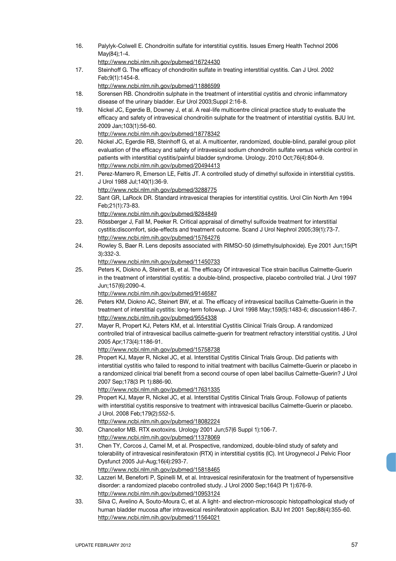- 16. Palylyk-Colwell E. Chondroitin sulfate for interstitial cystitis. Issues Emerg Health Technol 2006 May(84);1-4. http://www.ncbi.nlm.nih.gov/pubmed/16724430
- 17. Steinhoff G. The efficacy of chondroitin sulfate in treating interstitial cystitis. Can J Urol. 2002 Feb;9(1):1454-8.

- 18. Sorensen RB. Chondroitin sulphate in the treatment of interstitial cystitis and chronic inflammatory disease of the urinary bladder. Eur Urol 2003;Suppl 2:16-8.
- 19. Nickel JC, Egerdie B, Downey J, et al. A real-life multicentre clinical practice study to evaluate the efficacy and safety of intravesical chondroitin sulphate for the treatment of interstitial cystitis. BJU Int. 2009 Jan;103(1):56-60.

http://www.ncbi.nlm.nih.gov/pubmed/18778342 20. Nickel JC, Egerdie RB, Steinhoff G, et al. A multicenter, randomized, double-blind, parallel group pilot

- evaluation of the efficacy and safety of intravesical sodium chondroitin sulfate versus vehicle control in patients with interstitial cystitis/painful bladder syndrome. Urology. 2010 Oct;76(4):804-9. http://www.ncbi.nlm.nih.gov/pubmed/20494413
- 21. Perez-Marrero R, Emerson LE, Feltis JT. A controlled study of dimethyl sulfoxide in interstitial cystitis. J Urol 1988 Jul;140(1):36-9. http://www.ncbi.nlm.nih.gov/pubmed/3288775
- 22. Sant GR, LaRock DR. Standard intravesical therapies for interstitial cystitis. Urol Clin North Am 1994 Feb;21(1):73-83.
	- http://www.ncbi.nlm.nih.gov/pubmed/8284849
- 23. Rössberger J, Fall M, Peeker R. Critical appraisal of dimethyl sulfoxide treatment for interstitial cystitis:discomfort, side-effects and treatment outcome. Scand J Urol Nephrol 2005;39(1):73-7. http://www.ncbi.nlm.nih.gov/pubmed/15764276
- 24. Rowley S, Baer R. Lens deposits associated with RIMSO-50 (dimethylsulphoxide). Eye 2001 Jun;15(Pt 3):332-3.

http://www.ncbi.nlm.nih.gov/pubmed/11450733

25. Peters K, Diokno A, Steinert B, et al. The efficacy Of intravesical Tice strain bacillus Calmette-Guerin in the treatment of interstitial cystitis: a double-blind, prospective, placebo controlled trial. J Urol 1997 Jun;157(6):2090-4.

http://www.ncbi.nlm.nih.gov/pubmed/9146587

- 26. Peters KM, Diokno AC, Steinert BW, et al. The efficacy of intravesical bacillus Calmette-Guerin in the treatment of interstitial cystitis: long-term followup. J Urol 1998 May;159(5):1483-6; discussion1486-7. http://www.ncbi.nlm.nih.gov/pubmed/9554338
- 27. Mayer R, Propert KJ, Peters KM, et al. Interstitial Cystitis Clinical Trials Group. A randomized controlled trial of intravesical bacillus calmette-guerin for treatment refractory interstitial cystitis. J Urol 2005 Apr;173(4):1186-91.
	- http://www.ncbi.nlm.nih.gov/pubmed/15758738
- 28. Propert KJ, Mayer R, Nickel JC, et al. Interstitial Cystitis Clinical Trials Group. Did patients with interstitial cystitis who failed to respond to initial treatment with bacillus Calmette-Guerin or placebo in a randomized clinical trial benefit from a second course of open label bacillus Calmette-Guerin? J Urol 2007 Sep;178(3 Pt 1):886-90.
	- http://www.ncbi.nlm.nih.gov/pubmed/17631335
- 29. Propert KJ, Mayer R, Nickel JC, et al. Interstitial Cystitis Clinical Trials Group. Followup of patients with interstitial cystitis responsive to treatment with intravesical bacillus Calmette-Guerin or placebo. J Urol. 2008 Feb;179(2):552-5.

http://www.ncbi.nlm.nih.gov/pubmed/18082224

- 30. Chancellor MB. RTX exotoxins. Urology 2001 Jun;57(6 Suppl 1):106-7. http://www.ncbi.nlm.nih.gov/pubmed/11378069
- 31. Chen TY, Corcos J, Camel M, et al. Prospective, randomized, double-blind study of safety and tolerability of intravesical resiniferatoxin (RTX) in interstitial cystitis (IC). Int Urogynecol J Pelvic Floor Dysfunct 2005 Jul-Aug;16(4):293-7.

- 32. Lazzeri M, Beneforti P, Spinelli M, et al. Intravesical resiniferatoxin for the treatment of hypersensitive disorder: a randomized placebo controlled study. J Urol 2000 Sep;164(3 Pt 1):676-9. http://www.ncbi.nlm.nih.gov/pubmed/10953124
- 33. Silva C, Avelino A, Souto-Moura C, et al. A light- and electron-microscopic histopathological study of human bladder mucosa after intravesical resiniferatoxin application. BJU Int 2001 Sep;88(4):355-60. http://www.ncbi.nlm.nih.gov/pubmed/11564021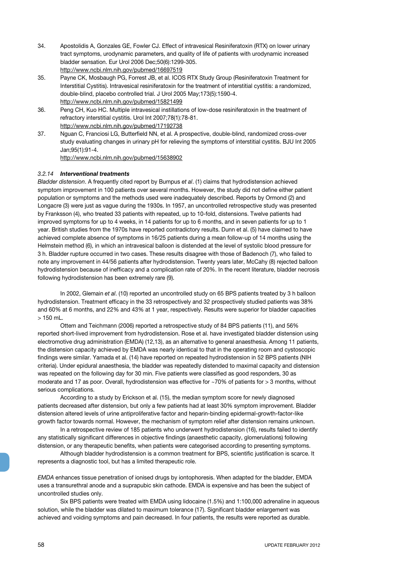- 34. Apostolidis A, Gonzales GE, Fowler CJ. Effect of intravesical Resiniferatoxin (RTX) on lower urinary tract symptoms, urodynamic parameters, and quality of life of patients with urodynamic increased bladder sensation. Eur Urol 2006 Dec;50(6):1299-305. http://www.ncbi.nlm.nih.gov/pubmed/16697519
- 35. Payne CK, Mosbaugh PG, Forrest JB, et al. ICOS RTX Study Group (Resiniferatoxin Treatment for Interstitial Cystitis). Intravesical resiniferatoxin for the treatment of interstitial cystitis: a randomized, double-blind, placebo controlled trial. J Urol 2005 May;173(5):1590-4. http://www.ncbi.nlm.nih.gov/pubmed/15821499
- 36. Peng CH, Kuo HC. Multiple intravesical instillations of low-dose resiniferatoxin in the treatment of refractory interstitial cystitis. Urol Int 2007;78(1):78-81. http://www.ncbi.nlm.nih.gov/pubmed/17192738
- 37. Nguan C, Franciosi LG, Butterfield NN, et al. A prospective, double-blind, randomized cross-over study evaluating changes in urinary pH for relieving the symptoms of interstitial cystitis. BJU Int 2005 Jan;95(1):91-4.

### *3.2.14 Interventional treatments*

*Bladder distension*. A frequently cited report by Bumpus *et al*. (1) claims that hydrodistension achieved symptom improvement in 100 patients over several months. However, the study did not define either patient population or symptoms and the methods used were inadequately described. Reports by Ormond (2) and Longacre (3) were just as vague during the 1930s. In 1957, an uncontrolled retrospective study was presented by Franksson (4), who treated 33 patients with repeated, up to 10-fold, distensions. Twelve patients had improved symptoms for up to 4 weeks, in 14 patients for up to 6 months, and in seven patients for up to 1 year. British studies from the 1970s have reported contradictory results. Dunn et al. (5) have claimed to have achieved complete absence of symptoms in 16/25 patients during a mean follow-up of 14 months using the Helmstein method (6), in which an intravesical balloon is distended at the level of systolic blood pressure for 3 h. Bladder rupture occurred in two cases. These results disagree with those of Badenoch (7), who failed to note any improvement in 44/56 patients after hydrodistension. Twenty years later, McCahy (8) rejected balloon hydrodistension because of inefficacy and a complication rate of 20%. In the recent literature, bladder necrosis following hydrodistension has been extremely rare (9).

In 2002, Glemain *et al*. (10) reported an uncontrolled study on 65 BPS patients treated by 3 h balloon hydrodistension. Treatment efficacy in the 33 retrospectively and 32 prospectively studied patients was 38% and 60% at 6 months, and 22% and 43% at 1 year, respectively. Results were superior for bladder capacities > 150 mL.

Ottem and Teichmann (2006) reported a retrospective study of 84 BPS patients (11), and 56% reported short-lived improvement from hydrodistension. Rose et al. have investigated bladder distension using electromotive drug administration (EMDA) (12,13), as an alternative to general anaesthesia. Among 11 patients, the distension capacity achieved by EMDA was nearly identical to that in the operating room and cystoscopic findings were similar. Yamada et al. (14) have reported on repeated hydrodistension in 52 BPS patients (NIH criteria). Under epidural anaesthesia, the bladder was repeatedly distended to maximal capacity and distension was repeated on the following day for 30 min. Five patients were classified as good responders, 30 as moderate and 17 as poor. Overall, hydrodistension was effective for ~70% of patients for > 3 months, without serious complications.

According to a study by Erickson et al. (15), the median symptom score for newly diagnosed patients decreased after distension, but only a few patients had at least 30% symptom improvement. Bladder distension altered levels of urine antiproliferative factor and heparin-binding epidermal-growth-factor-like growth factor towards normal. However, the mechanism of symptom relief after distension remains unknown.

In a retrospective review of 185 patients who underwent hydrodistension (16), results failed to identify any statistically significant differences in objective findings (anaesthetic capacity, glomerulations) following distension, or any therapeutic benefits, when patients were categorised according to presenting symptoms.

Although bladder hydrodistension is a common treatment for BPS, scientific justification is scarce. It represents a diagnostic tool, but has a limited therapeutic role.

*EMDA* enhances tissue penetration of ionised drugs by iontophoresis. When adapted for the bladder, EMDA uses a transurethral anode and a suprapubic skin cathode. EMDA is expensive and has been the subject of uncontrolled studies only.

Six BPS patients were treated with EMDA using lidocaine (1.5%) and 1:100,000 adrenaline in aqueous solution, while the bladder was dilated to maximum tolerance (17). Significant bladder enlargement was achieved and voiding symptoms and pain decreased. In four patients, the results were reported as durable.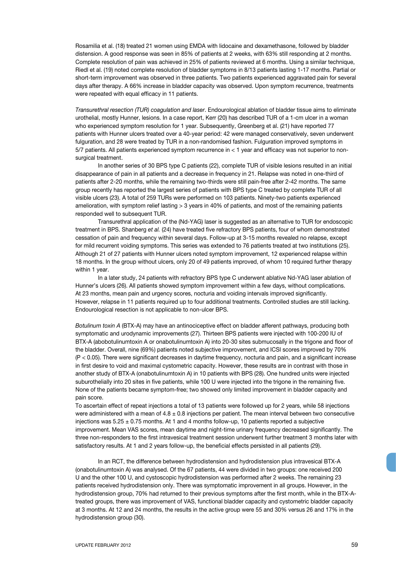Rosamilia et al. (18) treated 21 women using EMDA with lidocaine and dexamethasone, followed by bladder distension. A good response was seen in 85% of patients at 2 weeks, with 63% still responding at 2 months. Complete resolution of pain was achieved in 25% of patients reviewed at 6 months. Using a similar technique, Riedl et al. (19) noted complete resolution of bladder symptoms in 8/13 patients lasting 1-17 months. Partial or short-term improvement was observed in three patients. Two patients experienced aggravated pain for several days after therapy. A 66% increase in bladder capacity was observed. Upon symptom recurrence, treatments were repeated with equal efficacy in 11 patients.

*Transurethral resection (TUR) coagulation and laser*. Endourological ablation of bladder tissue aims to eliminate urothelial, mostly Hunner, lesions. In a case report, Kerr (20) has described TUR of a 1-cm ulcer in a woman who experienced symptom resolution for 1 year. Subsequently, Greenberg et al. (21) have reported 77 patients with Hunner ulcers treated over a 40-year period: 42 were managed conservatively, seven underwent fulguration, and 28 were treated by TUR in a non-randomised fashion. Fulguration improved symptoms in 5/7 patients. All patients experienced symptom recurrence in < 1 year and efficacy was not superior to nonsurgical treatment.

In another series of 30 BPS type C patients (22), complete TUR of visible lesions resulted in an initial disappearance of pain in all patients and a decrease in frequency in 21. Relapse was noted in one-third of patients after 2-20 months, while the remaining two-thirds were still pain-free after 2-42 months. The same group recently has reported the largest series of patients with BPS type C treated by complete TUR of all visible ulcers (23). A total of 259 TURs were performed on 103 patients. Ninety-two patients experienced amelioration, with symptom relief lasting > 3 years in 40% of patients, and most of the remaining patients responded well to subsequent TUR.

Transurethral application of the (Nd-YAG) laser is suggested as an alternative to TUR for endoscopic treatment in BPS. Shanberg *et al.* (24) have treated five refractory BPS patients, four of whom demonstrated cessation of pain and frequency within several days. Follow-up at 3-15 months revealed no relapse, except for mild recurrent voiding symptoms. This series was extended to 76 patients treated at two institutions (25). Although 21 of 27 patients with Hunner ulcers noted symptom improvement, 12 experienced relapse within 18 months. In the group without ulcers, only 20 of 49 patients improved, of whom 10 required further therapy within 1 year.

In a later study, 24 patients with refractory BPS type C underwent ablative Nd-YAG laser ablation of Hunner's ulcers (26). All patients showed symptom improvement within a few days, without complications. At 23 months, mean pain and urgency scores, nocturia and voiding intervals improved significantly. However, relapse in 11 patients required up to four additional treatments. Controlled studies are still lacking. Endourological resection is not applicable to non-ulcer BPS.

*Botulinum toxin A* (BTX-A) may have an antinociceptive effect on bladder afferent pathways, producing both symptomatic and urodynamic improvements (27). Thirteen BPS patients were injected with 100-200 IU of BTX-A (abobotulinumtoxin A or onabotulinumtoxin A) into 20-30 sites submucosally in the trigone and floor of the bladder. Overall, nine (69%) patients noted subjective improvement, and ICSI scores improved by 70% (P < 0.05). There were significant decreases in daytime frequency, nocturia and pain, and a significant increase in first desire to void and maximal cystometric capacity. However, these results are in contrast with those in another study of BTX-A (onabotulinumtoxin A) in 10 patients with BPS (28). One hundred units were injected suburothelially into 20 sites in five patients, while 100 U were injected into the trigone in the remaining five. None of the patients became symptom-free; two showed only limited improvement in bladder capacity and pain score.

To ascertain effect of repeat injections a total of 13 patients were followed up for 2 years, while 58 injections were administered with a mean of  $4.8 \pm 0.8$  injections per patient. The mean interval between two consecutive injections was  $5.25 \pm 0.75$  months. At 1 and 4 months follow-up, 10 patients reported a subjective improvement. Mean VAS scores, mean daytime and night-time urinary frequency decreased significantly. The three non-responders to the first intravesical treatment session underwent further treatment 3 months later with satisfactory results. At 1 and 2 years follow-up, the beneficial effects persisted in all patients (29).

In an RCT, the difference between hydrodistension and hydrodistension plus intravesical BTX-A (onabotulinumtoxin A) was analysed. Of the 67 patients, 44 were divided in two groups: one received 200 U and the other 100 U, and cystoscopic hydrodistension was performed after 2 weeks. The remaining 23 patients received hydrodistension only. There was symptomatic improvement in all groups. However, in the hydrodistension group, 70% had returned to their previous symptoms after the first month, while in the BTX-Atreated groups, there was improvement of VAS, functional bladder capacity and cystometric bladder capacity at 3 months. At 12 and 24 months, the results in the active group were 55 and 30% versus 26 and 17% in the hydrodistension group (30).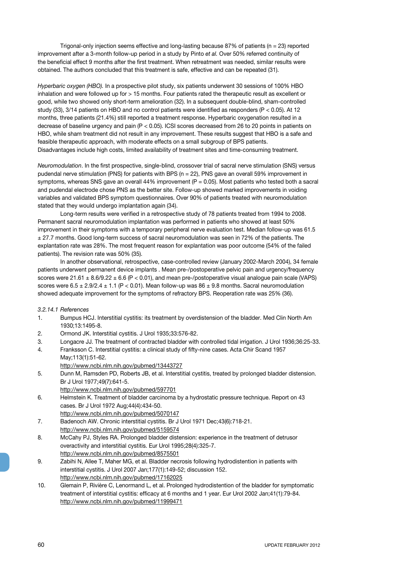Trigonal-only injection seems effective and long-lasting because 87% of patients (n = 23) reported improvement after a 3-month follow-up period in a study by Pinto *et al.* Over 50% referred continuity of the beneficial effect 9 months after the first treatment. When retreatment was needed, similar results were obtained. The authors concluded that this treatment is safe, effective and can be repeated (31).

*Hyperbaric oxygen (HBO).* In a prospective pilot study, six patients underwent 30 sessions of 100% HBO inhalation and were followed up for > 15 months. Four patients rated the therapeutic result as excellent or good, while two showed only short-term amelioration (32). In a subsequent double-blind, sham-controlled study (33), 3/14 patients on HBO and no control patients were identified as responders (P < 0.05). At 12 months, three patients (21.4%) still reported a treatment response. Hyperbaric oxygenation resulted in a decrease of baseline urgency and pain (P < 0.05). ICSI scores decreased from 26 to 20 points in patients on HBO, while sham treatment did not result in any improvement. These results suggest that HBO is a safe and feasible therapeutic approach, with moderate effects on a small subgroup of BPS patients. Disadvantages include high costs, limited availability of treatment sites and time-consuming treatment.

*Neuromodulation*. In the first prospective, single-blind, crossover trial of sacral nerve stimulation (SNS) versus pudendal nerve stimulation (PNS) for patients with BPS (n = 22), PNS gave an overall 59% improvement in symptoms, whereas SNS gave an overall 44% improvement (P = 0.05). Most patients who tested both a sacral and pudendal electrode chose PNS as the better site. Follow-up showed marked improvements in voiding variables and validated BPS symptom questionnaires. Over 90% of patients treated with neuromodulation stated that they would undergo implantation again (34).

Long-term results were verified in a retrospective study of 78 patients treated from 1994 to 2008. Permanent sacral neuromodulation implantation was performed in patients who showed at least 50% improvement in their symptoms with a temporary peripheral nerve evaluation test. Median follow-up was 61.5 ± 27.7 months. Good long-term success of sacral neuromodulation was seen in 72% of the patients. The explantation rate was 28%. The most frequent reason for explantation was poor outcome (54% of the failed patients). The revision rate was 50% (35).

In another observational, retrospective, case-controlled review (January 2002-March 2004), 34 female patients underwent permanent device implants . Mean pre-/postoperative pelvic pain and urgency/frequency scores were  $21.61 \pm 8.6/9.22 \pm 6.6$  (P < 0.01), and mean pre-/postoperative visual analogue pain scale (VAPS) scores were  $6.5 \pm 2.9/2.4 \pm 1.1$  (P < 0.01). Mean follow-up was  $86 \pm 9.8$  months. Sacral neuromodulation showed adequate improvement for the symptoms of refractory BPS. Reoperation rate was 25% (36).

*3.2.14.1 References*

- 1. Bumpus HCJ. Interstitial cystitis: its treatment by overdistension of the bladder. Med Clin North Am 1930;13:1495-8.
- 2. Ormond JK. Interstitial cystitis. J Urol 1935;33:576-82.
- 3. Longacre JJ. The treatment of contracted bladder with controlled tidal irrigation. J Urol 1936;36:25-33.
- 4. Franksson C. Interstitial cystitis: a clinical study of fifty-nine cases. Acta Chir Scand 1957 May;113(1):51-62.
	- http://www.ncbi.nlm.nih.gov/pubmed/13443727
- 5. Dunn M, Ramsden PD, Roberts JB, et al. Interstitial cystitis, treated by prolonged bladder distension. Br J Urol 1977;49(7):641-5.
	- http://www.ncbi.nlm.nih.gov/pubmed/597701
- 6. Helmstein K. Treatment of bladder carcinoma by a hydrostatic pressure technique. Report on 43 cases. Br J Urol 1972 Aug;44(4):434-50. http://www.ncbi.nlm.nih.gov/pubmed/5070147
- 7. Badenoch AW. Chronic interstitial cystitis. Br J Urol 1971 Dec;43(6):718-21. http://www.ncbi.nlm.nih.gov/pubmed/5159574
- 8. McCahy PJ, Styles RA. Prolonged bladder distension: experience in the treatment of detrusor overactivity and interstitial cystitis. Eur Urol 1995;28(4):325-7. http://www.ncbi.nlm.nih.gov/pubmed/8575501
- 9. Zabihi N, Allee T, Maher MG, et al. Bladder necrosis following hydrodistention in patients with interstitial cystitis. J Urol 2007 Jan;177(1):149-52; discussion 152. http://www.ncbi.nlm.nih.gov/pubmed/17162025
- 10. Glemain P, Rivière C, Lenormand L, et al. Prolonged hydrodistention of the bladder for symptomatic treatment of interstitial cystitis: efficacy at 6 months and 1 year. Eur Urol 2002 Jan;41(1):79-84. http://www.ncbi.nlm.nih.gov/pubmed/11999471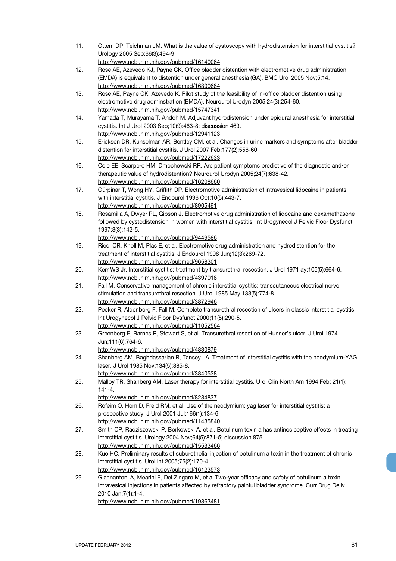- 11. Ottem DP, Teichman JM. What is the value of cystoscopy with hydrodistension for interstitial cystitis? Urology 2005 Sep;66(3):494-9. http://www.ncbi.nlm.nih.gov/pubmed/16140064
- 12. Rose AE, Azevedo KJ, Payne CK. Office bladder distention with electromotive drug administration (EMDA) is equivalent to distention under general anesthesia (GA). BMC Urol 2005 Nov;5:14. http://www.ncbi.nlm.nih.gov/pubmed/16300684
- 13. Rose AE, Payne CK, Azevedo K. Pilot study of the feasibility of in-office bladder distention using electromotive drug adminstration (EMDA). Neurourol Urodyn 2005;24(3):254-60. http://www.ncbi.nlm.nih.gov/pubmed/15747341
- 14. Yamada T, Murayama T, Andoh M. Adjuvant hydrodistension under epidural anesthesia for interstitial cystitis. Int J Urol 2003 Sep;10(9):463-8; discussion 469. http://www.ncbi.nlm.nih.gov/pubmed/12941123
- 15. Erickson DR, Kunselman AR, Bentley CM, et al. Changes in urine markers and symptoms after bladder distention for interstitial cystitis. J Urol 2007 Feb;177(2):556-60. http://www.ncbi.nlm.nih.gov/pubmed/17222633
- 16. Cole EE, Scarpero HM, Dmochowski RR. Are patient symptoms predictive of the diagnostic and/or therapeutic value of hydrodistention? Neurourol Urodyn 2005;24(7):638-42. http://www.ncbi.nlm.nih.gov/pubmed/16208660
- 17. Gürpinar T, Wong HY, Griffith DP. Electromotive administration of intravesical lidocaine in patients with interstitial cystitis. J Endourol 1996 Oct;10(5):443-7. http://www.ncbi.nlm.nih.gov/pubmed/8905491
- 18. Rosamilia A, Dwyer PL, Gibson J. Electromotive drug administration of lidocaine and dexamethasone followed by cystodistension in women with interstitial cystitis. Int Urogynecol J Pelvic Floor Dysfunct 1997;8(3):142-5.
	- http://www.ncbi.nlm.nih.gov/pubmed/9449586
- 19. Riedl CR, Knoll M, Plas E, et al. Electromotive drug administration and hydrodistention for the treatment of interstitial cystitis. J Endourol 1998 Jun;12(3):269-72. http://www.ncbi.nlm.nih.gov/pubmed/9658301
- 20. Kerr WS Jr. Interstitial cystitis: treatment by transurethral resection. J Urol 1971 ay;105(5):664-6. http://www.ncbi.nlm.nih.gov/pubmed/4397018
- 21. Fall M. Conservative management of chronic interstitial cystitis: transcutaneous electrical nerve stimulation and transurethral resection. J Urol 1985 May;133(5):774-8. http://www.ncbi.nlm.nih.gov/pubmed/3872946
- 22. Peeker R, Aldenborg F, Fall M. Complete transurethral resection of ulcers in classic interstitial cystitis. Int Urogynecol J Pelvic Floor Dysfunct 2000;11(5):290-5. http://www.ncbi.nlm.nih.gov/pubmed/11052564
- 23. Greenberg E, Barnes R, Stewart S, et al. Transurethral resection of Hunner's ulcer. J Urol 1974 Jun;111(6):764-6.
	- http://www.ncbi.nlm.nih.gov/pubmed/4830879
- 24. Shanberg AM, Baghdassarian R, Tansey LA. Treatment of interstitial cystitis with the neodymium-YAG laser. J Urol 1985 Nov;134(5):885-8.
	- http://www.ncbi.nlm.nih.gov/pubmed/3840538
- 25. Malloy TR, Shanberg AM. Laser therapy for interstitial cystitis. Urol Clin North Am 1994 Feb; 21(1): 141-4.
	- http://www.ncbi.nlm.nih.gov/pubmed/8284837
- 26. Rofeim O, Hom D, Freid RM, et al. Use of the neodymium: yag laser for interstitial cystitis: a prospective study. J Urol 2001 Jul;166(1):134-6. http://www.ncbi.nlm.nih.gov/pubmed/11435840
- 27. Smith CP, Radziszewski P, Borkowski A, et al. Botulinum toxin a has antinociceptive effects in treating interstitial cystitis. Urology 2004 Nov;64(5):871-5; discussion 875. http://www.ncbi.nlm.nih.gov/pubmed/15533466
- 28. Kuo HC. Preliminary results of suburothelial injection of botulinum a toxin in the treatment of chronic interstitial cystitis. Urol Int 2005;75(2):170-4. http://www.ncbi.nlm.nih.gov/pubmed/16123573
- 29. Giannantoni A, Mearini E, Del Zingaro M, et al.Two-year efficacy and safety of botulinum a toxin intravesical injections in patients affected by refractory painful bladder syndrome. Curr Drug Deliv. 2010 Jan;7(1):1-4. http://www.ncbi.nlm.nih.gov/pubmed/19863481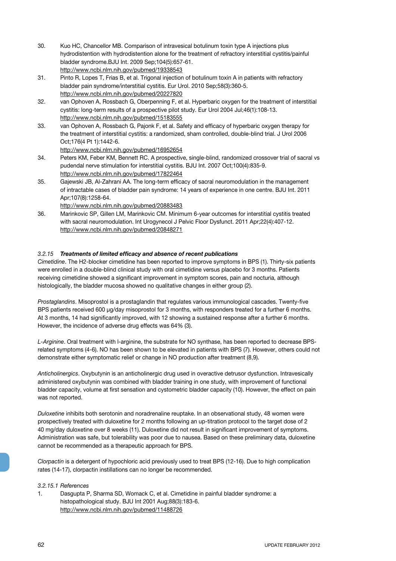- 30. Kuo HC, Chancellor MB. Comparison of intravesical botulinum toxin type A injections plus hydrodistention with hydrodistention alone for the treatment of refractory interstitial cystitis/painful bladder syndrome.BJU Int. 2009 Sep;104(5):657-61. http://www.ncbi.nlm.nih.gov/pubmed/19338543
- 31. Pinto R, Lopes T, Frias B, et al. Trigonal injection of botulinum toxin A in patients with refractory bladder pain syndrome/interstitial cystitis. Eur Urol. 2010 Sep;58(3):360-5. http://www.ncbi.nlm.nih.gov/pubmed/20227820
- 32. van Ophoven A, Rossbach G, Oberpenning F, et al. Hyperbaric oxygen for the treatment of interstitial cystitis: long-term results of a prospective pilot study. Eur Urol 2004 Jul;46(1):108-13. http://www.ncbi.nlm.nih.gov/pubmed/15183555
- 33. van Ophoven A, Rossbach G, Pajonk F, et al. Safety and efficacy of hyperbaric oxygen therapy for the treatment of interstitial cystitis: a randomized, sham controlled, double-blind trial. J Urol 2006 Oct;176(4 Pt 1):1442-6.

- 34. Peters KM, Feber KM, Bennett RC. A prospective, single-blind, randomized crossover trial of sacral vs pudendal nerve stimulation for interstitial cystitis. BJU Int. 2007 Oct;100(4):835-9. http://www.ncbi.nlm.nih.gov/pubmed/17822464
- 35. Gajewski JB, Al-Zahrani AA. The long-term efficacy of sacral neuromodulation in the management of intractable cases of bladder pain syndrome: 14 years of experience in one centre. BJU Int. 2011 Apr;107(8):1258-64.

http://www.ncbi.nlm.nih.gov/pubmed/20883483

36. Marinkovic SP, Gillen LM, Marinkovic CM. Minimum 6-year outcomes for interstitial cystitis treated with sacral neuromodulation. Int Urogynecol J Pelvic Floor Dysfunct. 2011 Apr;22(4):407-12. http://www.ncbi.nlm.nih.gov/pubmed/20848271

## *3.2.15 Treatments of limited efficacy and absence of recent publications*

*Cimetidine*. The H2-blocker cimetidine has been reported to improve symptoms in BPS (1). Thirty-six patients were enrolled in a double-blind clinical study with oral cimetidine versus placebo for 3 months. Patients receiving cimetidine showed a significant improvement in symptom scores, pain and nocturia, although histologically, the bladder mucosa showed no qualitative changes in either group (2).

*Prostaglandins*. Misoprostol is a prostaglandin that regulates various immunological cascades. Twenty-five BPS patients received 600 μg/day misoprostol for 3 months, with responders treated for a further 6 months. At 3 months, 14 had significantly improved, with 12 showing a sustained response after a further 6 months. However, the incidence of adverse drug effects was 64% (3).

*L-Arginine*. Oral treatment with l-arginine, the substrate for NO synthase, has been reported to decrease BPSrelated symptoms (4-6). NO has been shown to be elevated in patients with BPS (7). However, others could not demonstrate either symptomatic relief or change in NO production after treatment (8,9).

*Anticholinergics*. Oxybutynin is an anticholinergic drug used in overactive detrusor dysfunction. Intravesically administered oxybutynin was combined with bladder training in one study, with improvement of functional bladder capacity, volume at first sensation and cystometric bladder capacity (10). However, the effect on pain was not reported.

*Duloxetine* inhibits both serotonin and noradrenaline reuptake. In an observational study, 48 women were prospectively treated with duloxetine for 2 months following an up-titration protocol to the target dose of 2 40 mg/day duloxetine over 8 weeks (11). Duloxetine did not result in significant improvement of symptoms. Administration was safe, but tolerability was poor due to nausea. Based on these preliminary data, duloxetine cannot be recommended as a therapeutic approach for BPS.

*Clorpactin* is a detergent of hypochloric acid previously used to treat BPS (12-16). Due to high complication rates (14-17), clorpactin instillations can no longer be recommended.

### *3.2.15.1 References*

1. Dasgupta P, Sharma SD, Womack C, et al. Cimetidine in painful bladder syndrome: a histopathological study. BJU Int 2001 Aug;88(3):183-6. http://www.ncbi.nlm.nih.gov/pubmed/11488726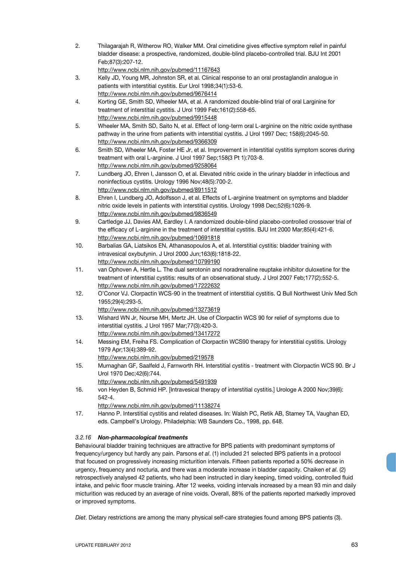2. Thilagarajah R, Witherow RO, Walker MM. Oral cimetidine gives effective symptom relief in painful bladder disease: a prospective, randomized, double-blind placebo-controlled trial. BJU Int 2001 Feb;87(3):207-12.

http://www.ncbi.nlm.nih.gov/pubmed/11167643

- 3. Kelly JD, Young MR, Johnston SR, et al. Clinical response to an oral prostaglandin analogue in patients with interstitial cystitis. Eur Urol 1998;34(1):53-6. http://www.ncbi.nlm.nih.gov/pubmed/9676414
- 4. Korting GE, Smith SD, Wheeler MA, et al. A randomized double-blind trial of oral Larginine for treatment of interstitial cystitis. J Urol 1999 Feb;161(2):558-65. http://www.ncbi.nlm.nih.gov/pubmed/9915448
- 5. Wheeler MA, Smith SD, Saito N, et al. Effect of long-term oral L-arginine on the nitric oxide synthase pathway in the urine from patients with interstitial cystitis. J Urol 1997 Dec; 158(6):2045-50. http://www.ncbi.nlm.nih.gov/pubmed/9366309
- 6. Smith SD, Wheeler MA, Foster HE Jr, et al. Improvement in interstitial cystitis symptom scores during treatment with oral L-arginine. J Urol 1997 Sep;158(3 Pt 1):703-8. http://www.ncbi.nlm.nih.gov/pubmed/9258064
- 7. Lundberg JO, Ehren I, Jansson O, et al. Elevated nitric oxide in the urinary bladder in infectious and noninfectious cystitis. Urology 1996 Nov;48(5):700-2. http://www.ncbi.nlm.nih.gov/pubmed/8911512
- 8. Ehren I, Lundberg JO, Adolfsson J, et al. Effects of L-arginine treatment on symptoms and bladder nitric oxide levels in patients with interstitial cystitis. Urology 1998 Dec;52(6):1026-9. http://www.ncbi.nlm.nih.gov/pubmed/9836549
- 9. Cartledge JJ, Davies AM, Eardley I. A randomized double-blind placebo-controlled crossover trial of the efficacy of L-arginine in the treatment of interstitial cystitis. BJU Int 2000 Mar;85(4):421-6. http://www.ncbi.nlm.nih.gov/pubmed/10691818
- 10. Barbalias GA, Liatsikos EN, Athanasopoulos A, et al. Interstitial cystitis: bladder training with intravesical oxybutynin. J Urol 2000 Jun;163(6):1818-22. http://www.ncbi.nlm.nih.gov/pubmed/10799190
- 11. van Ophoven A, Hertle L. The dual serotonin and noradrenaline reuptake inhibitor duloxetine for the treatment of interstitial cystitis: results of an observational study. J Urol 2007 Feb;177(2):552-5. http://www.ncbi.nlm.nih.gov/pubmed/17222632
- 12. O'Conor VJ. Clorpactin WCS-90 in the treatment of interstitial cystitis. Q Bull Northwest Univ Med Sch 1955;29(4):293-5.
	- http://www.ncbi.nlm.nih.gov/pubmed/13273619
- 13. Wishard WN Jr, Nourse MH, Mertz JH. Use of Clorpactin WCS 90 for relief of symptoms due to interstitial cystitis. J Urol 1957 Mar;77(3):420-3. http://www.ncbi.nlm.nih.gov/pubmed/13417272
- 14. Messing EM, Freiha FS. Complication of Clorpactin WCS90 therapy for interstitial cystitis. Urology 1979 Apr;13(4):389-92. http://www.ncbi.nlm.nih.gov/pubmed/219578
- 15. Murnaghan GF, Saalfeld J, Farnworth RH. Interstitial cystitis treatment with Clorpactin WCS 90. Br J Urol 1970 Dec;42(6):744.

http://www.ncbi.nlm.nih.gov/pubmed/5491939

- 16. von Heyden B, Schmid HP. [Intravesical therapy of interstitial cystitis.] Urologe A 2000 Nov;39(6): 542-4.
	- http://www.ncbi.nlm.nih.gov/pubmed/11138274
- 17. Hanno P. Interstitial cystitis and related diseases. In: Walsh PC, Retik AB, Stamey TA, Vaughan ED, eds. Campbell's Urology. Philadelphia: WB Saunders Co., 1998, pp. 648.

# *3.2.16 Non-pharmacological treatments*

Behavioural bladder training techniques are attractive for BPS patients with predominant symptoms of frequency/urgency but hardly any pain. Parsons *et al*. (1) included 21 selected BPS patients in a protocol that focused on progressively increasing micturition intervals. Fifteen patients reported a 50% decrease in urgency, frequency and nocturia, and there was a moderate increase in bladder capacity. Chaiken *et al*. (2) retrospectively analysed 42 patients, who had been instructed in diary keeping, timed voiding, controlled fluid intake, and pelvic floor muscle training. After 12 weeks, voiding intervals increased by a mean 93 min and daily micturition was reduced by an average of nine voids. Overall, 88% of the patients reported markedly improved or improved symptoms.

*Diet*. Dietary restrictions are among the many physical self-care strategies found among BPS patients (3).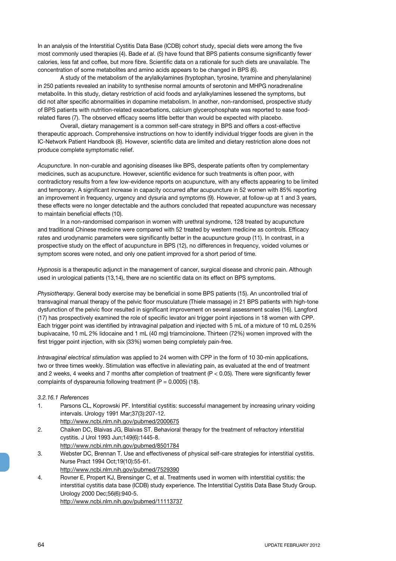In an analysis of the Interstitial Cystitis Data Base (ICDB) cohort study, special diets were among the five most commonly used therapies (4). Bade *et al*. (5) have found that BPS patients consume significantly fewer calories, less fat and coffee, but more fibre. Scientific data on a rationale for such diets are unavailable. The concentration of some metabolites and amino acids appears to be changed in BPS (6).

A study of the metabolism of the arylalkylamines (tryptophan, tyrosine, tyramine and phenylalanine) in 250 patients revealed an inability to synthesise normal amounts of serotonin and MHPG noradrenaline metabolite. In this study, dietary restriction of acid foods and arylalkylamines lessened the symptoms, but did not alter specific abnormalities in dopamine metabolism. In another, non-randomised, prospective study of BPS patients with nutrition-related exacerbations, calcium glycerophosphate was reported to ease foodrelated flares (7). The observed efficacy seems little better than would be expected with placebo.

Overall, dietary management is a common self-care strategy in BPS and offers a cost-effective therapeutic approach. Comprehensive instructions on how to identify individual trigger foods are given in the IC-Network Patient Handbook (8). However, scientific data are limited and dietary restriction alone does not produce complete symptomatic relief.

*Acupuncture*. In non-curable and agonising diseases like BPS, desperate patients often try complementary medicines, such as acupuncture. However, scientific evidence for such treatments is often poor, with contradictory results from a few low-evidence reports on acupuncture, with any effects appearing to be limited and temporary. A significant increase in capacity occurred after acupuncture in 52 women with 85% reporting an improvement in frequency, urgency and dysuria and symptoms (9). However, at follow-up at 1 and 3 years, these effects were no longer detectable and the authors concluded that repeated acupuncture was necessary to maintain beneficial effects (10).

In a non-randomised comparison in women with urethral syndrome, 128 treated by acupuncture and traditional Chinese medicine were compared with 52 treated by western medicine as controls. Efficacy rates and urodynamic parameters were significantly better in the acupuncture group (11). In contrast, in a prospective study on the effect of acupuncture in BPS (12), no differences in frequency, voided volumes or symptom scores were noted, and only one patient improved for a short period of time.

*Hypnosis* is a therapeutic adjunct in the management of cancer, surgical disease and chronic pain. Although used in urological patients (13,14), there are no scientific data on its effect on BPS symptoms.

*Physiotherapy*. General body exercise may be beneficial in some BPS patients (15). An uncontrolled trial of transvaginal manual therapy of the pelvic floor musculature (Thiele massage) in 21 BPS patients with high-tone dysfunction of the pelvic floor resulted in significant improvement on several assessment scales (16). Langford (17) has prospectively examined the role of specific levator ani trigger point injections in 18 women with CPP. Each trigger point was identified by intravaginal palpation and injected with 5 mL of a mixture of 10 mL 0.25% bupivacaine, 10 mL 2% lidocaine and 1 mL (40 mg) triamcinolone. Thirteen (72%) women improved with the first trigger point injection, with six (33%) women being completely pain-free.

*Intravaginal electrical stimulation* was applied to 24 women with CPP in the form of 10 30-min applications, two or three times weekly. Stimulation was effective in alleviating pain, as evaluated at the end of treatment and 2 weeks, 4 weeks and 7 months after completion of treatment (P < 0.05). There were significantly fewer complaints of dyspareunia following treatment ( $P = 0.0005$ ) (18).

#### *3.2.16.1 References*

- 1. Parsons CL, Koprowski PF. Interstitial cystitis: successful management by increasing urinary voiding intervals. Urology 1991 Mar;37(3):207-12.
	- http://www.ncbi.nlm.nih.gov/pubmed/2000675
- 2. Chaiken DC, Blaivas JG, Blaivas ST. Behavioral therapy for the treatment of refractory interstitial cystitis. J Urol 1993 Jun;149(6):1445-8.
- http://www.ncbi.nlm.nih.gov/pubmed/8501784
- 3. Webster DC, Brennan T. Use and effectiveness of physical self-care strategies for interstitial cystitis. Nurse Pract 1994 Oct;19(10):55-61.
- http://www.ncbi.nlm.nih.gov/pubmed/7529390
- 4. Rovner E, Propert KJ, Brensinger C, et al. Treatments used in women with interstitial cystitis: the interstitial cystitis data base (ICDB) study experience. The Interstitial Cystitis Data Base Study Group. Urology 2000 Dec;56(6):940-5. http://www.ncbi.nlm.nih.gov/pubmed/11113737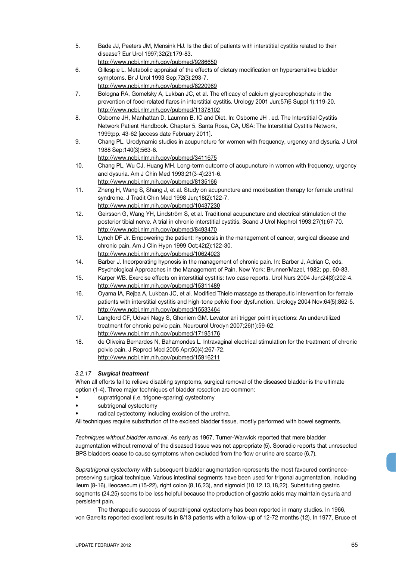- 5. Bade JJ, Peeters JM, Mensink HJ. Is the diet of patients with interstitial cystitis related to their disease? Eur Urol 1997;32(2):179-83. http://www.ncbi.nlm.nih.gov/pubmed/9286650
- 6. Gillespie L. Metabolic appraisal of the effects of dietary modification on hypersensitive bladder symptoms. Br J Urol 1993 Sep;72(3):293-7. http://www.ncbi.nlm.nih.gov/pubmed/8220989
- 7. Bologna RA, Gomelsky A, Lukban JC, et al. The efficacy of calcium glycerophosphate in the prevention of food-related flares in interstitial cystitis. Urology 2001 Jun;57(6 Suppl 1):119-20. http://www.ncbi.nlm.nih.gov/pubmed/11378102
- 8. Osborne JH, Manhattan D, Laumnn B. IC and Diet. In: Osborne JH , ed. The Interstitial Cystitis Network Patient Handbook. Chapter 5. Santa Rosa, CA, USA: The Interstitial Cystitis Network, 1999;pp. 43-62 [access date February 2011].
- 9. Chang PL. Urodynamic studies in acupuncture for women with frequency, urgency and dysuria. J Urol 1988 Sep;140(3):563-6. http://www.ncbi.nlm.nih.gov/pubmed/3411675
- 10. Chang PL, Wu CJ, Huang MH. Long-term outcome of acupuncture in women with frequency, urgency and dysuria. Am J Chin Med 1993;21(3-4):231-6. http://www.ncbi.nlm.nih.gov/pubmed/8135166
- 11. Zheng H, Wang S, Shang J, et al. Study on acupuncture and moxibustion therapy for female urethral syndrome. J Tradit Chin Med 1998 Jun;18(2):122-7. http://www.ncbi.nlm.nih.gov/pubmed/10437230
- 12. Geirsson G, Wang YH, Lindström S, et al. Traditional acupuncture and electrical stimulation of the posterior tibial nerve. A trial in chronic interstitial cystitis. Scand J Urol Nephrol 1993;27(1):67-70. http://www.ncbi.nlm.nih.gov/pubmed/8493470
- 13. Lynch DF Jr. Empowering the patient: hypnosis in the management of cancer, surgical disease and chronic pain. Am J Clin Hypn 1999 Oct;42(2):122-30. http://www.ncbi.nlm.nih.gov/pubmed/10624023
- 14. Barber J. Incorporating hypnosis in the management of chronic pain. In: Barber J, Adrian C, eds. Psychological Approaches in the Management of Pain. New York: Brunner/Mazel, 1982; pp. 60-83.
- 15. Karper WB. Exercise effects on interstitial cystitis: two case reports. Urol Nurs 2004 Jun;24(3):202-4. http://www.ncbi.nlm.nih.gov/pubmed/15311489
- 16. Oyama IA, Rejba A, Lukban JC, et al. Modified Thiele massage as therapeutic intervention for female patients with interstitial cystitis and high-tone pelvic floor dysfunction. Urology 2004 Nov;64(5):862-5. http://www.ncbi.nlm.nih.gov/pubmed/15533464
- 17. Langford CF, Udvari Nagy S, Ghoniem GM. Levator ani trigger point injections: An underutilized treatment for chronic pelvic pain. Neurourol Urodyn 2007;26(1):59-62. http://www.ncbi.nlm.nih.gov/pubmed/17195176
- 18. de Oliveira Bernardes N, Bahamondes L. Intravaginal electrical stimulation for the treatment of chronic pelvic pain. J Reprod Med 2005 Apr;50(4):267-72. http://www.ncbi.nlm.nih.gov/pubmed/15916211

# *3.2.17 Surgical treatment*

When all efforts fail to relieve disabling symptoms, surgical removal of the diseased bladder is the ultimate option (1-4). Three major techniques of bladder resection are common:

- supratrigonal (i.e. trigone-sparing) cystectomy
- subtrigonal cystectomy
- radical cystectomy including excision of the urethra.

All techniques require substitution of the excised bladder tissue, mostly performed with bowel segments.

*Techniques without bladder removal*. As early as 1967, Turner-Warwick reported that mere bladder augmentation without removal of the diseased tissue was not appropriate (5). Sporadic reports that unresected BPS bladders cease to cause symptoms when excluded from the flow or urine are scarce (6,7).

*Supratrigonal cystectomy* with subsequent bladder augmentation represents the most favoured continencepreserving surgical technique. Various intestinal segments have been used for trigonal augmentation, including ileum (8-16), ileocaecum (15-22), right colon (8,16,23), and sigmoid (10,12,13,18,22). Substituting gastric segments (24,25) seems to be less helpful because the production of gastric acids may maintain dysuria and persistent pain.

The therapeutic success of supratrigonal cystectomy has been reported in many studies. In 1966, von Garrelts reported excellent results in 8/13 patients with a follow-up of 12-72 months (12). In 1977, Bruce et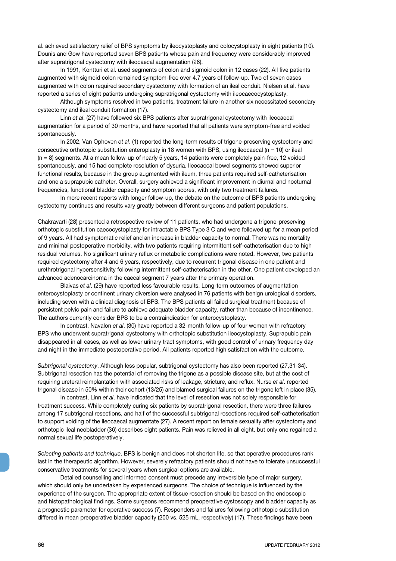al. achieved satisfactory relief of BPS symptoms by ileocystoplasty and colocystoplasty in eight patients (10). Dounis and Gow have reported seven BPS patients whose pain and frequency were considerably improved after supratrigonal cystectomy with ileocaecal augmentation (26).

In 1991, Kontturi et al. used segments of colon and sigmoid colon in 12 cases (22). All five patients augmented with sigmoid colon remained symptom-free over 4.7 years of follow-up. Two of seven cases augmented with colon required secondary cystectomy with formation of an ileal conduit. Nielsen et al. have reported a series of eight patients undergoing supratrigonal cystectomy with ileocaecocystoplasty.

Although symptoms resolved in two patients, treatment failure in another six necessitated secondary cystectomy and ileal conduit formation (17).

Linn *et al*. (27) have followed six BPS patients after supratrigonal cystectomy with ileocaecal augmentation for a period of 30 months, and have reported that all patients were symptom-free and voided spontaneously.

In 2002, Van Ophoven *et al*. (1) reported the long-term results of trigone-preserving cystectomy and consecutive orthotopic substitution enteroplasty in 18 women with BPS, using ileocaecal ( $n = 10$ ) or ileal  $(n = 8)$  segments. At a mean follow-up of nearly 5 years, 14 patients were completely pain-free, 12 voided spontaneously, and 15 had complete resolution of dysuria. Ileocaecal bowel segments showed superior functional results, because in the group augmented with ileum, three patients required self-catheterisation and one a suprapubic catheter. Overall, surgery achieved a significant improvement in diurnal and nocturnal frequencies, functional bladder capacity and symptom scores, with only two treatment failures.

In more recent reports with longer follow-up, the debate on the outcome of BPS patients undergoing cystectomy continues and results vary greatly between different surgeons and patient populations.

Chakravarti (28) presented a retrospective review of 11 patients, who had undergone a trigone-preserving orthotopic substitution caecocystoplasty for intractable BPS Type 3 C and were followed up for a mean period of 9 years. All had symptomatic relief and an increase in bladder capacity to normal. There was no mortality and minimal postoperative morbidity, with two patients requiring intermittent self-catheterisation due to high residual volumes. No significant urinary reflux or metabolic complications were noted. However, two patients required cystectomy after 4 and 6 years, respectively, due to recurrent trigonal disease in one patient and urethrotrigonal hypersensitivity following intermittent self-catheterisation in the other. One patient developed an advanced adenocarcinoma in the caecal segment 7 years after the primary operation.

Blaivas *et al*. (29) have reported less favourable results. Long-term outcomes of augmentation enterocystoplasty or continent urinary diversion were analysed in 76 patients with benign urological disorders, including seven with a clinical diagnosis of BPS. The BPS patients all failed surgical treatment because of persistent pelvic pain and failure to achieve adequate bladder capacity, rather than because of incontinence. The authors currently consider BPS to be a contraindication for enterocystoplasty.

In contrast, Navalon *et al*. (30) have reported a 32-month follow-up of four women with refractory BPS who underwent supratrigonal cystectomy with orthotopic substitution ileocystoplasty. Suprapubic pain disappeared in all cases, as well as lower urinary tract symptoms, with good control of urinary frequency day and night in the immediate postoperative period. All patients reported high satisfaction with the outcome.

*Subtrigonal cystectomy*. Although less popular, subtrigonal cystectomy has also been reported (27,31-34). Subtrigonal resection has the potential of removing the trigone as a possible disease site, but at the cost of requiring ureteral reimplantation with associated risks of leakage, stricture, and reflux. Nurse *et al*. reported trigonal disease in 50% within their cohort (13/25) and blamed surgical failures on the trigone left in place (35).

In contrast, Linn *et al*. have indicated that the level of resection was not solely responsible for treatment success. While completely curing six patients by supratrigonal resection, there were three failures among 17 subtrigonal resections, and half of the successful subtrigonal resections required self-catheterisation to support voiding of the ileocaecal augmentate (27). A recent report on female sexuality after cystectomy and orthotopic ileal neobladder (36) describes eight patients. Pain was relieved in all eight, but only one regained a normal sexual life postoperatively.

*Selecting patients and technique*. BPS is benign and does not shorten life, so that operative procedures rank last in the therapeutic algorithm. However, severely refractory patients should not have to tolerate unsuccessful conservative treatments for several years when surgical options are available.

Detailed counselling and informed consent must precede any irreversible type of major surgery, which should only be undertaken by experienced surgeons. The choice of technique is influenced by the experience of the surgeon. The appropriate extent of tissue resection should be based on the endoscopic and histopathological findings. Some surgeons recommend preoperative cystoscopy and bladder capacity as a prognostic parameter for operative success (7). Responders and failures following orthotopic substitution differed in mean preoperative bladder capacity (200 vs. 525 mL, respectively) (17). These findings have been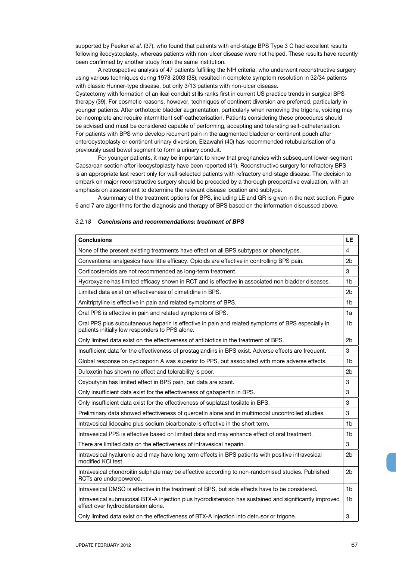supported by Peeker *et al*. (37), who found that patients with end-stage BPS Type 3 C had excellent results following ileocystoplasty, whereas patients with non-ulcer disease were not helped. These results have recently been confirmed by another study from the same institution.

A retrospective analysis of 47 patients fulfilling the NIH criteria, who underwent reconstructive surgery using various techniques during 1978-2003 (38), resulted in complete symptom resolution in 32/34 patients with classic Hunner-type disease, but only 3/13 patients with non-ulcer disease.

Cystectomy with formation of an ileal conduit stills ranks first in current US practice trends in surgical BPS therapy (39). For cosmetic reasons, however, techniques of continent diversion are preferred, particularly in younger patients. After orthotopic bladder augmentation, particularly when removing the trigone, voiding may be incomplete and require intermittent self-catheterisation. Patients considering these procedures should be advised and must be considered capable of performing, accepting and tolerating self-catheterisation. For patients with BPS who develop recurrent pain in the augmented bladder or continent pouch after enterocystoplasty or continent urinary diversion, Elzawahri (40) has recommended retubularisation of a previously used bowel segment to form a urinary conduit.

For younger patients, it may be important to know that pregnancies with subsequent lower-segment Caesarean section after ileocystoplasty have been reported (41). Reconstructive surgery for refractory BPS is an appropriate last resort only for well-selected patients with refractory end-stage disease. The decision to embark on major reconstructive surgery should be preceded by a thorough preoperative evaluation, with an emphasis on assessment to determine the relevant disease location and subtype.

A summary of the treatment options for BPS, including LE and GR is given in the next section. Figure 6 and 7 are algorithms for the diagnosis and therapy of BPS based on the information discussed above.

| <b>Conclusions</b>                                                                                                                                   | LE             |
|------------------------------------------------------------------------------------------------------------------------------------------------------|----------------|
| None of the present existing treatments have effect on all BPS subtypes or phenotypes.                                                               | 4              |
| Conventional analgesics have little efficacy. Opioids are effective in controlling BPS pain.                                                         | 2 <sub>b</sub> |
| Corticosteroids are not recommended as long-term treatment.                                                                                          | 3              |
| Hydroxyzine has limited efficacy shown in RCT and is effective in associated non bladder diseases.                                                   | 1b             |
| Limited data exist on effectiveness of cimetidine in BPS.                                                                                            | 2 <sub>b</sub> |
| Amitriptyline is effective in pain and related symptoms of BPS.                                                                                      | 1 <sub>b</sub> |
| Oral PPS is effective in pain and related symptoms of BPS.                                                                                           | 1a             |
| Oral PPS plus subcutaneous heparin is effective in pain and related symptoms of BPS especially in<br>patients initially low responders to PPS alone. | 1b             |
| Only limited data exist on the effectiveness of antibiotics in the treatment of BPS.                                                                 | 2b             |
| Insufficient data for the effectiveness of prostaglandins in BPS exist. Adverse effects are frequent.                                                | 3              |
| Global response on cyclosporin A was superior to PPS, but associated with more adverse effects.                                                      | 1b             |
| Duloxetin has shown no effect and tolerability is poor.                                                                                              | 2 <sub>b</sub> |
| Oxybutynin has limited effect in BPS pain, but data are scant.                                                                                       | 3              |
| Only insufficient data exist for the effectiveness of gabapentin in BPS.                                                                             | 3              |
| Only insufficient data exist for the effectiveness of suplatast tosilate in BPS.                                                                     | 3              |
| Preliminary data showed effectiveness of quercetin alone and in multimodal uncontrolled studies.                                                     | 3              |
| Intravesical lidocaine plus sodium bicarbonate is effective in the short term.                                                                       | 1b             |
| Intravesical PPS is effective based on limited data and may enhance effect of oral treatment.                                                        | 1 <sub>b</sub> |
| There are limited data on the effectiveness of intravesical heparin.                                                                                 | 3              |
| Intravesical hyaluronic acid may have long term effects in BPS patients with positive intravesical<br>modified KCI test.                             | 2 <sub>b</sub> |
| Intravesical chondroitin sulphate may be effective according to non-randomised studies. Published<br>RCTs are underpowered.                          | 2 <sub>b</sub> |
| Intravesical DMSO is effective in the treatment of BPS, but side effects have to be considered.                                                      | 1 <sub>b</sub> |
| Intravesical submucosal BTX-A injection plus hydrodistension has sustained and significantly improved<br>effect over hydrodistension alone.          | 1 <sub>b</sub> |
| Only limited data exist on the effectiveness of BTX-A injection into detrusor or trigone.                                                            | 3              |

#### *3.2.18 Conclusions and recommendations: treatment of BPS*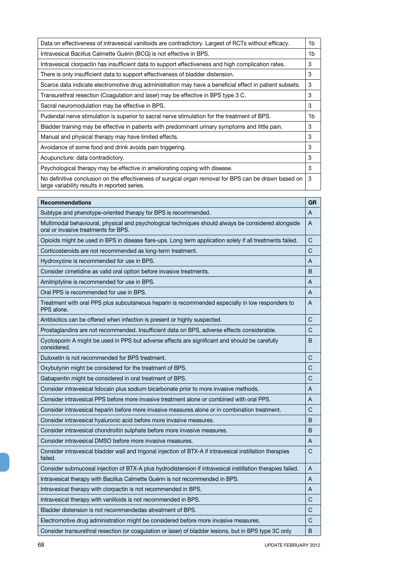| Data on effectiveness of intravesical vanilloids are contradictory. Largest of RCTs without efficacy.                                                  |   |  |
|--------------------------------------------------------------------------------------------------------------------------------------------------------|---|--|
| Intravesical Bacillus Calmette Guérin (BCG) is not effective in BPS.                                                                                   |   |  |
| Intravesical clorpactin has insufficient data to support effectiveness and high complication rates.                                                    | 3 |  |
| There is only insufficient data to support effectiveness of bladder distension.                                                                        |   |  |
| Scarce data indicate electromotive drug administration may have a beneficial effect in patient subsets.                                                | 3 |  |
| Transurethral resection (Coagulation and laser) may be effective in BPS type 3 C.                                                                      | 3 |  |
| Sacral neuromodulation may be effective in BPS.                                                                                                        |   |  |
| Pudendal nerve stimulation is superior to sacral nerve stimulation for the treatment of BPS.                                                           |   |  |
| Bladder training may be effective in patients with predominant urinary symptoms and little pain.                                                       |   |  |
| Manual and physical therapy may have limited effects.                                                                                                  |   |  |
| Avoidance of some food and drink avoids pain triggering.                                                                                               |   |  |
| Acupuncture: data contradictory.                                                                                                                       |   |  |
| Psychological therapy may be effective in ameliorating coping with disease.                                                                            |   |  |
| No definitive conclusion on the effectiveness of surgical organ removal for BPS can be drawn based on<br>large variability results in reported series. |   |  |

| <b>Recommendations</b>                                                                                                                      | <b>GR</b> |
|---------------------------------------------------------------------------------------------------------------------------------------------|-----------|
| Subtype and phenotype-oriented therapy for BPS is recommended.                                                                              | A         |
| Multimodal behavioural, physical and psychological techniques should always be considered alongside<br>oral or invasive treatments for BPS. | A         |
| Opioids might be used in BPS in disease flare-ups. Long term application solely if all treatments failed.                                   | C         |
| Corticosteroids are not recommended as long-term treatment.                                                                                 | C         |
| Hydroxyzine is recommended for use in BPS.                                                                                                  | A         |
| Consider cimetidine as valid oral option before invasive treatments.                                                                        | B         |
| Amitriptyline is recommended for use in BPS.                                                                                                | A         |
| Oral PPS is recommended for use in BPS.                                                                                                     | A         |
| Treatment with oral PPS plus subcutaneous heparin is recommended especially in low responders to<br>PPS alone.                              | A         |
| Antibiotics can be offered when infection is present or highly suspected.                                                                   | C         |
| Prostaglandins are not recommended. Insufficient data on BPS, adverse effects considerable.                                                 | C         |
| Cyclosporin A might be used in PPS but adverse effects are significant and should be carefully<br>considered.                               | B         |
| Duloxetin is not recommended for BPS treatment.                                                                                             | С         |
| Oxybutynin might be considered for the treatment of BPS.                                                                                    | С         |
| Gabapentin might be considered in oral treatment of BPS.                                                                                    | С         |
| Consider intravesical lidocain plus sodium bicarbonate prior to more invasive methods.                                                      | A         |
| Consider intravesical PPS before more invasive treatment alone or combined with oral PPS.                                                   | A         |
| Consider intravesical heparin before more invasive measures alone or in combination treatment.                                              | С         |
| Consider intravesical hyaluronic acid before more invasive measures.                                                                        | B         |
| Consider intravesical chondroitin sulphate before more invasive measures.                                                                   | B         |
| Consider intravesical DMSO before more invasive measures.                                                                                   | A         |
| Consider intravesical bladder wall and trigonal injection of BTX-A if intravesical instillation therapies<br>failed.                        | C         |
| Consider submucosal injection of BTX-A plus hydrodistension if intravesical instillation therapies failed.                                  | A         |
| Intravesical therapy with Bacillus Calmette Guérin is not recommended in BPS.                                                               | A         |
| Intravesical therapy with clorpactin is not recommended in BPS.                                                                             | A         |
| Intravesical therapy with vanilloids is not recommended in BPS.                                                                             | С         |
| Bladder distension is not recommendedas atreatment of BPS.                                                                                  | С         |
| Electromotive drug administration might be considered before more invasive measures.                                                        | C         |
| Consider transurethral resection (or coagulation or laser) of bladder lesions, but in BPS type 3C only                                      | B         |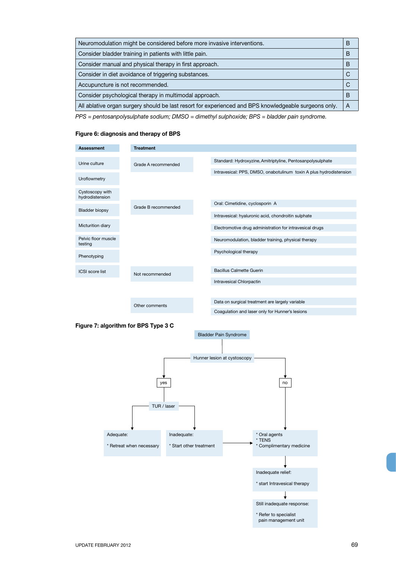| Neuromodulation might be considered before more invasive interventions.                               |  |
|-------------------------------------------------------------------------------------------------------|--|
| Consider bladder training in patients with little pain.                                               |  |
| Consider manual and physical therapy in first approach.                                               |  |
| Consider in diet avoidance of triggering substances.                                                  |  |
| Accupuncture is not recommended.                                                                      |  |
| Consider psychological therapy in multimodal approach.                                                |  |
| All ablative organ surgery should be last resort for experienced and BPS knowledgeable surgeons only. |  |

*PPS = pentosanpolysulphate sodium; DMSO = dimethyl sulphoxide; BPS = bladder pain syndrome.*

## **Figure 6: diagnosis and therapy of BPS**

| <b>Assessment</b>                  | <b>Treatment</b>    |                                                                    |
|------------------------------------|---------------------|--------------------------------------------------------------------|
| Urine culture                      | Grade A recommended | Standard: Hydroxyzine, Amitriptyline, Pentosanpolysulphate         |
| Uroflowmetry                       |                     | Intravesical: PPS, DMSO, onabotulinum toxin A plus hydrodistension |
| Cystoscopy with<br>hydrodistension |                     |                                                                    |
| <b>Bladder biopsy</b>              | Grade B recommended | Oral: Cimetidine, cyclosporin A                                    |
|                                    |                     | Intravesical: hyaluronic acid, chondroitin sulphate                |
| Micturition diary                  |                     | Electromotive drug administration for intravesical drugs           |
| Pelvic floor muscle<br>testing     |                     | Neuromodulation, bladder training, physical therapy                |
| Phenotyping                        |                     | Psychological therapy                                              |
|                                    |                     | Bacillus Calmette Guerin                                           |
| <b>ICSI</b> score list             | Not recommended     |                                                                    |
|                                    |                     | Intravesical Chlorpactin                                           |
|                                    |                     |                                                                    |
|                                    | Other comments      | Data on surgical treatment are largely variable                    |
|                                    |                     | Coagulation and laser only for Hunner's lesions                    |
|                                    |                     |                                                                    |

**Figure 7: algorithm for BPS Type 3 C**

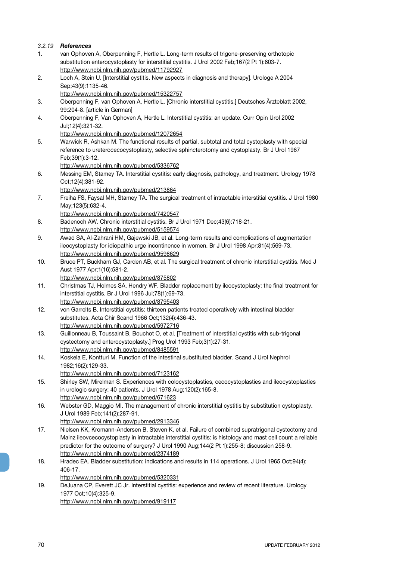## *3.2.19 References*

- 1. van Ophoven A, Oberpenning F, Hertle L. Long-term results of trigone-preserving orthotopic substitution enterocystoplasty for interstitial cystitis. J Urol 2002 Feb;167(2 Pt 1):603-7. http://www.ncbi.nlm.nih.gov/pubmed/11792927
- 2. Loch A, Stein U. [Interstitial cystitis. New aspects in diagnosis and therapy]. Urologe A 2004 Sep;43(9):1135-46.
- http://www.ncbi.nlm.nih.gov/pubmed/15322757
- 3. Oberpenning F, van Ophoven A, Hertle L. [Chronic interstitial cystitis.] Deutsches Ärzteblatt 2002, 99:204-8. [article in German]
- 4. Oberpenning F, Van Ophoven A, Hertle L. Interstitial cystitis: an update. Curr Opin Urol 2002 Jul;12(4):321-32.
	- http://www.ncbi.nlm.nih.gov/pubmed/12072654
- 5. Warwick R, Ashkan M. The functional results of partial, subtotal and total cystoplasty with special reference to ureterocecocystoplasty, selective sphincterotomy and cystoplasty. Br J Urol 1967 Feb;39(1):3-12.
	- http://www.ncbi.nlm.nih.gov/pubmed/5336762
- 6. Messing EM, Stamey TA. Interstitial cystitis: early diagnosis, pathology, and treatment. Urology 1978 Oct;12(4):381-92.
	- http://www.ncbi.nlm.nih.gov/pubmed/213864
- 7. Freiha FS, Faysal MH, Stamey TA. The surgical treatment of intractable interstitial cystitis. J Urol 1980 May;123(5):632-4.
- http://www.ncbi.nlm.nih.gov/pubmed/7420547 8. Badenoch AW. Chronic interstitial cystitis. Br J Urol 1971 Dec;43(6):718-21.
- http://www.ncbi.nlm.nih.gov/pubmed/5159574
- 9. Awad SA, Al-Zahrani HM, Gajewski JB, et al. Long-term results and complications of augmentation ileocystoplasty for idiopathic urge incontinence in women. Br J Urol 1998 Apr;81(4):569-73. http://www.ncbi.nlm.nih.gov/pubmed/9598629
- 10. Bruce PT, Buckham GJ, Carden AB, et al. The surgical treatment of chronic interstitial cystitis. Med J Aust 1977 Apr;1(16):581-2.
	- http://www.ncbi.nlm.nih.gov/pubmed/875802
- 11. Christmas TJ, Holmes SA, Hendry WF. Bladder replacement by ileocystoplasty: the final treatment for interstitial cystitis. Br J Urol 1996 Jul;78(1):69-73. http://www.ncbi.nlm.nih.gov/pubmed/8795403
- 12. von Garrelts B. Interstitial cystitis: thirteen patients treated operatively with intestinal bladder substitutes. Acta Chir Scand 1966 Oct;132(4):436-43. http://www.ncbi.nlm.nih.gov/pubmed/5972716
- 13. Guillonneau B, Toussaint B, Bouchot O, et al. [Treatment of interstitial cystitis with sub-trigonal cystectomy and enterocystoplasty.] Prog Urol 1993 Feb;3(1):27-31. http://www.ncbi.nlm.nih.gov/pubmed/8485591
- 14. Koskela E, Kontturi M. Function of the intestinal substituted bladder. Scand J Urol Nephrol 1982;16(2):129-33.
	- http://www.ncbi.nlm.nih.gov/pubmed/7123162
- 15. Shirley SW, Mirelman S. Experiences with colocystoplasties, cecocystoplasties and ileocystoplasties in urologic surgery: 40 patients. J Urol 1978 Aug;120(2):165-8. http://www.ncbi.nlm.nih.gov/pubmed/671623
- 16. Webster GD, Maggio MI. The management of chronic interstitial cystitis by substitution cystoplasty. J Urol 1989 Feb;141(2):287-91.
	- http://www.ncbi.nlm.nih.gov/pubmed/2913346
- 17. Nielsen KK, Kromann-Andersen B, Steven K, et al. Failure of combined supratrigonal cystectomy and Mainz ileovcecocystoplasty in intractable interstitial cystitis: is histology and mast cell count a reliable predictor for the outcome of surgery? J Urol 1990 Aug;144(2 Pt 1):255-8; discussion 258-9. http://www.ncbi.nlm.nih.gov/pubmed/2374189
- 18. Hradec EA. Bladder substitution: indications and results in 114 operations. J Urol 1965 Oct;94(4): 406-17.
	- http://www.ncbi.nlm.nih.gov/pubmed/5320331
- 19. DeJuana CP, Everett JC Jr. Interstitial cystitis: experience and review of recent literature. Urology 1977 Oct;10(4):325-9. http://www.ncbi.nlm.nih.gov/pubmed/919117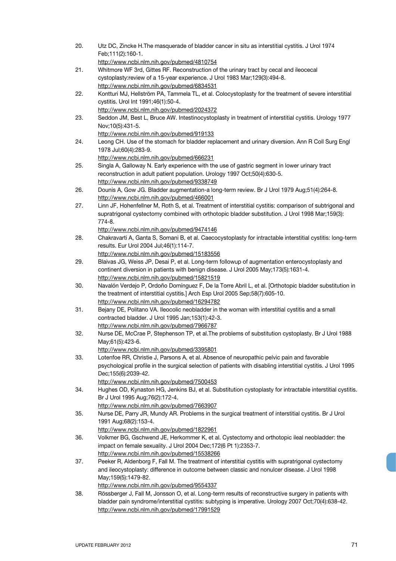- 20. Utz DC, Zincke H.The masquerade of bladder cancer in situ as interstitial cystitis. J Urol 1974 Feb;111(2):160-1. http://www.ncbi.nlm.nih.gov/pubmed/4810754
- 21. Whitmore WF 3rd, Gittes RF. Reconstruction of the urinary tract by cecal and ileocecal cystoplasty:review of a 15-year experience. J Urol 1983 Mar;129(3):494-8. http://www.ncbi.nlm.nih.gov/pubmed/6834531
- 22. Kontturi MJ, Hellström PA, Tammela TL, et al. Colocystoplasty for the treatment of severe interstitial cystitis. Urol Int 1991;46(1):50-4. http://www.ncbi.nlm.nih.gov/pubmed/2024372
- 23. Seddon JM, Best L, Bruce AW. Intestinocystoplasty in treatment of interstitial cystitis. Urology 1977 Nov;10(5):431-5.
	- http://www.ncbi.nlm.nih.gov/pubmed/919133
- 24. Leong CH. Use of the stomach for bladder replacement and urinary diversion. Ann R Coll Surg Engl 1978 Jul;60(4):283-9.

- 25. Singla A, Galloway N. Early experience with the use of gastric segment in lower urinary tract reconstruction in adult patient population. Urology 1997 Oct;50(4):630-5. http://www.ncbi.nlm.nih.gov/pubmed/9338749
- 26. Dounis A, Gow JG. Bladder augmentation-a long-term review. Br J Urol 1979 Aug;51(4):264-8. http://www.ncbi.nlm.nih.gov/pubmed/466001
- 27. Linn JF, Hohenfellner M, Roth S, et al. Treatment of interstitial cystitis: comparison of subtrigonal and supratrigonal cystectomy combined with orthotopic bladder substitution. J Urol 1998 Mar;159(3): 774-8.

```
http://www.ncbi.nlm.nih.gov/pubmed/9474146
```
- 28. Chakravarti A, Ganta S, Somani B, et al. Caecocystoplasty for intractable interstitial cystitis: long-term results. Eur Urol 2004 Jul;46(1):114-7. http://www.ncbi.nlm.nih.gov/pubmed/15183556
- 29. Blaivas JG, Weiss JP, Desai P, et al. Long-term followup of augmentation enterocystoplasty and continent diversion in patients with benign disease. J Urol 2005 May;173(5):1631-4. http://www.ncbi.nlm.nih.gov/pubmed/15821519
- 30. Navalón Verdejo P, Ordoño Domínguez F, De la Torre Abril L, et al. [Orthotopic bladder substitution in the treatment of interstitial cystitis.] Arch Esp Urol 2005 Sep;58(7):605-10. http://www.ncbi.nlm.nih.gov/pubmed/16294782
- 31. Bejany DE, Politano VA. Ileocolic neobladder in the woman with interstitial cystitis and a small contracted bladder. J Urol 1995 Jan;153(1):42-3. http://www.ncbi.nlm.nih.gov/pubmed/7966787
- 32. Nurse DE, McCrae P, Stephenson TP, et al.The problems of substitution cystoplasty. Br J Urol 1988 May;61(5):423-6.
	- http://www.ncbi.nlm.nih.gov/pubmed/3395801
- 33. Lotenfoe RR, Christie J, Parsons A, et al. Absence of neuropathic pelvic pain and favorable psychological profile in the surgical selection of patients with disabling interstitial cystitis. J Urol 1995 Dec;155(6):2039-42.
	- http://www.ncbi.nlm.nih.gov/pubmed/7500453
- 34. Hughes OD, Kynaston HG, Jenkins BJ, et al. Substitution cystoplasty for intractable interstitial cystitis. Br J Urol 1995 Aug;76(2):172-4.
	- http://www.ncbi.nlm.nih.gov/pubmed/7663907
- 35. Nurse DE, Parry JR, Mundy AR. Problems in the surgical treatment of interstitial cystitis. Br J Urol 1991 Aug;68(2):153-4.
	- http://www.ncbi.nlm.nih.gov/pubmed/1822961
- 36. Volkmer BG, Gschwend JE, Herkommer K, et al. Cystectomy and orthotopic ileal neobladder: the impact on female sexuality. J Urol 2004 Dec;172(6 Pt 1):2353-7. http://www.ncbi.nlm.nih.gov/pubmed/15538266
- 37. Peeker R, Aldenborg F, Fall M. The treatment of interstitial cystitis with supratrigonal cystectomy and ileocystoplasty: difference in outcome between classic and nonulcer disease. J Urol 1998 May;159(5):1479-82.

http://www.ncbi.nlm.nih.gov/pubmed/9554337

38. Rössberger J, Fall M, Jonsson O, et al. Long-term results of reconstructive surgery in patients with bladder pain syndrome/interstitial cystitis: subtyping is imperative. Urology 2007 Oct;70(4):638-42. http://www.ncbi.nlm.nih.gov/pubmed/17991529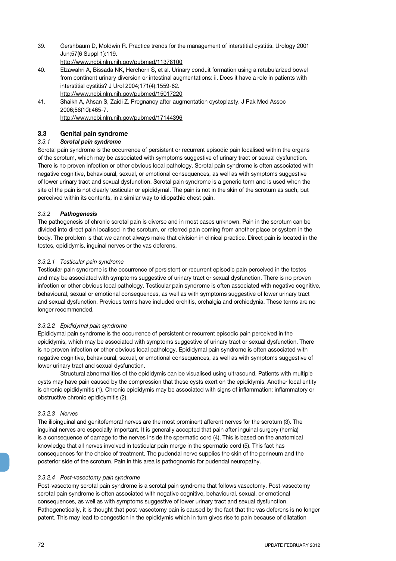39. Gershbaum D, Moldwin R. Practice trends for the management of interstitial cystitis. Urology 2001 Jun;57(6 Suppl 1):119.

http://www.ncbi.nlm.nih.gov/pubmed/11378100

- 40. Elzawahri A, Bissada NK, Herchorn S, et al. Urinary conduit formation using a retubularized bowel from continent urinary diversion or intestinal augmentations: ii. Does it have a role in patients with interstitial cystitis? J Urol 2004;171(4):1559-62.
- http://www.ncbi.nlm.nih.gov/pubmed/15017220 41. Shaikh A, Ahsan S, Zaidi Z. Pregnancy after augmentation cystoplasty. J Pak Med Assoc 2006;56(10):465-7. http://www.ncbi.nlm.nih.gov/pubmed/17144396

## **3.3 Genital pain syndrome**

## *3.3.1 Scrotal pain syndrome*

Scrotal pain syndrome is the occurrence of persistent or recurrent episodic pain localised within the organs of the scrotum, which may be associated with symptoms suggestive of urinary tract or sexual dysfunction. There is no proven infection or other obvious local pathology. Scrotal pain syndrome is often associated with negative cognitive, behavioural, sexual, or emotional consequences, as well as with symptoms suggestive of lower urinary tract and sexual dysfunction. Scrotal pain syndrome is a generic term and is used when the site of the pain is not clearly testicular or epididymal. The pain is not in the skin of the scrotum as such, but perceived within its contents, in a similar way to idiopathic chest pain.

### *3.3.2 Pathogenesis*

The pathogenesis of chronic scrotal pain is diverse and in most cases unknown. Pain in the scrotum can be divided into direct pain localised in the scrotum, or referred pain coming from another place or system in the body. The problem is that we cannot always make that division in clinical practice. Direct pain is located in the testes, epididymis, inguinal nerves or the vas deferens.

### *3.3.2.1 Testicular pain syndrome*

Testicular pain syndrome is the occurrence of persistent or recurrent episodic pain perceived in the testes and may be associated with symptoms suggestive of urinary tract or sexual dysfunction. There is no proven infection or other obvious local pathology. Testicular pain syndrome is often associated with negative cognitive, behavioural, sexual or emotional consequences, as well as with symptoms suggestive of lower urinary tract and sexual dysfunction. Previous terms have included orchitis, orchalgia and orchiodynia. These terms are no longer recommended.

### *3.3.2.2 Epididymal pain syndrome*

Epididymal pain syndrome is the occurrence of persistent or recurrent episodic pain perceived in the epididymis, which may be associated with symptoms suggestive of urinary tract or sexual dysfunction. There is no proven infection or other obvious local pathology. Epididymal pain syndrome is often associated with negative cognitive, behavioural, sexual, or emotional consequences, as well as with symptoms suggestive of lower urinary tract and sexual dysfunction.

Structural abnormalities of the epididymis can be visualised using ultrasound. Patients with multiple cysts may have pain caused by the compression that these cysts exert on the epididymis. Another local entity is chronic epididymitis (1). Chronic epididymis may be associated with signs of inflammation: inflammatory or obstructive chronic epididymitis (2).

### *3.3.2.3 Nerves*

The ilioinguinal and genitofemoral nerves are the most prominent afferent nerves for the scrotum (3). The inguinal nerves are especially important. It is generally accepted that pain after inguinal surgery (hernia) is a consequence of damage to the nerves inside the spermatic cord (4). This is based on the anatomical knowledge that all nerves involved in testicular pain merge in the spermatic cord (5). This fact has consequences for the choice of treatment. The pudendal nerve supplies the skin of the perineum and the posterior side of the scrotum. Pain in this area is pathognomic for pudendal neuropathy.

### *3.3.2.4 Post-vasectomy pain syndrome*

Post-vasectomy scrotal pain syndrome is a scrotal pain syndrome that follows vasectomy. Post-vasectomy scrotal pain syndrome is often associated with negative cognitive, behavioural, sexual, or emotional consequences, as well as with symptoms suggestive of lower urinary tract and sexual dysfunction. Pathogenetically, it is thought that post-vasectomy pain is caused by the fact that the vas deferens is no longer patent. This may lead to congestion in the epididymis which in turn gives rise to pain because of dilatation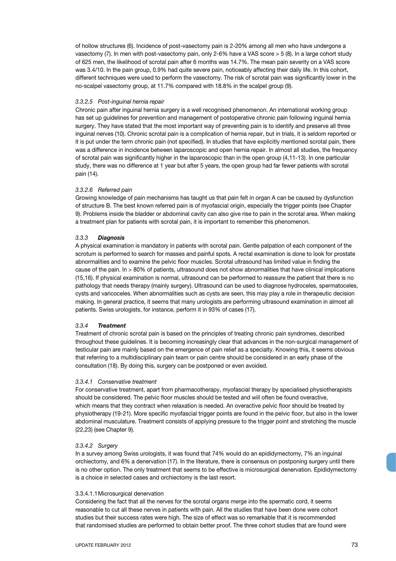of hollow structures (6). Incidence of post-vasectomy pain is 2-20% among all men who have undergone a vasectomy (7). In men with post-vasectomy pain, only 2-6% have a VAS score > 5 (8). In a large cohort study of 625 men, the likelihood of scrotal pain after 6 months was 14.7%. The mean pain severity on a VAS score was 3.4/10. In the pain group, 0.9% had quite severe pain, noticeably affecting their daily life. In this cohort, different techniques were used to perform the vasectomy. The risk of scrotal pain was significantly lower in the no-scalpel vasectomy group, at 11.7% compared with 18.8% in the scalpel group (9).

## *3.3.2.5 Post-inguinal hernia repair*

Chronic pain after inguinal hernia surgery is a well recognised phenomenon. An international working group has set up guidelines for prevention and management of postoperative chronic pain following inguinal hernia surgery. They have stated that the most important way of preventing pain is to identify and preserve all three inguinal nerves (10). Chronic scrotal pain is a complication of hernia repair, but in trials, it is seldom reported or it is put under the term chronic pain (not specified). In studies that have explicitly mentioned scrotal pain, there was a difference in incidence between laparoscopic and open hernia repair. In almost all studies, the frequency of scrotal pain was significantly higher in the laparoscopic than in the open group (4,11-13). In one particular study, there was no difference at 1 year but after 5 years, the open group had far fewer patients with scrotal pain (14).

# *3.3.2.6 Referred pain*

Growing knowledge of pain mechanisms has taught us that pain felt in organ A can be caused by dysfunction of structure B. The best known referred pain is of myofascial origin, especially the trigger points (see Chapter 9). Problems inside the bladder or abdominal cavity can also give rise to pain in the scrotal area. When making a treatment plan for patients with scrotal pain, it is important to remember this phenomenon.

# *3.3.3 Diagnosis*

A physical examination is mandatory in patients with scrotal pain. Gentle palpation of each component of the scrotum is performed to search for masses and painful spots. A rectal examination is done to look for prostate abnormalities and to examine the pelvic floor muscles. Scrotal ultrasound has limited value in finding the cause of the pain. In > 80% of patients, ultrasound does not show abnormalities that have clinical implications (15,16). If physical examination is normal, ultrasound can be performed to reassure the patient that there is no pathology that needs therapy (mainly surgery). Ultrasound can be used to diagnose hydroceles, spermatoceles, cysts and varicoceles. When abnormalities such as cysts are seen, this may play a role in therapeutic decision making. In general practice, it seems that many urologists are performing ultrasound examination in almost all patients. Swiss urologists, for instance, perform it in 93% of cases (17).

# *3.3.4 Treatment*

Treatment of chronic scrotal pain is based on the principles of treating chronic pain syndromes, described throughout these guidelines. It is becoming increasingly clear that advances in the non-surgical management of testicular pain are mainly based on the emergence of pain relief as a specialty. Knowing this, it seems obvious that referring to a multidisciplinary pain team or pain centre should be considered in an early phase of the consultation (18). By doing this, surgery can be postponed or even avoided.

#### *3.3.4.1 Conservative treatment*

For conservative treatment, apart from pharmacotherapy, myofascial therapy by specialised physiotherapists should be considered. The pelvic floor muscles should be tested and will often be found overactive, which means that they contract when relaxation is needed. An overactive pelvic floor should be treated by physiotherapy (19-21). More specific myofascial trigger points are found in the pelvic floor, but also in the lower abdominal musculature. Treatment consists of applying pressure to the trigger point and stretching the muscle (22,23) (see Chapter 9).

#### *3.3.4.2 Surgery*

In a survey among Swiss urologists, it was found that 74% would do an epididymectomy, 7% an inguinal orchiectomy, and 6% a denervation (17). In the literature, there is consensus on postponing surgery until there is no other option. The only treatment that seems to be effective is microsurgical denervation. Epididymectomy is a choice in selected cases and orchiectomy is the last resort.

#### 3.3.4.1.1Microsurgical denervation

Considering the fact that all the nerves for the scrotal organs merge into the spermatic cord, it seems reasonable to cut all these nerves in patients with pain. All the studies that have been done were cohort studies but their success rates were high. The size of effect was so remarkable that it is recommended that randomised studies are performed to obtain better proof. The three cohort studies that are found were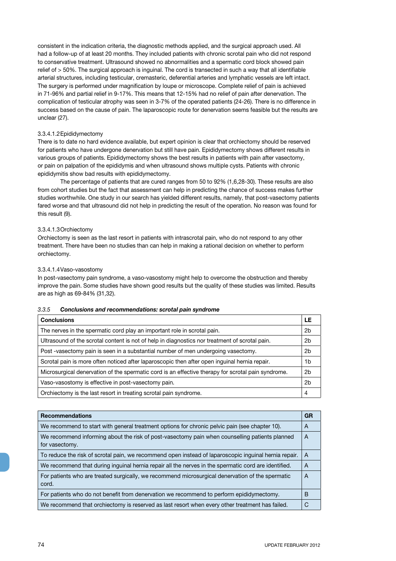consistent in the indication criteria, the diagnostic methods applied, and the surgical approach used. All had a follow-up of at least 20 months. They included patients with chronic scrotal pain who did not respond to conservative treatment. Ultrasound showed no abnormalities and a spermatic cord block showed pain relief of > 50%. The surgical approach is inguinal. The cord is transected in such a way that all identifiable arterial structures, including testicular, cremasteric, deferential arteries and lymphatic vessels are left intact. The surgery is performed under magnification by loupe or microscope. Complete relief of pain is achieved in 71-96% and partial relief in 9-17%. This means that 12-15% had no relief of pain after denervation. The complication of testicular atrophy was seen in 3-7% of the operated patients (24-26). There is no difference in success based on the cause of pain. The laparoscopic route for denervation seems feasible but the results are unclear (27).

## 3.3.4.1.2Epididymectomy

There is to date no hard evidence available, but expert opinion is clear that orchiectomy should be reserved for patients who have undergone denervation but still have pain. Epididymectomy shows different results in various groups of patients. Epididymectomy shows the best results in patients with pain after vasectomy, or pain on palpation of the epididymis and when ultrasound shows multiple cysts. Patients with chronic epididymitis show bad results with epididymectomy.

The percentage of patients that are cured ranges from 50 to 92% (1,6,28-30). These results are also from cohort studies but the fact that assessment can help in predicting the chance of success makes further studies worthwhile. One study in our search has yielded different results, namely, that post-vasectomy patients fared worse and that ultrasound did not help in predicting the result of the operation. No reason was found for this result (9).

## 3.3.4.1.3Orchiectomy

Orchiectomy is seen as the last resort in patients with intrascrotal pain, who do not respond to any other treatment. There have been no studies than can help in making a rational decision on whether to perform orchiectomy.

## 3.3.4.1.4Vaso-vasostomy

In post-vasectomy pain syndrome, a vaso-vasostomy might help to overcome the obstruction and thereby improve the pain. Some studies have shown good results but the quality of these studies was limited. Results are as high as 69-84% (31,32).

## *3.3.5 Conclusions and recommendations: scrotal pain syndrome*

| <b>Conclusions</b>                                                                                 | LE |
|----------------------------------------------------------------------------------------------------|----|
| The nerves in the spermatic cord play an important role in scrotal pain.                           | 2b |
| Ultrasound of the scrotal content is not of help in diagnostics nor treatment of scrotal pain.     | 2b |
| Post-vasectomy pain is seen in a substantial number of men undergoing vasectomy.                   |    |
| Scrotal pain is more often noticed after laparoscopic then after open inguinal hernia repair.      |    |
| Microsurgical denervation of the spermatic cord is an effective therapy for scrotal pain syndrome. | 2h |
| Vaso-vasostomy is effective in post-vasectomy pain.                                                | 2b |
| Orchiectomy is the last resort in treating scrotal pain syndrome.                                  | 4  |

| <b>Recommendations</b>                                                                                           | GR |
|------------------------------------------------------------------------------------------------------------------|----|
| We recommend to start with general treatment options for chronic pelvic pain (see chapter 10).                   | A  |
| We recommend informing about the risk of post-vasectomy pain when counselling patients planned<br>for vasectomy. | A  |
| To reduce the risk of scrotal pain, we recommend open instead of laparoscopic inguinal hernia repair.            | A  |
| We recommend that during inguinal hernia repair all the nerves in the spermatic cord are identified.             | A  |
| For patients who are treated surgically, we recommend microsurgical denervation of the spermatic<br>cord.        | A  |
| For patients who do not benefit from denervation we recommend to perform epididymectomy.                         | B  |
| We recommend that orchiectomy is reserved as last resort when every other treatment has failed.                  | C  |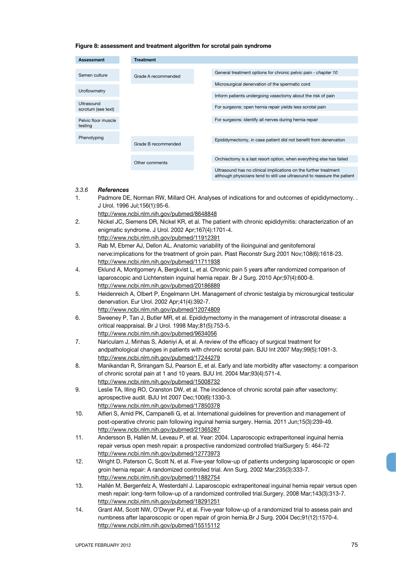## **Figure 8: assessment and treatment algorithm for scrotal pain syndrome**

| <b>Assessment</b>   | <b>Treatment</b>    |                                                                                                                                              |
|---------------------|---------------------|----------------------------------------------------------------------------------------------------------------------------------------------|
|                     |                     |                                                                                                                                              |
| Semen culture       |                     | General treatment options for chronic pelvic pain - chapter 10                                                                               |
|                     | Grade A recommended |                                                                                                                                              |
|                     |                     | Microsurgical denervation of the spermatic cord                                                                                              |
| Uroflowmetry        |                     |                                                                                                                                              |
|                     |                     | Inform patients undergoing vasectomy about the risk of pain                                                                                  |
| Ultrasound          |                     |                                                                                                                                              |
| scrotum (see text)  |                     | For surgeons: open hernia repair yields less scrotal pain                                                                                    |
|                     |                     |                                                                                                                                              |
| Pelvic floor muscle |                     | For surgeons: identify all nerves during hernia repair                                                                                       |
| testing             |                     |                                                                                                                                              |
|                     |                     |                                                                                                                                              |
| Phenotyping         |                     | Epididymectomy, in case patient did not benefit from denervation                                                                             |
|                     | Grade B recommended |                                                                                                                                              |
|                     |                     |                                                                                                                                              |
|                     | Other comments      | Orchiectomy is a last resort option, when everything else has failed                                                                         |
|                     |                     |                                                                                                                                              |
|                     |                     | Ultrasound has no clinical implications on the further treatment<br>although physicians tend to still use ultrasound to reassure the patient |

# *3.3.6 References*

- 1. Padmore DE, Norman RW, Millard OH. Analyses of indications for and outcomes of epididymectomy. . J Urol. 1996 Jul;156(1):95-6.
	- http://www.ncbi.nlm.nih.gov/pubmed/8648848
- 2. Nickel JC, Siemens DR, Nickel KR, et al. The patient with chronic epididymitis: characterization of an enigmatic syndrome. J Urol. 2002 Apr;167(4):1701-4. http://www.ncbi.nlm.nih.gov/pubmed/11912391
- 3. Rab M, Ebmer AJ, Dellon AL. Anatomic variability of the ilioinguinal and genitofemoral nerve:implications for the treatment of groin pain. Plast Reconstr Surg 2001 Nov;108(6):1618-23. http://www.ncbi.nlm.nih.gov/pubmed/11711938
- 4. Eklund A, Montgomery A, Bergkvist L, et al. Chronic pain 5 years after randomized comparison of laparoscopic and Lichtenstein inguinal hernia repair. Br J Surg. 2010 Apr;97(4):600-8. http://www.ncbi.nlm.nih.gov/pubmed/20186889
- 5. Heidenreich A, Olbert P, Engelmann UH. Management of chronic testalgia by microsurgical testicular denervation. Eur Urol. 2002 Apr;41(4):392-7. http://www.ncbi.nlm.nih.gov/pubmed/12074809
- 6. Sweeney P, Tan J, Butler MR, et al. Epididymectomy in the management of intrascrotal disease: a critical reappraisal. Br J Urol. 1998 May;81(5):753-5. http://www.ncbi.nlm.nih.gov/pubmed/9634056
- 7. Nariculam J, Minhas S, Adeniyi A, et al. A review of the efficacy of surgical treatment for andpathological changes in patients with chronic scrotal pain. BJU Int 2007 May;99(5):1091-3. http://www.ncbi.nlm.nih.gov/pubmed/17244279
- 8. Manikandan R, Srirangam SJ, Pearson E, et al. Early and late morbidity after vasectomy: a comparison of chronic scrotal pain at 1 and 10 years. BJU Int. 2004 Mar;93(4):571-4. http://www.ncbi.nlm.nih.gov/pubmed/15008732
- 9. Leslie TA, Illing RO, Cranston DW, et al. The incidence of chronic scrotal pain after vasectomy: aprospective audit. BJU Int 2007 Dec;100(6):1330-3. http://www.ncbi.nlm.nih.gov/pubmed/17850378
- 10. Alfieri S, Amid PK, Campanelli G, et al. International guidelines for prevention and management of post-operative chronic pain following inguinal hernia surgery. Hernia. 2011 Jun;15(3):239-49. http://www.ncbi.nlm.nih.gov/pubmed/21365287
- 11. Andersson B, Hallén M, Leveau P, et al. Year: 2004. Laparoscopic extraperitoneal inguinal hernia repair versus open mesh repair: a prospective randomized controlled trialSurgery 5: 464-72 http://www.ncbi.nlm.nih.gov/pubmed/12773973
- 12. Wright D, Paterson C, Scott N, et al. Five-year follow-up of patients undergoing laparoscopic or open groin hernia repair: A randomized controlled trial. Ann Surg. 2002 Mar;235(3):333-7. http://www.ncbi.nlm.nih.gov/pubmed/11882754
- 13. Hallén M, Bergenfelz A, Westerdahl J. Laparoscopic extraperitoneal inguinal hernia repair versus open mesh repair: long-term follow-up of a randomized controlled trial.Surgery. 2008 Mar;143(3):313-7. http://www.ncbi.nlm.nih.gov/pubmed/18291251
- 14. Grant AM, Scott NW, O'Dwyer PJ, et al. Five-year follow-up of a randomized trial to assess pain and numbness after laparoscopic or open repair of groin hernia.Br J Surg. 2004 Dec;91(12):1570-4. http://www.ncbi.nlm.nih.gov/pubmed/15515112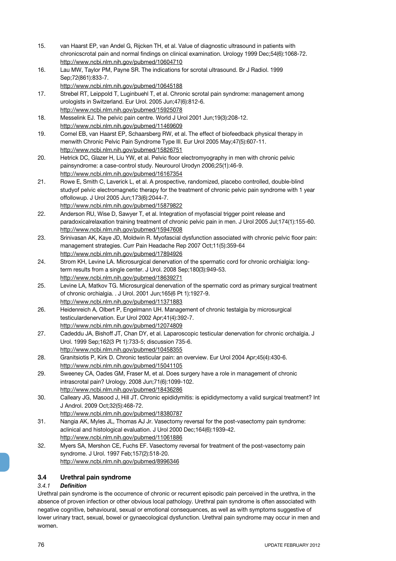- 15. van Haarst EP, van Andel G, Rijcken TH, et al. Value of diagnostic ultrasound in patients with chronicscrotal pain and normal findings on clinical examination. Urology 1999 Dec;54(6):1068-72. http://www.ncbi.nlm.nih.gov/pubmed/10604710
- 16. Lau MW, Taylor PM, Payne SR. The indications for scrotal ultrasound. Br J Radiol. 1999 Sep;72(861):833-7.
	- http://www.ncbi.nlm.nih.gov/pubmed/10645188
- 17. Strebel RT, Leippold T, Luginbuehl T, et al. Chronic scrotal pain syndrome: management among urologists in Switzerland. Eur Urol. 2005 Jun;47(6):812-6. http://www.ncbi.nlm.nih.gov/pubmed/15925078
- 18. Messelink EJ. The pelvic pain centre. World J Urol 2001 Jun;19(3):208-12. http://www.ncbi.nlm.nih.gov/pubmed/11469609
- 19. Cornel EB, van Haarst EP, Schaarsberg RW, et al. The effect of biofeedback physical therapy in menwith Chronic Pelvic Pain Syndrome Type III. Eur Urol 2005 May;47(5):607-11. http://www.ncbi.nlm.nih.gov/pubmed/15826751
- 20. Hetrick DC, Glazer H, Liu YW, et al. Pelvic floor electromyography in men with chronic pelvic painsyndrome: a case-control study. Neurourol Urodyn 2006;25(1):46-9. http://www.ncbi.nlm.nih.gov/pubmed/16167354
- 21. Rowe E, Smith C, Laverick L, et al. A prospective, randomized, placebo controlled, double-blind studyof pelvic electromagnetic therapy for the treatment of chronic pelvic pain syndrome with 1 year offollowup. J Urol 2005 Jun;173(6):2044-7. http://www.ncbi.nlm.nih.gov/pubmed/15879822
- 22. Anderson RU, Wise D, Sawyer T, et al. Integration of myofascial trigger point release and paradoxicalrelaxation training treatment of chronic pelvic pain in men. J Urol 2005 Jul;174(1):155-60. http://www.ncbi.nlm.nih.gov/pubmed/15947608
- 23. Srinivasan AK, Kaye JD, Moldwin R. Myofascial dysfunction associated with chronic pelvic floor pain: management strategies. Curr Pain Headache Rep 2007 Oct;11(5):359-64 http://www.ncbi.nlm.nih.gov/pubmed/17894926
- 24. Strom KH, Levine LA. Microsurgical denervation of the spermatic cord for chronic orchialgia: longterm results from a single center. J Urol. 2008 Sep;180(3):949-53. http://www.ncbi.nlm.nih.gov/pubmed/18639271
- 25. Levine LA, Matkov TG. Microsurgical denervation of the spermatic cord as primary surgical treatment of chronic orchialgia. . J Urol. 2001 Jun;165(6 Pt 1):1927-9. http://www.ncbi.nlm.nih.gov/pubmed/11371883
- 26. Heidenreich A, Olbert P, Engelmann UH. Management of chronic testalgia by microsurgical testiculardenervation. Eur Urol 2002 Apr;41(4):392-7. http://www.ncbi.nlm.nih.gov/pubmed/12074809
- 27. Cadeddu JA, Bishoff JT, Chan DY, et al. Laparoscopic testicular denervation for chronic orchalgia. J Urol. 1999 Sep;162(3 Pt 1):733-5; discussion 735-6.

# http://www.ncbi.nlm.nih.gov/pubmed/10458355

- 28. Granitsiotis P, Kirk D. Chronic testicular pain: an overview. Eur Urol 2004 Apr;45(4):430-6. http://www.ncbi.nlm.nih.gov/pubmed/15041105
- 29. Sweeney CA, Oades GM, Fraser M, et al. Does surgery have a role in management of chronic intrascrotal pain? Urology. 2008 Jun;71(6):1099-102. http://www.ncbi.nlm.nih.gov/pubmed/18436286
- 30. Calleary JG, Masood J, Hill JT. Chronic epididymitis: is epididymectomy a valid surgical treatment? Int J Androl. 2009 Oct;32(5):468-72.

http://www.ncbi.nlm.nih.gov/pubmed/18380787

- 31. Nangia AK, Myles JL, Thomas AJ Jr. Vasectomy reversal for the post-vasectomy pain syndrome: aclinical and histological evaluation. J Urol 2000 Dec;164(6):1939-42. http://www.ncbi.nlm.nih.gov/pubmed/11061886
- 32. Myers SA, Mershon CE, Fuchs EF. Vasectomy reversal for treatment of the post-vasectomy pain syndrome. J Urol. 1997 Feb;157(2):518-20. http://www.ncbi.nlm.nih.gov/pubmed/8996346

# **3.4 Urethral pain syndrome**

# *3.4.1 Definition*

Urethral pain syndrome is the occurrence of chronic or recurrent episodic pain perceived in the urethra, in the absence of proven infection or other obvious local pathology. Urethral pain syndrome is often associated with negative cognitive, behavioural, sexual or emotional consequences, as well as with symptoms suggestive of lower urinary tract, sexual, bowel or gynaecological dysfunction. Urethral pain syndrome may occur in men and women.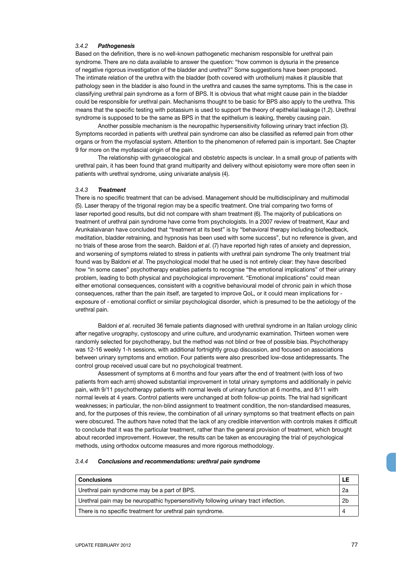## *3.4.2 Pathogenesis*

Based on the definition, there is no well-known pathogenetic mechanism responsible for urethral pain syndrome. There are no data available to answer the question: "how common is dysuria in the presence of negative rigorous investigation of the bladder and urethra?" Some suggestions have been proposed. The intimate relation of the urethra with the bladder (both covered with urothelium) makes it plausible that pathology seen in the bladder is also found in the urethra and causes the same symptoms. This is the case in classifying urethral pain syndrome as a form of BPS. It is obvious that what might cause pain in the bladder could be responsible for urethral pain. Mechanisms thought to be basic for BPS also apply to the urethra. This means that the specific testing with potassium is used to support the theory of epithelial leakage (1,2). Urethral syndrome is supposed to be the same as BPS in that the epithelium is leaking, thereby causing pain.

Another possible mechanism is the neuropathic hypersensitivity following urinary tract infection (3). Symptoms recorded in patients with urethral pain syndrome can also be classified as referred pain from other organs or from the myofascial system. Attention to the phenomenon of referred pain is important. See Chapter 9 for more on the myofascial origin of the pain.

The relationship with gynaecological and obstetric aspects is unclear. In a small group of patients with urethral pain, it has been found that grand multiparity and delivery without episiotomy were more often seen in patients with urethral syndrome, using univariate analysis (4).

## *3.4.3 Treatment*

There is no specific treatment that can be advised. Management should be multidisciplinary and multimodal (5). Laser therapy of the trigonal region may be a specific treatment. One trial comparing two forms of laser reported good results, but did not compare with sham treatment (6). The majority of publications on treatment of urethral pain syndrome have come from psychologists. In a 2007 review of treatment, Kaur and Arunkalaivanan have concluded that "treatment at its best" is by "behavioral therapy including biofeedback, meditation, bladder retraining, and hypnosis has been used with some success", but no reference is given, and no trials of these arose from the search. Baldoni *et al*. (7) have reported high rates of anxiety and depression, and worsening of symptoms related to stress in patients with urethral pain syndrome The only treatment trial found was by Baldoni *et al*. The psychological model that he used is not entirely clear: they have described how "in some cases" psychotherapy enables patients to recognise "the emotional implications" of their urinary problem, leading to both physical and psychological improvement. "Emotional implications" could mean either emotional consequences, consistent with a cognitive behavioural model of chronic pain in which those consequences, rather than the pain itself, are targeted to improve QoL, or it could mean implications for exposure of - emotional conflict or similar psychological disorder, which is presumed to be the aetiology of the urethral pain.

Baldoni *et al*. recruited 36 female patients diagnosed with urethral syndrome in an Italian urology clinic after negative urography, cystoscopy and urine culture, and urodynamic examination. Thirteen women were randomly selected for psychotherapy, but the method was not blind or free of possible bias. Psychotherapy was 12-16 weekly 1-h sessions, with additional fortnightly group discussion, and focused on associations between urinary symptoms and emotion. Four patients were also prescribed low-dose antidepressants. The control group received usual care but no psychological treatment.

Assessment of symptoms at 6 months and four years after the end of treatment (with loss of two patients from each arm) showed substantial improvement in total urinary symptoms and additionally in pelvic pain, with 9/11 psychotherapy patients with normal levels of urinary function at 6 months, and 8/11 with normal levels at 4 years. Control patients were unchanged at both follow-up points. The trial had significant weaknesses; in particular, the non-blind assignment to treatment condition, the non-standardised measures, and, for the purposes of this review, the combination of all urinary symptoms so that treatment effects on pain were obscured. The authors have noted that the lack of any credible intervention with controls makes it difficult to conclude that it was the particular treatment, rather than the general provision of treatment, which brought about recorded improvement. However, the results can be taken as encouraging the trial of psychological methods, using orthodox outcome measures and more rigorous methodology.

#### *3.4.4 Conclusions and recommendations: urethral pain syndrome*

| <b>Conclusions</b>                                                                   |    |
|--------------------------------------------------------------------------------------|----|
| Urethral pain syndrome may be a part of BPS.                                         | 2a |
| Urethral pain may be neuropathic hypersensitivity following urinary tract infection. | 2b |
| There is no specific treatment for urethral pain syndrome.                           |    |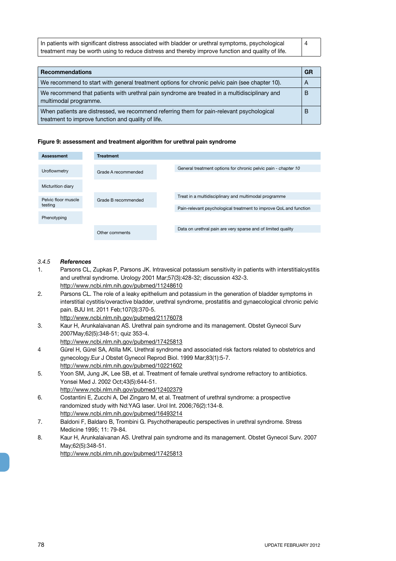| In patients with significant distress associated with bladder or urethral symptoms, psychological |  |
|---------------------------------------------------------------------------------------------------|--|
| treatment may be worth using to reduce distress and thereby improve function and quality of life. |  |

| <b>Recommendations</b>                                                                                                                          | GR |
|-------------------------------------------------------------------------------------------------------------------------------------------------|----|
| We recommend to start with general treatment options for chronic pelvic pain (see chapter 10).                                                  | A  |
| We recommend that patients with urethral pain syndrome are treated in a multidisciplinary and<br>multimodal programme.                          | B  |
| When patients are distressed, we recommend referring them for pain-relevant psychological<br>treatment to improve function and quality of life. | В  |

## **Figure 9: assessment and treatment algorithm for urethral pain syndrome**

| <b>Assessment</b>   | <b>Treatment</b>    |                                                                   |
|---------------------|---------------------|-------------------------------------------------------------------|
|                     |                     |                                                                   |
| Uroflowmetry        | Grade A recommended | General treatment options for chronic pelvic pain - chapter 10    |
|                     |                     |                                                                   |
| Micturition diary   |                     |                                                                   |
|                     |                     | Treat in a multidisciplinary and multimodal programme             |
| Pelvic floor muscle | Grade B recommended |                                                                   |
| testing             |                     | Pain-relevant psychological treatment to improve QoL and function |
| Phenotyping         |                     |                                                                   |
|                     | Other comments      | Data on urethral pain are very sparse and of limited quality      |
|                     |                     |                                                                   |

# *3.4.5 References*

- 1. Parsons CL, Zupkas P, Parsons JK. Intravesical potassium sensitivity in patients with interstitialcystitis and urethral syndrome. Urology 2001 Mar;57(3):428-32; discussion 432-3. http://www.ncbi.nlm.nih.gov/pubmed/11248610
- 2. Parsons CL. The role of a leaky epithelium and potassium in the generation of bladder symptoms in interstitial cystitis/overactive bladder, urethral syndrome, prostatitis and gynaecological chronic pelvic pain. BJU Int. 2011 Feb;107(3):370-5.
	- http://www.ncbi.nlm.nih.gov/pubmed/21176078
- 3. Kaur H, Arunkalaivanan AS. Urethral pain syndrome and its management. Obstet Gynecol Surv 2007May;62(5):348-51; quiz 353-4.
	- http://www.ncbi.nlm.nih.gov/pubmed/17425813
- 4 Gürel H, Gürel SA, Atilla MK. Urethral syndrome and associated risk factors related to obstetrics and gynecology.Eur J Obstet Gynecol Reprod Biol. 1999 Mar;83(1):5-7. http://www.ncbi.nlm.nih.gov/pubmed/10221602
- 5. Yoon SM, Jung JK, Lee SB, et al. Treatment of female urethral syndrome refractory to antibiotics. Yonsei Med J. 2002 Oct;43(5):644-51. http://www.ncbi.nlm.nih.gov/pubmed/12402379
- 6. Costantini E, Zucchi A, Del Zingaro M, et al. Treatment of urethral syndrome: a prospective randomized study with Nd:YAG laser. Urol Int. 2006;76(2):134-8. http://www.ncbi.nlm.nih.gov/pubmed/16493214
- 7. Baldoni F, Baldaro B, Trombini G. Psychotherapeutic perspectives in urethral syndrome. Stress Medicine 1995; 11: 79-84.
- 8. Kaur H, Arunkalaivanan AS. Urethral pain syndrome and its management. Obstet Gynecol Surv. 2007 May;62(5):348-51.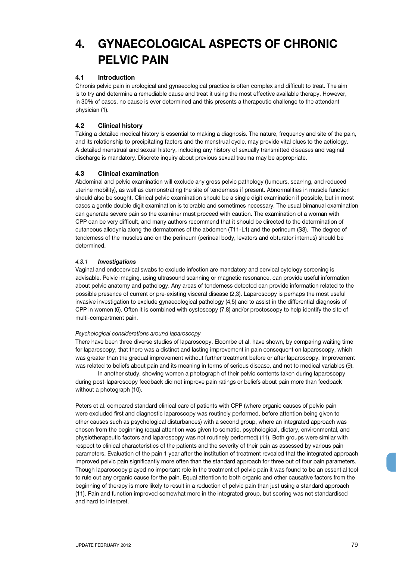# **4. Gynaecological aspects of chronic pelvic pain**

# **4.1 Introduction**

Chronis pelvic pain in urological and gynaecological practice is often complex and difficult to treat. The aim is to try and determine a remediable cause and treat it using the most effective available therapy. However, in 30% of cases, no cause is ever determined and this presents a therapeutic challenge to the attendant physician (1).

# **4.2 Clinical history**

Taking a detailed medical history is essential to making a diagnosis. The nature, frequency and site of the pain, and its relationship to precipitating factors and the menstrual cycle, may provide vital clues to the aetiology. A detailed menstrual and sexual history, including any history of sexually transmitted diseases and vaginal discharge is mandatory. Discrete inquiry about previous sexual trauma may be appropriate.

# **4.3 Clinical examination**

Abdominal and pelvic examination will exclude any gross pelvic pathology (tumours, scarring, and reduced uterine mobility), as well as demonstrating the site of tenderness if present. Abnormalities in muscle function should also be sought. Clinical pelvic examination should be a single digit examination if possible, but in most cases a gentle double digit examination is tolerable and sometimes necessary. The usual bimanual examination can generate severe pain so the examiner must proceed with caution. The examination of a woman with CPP can be very difficult, and many authors recommend that it should be directed to the determination of cutaneous allodynia along the dermatomes of the abdomen (T11-L1) and the perineum (S3). The degree of tenderness of the muscles and on the perineum (perineal body, levators and obturator internus) should be determined.

## *4.3.1 Investigations*

Vaginal and endocervical swabs to exclude infection are mandatory and cervical cytology screening is advisable. Pelvic imaging, using ultrasound scanning or magnetic resonance, can provide useful information about pelvic anatomy and pathology. Any areas of tenderness detected can provide information related to the possible presence of current or pre-existing visceral disease (2,3). Laparoscopy is perhaps the most useful invasive investigation to exclude gynaecological pathology (4,5) and to assist in the differential diagnosis of CPP in women (6). Often it is combined with cystoscopy (7,8) and/or proctoscopy to help identify the site of multi-compartment pain.

#### *Psychological considerations around laparoscopy*

There have been three diverse studies of laparoscopy. Elcombe et al. have shown, by comparing waiting time for laparoscopy, that there was a distinct and lasting improvement in pain consequent on laparoscopy, which was greater than the gradual improvement without further treatment before or after laparoscopy. Improvement was related to beliefs about pain and its meaning in terms of serious disease, and not to medical variables (9).

In another study, showing women a photograph of their pelvic contents taken during laparoscopy during post-laparoscopy feedback did not improve pain ratings or beliefs about pain more than feedback without a photograph (10).

Peters et al. compared standard clinical care of patients with CPP (where organic causes of pelvic pain were excluded first and diagnostic laparoscopy was routinely performed, before attention being given to other causes such as psychological disturbances) with a second group, where an integrated approach was chosen from the beginning (equal attention was given to somatic, psychological, dietary, environmental, and physiotherapeutic factors and laparoscopy was not routinely performed) (11). Both groups were similar with respect to clinical characteristics of the patients and the severity of their pain as assessed by various pain parameters. Evaluation of the pain 1 year after the institution of treatment revealed that the integrated approach improved pelvic pain significantly more often than the standard approach for three out of four pain parameters. Though laparoscopy played no important role in the treatment of pelvic pain it was found to be an essential tool to rule out any organic cause for the pain. Equal attention to both organic and other causative factors from the beginning of therapy is more likely to result in a reduction of pelvic pain than just using a standard approach (11). Pain and function improved somewhat more in the integrated group, but scoring was not standardised and hard to interpret.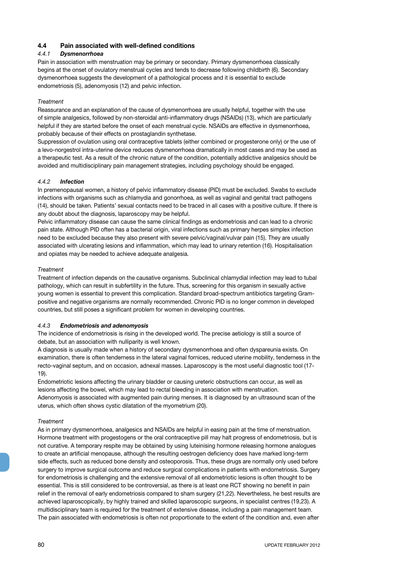# **4.4 Pain associated with well-defined conditions**

# *4.4.1 Dysmenorrhoea*

Pain in association with menstruation may be primary or secondary. Primary dysmenorrhoea classically begins at the onset of ovulatory menstrual cycles and tends to decrease following childbirth (6). Secondary dysmenorrhoea suggests the development of a pathological process and it is essential to exclude endometriosis (5), adenomyosis (12) and pelvic infection.

# *Treatment*

Reassurance and an explanation of the cause of dysmenorrhoea are usually helpful, together with the use of simple analgesics, followed by non-steroidal anti-inflammatory drugs (NSAIDs) (13), which are particularly helpful if they are started before the onset of each menstrual cycle. NSAIDs are effective in dysmenorrhoea, probably because of their effects on prostaglandin synthetase.

Suppression of ovulation using oral contraceptive tablets (either combined or progesterone only) or the use of a levo-norgestrol intra-uterine device reduces dysmenorrhoea dramatically in most cases and may be used as a therapeutic test. As a result of the chronic nature of the condition, potentially addictive analgesics should be avoided and multidisciplinary pain management strategies, including psychology should be engaged.

# *4.4.2 Infection*

In premenopausal women, a history of pelvic inflammatory disease (PID) must be excluded. Swabs to exclude infections with organisms such as chlamydia and gonorrhoea, as well as vaginal and genital tract pathogens (14), should be taken. Patients' sexual contacts need to be traced in all cases with a positive culture. If there is any doubt about the diagnosis, laparoscopy may be helpful.

Pelvic inflammatory disease can cause the same clinical findings as endometriosis and can lead to a chronic pain state. Although PID often has a bacterial origin, viral infections such as primary herpes simplex infection need to be excluded because they also present with severe pelvic/vaginal/vulvar pain (15). They are usually associated with ulcerating lesions and inflammation, which may lead to urinary retention (16). Hospitalisation and opiates may be needed to achieve adequate analgesia.

## *Treatment*

Treatment of infection depends on the causative organisms. Subclinical chlamydial infection may lead to tubal pathology, which can result in subfertility in the future. Thus, screening for this organism in sexually active young women is essential to prevent this complication. Standard broad-spectrum antibiotics targeting Grampositive and negative organisms are normally recommended. Chronic PID is no longer common in developed countries, but still poses a significant problem for women in developing countries.

# *4.4.3 Endometriosis and adenomyosis*

The incidence of endometriosis is rising in the developed world. The precise aetiology is still a source of debate, but an association with nulliparity is well known.

A diagnosis is usually made when a history of secondary dysmenorrhoea and often dyspareunia exists. On examination, there is often tenderness in the lateral vaginal fornices, reduced uterine mobility, tenderness in the recto-vaginal septum, and on occasion, adnexal masses. Laparoscopy is the most useful diagnostic tool (17- 19).

Endometriotic lesions affecting the urinary bladder or causing ureteric obstructions can occur, as well as lesions affecting the bowel, which may lead to rectal bleeding in association with menstruation. Adenomyosis is associated with augmented pain during menses. It is diagnosed by an ultrasound scan of the uterus, which often shows cystic dilatation of the myometrium (20).

#### *Treatment*

As in primary dysmenorrhoea, analgesics and NSAIDs are helpful in easing pain at the time of menstruation. Hormone treatment with progestogens or the oral contraceptive pill may halt progress of endometriosis, but is not curative. A temporary respite may be obtained by using luteinising hormone releasing hormone analogues to create an artificial menopause, although the resulting oestrogen deficiency does have marked long-term side effects, such as reduced bone density and osteoporosis. Thus, these drugs are normally only used before surgery to improve surgical outcome and reduce surgical complications in patients with endometriosis. Surgery for endometriosis is challenging and the extensive removal of all endometriotic lesions is often thought to be essential. This is still considered to be controversial, as there is at least one RCT showing no benefit in pain relief in the removal of early endometriosis compared to sham surgery (21,22). Nevertheless, he best results are achieved laparoscopically, by highly trained and skilled laparoscopic surgeons, in specialist centres (19,23). A multidisciplinary team is required for the treatment of extensive disease, including a pain management team. The pain associated with endometriosis is often not proportionate to the extent of the condition and, even after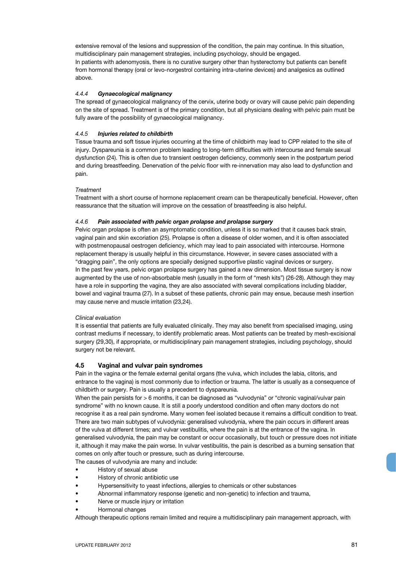extensive removal of the lesions and suppression of the condition, the pain may continue. In this situation, multidisciplinary pain management strategies, including psychology, should be engaged. In patients with adenomyosis, there is no curative surgery other than hysterectomy but patients can benefit from hormonal therapy (oral or levo-norgestrol containing intra-uterine devices) and analgesics as outlined above.

## *4.4.4 Gynaecological malignancy*

The spread of gynaecological malignancy of the cervix, uterine body or ovary will cause pelvic pain depending on the site of spread. Treatment is of the primary condition, but all physicians dealing with pelvic pain must be fully aware of the possibility of gynaecological malignancy.

## *4.4.5 Injuries related to childbirth*

Tissue trauma and soft tissue injuries occurring at the time of childbirth may lead to CPP related to the site of injury. Dyspareunia is a common problem leading to long-term difficulties with intercourse and female sexual dysfunction (24). This is often due to transient oestrogen deficiency, commonly seen in the postpartum period and during breastfeeding. Denervation of the pelvic floor with re-innervation may also lead to dysfunction and pain.

# *Treatment*

Treatment with a short course of hormone replacement cream can be therapeutically beneficial. However, often reassurance that the situation will improve on the cessation of breastfeeding is also helpful.

#### *4.4.6 Pain associated with pelvic organ prolapse and prolapse surgery*

Pelvic organ prolapse is often an asymptomatic condition, unless it is so marked that it causes back strain, vaginal pain and skin excoriation (25). Prolapse is often a disease of older women, and it is often associated with postmenopausal oestrogen deficiency, which may lead to pain associated with intercourse. Hormone replacement therapy is usually helpful in this circumstance. However, in severe cases associated with a "dragging pain", the only options are specially designed supportive plastic vaginal devices or surgery. In the past few years, pelvic organ prolapse surgery has gained a new dimension. Most tissue surgery is now augmented by the use of non-absorbable mesh (usually in the form of "mesh kits") (26-28). Although they may have a role in supporting the vagina, they are also associated with several complications including bladder, bowel and vaginal trauma (27). In a subset of these patients, chronic pain may ensue, because mesh insertion may cause nerve and muscle irritation (23,24).

#### *Clinical evaluation*

It is essential that patients are fully evaluated clinically. They may also benefit from specialised imaging, using contrast mediums if necessary, to identify problematic areas. Most patients can be treated by mesh-excisional surgery (29,30), if appropriate, or multidisciplinary pain management strategies, including psychology, should surgery not be relevant.

# **4.5 Vaginal and vulvar pain syndromes**

Pain in the vagina or the female external genital organs (the vulva, which includes the labia, clitoris, and entrance to the vagina) is most commonly due to infection or trauma. The latter is usually as a consequence of childbirth or surgery. Pain is usually a precedent to dyspareunia.

When the pain persists for > 6 months, it can be diagnosed as "vulvodynia" or "chronic vaginal/vulvar pain syndrome" with no known cause. It is still a poorly understood condition and often many doctors do not recognise it as a real pain syndrome. Many women feel isolated because it remains a difficult condition to treat. There are two main subtypes of vulvodynia: generalised vulvodynia, where the pain occurs in different areas of the vulva at different times; and vulvar vestibulitis, where the pain is at the entrance of the vagina. In generalised vulvodynia, the pain may be constant or occur occasionally, but touch or pressure does not initiate it, although it may make the pain worse. In vulvar vestibulitis, the pain is described as a burning sensation that comes on only after touch or pressure, such as during intercourse.

The causes of vulvodynia are many and include:

- History of sexual abuse
- History of chronic antibiotic use
- Hypersensitivity to yeast infections, allergies to chemicals or other substances
- Abnormal inflammatory response (genetic and non-genetic) to infection and trauma,
- Nerve or muscle injury or irritation
- Hormonal changes

Although therapeutic options remain limited and require a multidisciplinary pain management approach, with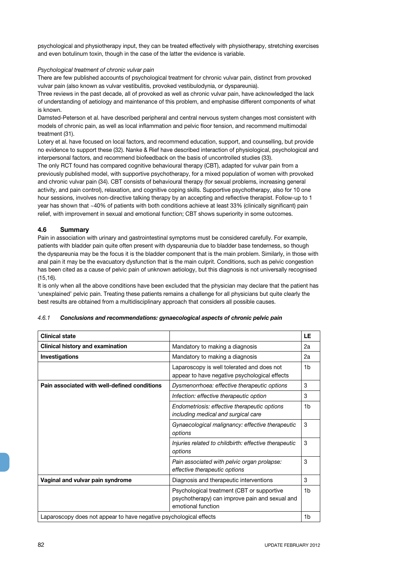psychological and physiotherapy input, they can be treated effectively with physiotherapy, stretching exercises and even botulinum toxin, though in the case of the latter the evidence is variable.

# *Psychological treatment of chronic vulvar pain*

There are few published accounts of psychological treatment for chronic vulvar pain, distinct from provoked vulvar pain (also known as vulvar vestibulitis, provoked vestibulodynia, or dyspareunia).

Three reviews in the past decade, all of provoked as well as chronic vulvar pain, have acknowledged the lack of understanding of aetiology and maintenance of this problem, and emphasise different components of what is known.

Damsted-Peterson et al. have described peripheral and central nervous system changes most consistent with models of chronic pain, as well as local inflammation and pelvic floor tension, and recommend multimodal treatment (31).

Lotery et al. have focused on local factors, and recommend education, support, and counselling, but provide no evidence to support these (32). Nanke & Rief have described interaction of physiological, psychological and interpersonal factors, and recommend biofeedback on the basis of uncontrolled studies (33).

The only RCT found has compared cognitive behavioural therapy (CBT), adapted for vulvar pain from a previously published model, with supportive psychotherapy, for a mixed population of women with provoked and chronic vulvar pain (34). CBT consists of behavioural therapy (for sexual problems, increasing general activity, and pain control), relaxation, and cognitive coping skills. Supportive psychotherapy, also for 10 one hour sessions, involves non-directive talking therapy by an accepting and reflective therapist. Follow-up to 1 year has shown that ~40% of patients with both conditions achieve at least 33% (clinically significant) pain relief, with improvement in sexual and emotional function; CBT shows superiority in some outcomes.

# **4.6 Summary**

Pain in association with urinary and gastrointestinal symptoms must be considered carefully. For example, patients with bladder pain quite often present with dyspareunia due to bladder base tenderness, so though the dyspareunia may be the focus it is the bladder component that is the main problem. Similarly, in those with anal pain it may be the evacuatory dysfunction that is the main culprit. Conditions, such as pelvic congestion has been cited as a cause of pelvic pain of unknown aetiology, but this diagnosis is not universally recognised (15,16).

It is only when all the above conditions have been excluded that the physician may declare that the patient has 'unexplained' pelvic pain. Treating these patients remains a challenge for all physicians but quite clearly the best results are obtained from a multidisciplinary approach that considers all possible causes.

| <b>Clinical state</b>                                              |                                                                                                                    | LE             |
|--------------------------------------------------------------------|--------------------------------------------------------------------------------------------------------------------|----------------|
| Clinical history and examination                                   | Mandatory to making a diagnosis                                                                                    | 2a             |
| <b>Investigations</b>                                              | Mandatory to making a diagnosis                                                                                    | 2a             |
|                                                                    | Laparoscopy is well tolerated and does not<br>appear to have negative psychological effects                        | 1 <sub>b</sub> |
| Pain associated with well-defined conditions                       | Dysmenorrhoea: effective therapeutic options                                                                       | 3              |
|                                                                    | Infection: effective therapeutic option                                                                            | 3              |
|                                                                    | Endometriosis: effective therapeutic options<br>including medical and surgical care                                | 1b             |
|                                                                    | Gynaecological malignancy: effective therapeutic<br>options                                                        | 3              |
|                                                                    | Injuries related to childbirth: effective therapeutic<br>options                                                   | 3              |
|                                                                    | Pain associated with pelvic organ prolapse:<br>effective therapeutic options                                       | 3              |
| Vaginal and vulvar pain syndrome                                   | Diagnosis and therapeutic interventions                                                                            | 3              |
|                                                                    | Psychological treatment (CBT or supportive<br>psychotherapy) can improve pain and sexual and<br>emotional function | 1b             |
| Laparoscopy does not appear to have negative psychological effects |                                                                                                                    | 1b             |

# *4.6.1 Conclusions and recommendations: gynaecological aspects of chronic pelvic pain*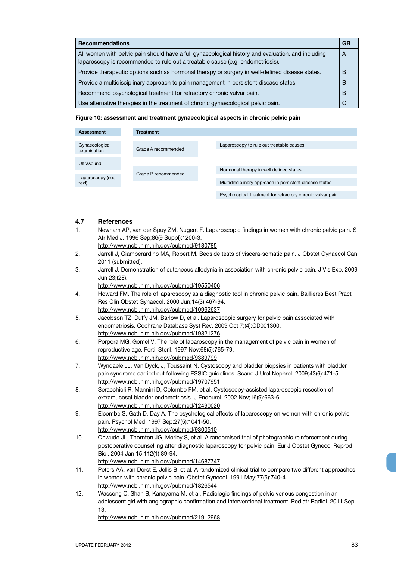| <b>Recommendations</b>                                                                                                                                                               | GR |
|--------------------------------------------------------------------------------------------------------------------------------------------------------------------------------------|----|
| All women with pelvic pain should have a full gynaecological history and evaluation, and including<br>laparoscopy is recommended to rule out a treatable cause (e.g. endometriosis). | A  |
| Provide therapeutic options such as hormonal therapy or surgery in well-defined disease states.                                                                                      | B  |
| Provide a multidisciplinary approach to pain management in persistent disease states.                                                                                                | в  |
| Recommend psychological treatment for refractory chronic vulvar pain.                                                                                                                | B  |
| Use alternative therapies in the treatment of chronic gynaecological pelvic pain.                                                                                                    |    |

#### **Figure 10: assessment and treatment gynaecological aspects in chronic pelvic pain**

| <b>Assessment</b> | <b>Treatment</b>    |                                                            |
|-------------------|---------------------|------------------------------------------------------------|
|                   |                     |                                                            |
| Gynaecological    | Grade A recommended | Laparoscopy to rule out treatable causes                   |
| examination       |                     |                                                            |
|                   |                     |                                                            |
| Ultrasound        |                     |                                                            |
|                   | Grade B recommended | Hormonal therapy in well defined states                    |
| Laparoscopy (see  |                     |                                                            |
| text)             |                     | Multidisciplinary approach in persistent disease states    |
|                   |                     |                                                            |
|                   |                     | Psychological treatment for refractory chronic vulvar pain |

## **4.7 References**

1. Newham AP, van der Spuy ZM, Nugent F. Laparoscopic findings in women with chronic pelvic pain. S Afr Med J. 1996 Sep;86(9 Suppl):1200-3.

http://www.ncbi.nlm.nih.gov/pubmed/9180785

- 2. Jarrell J, Giamberardino MA, Robert M. Bedside tests of viscera-somatic pain. J Obstet Gynaecol Can 2011 (submitted).
- 3. Jarrell J. Demonstration of cutaneous allodynia in association with chronic pelvic pain. J Vis Exp. 2009 Jun 23;(28).
	- http://www.ncbi.nlm.nih.gov/pubmed/19550406
- 4. Howard FM. The role of laparoscopy as a diagnostic tool in chronic pelvic pain. Baillieres Best Pract Res Clin Obstet Gynaecol. 2000 Jun;14(3):467-94. http://www.ncbi.nlm.nih.gov/pubmed/10962637
- 5. Jacobson TZ, Duffy JM, Barlow D, et al. Laparoscopic surgery for pelvic pain associated with endometriosis. Cochrane Database Syst Rev. 2009 Oct 7;(4):CD001300. http://www.ncbi.nlm.nih.gov/pubmed/19821276
- 6. Porpora MG, Gomel V. The role of laparoscopy in the management of pelvic pain in women of reproductive age. Fertil Steril. 1997 Nov;68(5):765-79. http://www.ncbi.nlm.nih.gov/pubmed/9389799
- 7. Wyndaele JJ, Van Dyck, J, Toussaint N. Cystoscopy and bladder biopsies in patients with bladder pain syndrome carried out following ESSIC guidelines. Scand J Urol Nephrol. 2009;43(6):471-5. http://www.ncbi.nlm.nih.gov/pubmed/19707951
- 8. Seracchioli R, Mannini D, Colombo FM, et al. Cystoscopy-assisted laparoscopic resection of extramucosal bladder endometriosis. J Endourol. 2002 Nov;16(9):663-6. http://www.ncbi.nlm.nih.gov/pubmed/12490020
- 9. Elcombe S, Gath D, Day A. The psychological effects of laparoscopy on women with chronic pelvic pain. Psychol Med. 1997 Sep;27(5):1041-50.
- http://www.ncbi.nlm.nih.gov/pubmed/9300510 10. Onwude JL, Thornton JG, Morley S, et al. A randomised trial of photographic reinforcement during postoperative counselling after diagnostic laparoscopy for pelvic pain. Eur J Obstet Gynecol Reprod Biol. 2004 Jan 15;112(1):89-94. http://www.ncbi.nlm.nih.gov/pubmed/14687747
- 11. Peters AA, van Dorst E, Jellis B, et al. A randomized clinical trial to compare two different approaches in women with chronic pelvic pain. Obstet Gynecol. 1991 May;77(5):740-4. http://www.ncbi.nlm.nih.gov/pubmed/1826544
- 12. Wassong C, Shah B, Kanayama M, et al. Radiologic findings of pelvic venous congestion in an adolescent girl with angiographic confirmation and interventional treatment. Pediatr Radiol. 2011 Sep 13.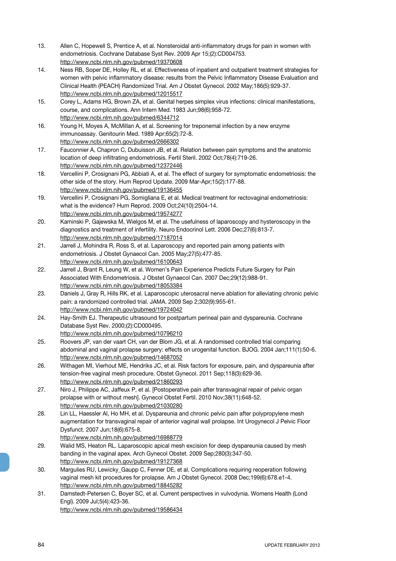- 13. Allen C, Hopewell S, Prentice A, et al. Nonsteroidal anti-inflammatory drugs for pain in women with endometriosis. Cochrane Database Syst Rev. 2009 Apr 15;(2):CD004753. http://www.ncbi.nlm.nih.gov/pubmed/19370608
- 14. Ness RB, Soper DE, Holley RL, et al. Effectiveness of inpatient and outpatient treatment strategies for women with pelvic inflammatory disease: results from the Pelvic Inflammatory Disease Evaluation and Clinical Health (PEACH) Randomized Trial. Am J Obstet Gynecol. 2002 May;186(5):929-37. http://www.ncbi.nlm.nih.gov/pubmed/12015517
- 15. Corey L, Adams HG, Brown ZA, et al. Genital herpes simplex virus infections: clinical manifestations, course, and complications. Ann Intern Med. 1983 Jun;98(6):958-72. http://www.ncbi.nlm.nih.gov/pubmed/6344712
- 16. Young H, Moyes A, McMillan A, et al. Screening for treponemal infection by a new enzyme immunoassay. Genitourin Med. 1989 Apr;65(2):72-8.
	- http://www.ncbi.nlm.nih.gov/pubmed/2666302
- 17. Fauconnier A, Chapron C, Dubuisson JB, et al. Relation between pain symptoms and the anatomic location of deep infiltrating endometriosis. Fertil Steril. 2002 Oct;78(4):719-26. http://www.ncbi.nlm.nih.gov/pubmed/12372446
- 18. Vercellini P, Crosignani PG, Abbiati A, et al. The effect of surgery for symptomatic endometriosis: the other side of the story. Hum Reprod Update. 2009 Mar-Apr;15(2):177-88. http://www.ncbi.nlm.nih.gov/pubmed/19136455
- 19. Vercellini P, Crosignani PG, Somigliana E, et al. Medical treatment for rectovaginal endometriosis: what is the evidence? Hum Reprod. 2009 Oct;24(10):2504-14. http://www.ncbi.nlm.nih.gov/pubmed/19574277
- 20. Kaminski P, Gajewska M, Wielgos M, et al. The usefulness of laparoscopy and hysteroscopy in the diagnostics and treatment of infertility. Neuro Endocrinol Lett. 2006 Dec;27(6):813-7. http://www.ncbi.nlm.nih.gov/pubmed/17187014
- 21. Jarrell J, Mohindra R, Ross S, et al. Laparoscopy and reported pain among patients with endometriosis. J Obstet Gynaecol Can. 2005 May;27(5):477-85. http://www.ncbi.nlm.nih.gov/pubmed/16100643
- 22. Jarrell J, Brant R, Leung W, et al. Women's Pain Experience Predicts Future Surgery for Pain Associated With Endometriosis. J Obstet Gynaecol Can. 2007 Dec;29(12):988-91. http://www.ncbi.nlm.nih.gov/pubmed/18053384
- 23. Daniels J, Gray R, Hills RK, et al. Laparoscopic uterosacral nerve ablation for alleviating chronic pelvic pain: a randomized controlled trial. JAMA. 2009 Sep 2;302(9):955-61. http://www.ncbi.nlm.nih.gov/pubmed/19724042
- 24. Hay-Smith EJ. Therapeutic ultrasound for postpartum perineal pain and dyspareunia. Cochrane Database Syst Rev. 2000;(2):CD000495. http://www.ncbi.nlm.nih.gov/pubmed/10796210
- 25. Roovers JP, van der vaart CH, van der Blom JG, et al. A randomised controlled trial comparing abdominal and vaginal prolapse surgery: effects on urogenital function. BJOG. 2004 Jan;111(1):50-6. http://www.ncbi.nlm.nih.gov/pubmed/14687052
- 26. Withagen MI, Vierhout ME, Hendriks JC, et al. Risk factors for exposure, pain, and dyspareunia after tension-free vaginal mesh procedure. Obstet Gynecol. 2011 Sep;118(3):629-36. http://www.ncbi.nlm.nih.gov/pubmed/21860293
- 27. Niro J, Philippe AC, Jaffeux P, et al. [Postoperative pain after transvaginal repair of pelvic organ prolapse with or without mesh]. Gynecol Obstet Fertil. 2010 Nov;38(11):648-52. http://www.ncbi.nlm.nih.gov/pubmed/21030280
- 28. Lin LL, Haessler Al, Ho MH, et al. Dyspareunia and chronic pelvic pain after polypropylene mesh augmentation for transvaginal repair of anterior vaginal wall prolapse. Int Urogynecol J Pelvic Floor Dysfunct. 2007 Jun;18(6):675-8. http://www.ncbi.nlm.nih.gov/pubmed/16988779
- 29. Walid MS, Heaton RL. Laparoscopic apical mesh excision for deep dyspareunia caused by mesh banding in the vaginal apex. Arch Gynecol Obstet. 2009 Sep;280(3):347-50. http://www.ncbi.nlm.nih.gov/pubmed/19127368
- 30. Margulies RU, Lewicky\_Gaupp C, Fenner DE, et al. Complications requiring reoperation following vaginal mesh kit procedures for prolapse. Am J Obstet Gynecol. 2008 Dec;199(6):678.e1-4. http://www.ncbi.nlm.nih.gov/pubmed/18845282
- 31. Damstedt-Petersen C, Boyer SC, et al. Current perspectives in vulvodynia. Womens Health (Lond Engl). 2009 Jul;5(4):423-36. http://www.ncbi.nlm.nih.gov/pubmed/19586434

84 UPDATE FEBRUARY 2012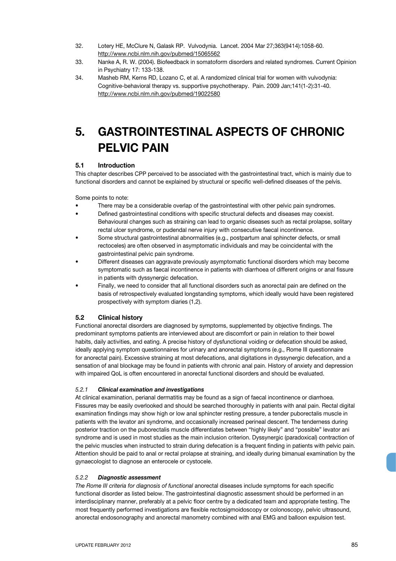- 32. Lotery HE, McClure N, Galask RP. Vulvodynia. Lancet. 2004 Mar 27;363(9414):1058-60. http://www.ncbi.nlm.nih.gov/pubmed/15065562
- 33. Nanke A, R. W. (2004). Biofeedback in somatoform disorders and related syndromes. Current Opinion in Psychiatry 17: 133-138.
- 34. Masheb RM, Kerns RD, Lozano C, et al. A randomized clinical trial for women with vulvodynia: Cognitive-behavioral therapy vs. supportive psychotherapy. Pain. 2009 Jan;141(1-2):31-40. http://www.ncbi.nlm.nih.gov/pubmed/19022580

# **5. Gastrointestinal aspects of chronic pelvic pain**

# **5.1 Introduction**

This chapter describes CPP perceived to be associated with the gastrointestinal tract, which is mainly due to functional disorders and cannot be explained by structural or specific well-defined diseases of the pelvis.

Some points to note:

- There may be a considerable overlap of the gastrointestinal with other pelvic pain syndromes.
- Defined gastrointestinal conditions with specific structural defects and diseases may coexist. Behavioural changes such as straining can lead to organic diseases such as rectal prolapse, solitary rectal ulcer syndrome, or pudendal nerve injury with consecutive faecal incontinence.
- Some structural gastrointestinal abnormalities (e.g., postpartum anal sphincter defects, or small rectoceles) are often observed in asymptomatic individuals and may be coincidental with the gastrointestinal pelvic pain syndrome.
- Different diseases can aggravate previously asymptomatic functional disorders which may become symptomatic such as faecal incontinence in patients with diarrhoea of different origins or anal fissure in patients with dyssynergic defecation.
- Finally, we need to consider that all functional disorders such as anorectal pain are defined on the basis of retrospectively evaluated longstanding symptoms, which ideally would have been registered prospectively with symptom diaries (1,2).

# **5.2 Clinical history**

Functional anorectal disorders are diagnosed by symptoms, supplemented by objective findings. The predominant symptoms patients are interviewed about are discomfort or pain in relation to their bowel habits, daily activities, and eating. A precise history of dysfunctional voiding or defecation should be asked, ideally applying symptom questionnaires for urinary and anorectal symptoms (e.g., Rome III questionnaire for anorectal pain). Excessive straining at most defecations, anal digitations in dyssynergic defecation, and a sensation of anal blockage may be found in patients with chronic anal pain. History of anxiety and depression with impaired QoL is often encountered in anorectal functional disorders and should be evaluated.

# *5.2.1 Clinical examination and investigations*

At clinical examination, perianal dermatitis may be found as a sign of faecal incontinence or diarrhoea. Fissures may be easily overlooked and should be searched thoroughly in patients with anal pain. Rectal digital examination findings may show high or low anal sphincter resting pressure, a tender puborectalis muscle in patients with the levator ani syndrome, and occasionally increased perineal descent. The tenderness during posterior traction on the puborectalis muscle differentiates between "highly likely" and "possible" levator ani syndrome and is used in most studies as the main inclusion criterion. Dyssynergic (paradoxical) contraction of the pelvic muscles when instructed to strain during defecation is a frequent finding in patients with pelvic pain. Attention should be paid to anal or rectal prolapse at straining, and ideally during bimanual examination by the gynaecologist to diagnose an enterocele or cystocele.

# *5.2.2 Diagnostic assessment*

*The Rome III criteria for diagnosis of functional* anorectal diseases include symptoms for each specific functional disorder as listed below. The gastrointestinal diagnostic assessment should be performed in an interdisciplinary manner, preferably at a pelvic floor centre by a dedicated team and appropriate testing. The most frequently performed investigations are flexible rectosigmoidoscopy or colonoscopy, pelvic ultrasound, anorectal endosonography and anorectal manometry combined with anal EMG and balloon expulsion test.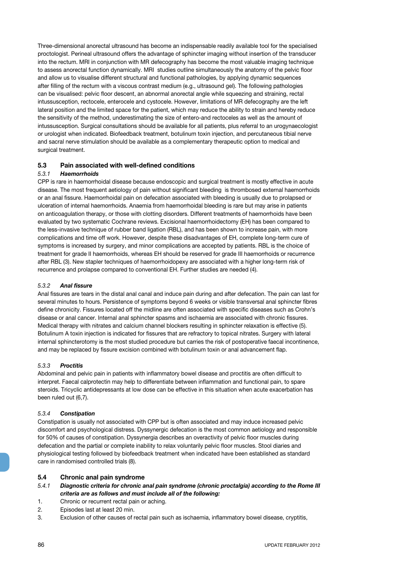Three-dimensional anorectal ultrasound has become an indispensable readily available tool for the specialised proctologist. Perineal ultrasound offers the advantage of sphincter imaging without insertion of the transducer into the rectum. MRI in conjunction with MR defecography has become the most valuable imaging technique to assess anorectal function dynamically. MRI studies outline simultaneously the anatomy of the pelvic floor and allow us to visualise different structural and functional pathologies, by applying dynamic sequences after filling of the rectum with a viscous contrast medium (e.g., ultrasound gel). The following pathologies can be visualised: pelvic floor descent, an abnormal anorectal angle while squeezing and straining, rectal intussusception, rectocele, enterocele and cystocele. However, limitations of MR defecography are the left lateral position and the limited space for the patient, which may reduce the ability to strain and hereby reduce the sensitivity of the method, underestimating the size of entero-and rectoceles as well as the amount of intussusception. Surgical consultations should be available for all patients, plus referral to an urogynaecologist or urologist when indicated. Biofeedback treatment, botulinum toxin injection, and percutaneous tibial nerve and sacral nerve stimulation should be available as a complementary therapeutic option to medical and surgical treatment.

# **5.3 Pain associated with well-defined conditions**

# *5.3.1 Haemorrhoids*

CPP is rare in haemorrhoidal disease because endoscopic and surgical treatment is mostly effective in acute disease. The most frequent aetiology of pain without significant bleeding is thrombosed external haemorrhoids or an anal fissure. Haemorrhoidal pain on defecation associated with bleeding is usually due to prolapsed or ulceration of internal haemorrhoids. Anaemia from haemorrhoidal bleeding is rare but may arise in patients on anticoagulation therapy, or those with clotting disorders. Different treatments of haemorrhoids have been evaluated by two systematic Cochrane reviews. Excisional haemorrhoidectomy (EH) has been compared to the less-invasive technique of rubber band ligation (RBL), and has been shown to increase pain, with more complications and time off work. However, despite these disadvantages of EH, complete long-term cure of symptoms is increased by surgery, and minor complications are accepted by patients. RBL is the choice of treatment for grade II haemorrhoids, whereas EH should be reserved for grade III haemorrhoids or recurrence after RBL (3). New stapler techniques of haemorrhoidopexy are associated with a higher long-term risk of recurrence and prolapse compared to conventional EH. Further studies are needed (4).

# *5.3.2 Anal fissure*

Anal fissures are tears in the distal anal canal and induce pain during and after defecation. The pain can last for several minutes to hours. Persistence of symptoms beyond 6 weeks or visible transversal anal sphincter fibres define chronicity. Fissures located off the midline are often associated with specific diseases such as Crohn's disease or anal cancer. Internal anal sphincter spasms and ischaemia are associated with chronic fissures. Medical therapy with nitrates and calcium channel blockers resulting in sphincter relaxation is effective (5). Botulinum A toxin injection is indicated for fissures that are refractory to topical nitrates. Surgery with lateral internal sphincterotomy is the most studied procedure but carries the risk of postoperative faecal incontinence, and may be replaced by fissure excision combined with botulinum toxin or anal advancement flap.

# *5.3.3 Proctitis*

Abdominal and pelvic pain in patients with inflammatory bowel disease and proctitis are often difficult to interpret. Faecal calprotectin may help to differentiate between inflammation and functional pain, to spare steroids. Tricyclic antidepressants at low dose can be effective in this situation when acute exacerbation has been ruled out (6,7).

# *5.3.4 Constipation*

Constipation is usually not associated with CPP but is often associated and may induce increased pelvic discomfort and psychological distress. Dyssynergic defecation is the most common aetiology and responsible for 50% of causes of constipation. Dyssynergia describes an overactivity of pelvic floor muscles during defecation and the partial or complete inability to relax voluntarily pelvic floor muscles. Stool diaries and physiological testing followed by biofeedback treatment when indicated have been established as standard care in randomised controlled trials (8).

# **5.4 Chronic anal pain syndrome**

- *5.4.1 Diagnostic criteria for chronic anal pain syndrome (chronic proctalgia) according to the Rome III criteria are as follows and must include all of the following:*
- 1. Chronic or recurrent rectal pain or aching.
- 2. Episodes last at least 20 min.
- 3. Exclusion of other causes of rectal pain such as ischaemia, inflammatory bowel disease, cryptitis,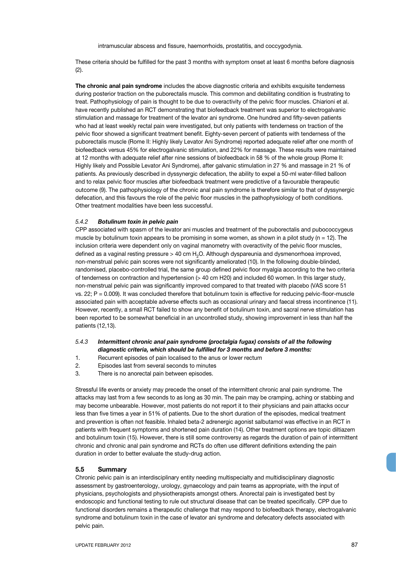intramuscular abscess and fissure, haemorrhoids, prostatitis, and coccygodynia.

These criteria should be fulfilled for the past 3 months with symptom onset at least 6 months before diagnosis (2).

**The chronic anal pain syndrome** includes the above diagnostic criteria and exhibits exquisite tenderness during posterior traction on the puborectalis muscle. This common and debilitating condition is frustrating to treat. Pathophysiology of pain is thought to be due to overactivity of the pelvic floor muscles. Chiarioni et al. have recently published an RCT demonstrating that biofeedback treatment was superior to electrogalvanic stimulation and massage for treatment of the levator ani syndrome. One hundred and fifty-seven patients who had at least weekly rectal pain were investigated, but only patients with tenderness on traction of the pelvic floor showed a significant treatment benefit. Eighty-seven percent of patients with tenderness of the puborectalis muscle (Rome II: Highly likely Levator Ani Syndrome) reported adequate relief after one month of biofeedback versus 45% for electrogalvanic stimulation, and 22% for massage. These results were maintained at 12 months with adequate relief after nine sessions of biofeedback in 58 % of the whole group (Rome II: Highly likely and Possible Levator Ani Syndrome), after galvanic stimulation in 27 % and massage in 21 % of patients. As previously described in dyssynergic defecation, the ability to expel a 50-ml water-filled balloon and to relax pelvic floor muscles after biofeedback treatment were predictive of a favourable therapeutic outcome (9). The pathophysiology of the chronic anal pain syndrome is therefore similar to that of dyssynergic defecation, and this favours the role of the pelvic floor muscles in the pathophysiology of both conditions. Other treatment modalities have been less successful.

#### *5.4.2 Botulinum toxin in pelvic pain*

CPP associated with spasm of the levator ani muscles and treatment of the puborectalis and pubococcygeus muscle by botulinum toxin appears to be promising in some women, as shown in a pilot study ( $n = 12$ ). The inclusion criteria were dependent only on vaginal manometry with overactivity of the pelvic floor muscles, defined as a vaginal resting pressure > 40 cm H<sub>2</sub>O. Although dyspareunia and dysmenorrhoea improved, non-menstrual pelvic pain scores were not significantly ameliorated (10). In the following double-blinded, randomised, placebo-controlled trial, the same group defined pelvic floor myalgia according to the two criteria of tenderness on contraction and hypertension (> 40 cm H20) and included 60 women. In this larger study, non-menstrual pelvic pain was significantly improved compared to that treated with placebo (VAS score 51 vs. 22; P = 0.009). It was concluded therefore that botulinum toxin is effective for reducing pelvic-floor-muscle associated pain with acceptable adverse effects such as occasional urinary and faecal stress incontinence (11). However, recently, a small RCT failed to show any benefit of botulinum toxin, and sacral nerve stimulation has been reported to be somewhat beneficial in an uncontrolled study, showing improvement in less than half the patients (12,13).

- *5.4.3 Intermittent chronic anal pain syndrome (proctalgia fugax) consists of all the following diagnostic criteria, which should be fulfilled for 3 months and before 3 months:*
- 1. Recurrent episodes of pain localised to the anus or lower rectum
- 2. Episodes last from several seconds to minutes
- 3. There is no anorectal pain between episodes.

Stressful life events or anxiety may precede the onset of the intermittent chronic anal pain syndrome. The attacks may last from a few seconds to as long as 30 min. The pain may be cramping, aching or stabbing and may become unbearable. However, most patients do not report it to their physicians and pain attacks occur less than five times a year in 51% of patients. Due to the short duration of the episodes, medical treatment and prevention is often not feasible. Inhaled beta-2 adrenergic agonist salbutamol was effective in an RCT in patients with frequent symptoms and shortened pain duration (14). Other treatment options are topic diltiazem and botulinum toxin (15). However, there is still some controversy as regards the duration of pain of intermittent chronic and chronic anal pain syndrome and RCTs do often use different definitions extending the pain duration in order to better evaluate the study-drug action.

## **5.5 Summary**

Chronic pelvic pain is an interdisciplinary entity needing multispecialty and multidisciplinary diagnostic assessment by gastroenterology, urology, gynaecology and pain teams as appropriate, with the input of physicians, psychologists and physiotherapists amongst others. Anorectal pain is investigated best by endoscopic and functional testing to rule out structural disease that can be treated specifically. CPP due to functional disorders remains a therapeutic challenge that may respond to biofeedback therapy, electrogalvanic syndrome and botulinum toxin in the case of levator ani syndrome and defecatory defects associated with pelvic pain.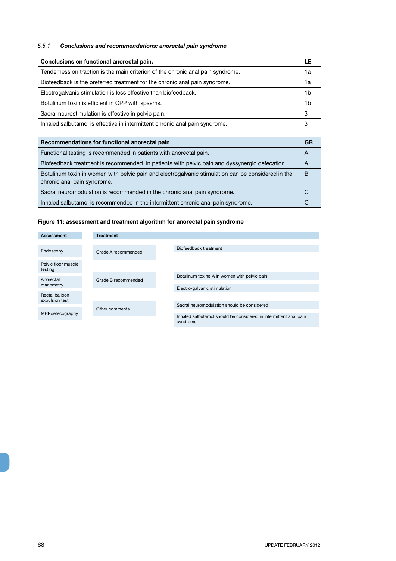# *5.5.1 Conclusions and recommendations: anorectal pain syndrome*

| Conclusions on functional anorectal pain.                                       | LE |
|---------------------------------------------------------------------------------|----|
| Tenderness on traction is the main criterion of the chronic anal pain syndrome. | 1a |
| Biofeedback is the preferred treatment for the chronic anal pain syndrome.      | 1a |
| Electrogalvanic stimulation is less effective than biofeedback.                 | 1b |
| Botulinum toxin is efficient in CPP with spasms.                                | 1b |
| Sacral neurostimulation is effective in pelvic pain.                            | 3  |
| Inhaled salbutamol is effective in intermittent chronic anal pain syndrome.     | 3  |
|                                                                                 |    |

| Recommendations for functional anorectal pain                                                                                     | GR             |
|-----------------------------------------------------------------------------------------------------------------------------------|----------------|
| Functional testing is recommended in patients with anorectal pain.                                                                | A              |
| Biofeedback treatment is recommended in patients with pelvic pain and dyssynergic defecation.                                     | $\overline{A}$ |
| Botulinum toxin in women with pelvic pain and electrogalvanic stimulation can be considered in the<br>chronic anal pain syndrome. | В              |
| Sacral neuromodulation is recommended in the chronic anal pain syndrome.                                                          | C              |
| Inhaled salbutamol is recommended in the intermittent chronic anal pain syndrome.                                                 |                |

# **Figure 11: assessment and treatment algorithm for anorectal pain syndrome**

| <b>Assessment</b>                | <b>Treatment</b>                             |                                                                   |  |
|----------------------------------|----------------------------------------------|-------------------------------------------------------------------|--|
|                                  |                                              |                                                                   |  |
| Endoscopy                        | Grade A recommended                          | Biofeedback treatment                                             |  |
|                                  |                                              |                                                                   |  |
| Pelvic floor muscle<br>testing   |                                              |                                                                   |  |
|                                  | Botulinum toxine A in women with pelvic pain |                                                                   |  |
| Anorectal                        | Grade B recommended                          |                                                                   |  |
| manometry                        |                                              | Electro-galvanic stimulation                                      |  |
|                                  |                                              |                                                                   |  |
| Rectal balloon<br>expulsion test |                                              |                                                                   |  |
|                                  |                                              | Sacral neuromodulation should be considered                       |  |
| MRI-defecography                 | Other comments                               |                                                                   |  |
|                                  |                                              | Inhaled salbutamol should be considered in intermittent anal pain |  |
|                                  |                                              | syndrome                                                          |  |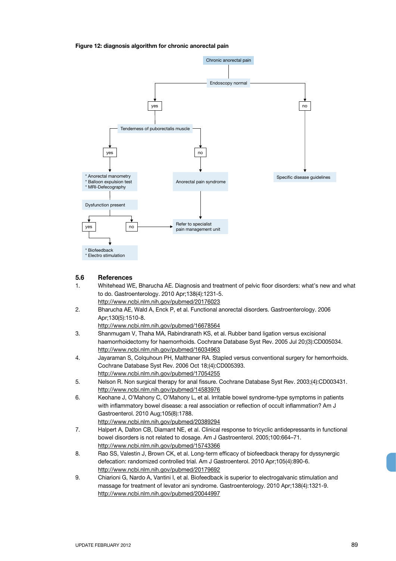## **Figure 12: diagnosis algorithm for chronic anorectal pain**



# **5.6 References**

- 1. Whitehead WE, Bharucha AE. Diagnosis and treatment of pelvic floor disorders: what's new and what to do. Gastroenterology. 2010 Apr;138(4):1231-5. http://www.ncbi.nlm.nih.gov/pubmed/20176023
- 2. Bharucha AE, Wald A, Enck P, et al. Functional anorectal disorders. Gastroenterology. 2006 Apr;130(5):1510-8.

- 3. Shanmugam V, Thaha MA, Rabindranath KS, et al. Rubber band ligation versus excisional haemorrhoidectomy for haemorrhoids. Cochrane Database Syst Rev. 2005 Jul 20;(3):CD005034. http://www.ncbi.nlm.nih.gov/pubmed/16034963
- 4. Jayaraman S, Colquhoun PH, Malthaner RA. Stapled versus conventional surgery for hemorrhoids. Cochrane Database Syst Rev. 2006 Oct 18;(4):CD005393. http://www.ncbi.nlm.nih.gov/pubmed/17054255
- 5. Nelson R. Non surgical therapy for anal fissure. Cochrane Database Syst Rev. 2003;(4):CD003431. http://www.ncbi.nlm.nih.gov/pubmed/14583976
- 6. Keohane J, O'Mahony C, O'Mahony L, et al. Irritable bowel syndrome-type symptoms in patients with inflammatory bowel disease: a real association or reflection of occult inflammation? Am J Gastroenterol. 2010 Aug;105(8):1788.
	- http://www.ncbi.nlm.nih.gov/pubmed/20389294
- 7. Halpert A, Dalton CB, Diamant NE, et al. Clinical response to tricyclic antidepressants in functional bowel disorders is not related to dosage. Am J Gastroenterol. 2005;100:664–71. http://www.ncbi.nlm.nih.gov/pubmed/15743366
- 8. Rao SS, Valestin J, Brown CK, et al. Long-term efficacy of biofeedback therapy for dyssynergic defecation: randomized controlled trial. Am J Gastroenterol. 2010 Apr;105(4):890-6. http://www.ncbi.nlm.nih.gov/pubmed/20179692
- 9. Chiarioni G, Nardo A, Vantini I, et al. Biofeedback is superior to electrogalvanic stimulation and massage for treatment of levator ani syndrome. Gastroenterology. 2010 Apr;138(4):1321-9. http://www.ncbi.nlm.nih.gov/pubmed/20044997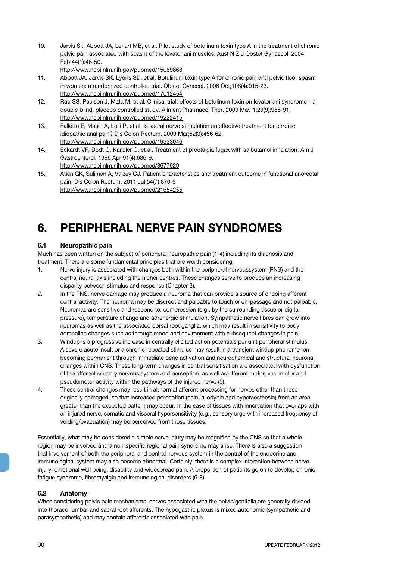10. Jarvis Sk, Abbott JA, Lenart MB, et al. Pilot study of botulinum toxin type A in the treatment of chronic pelvic pain associated with spasm of the levator ani muscles. Aust N Z J Obstet Gynaecol. 2004 Feb;44(1):46-50.

http://www.ncbi.nlm.nih.gov/pubmed/15089868

- 11. Abbott JA, Jarvis SK, Lyons SD, et al. Botulinum toxin type A for chronic pain and pelvic floor spasm in women: a randomized controlled trial. Obstet Gynecol. 2006 Oct;108(4):915-23. http://www.ncbi.nlm.nih.gov/pubmed/17012454
- 12. Rao SS, Paulson J, Mata M, et al. Clinical trial: effects of botulinum toxin on levator ani syndrome—a double-blind, placebo controlled study. Aliment Pharmacol Ther. 2009 May 1;29(9):985-91. http://www.ncbi.nlm.nih.gov/pubmed/19222415
- 13. Falletto E, Masin A, Lolli P, et al. Is sacral nerve stimulation an effective treatment for chronic idiopathic anal pain? Dis Colon Rectum. 2009 Mar;52(3):456-62. http://www.ncbi.nlm.nih.gov/pubmed/19333046
- 14. Eckardt VF, Dodt O, Kanzler G, et al. Treatment of proctalgia fugax with salbutamol inhalation. Am J Gastroenterol. 1996 Apr;91(4):686-9. http://www.ncbi.nlm.nih.gov/pubmed/8677929
- 15. Atkin GK, Suliman A, Vaizey CJ. Patient characteristics and treatment outcome in functional anorectal pain. Dis Colon Rectum. 2011 Jul;54(7):870-5 http://www.ncbi.nlm.nih.gov/pubmed/21654255

# **6. Peripheral Nerve Pain Syndromes**

# **6.1 Neuropathic pain**

Much has been written on the subject of peripheral neuropathic pain (1-4) including its diagnosis and treatment. There are some fundamental principles that are worth considering:

- 1. Nerve injury is associated with changes both within the peripheral nervoussystem (PNS) and the central neural axis including the higher centres. These changes serve to produce an increasing disparity between stimulus and response (Chapter 2).
- 2. In the PNS, nerve damage may produce a neuroma that can provide a source of ongoing afferent central activity. The neuroma may be discreet and palpable to touch or en-passage and not palpable. Neuromas are sensitive and respond to: compression (e.g., by the surrounding tissue or digital pressure), temperature change and adrenergic stimulation. Sympathetic nerve fibres can grow into neuromas as well as the associated dorsal root ganglia, which may result in sensitivity to body adrenaline changes such as through mood and environment with subsequent changes in pain.
- 3. Windup is a progressive increase in centrally elicited action potentials per unit peripheral stimulus. A severe acute insult or a chronic repeated stimulus may result in a transient windup phenomenon becoming permanent through immediate gene activation and neurochemical and structural neuronal changes within CNS. These long-term changes in central sensitisation are associated with dysfunction of the afferent sensory nervous system and perception, as well as efferent motor, vasomotor and pseudomotor activity within the pathways of the injured nerve (5).
- 4. These central changes may result in abnormal afferent processing for nerves other than those originally damaged, so that increased perception (pain, allodynia and hyperaesthesia) from an area greater than the expected pattern may occur. In the case of tissues with innervation that overlaps with an injured nerve, somatic and visceral hypersensitivity (e.g., sensory urge with increased frequency of voiding/evacuation) may be perceived from those tissues.

Essentially, what may be considered a simple nerve injury may be magnified by the CNS so that a whole region may be involved and a non-specific regional pain syndrome may arise. There is also a suggestion that involvement of both the peripheral and central nervous system in the control of the endocrine and immunological system may also become abnormal. Certainly, there is a complex interaction between nerve injury, emotional well being, disability and widespread pain. A proportion of patients go on to develop chronic fatigue syndrome, fibromyalgia and immunological disorders (6-8).

# **6.2 Anatomy**

When considering pelvic pain mechanisms, nerves associated with the pelvis/genitalia are generally divided into thoraco-lumbar and sacral root afferents. The hypogastric plexus is mixed autonomic (sympathetic and parasympathetic) and may contain afferents associated with pain.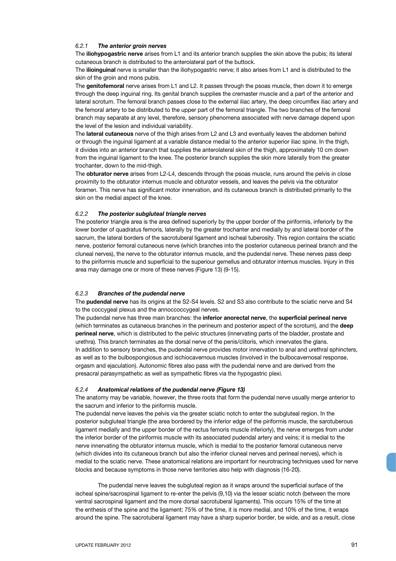#### *6.2.1 The anterior groin nerves*

The **iliohypogastric nerve** arises from L1 and its anterior branch supplies the skin above the pubis; its lateral cutaneous branch is distributed to the anterolateral part of the buttock.

The **ilioinguinal** nerve is smaller than the iliohypogastric nerve; it also arises from L1 and is distributed to the skin of the groin and mons pubis.

The **genitofemoral** nerve arises from L1 and L2. It passes through the psoas muscle, then down it to emerge through the deep inguinal ring. Its genital branch supplies the cremaster muscle and a part of the anterior and lateral scrotum. The femoral branch passes close to the external iliac artery, the deep circumflex iliac artery and the femoral artery to be distributed to the upper part of the femoral triangle. The two branches of the femoral branch may separate at any level, therefore, sensory phenomena associated with nerve damage depend upon the level of the lesion and individual variability.

The **lateral cutaneous** nerve of the thigh arises from L2 and L3 and eventually leaves the abdomen behind or through the inguinal ligament at a variable distance medial to the anterior superior iliac spine. In the thigh, it divides into an anterior branch that supplies the anterolateral skin of the thigh, approximately 10 cm down from the inguinal ligament to the knee. The posterior branch supplies the skin more laterally from the greater trochanter, down to the mid-thigh.

The **obturator nerve** arises from L2-L4, descends through the psoas muscle, runs around the pelvis in close proximity to the obturator internus muscle and obturator vessels, and leaves the pelvis via the obturator foramen. This nerve has significant motor innervation, and its cutaneous branch is distributed primarily to the skin on the medial aspect of the knee.

#### *6.2.2 The posterior subgluteal triangle nerves*

The posterior triangle area is the area defined superiorly by the upper border of the piriformis, inferiorly by the lower border of quadratus femoris, laterally by the greater trochanter and medially by and lateral border of the sacrum, the lateral borders of the sacrotuberal ligament and ischeal tuberosity. This region contains the sciatic nerve, posterior femoral cutaneous nerve (which branches into the posterior cutaneous perineal branch and the cluneal nerves), the nerve to the obturator internus muscle, and the pudendal nerve. These nerves pass deep to the piriformis muscle and superficial to the superiour gemellus and obturator internus muscles. Injury in this area may damage one or more of these nerves (Figure 13) (9-15).

#### *6.2.3 Branches of the pudendal nerve*

The **pudendal nerve** has its origins at the S2-S4 levels. S2 and S3 also contribute to the sciatic nerve and S4 to the coccygeal plexus and the annoccoccygeal nerves.

The pudendal nerve has three main branches: the **inferior anorectal nerve**, the **superficial perineal nerve** (which terminates as cutaneous branches in the perineum and posterior aspect of the scrotum), and the **deep perineal nerve**, which is distributed to the pelvic structures (innervating parts of the bladder, prostate and urethra). This branch terminates as the dorsal nerve of the penis/clitoris, which innervates the glans. In addition to sensory branches, the pudendal nerve provides motor innervation to anal and urethral sphincters, as well as to the bulbospongiosus and ischiocavernous muscles (involved in the bulbocavernosal response, orgasm and ejaculation). Autonomic fibres also pass with the pudendal nerve and are derived from the presacral parasympathetic as well as sympathetic fibres via the hypogastric plexi.

#### *6.2.4 Anatomical relations of the pudendal nerve (Figure 13)*

The anatomy may be variable, however, the three roots that form the pudendal nerve usually merge anterior to the sacrum and inferior to the piriformis muscle.

The pudendal nerve leaves the pelvis via the greater sciatic notch to enter the subgluteal region. In the posterior subgluteal triangle (the area bordered by the inferior edge of the piriformis muscle, the sarotuberous ligament medially and the upper border of the rectus femoris muscle inferiorly), the nerve emerges from under the inferior border of the piriformis muscle with its associated pudendal artery and veins; it is medial to the nerve innervating the obturator internus muscle, which is medial to the posterior femoral cutaneous nerve (which divides into its cutaneous branch but also the inferior cluneal nerves and perineal nerves), which is medial to the sciatic nerve. These anatomical relations are important for neurotracing techniques used for nerve blocks and because symptoms in those nerve territories also help with diagnosis (16-20).

The pudendal nerve leaves the subgluteal region as it wraps around the superficial surface of the ischeal spine/sacrospinal ligament to re-enter the pelvis (9,10) via the lesser sciatic notch (between the more ventral sacrospinal ligament and the more dorsal sacrotuberal ligaments). This occurs 15% of the time at the enthesis of the spine and the ligament; 75% of the time, it is more medial, and 10% of the time, it wraps around the spine. The sacrotuberal ligament may have a sharp superior border, be wide, and as a result, close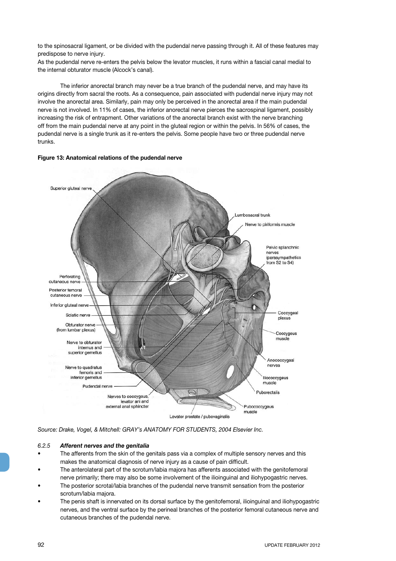to the spinosacral ligament, or be divided with the pudendal nerve passing through it. All of these features may predispose to nerve injury.

As the pudendal nerve re-enters the pelvis below the levator muscles, it runs within a fascial canal medial to the internal obturator muscle (Alcock's canal).

The inferior anorectal branch may never be a true branch of the pudendal nerve, and may have its origins directly from sacral the roots. As a consequence, pain associated with pudendal nerve injury may not involve the anorectal area. Similarly, pain may only be perceived in the anorectal area if the main pudendal nerve is not involved. In 11% of cases, the inferior anorectal nerve pierces the sacrospinal ligament, possibly increasing the risk of entrapment. Other variations of the anorectal branch exist with the nerve branching off from the main pudendal nerve at any point in the gluteal region or within the pelvis. In 56% of cases, the pudendal nerve is a single trunk as it re-enters the pelvis. Some people have two or three pudendal nerve trunks.



**Figure 13: Anatomical relations of the pudendal nerve**

*Source: Drake, Vogel, & Mitchell: GRAY's ANATOMY FOR STUDENTS, 2004 Elsevier Inc.*

## *6.2.5 Afferent nerves and the genitalia*

- The afferents from the skin of the genitals pass via a complex of multiple sensory nerves and this makes the anatomical diagnosis of nerve injury as a cause of pain difficult.
- The anterolateral part of the scrotum/labia majora has afferents associated with the genitofemoral nerve primarily; there may also be some involvement of the ilioinguinal and iliohypogastric nerves.
- The posterior scrotal/labia branches of the pudendal nerve transmit sensation from the posterior scrotum/labia majora.
- The penis shaft is innervated on its dorsal surface by the genitofemoral, ilioinguinal and iliohypogastric nerves, and the ventral surface by the perineal branches of the posterior femoral cutaneous nerve and cutaneous branches of the pudendal nerve.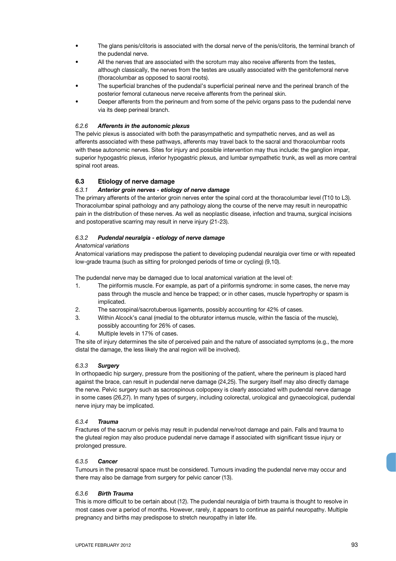- The glans penis/clitoris is associated with the dorsal nerve of the penis/clitoris, the terminal branch of the pudendal nerve.
- All the nerves that are associated with the scrotum may also receive afferents from the testes, although classically, the nerves from the testes are usually associated with the genitofemoral nerve (thoracolumbar as opposed to sacral roots).
- The superficial branches of the pudendal's superficial perineal nerve and the perineal branch of the posterior femoral cutaneous nerve receive afferents from the perineal skin.
- Deeper afferents from the perineum and from some of the pelvic organs pass to the pudendal nerve via its deep perineal branch.

# *6.2.6 Afferents in the autonomic plexus*

The pelvic plexus is associated with both the parasympathetic and sympathetic nerves, and as well as afferents associated with these pathways, afferents may travel back to the sacral and thoracolumbar roots with these autonomic nerves. Sites for injury and possible intervention may thus include: the ganglion impar, superior hypogastric plexus, inferior hypogastric plexus, and lumbar sympathetic trunk, as well as more central spinal root areas.

# **6.3 Etiology of nerve damage**

# *6.3.1 Anterior groin nerves - etiology of nerve damage*

The primary afferents of the anterior groin nerves enter the spinal cord at the thoracolumbar level (T10 to L3). Thoracolumbar spinal pathology and any pathology along the course of the nerve may result in neuropathic pain in the distribution of these nerves. As well as neoplastic disease, infection and trauma, surgical incisions and postoperative scarring may result in nerve injury (21-23).

# *6.3.2 Pudendal neuralgia - etiology of nerve damage*

# *Anatomical variations*

Anatomical variations may predispose the patient to developing pudendal neuralgia over time or with repeated low-grade trauma (such as sitting for prolonged periods of time or cycling) (9,10).

The pudendal nerve may be damaged due to local anatomical variation at the level of:

- 1. The piriformis muscle. For example, as part of a piriformis syndrome: in some cases, the nerve may pass through the muscle and hence be trapped; or in other cases, muscle hypertrophy or spasm is implicated.
- 2. The sacrospinal/sacrotuberous ligaments, possibly accounting for 42% of cases.
- 3. Within Alcock's canal (medial to the obturator internus muscle, within the fascia of the muscle), possibly accounting for 26% of cases.
- 4. Multiple levels in 17% of cases.

The site of injury determines the site of perceived pain and the nature of associated symptoms (e.g., the more distal the damage, the less likely the anal region will be involved).

# *6.3.3 Surgery*

In orthopaedic hip surgery, pressure from the positioning of the patient, where the perineum is placed hard against the brace, can result in pudendal nerve damage (24,25). The surgery itself may also directly damage the nerve. Pelvic surgery such as sacrospinous colpopexy is clearly associated with pudendal nerve damage in some cases (26,27). In many types of surgery, including colorectal, urological and gynaecological, pudendal nerve injury may be implicated.

# *6.3.4 Trauma*

Fractures of the sacrum or pelvis may result in pudendal nerve/root damage and pain. Falls and trauma to the gluteal region may also produce pudendal nerve damage if associated with significant tissue injury or prolonged pressure.

# *6.3.5 Cancer*

Tumours in the presacral space must be considered. Tumours invading the pudendal nerve may occur and there may also be damage from surgery for pelvic cancer (13).

# *6.3.6 Birth Trauma*

This is more difficult to be certain about (12). The pudendal neuralgia of birth trauma is thought to resolve in most cases over a period of months. However, rarely, it appears to continue as painful neuropathy. Multiple pregnancy and births may predispose to stretch neuropathy in later life.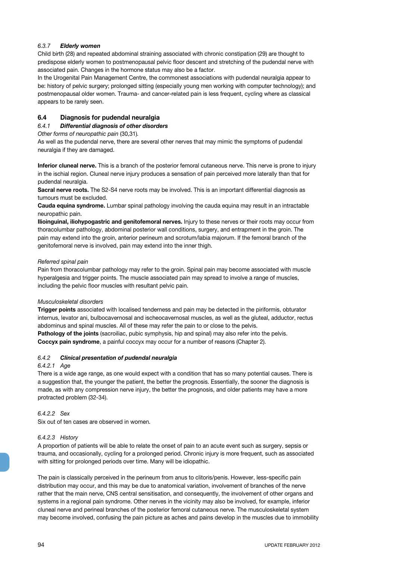# *6.3.7 Elderly women*

Child birth (28) and repeated abdominal straining associated with chronic constipation (29) are thought to predispose elderly women to postmenopausal pelvic floor descent and stretching of the pudendal nerve with associated pain. Changes in the hormone status may also be a factor.

In the Urogenital Pain Management Centre, the commonest associations with pudendal neuralgia appear to be: history of pelvic surgery; prolonged sitting (especially young men working with computer technology); and postmenopausal older women. Trauma- and cancer-related pain is less frequent, cycling where as classical appears to be rarely seen.

# **6.4 Diagnosis for pudendal neuralgia**

# *6.4.1 Differential diagnosis of other disorders*

*Other forms of neuropathic pain* (30,31)*.* 

As well as the pudendal nerve, there are several other nerves that may mimic the symptoms of pudendal neuralgia if they are damaged.

**Inferior cluneal nerve.** This is a branch of the posterior femoral cutaneous nerve. This nerve is prone to injury in the ischial region. Cluneal nerve injury produces a sensation of pain perceived more laterally than that for pudendal neuralgia.

**Sacral nerve roots.** The S2-S4 nerve roots may be involved. This is an important differential diagnosis as tumours must be excluded.

**Cauda equina syndrome.** Lumbar spinal pathology involving the cauda equina may result in an intractable neuropathic pain.

**Ilioinguinal, iliohypogastric and genitofemoral nerves.** Injury to these nerves or their roots may occur from thoracolumbar pathology, abdominal posterior wall conditions, surgery, and entrapment in the groin. The pain may extend into the groin, anterior perineum and scrotum/labia majorum. If the femoral branch of the genitofemoral nerve is involved, pain may extend into the inner thigh.

## *Referred spinal pain*

Pain from thoracolumbar pathology may refer to the groin. Spinal pain may become associated with muscle hyperalgesia and trigger points. The muscle associated pain may spread to involve a range of muscles, including the pelvic floor muscles with resultant pelvic pain.

# *Musculoskeletal disorders*

**Trigger points** associated with localised tenderness and pain may be detected in the piriformis, obturator internus, levator ani, bulbocavernosal and ischeocavernosal muscles, as well as the gluteal, adductor, rectus abdominus and spinal muscles. All of these may refer the pain to or close to the pelvis. **Pathology of the joints** (sacroiliac, pubic symphysis, hip and spinal) may also refer into the pelvis. **Coccyx pain syndrome**, a painful coccyx may occur for a number of reasons (Chapter 2).

# *6.4.2 Clinical presentation of pudendal neuralgia*

## *6.4.2.1 Age*

There is a wide age range, as one would expect with a condition that has so many potential causes. There is a suggestion that, the younger the patient, the better the prognosis. Essentially, the sooner the diagnosis is made, as with any compression nerve injury, the better the prognosis, and older patients may have a more protracted problem (32-34).

# *6.4.2.2 Sex*

Six out of ten cases are observed in women.

# *6.4.2.3 History*

A proportion of patients will be able to relate the onset of pain to an acute event such as surgery, sepsis or trauma, and occasionally, cycling for a prolonged period. Chronic injury is more frequent, such as associated with sitting for prolonged periods over time. Many will be idiopathic.

The pain is classically perceived in the perineum from anus to clitoris/penis. However, less-specific pain distribution may occur, and this may be due to anatomical variation, involvement of branches of the nerve rather that the main nerve, CNS central sensitisation, and consequently, the involvement of other organs and systems in a regional pain syndrome. Other nerves in the vicinity may also be involved, for example, inferior cluneal nerve and perineal branches of the posterior femoral cutaneous nerve. The musculoskeletal system may become involved, confusing the pain picture as aches and pains develop in the muscles due to immobility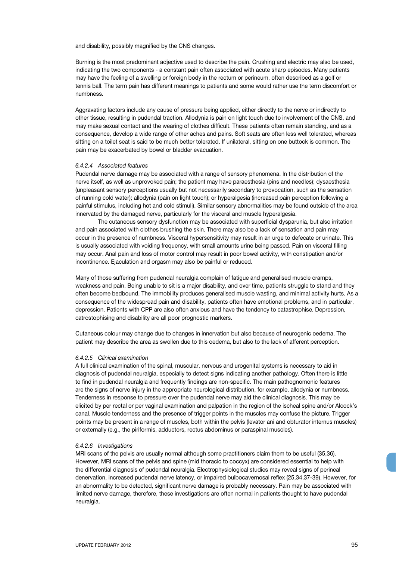and disability, possibly magnified by the CNS changes.

Burning is the most predominant adjective used to describe the pain. Crushing and electric may also be used, indicating the two components - a constant pain often associated with acute sharp episodes. Many patients may have the feeling of a swelling or foreign body in the rectum or perineum, often described as a golf or tennis ball. The term pain has different meanings to patients and some would rather use the term discomfort or numbness.

Aggravating factors include any cause of pressure being applied, either directly to the nerve or indirectly to other tissue, resulting in pudendal traction. Allodynia is pain on light touch due to involvement of the CNS, and may make sexual contact and the wearing of clothes difficult. These patients often remain standing, and as a consequence, develop a wide range of other aches and pains. Soft seats are often less well tolerated, whereas sitting on a toilet seat is said to be much better tolerated. If unilateral, sitting on one buttock is common. The pain may be exacerbated by bowel or bladder evacuation.

#### *6.4.2.4 Associated features*

Pudendal nerve damage may be associated with a range of sensory phenomena. In the distribution of the nerve itself, as well as unprovoked pain; the patient may have paraesthesia (pins and needles); dysaesthesia (unpleasant sensory perceptions usually but not necessarily secondary to provocation, such as the sensation of running cold water); allodynia (pain on light touch); or hyperalgesia (increased pain perception following a painful stimulus, including hot and cold stimuli). Similar sensory abnormalities may be found outside of the area innervated by the damaged nerve, particularly for the visceral and muscle hyperalgesia.

The cutaneous sensory dysfunction may be associated with superficial dysparunia, but also irritation and pain associated with clothes brushing the skin. There may also be a lack of sensation and pain may occur in the presence of numbness. Visceral hypersensitivity may result in an urge to defecate or urinate. This is usually associated with voiding frequency, with small amounts urine being passed. Pain on visceral filling may occur. Anal pain and loss of motor control may result in poor bowel activity, with constipation and/or incontinence. Ejaculation and orgasm may also be painful or reduced.

Many of those suffering from pudendal neuralgia complain of fatigue and generalised muscle cramps, weakness and pain. Being unable to sit is a major disability, and over time, patients struggle to stand and they often become bedbound. The immobility produces generalised muscle wasting, and minimal activity hurts. As a consequence of the widespread pain and disability, patients often have emotional problems, and in particular, depression. Patients with CPP are also often anxious and have the tendency to catastrophise. Depression, catrostophising and disability are all poor prognostic markers.

Cutaneous colour may change due to changes in innervation but also because of neurogenic oedema. The patient may describe the area as swollen due to this oedema, but also to the lack of afferent perception.

#### *6.4.2.5 Clinical examination*

A full clinical examination of the spinal, muscular, nervous and urogenital systems is necessary to aid in diagnosis of pudendal neuralgia, especially to detect signs indicating another pathology. Often there is little to find in pudendal neuralgia and frequently findings are non-specific. The main pathognomonic features are the signs of nerve injury in the appropriate neurological distribution, for example, allodynia or numbness. Tenderness in response to pressure over the pudendal nerve may aid the clinical diagnosis. This may be elicited by per rectal or per vaginal examination and palpation in the region of the ischeal spine and/or Alcock's canal. Muscle tenderness and the presence of trigger points in the muscles may confuse the picture. Trigger points may be present in a range of muscles, both within the pelvis (levator ani and obturator internus muscles) or externally (e.g., the piriformis, adductors, rectus abdominus or paraspinal muscles).

#### *6.4.2.6 Investigations*

MRI scans of the pelvis are usually normal although some practitioners claim them to be useful (35,36). However, MRI scans of the pelvis and spine (mid thoracic to coccyx) are considered essential to help with the differential diagnosis of pudendal neuralgia. Electrophysiological studies may reveal signs of perineal denervation, increased pudendal nerve latency, or impaired bulbocavernosal reflex (25,34,37-39). However, for an abnormality to be detected, significant nerve damage is probably necessary. Pain may be associated with limited nerve damage, therefore, these investigations are often normal in patients thought to have pudendal neuralgia.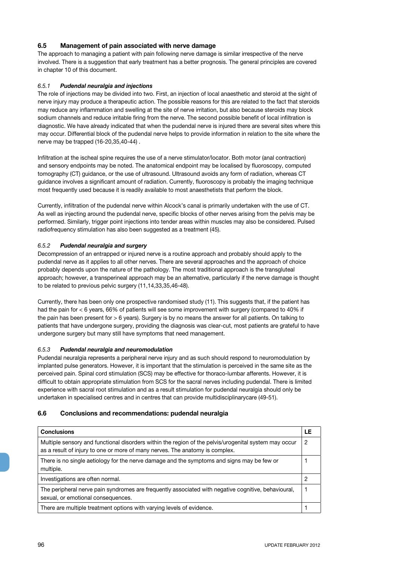# **6.5 Management of pain associated with nerve damage**

The approach to managing a patient with pain following nerve damage is similar irrespective of the nerve involved. There is a suggestion that early treatment has a better prognosis. The general principles are covered in chapter 10 of this document.

# *6.5.1 Pudendal neuralgia and injections*

The role of injections may be divided into two. First, an injection of local anaesthetic and steroid at the sight of nerve injury may produce a therapeutic action. The possible reasons for this are related to the fact that steroids may reduce any inflammation and swelling at the site of nerve irritation, but also because steroids may block sodium channels and reduce irritable firing from the nerve. The second possible benefit of local infiltration is diagnostic. We have already indicated that when the pudendal nerve is injured there are several sites where this may occur. Differential block of the pudendal nerve helps to provide information in relation to the site where the nerve may be trapped (16-20,35,40-44) .

Infiltration at the ischeal spine requires the use of a nerve stimulator/locator. Both motor (anal contraction) and sensory endpoints may be noted. The anatomical endpoint may be localised by fluoroscopy, computed tomography (CT) guidance, or the use of ultrasound. Ultrasound avoids any form of radiation, whereas CT guidance involves a significant amount of radiation. Currently, fluoroscopy is probably the imaging technique most frequently used because it is readily available to most anaesthetists that perform the block.

Currently, infiltration of the pudendal nerve within Alcock's canal is primarily undertaken with the use of CT. As well as injecting around the pudendal nerve, specific blocks of other nerves arising from the pelvis may be performed. Similarly, trigger point injections into tender areas within muscles may also be considered. Pulsed radiofrequency stimulation has also been suggested as a treatment (45).

# *6.5.2 Pudendal neuralgia and surgery*

Decompression of an entrapped or injured nerve is a routine approach and probably should apply to the pudendal nerve as it applies to all other nerves. There are several approaches and the approach of choice probably depends upon the nature of the pathology. The most traditional approach is the transgluteal approach; however, a transperineal approach may be an alternative, particularly if the nerve damage is thought to be related to previous pelvic surgery (11,14,33,35,46-48).

Currently, there has been only one prospective randomised study (11). This suggests that, if the patient has had the pain for < 6 years, 66% of patients will see some improvement with surgery (compared to 40% if the pain has been present for  $> 6$  years). Surgery is by no means the answer for all patients. On talking to patients that have undergone surgery, providing the diagnosis was clear-cut, most patients are grateful to have undergone surgery but many still have symptoms that need management.

# *6.5.3 Pudendal neuralgia and neuromodulation*

Pudendal neuralgia represents a peripheral nerve injury and as such should respond to neuromodulation by implanted pulse generators. However, it is important that the stimulation is perceived in the same site as the perceived pain. Spinal cord stimulation (SCS) may be effective for thoraco-lumbar afferents. However, it is difficult to obtain appropriate stimulation from SCS for the sacral nerves including pudendal. There is limited experience with sacral root stimulation and as a result stimulation for pudendal neuralgia should only be undertaken in specialised centres and in centres that can provide multidisciplinarycare (49-51).

# **6.6 Conclusions and recommendations: pudendal neuralgia**

| <b>Conclusions</b>                                                                                                                                                                    | LE |
|---------------------------------------------------------------------------------------------------------------------------------------------------------------------------------------|----|
| Multiple sensory and functional disorders within the region of the pelvis/urogenital system may occur<br>as a result of injury to one or more of many nerves. The anatomy is complex. | 2  |
| There is no single aetiology for the nerve damage and the symptoms and signs may be few or<br>multiple.                                                                               |    |
| Investigations are often normal.                                                                                                                                                      |    |
| The peripheral nerve pain syndromes are frequently associated with negative cognitive, behavioural,<br>sexual, or emotional consequences.                                             |    |
| There are multiple treatment options with varying levels of evidence.                                                                                                                 |    |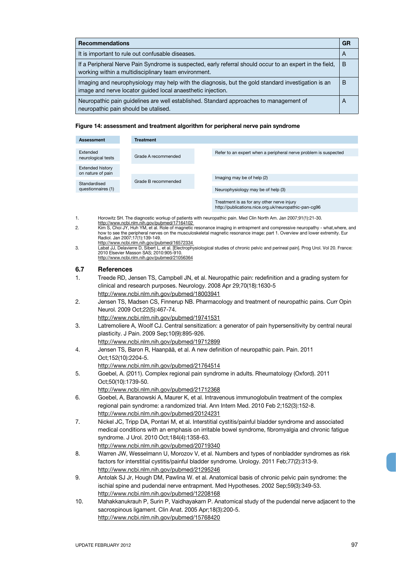| <b>Recommendations</b>                                                                                                                                            |  |
|-------------------------------------------------------------------------------------------------------------------------------------------------------------------|--|
| It is important to rule out confusable diseases.                                                                                                                  |  |
| If a Peripheral Nerve Pain Syndrome is suspected, early referral should occur to an expert in the field,<br>working within a multidisciplinary team environment.  |  |
| Imaging and neurophysiology may help with the diagnosis, but the gold standard investigation is an<br>image and nerve locator guided local anaesthetic injection. |  |
| Neuropathic pain quidelines are well established. Standard approaches to management of<br>neuropathic pain should be utalised.                                    |  |

#### **Figure 14: assessment and treatment algorithm for peripheral nerve pain syndrome**

| <b>Assessment</b>                  | <b>Treatment</b>    |                                                                                                    |
|------------------------------------|---------------------|----------------------------------------------------------------------------------------------------|
|                                    |                     |                                                                                                    |
| Extended                           | Grade A recommended | Refer to an expert when a peripheral nerve problem is suspected                                    |
| neurological tests                 |                     |                                                                                                    |
| Extended history                   |                     |                                                                                                    |
| on nature of pain                  |                     | Imaging may be of help (2)                                                                         |
| Standardised<br>questionnaires (1) | Grade B recommended |                                                                                                    |
|                                    |                     | Neurophysiology may be of help (3)                                                                 |
|                                    |                     |                                                                                                    |
|                                    |                     | Treatment is as for any other nerve injury<br>http://publications.nice.org.uk/neuropathic-pan-cq96 |

- 1. Horowitz SH. The diagnostic workup of patients with neuropathic pain. Med Clin North Am. Jan 2007;91(1):21-30. http://www.ncbi.nlm.nih.gov/pubmed/17164102
- 2. Kim S, Choi JY, Huh YM, et al. Role of magnetic resonance imaging in entrapment and compressive neuropathy what,where, and how to see the peripheral nerves on the musculoskeletal magnetic resonance image: part 1. Overview and lower extremity. Eur Radiol. Jan 2007;17(1):139-149. http://www.ncbi.nlm.nih.gov/pubmed/16572334
- 3. Labat JJ, Delavierre D, Sibert L, et al. [Electrophysiological studies of chronic pelvic and perineal pain]. Prog Urol. Vol 20. France: 2010 Elsevier Masson SAS; 2010:905-910. http://www.ncbi.nlm.nih.gov/pubmed/21056364

#### **6.7 References**

- 1. Treede RD, Jensen TS, Campbell JN, et al. Neuropathic pain: redefinition and a grading system for clinical and research purposes. Neurology. 2008 Apr 29;70(18):1630-5 http://www.ncbi.nlm.nih.gov/pubmed/18003941
- 2. Jensen TS, Madsen CS, Finnerup NB. Pharmacology and treatment of neuropathic pains. Curr Opin Neurol. 2009 Oct;22(5):467-74.

- 3. Latremoliere A, Woolf CJ. Central sensitization: a generator of pain hypersensitivity by central neural plasticity. J Pain. 2009 Sep;10(9):895-926. http://www.ncbi.nlm.nih.gov/pubmed/19712899
- 4. Jensen TS, Baron R, Haanpää, et al. A new definition of neuropathic pain. Pain. 2011 Oct;152(10):2204-5. http://www.ncbi.nlm.nih.gov/pubmed/21764514
- 5. Goebel, A. (2011). Complex regional pain syndrome in adults. Rheumatology (Oxford). 2011 Oct;50(10):1739-50.
	- http://www.ncbi.nlm.nih.gov/pubmed/21712368
- 6. Goebel, A, Baranowski A, Maurer K, et al. Intravenous immunoglobulin treatment of the complex regional pain syndrome: a randomized trial. Ann Intern Med. 2010 Feb 2;152(3):152-8. http://www.ncbi.nlm.nih.gov/pubmed/20124231
- 7. Nickel JC, Tripp DA, Pontari M, et al. Interstitial cystitis/painful bladder syndrome and associated medical conditions with an emphasis on irritable bowel syndrome, fibromyalgia and chronic fatigue syndrome. J Urol. 2010 Oct;184(4):1358-63.
	- http://www.ncbi.nlm.nih.gov/pubmed/20719340
- 8. Warren JW, Wesselmann U, Morozov V, et al. Numbers and types of nonbladder syndromes as risk factors for interstitial cystitis/painful bladder syndrome. Urology. 2011 Feb;77(2):313-9. http://www.ncbi.nlm.nih.gov/pubmed/21295246
- 9. Antolak SJ Jr, Hough DM, Pawlina W. et al. Anatomical basis of chronic pelvic pain syndrome: the ischial spine and pudendal nerve entrapment. Med Hypotheses. 2002 Sep;59(3):349-53. http://www.ncbi.nlm.nih.gov/pubmed/12208168
- 10. Mahakkanukrauh P, Surin P, Vaidhayakarn P. Anatomical study of the pudendal nerve adjacent to the sacrospinous ligament. Clin Anat. 2005 Apr;18(3):200-5. http://www.ncbi.nlm.nih.gov/pubmed/15768420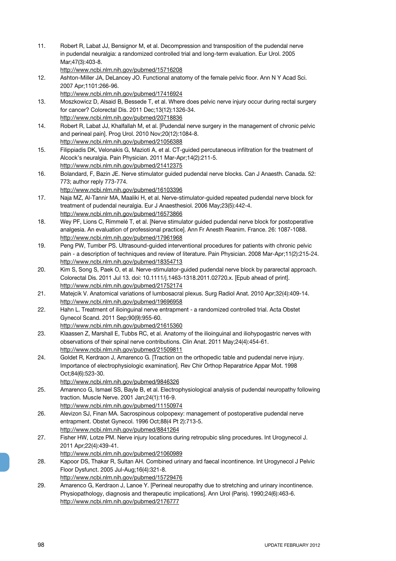11. Robert R, Labat JJ, Bensignor M, et al. Decompression and transposition of the pudendal nerve in pudendal neuralgia: a randomized controlled trial and long-term evaluation. Eur Urol. 2005 Mar;47(3):403-8.

http://www.ncbi.nlm.nih.gov/pubmed/15716208

- 12. Ashton-Miller JA, DeLancey JO. Functional anatomy of the female pelvic floor. Ann N Y Acad Sci. 2007 Apr;1101:266-96.
	- http://www.ncbi.nlm.nih.gov/pubmed/17416924
- 13. Moszkowicz D, Alsaid B, Bessede T, et al. Where does pelvic nerve injury occur during rectal surgery for cancer? Colorectal Dis. 2011 Dec;13(12):1326-34. http://www.ncbi.nlm.nih.gov/pubmed/20718836
- 14. Robert R, Labat JJ, Khalfallah M, et al. [Pudendal nerve surgery in the management of chronic pelvic and perineal pain]. Prog Urol. 2010 Nov;20(12):1084-8.
	- http://www.ncbi.nlm.nih.gov/pubmed/21056388
- 15. Filippiadis DK, Velonakis G, Mazioti A, et al. CT-guided percutaneous infiltration for the treatment of Alcock's neuralgia. Pain Physician. 2011 Mar-Apr;14(2):211-5. http://www.ncbi.nlm.nih.gov/pubmed/21412375
- 16. Bolandard, F, Bazin JE. Nerve stimulator guided pudendal nerve blocks. Can J Anaesth. Canada. 52: 773; author reply 773-774.
	- http://www.ncbi.nlm.nih.gov/pubmed/16103396
- 17. Naja MZ, Al-Tannir MA, Maaliki H, et al. Nerve-stimulator-guided repeated pudendal nerve block for treatment of pudendal neuralgia. Eur J Anaesthesiol. 2006 May;23(5):442-4. http://www.ncbi.nlm.nih.gov/pubmed/16573866
- 18. Wey PF, Lions C, Rimmelé T, et al. [Nerve stimulator guided pudendal nerve block for postoperative analgesia. An evaluation of professional practice]. Ann Fr Anesth Reanim. France. 26: 1087-1088. http://www.ncbi.nlm.nih.gov/pubmed/17961968
- 19. Peng PW, Tumber PS. Ultrasound-guided interventional procedures for patients with chronic pelvic pain - a description of techniques and review of literature. Pain Physician. 2008 Mar-Apr;11(2):215-24. http://www.ncbi.nlm.nih.gov/pubmed/18354713
- 20. Kim S, Song S, Paek O, et al. Nerve-stimulator-guided pudendal nerve block by pararectal approach. Colorectal Dis. 2011 Jul 13. doi: 10.1111/j.1463-1318.2011.02720.x. [Epub ahead of print]. http://www.ncbi.nlm.nih.gov/pubmed/21752174
- 21. Matejcik V. Anatomical variations of lumbosacral plexus. Surg Radiol Anat. 2010 Apr;32(4):409-14. http://www.ncbi.nlm.nih.gov/pubmed/19696958
- 22. Hahn L. Treatment of ilioinguinal nerve entrapment a randomized controlled trial. Acta Obstet Gynecol Scand. 2011 Sep;90(9):955-60.

- 23. Klaassen Z, Marshall E, Tubbs RC, et al. Anatomy of the ilioinguinal and iliohypogastric nerves with observations of their spinal nerve contributions. Clin Anat. 2011 May;24(4):454-61. http://www.ncbi.nlm.nih.gov/pubmed/21509811
- 24. Goldet R, Kerdraon J, Amarenco G. [Traction on the orthopedic table and pudendal nerve injury. Importance of electrophysiologic examination]. Rev Chir Orthop Reparatrice Appar Mot. 1998 Oct;84(6):523-30.
	- http://www.ncbi.nlm.nih.gov/pubmed/9846326
- 25. Amarenco G, Ismael SS, Bayle B, et al. Electrophysiological analysis of pudendal neuropathy following traction. Muscle Nerve. 2001 Jan;24(1):116-9. http://www.ncbi.nlm.nih.gov/pubmed/11150974
- 26. Alevizon SJ, Finan MA. Sacrospinous colpopexy: management of postoperative pudendal nerve entrapment. Obstet Gynecol. 1996 Oct;88(4 Pt 2):713-5.
- http://www.ncbi.nlm.nih.gov/pubmed/8841264
- 27. Fisher HW, Lotze PM. Nerve injury locations during retropubic sling procedures. Int Urogynecol J. 2011 Apr;22(4):439-41.
	- http://www.ncbi.nlm.nih.gov/pubmed/21060989
- 28. Kapoor DS, Thakar R, Sultan AH. Combined urinary and faecal incontinence. Int Urogynecol J Pelvic Floor Dysfunct. 2005 Jul-Aug;16(4):321-8. http://www.ncbi.nlm.nih.gov/pubmed/15729476
- 29. Amarenco G, Kerdraon J, Lanoe Y. [Perineal neuropathy due to stretching and urinary incontinence. Physiopathology, diagnosis and therapeutic implications]. Ann Urol (Paris). 1990;24(6):463-6. http://www.ncbi.nlm.nih.gov/pubmed/2176777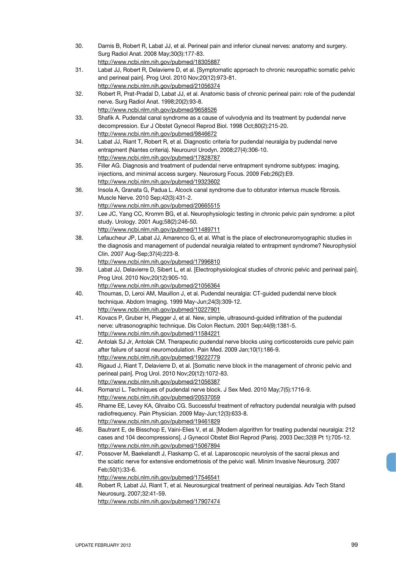- 30. Darnis B, Robert R, Labat JJ, et al. Perineal pain and inferior cluneal nerves: anatomy and surgery. Surg Radiol Anat. 2008 May;30(3):177-83. http://www.ncbi.nlm.nih.gov/pubmed/18305887
- 31. Labat JJ, Robert R, Delavierre D, et al. [Symptomatic approach to chronic neuropathic somatic pelvic and perineal pain]. Prog Urol. 2010 Nov;20(12):973-81. http://www.ncbi.nlm.nih.gov/pubmed/21056374
- 32. Robert R, Prat-Pradal D, Labat JJ, et al. Anatomic basis of chronic perineal pain: role of the pudendal nerve. Surg Radiol Anat. 1998;20(2):93-8. http://www.ncbi.nlm.nih.gov/pubmed/9658526
- 33. Shafik A. Pudendal canal syndrome as a cause of vulvodynia and its treatment by pudendal nerve decompression. Eur J Obstet Gynecol Reprod Biol. 1998 Oct;80(2):215-20. http://www.ncbi.nlm.nih.gov/pubmed/9846672
- 34. Labat JJ, Riant T, Robert R, et al. Diagnostic criteria for pudendal neuralgia by pudendal nerve entrapment (Nantes criteria). Neurourol Urodyn. 2008;27(4):306-10. http://www.ncbi.nlm.nih.gov/pubmed/17828787
- 35. Filler AG. Diagnosis and treatment of pudendal nerve entrapment syndrome subtypes: imaging, injections, and minimal access surgery. Neurosurg Focus. 2009 Feb;26(2):E9. http://www.ncbi.nlm.nih.gov/pubmed/19323602
- 36. Insola A, Granata G, Padua L. Alcock canal syndrome due to obturator internus muscle fibrosis. Muscle Nerve. 2010 Sep;42(3):431-2. http://www.ncbi.nlm.nih.gov/pubmed/20665515
- 37. Lee JC, Yang CC, Kromm BG, et al. Neurophysiologic testing in chronic pelvic pain syndrome: a pilot study. Urology. 2001 Aug;58(2):246-50. http://www.ncbi.nlm.nih.gov/pubmed/11489711
- 38. Lefaucheur JP, Labat JJ, Amarenco G, et al. What is the place of electroneuromyographic studies in the diagnosis and management of pudendal neuralgia related to entrapment syndrome? Neurophysiol Clin. 2007 Aug-Sep;37(4):223-8. http://www.ncbi.nlm.nih.gov/pubmed/17996810
- 39. Labat JJ, Delavierre D, Sibert L, et al. [Electrophysiological studies of chronic pelvic and perineal pain]. Prog Urol. 2010 Nov;20(12):905-10.
	- http://www.ncbi.nlm.nih.gov/pubmed/21056364
- 40. Thoumas, D, Leroi AM, Mauillon J, et al. Pudendal neuralgia: CT-guided pudendal nerve block technique. Abdom Imaging. 1999 May-Jun;24(3):309-12. http://www.ncbi.nlm.nih.gov/pubmed/10227901
- 41. Kovacs P, Gruber H, Piegger J, et al. New, simple, ultrasound-guided infiltration of the pudendal nerve: ultrasonographic technique. Dis Colon Rectum. 2001 Sep;44(9):1381-5. http://www.ncbi.nlm.nih.gov/pubmed/11584221
- 42. Antolak SJ Jr, Antolak CM. Therapeutic pudendal nerve blocks using corticosteroids cure pelvic pain after failure of sacral neuromodulation. Pain Med. 2009 Jan;10(1):186-9. http://www.ncbi.nlm.nih.gov/pubmed/19222779
- 43. Rigaud J, Riant T, Delavierre D, et al. [Somatic nerve block in the management of chronic pelvic and perineal pain]. Prog Urol. 2010 Nov;20(12):1072-83. http://www.ncbi.nlm.nih.gov/pubmed/21056387
- 44. Romanzi L. Techniques of pudendal nerve block. J Sex Med. 2010 May;7(5):1716-9. http://www.ncbi.nlm.nih.gov/pubmed/20537059
- 45. Rhame EE, Levey KA, Ghraibo CG. Successful treatment of refractory pudendal neuralgia with pulsed radiofrequency. Pain Physician. 2009 May-Jun;12(3):633-8. http://www.ncbi.nlm.nih.gov/pubmed/19461829
- 46. Bautrant E, de Bisschop E, Vaini-Elies V, et al. [Modern algorithm for treating pudendal neuralgia: 212 cases and 104 decompressions]. J Gynecol Obstet Biol Reprod (Paris). 2003 Dec;32(8 Pt 1):705-12. http://www.ncbi.nlm.nih.gov/pubmed/15067894
- 47. Possover M, Baekelandt J, Flaskamp C, et al. Laparoscopic neurolysis of the sacral plexus and the sciatic nerve for extensive endometriosis of the pelvic wall. Minim Invasive Neurosurg. 2007 Feb;50(1):33-6. http://www.ncbi.nlm.nih.gov/pubmed/17546541
- 48. Robert R, Labat JJ, Riant T, et al. Neurosurgical treatment of perineal neuralgias. Adv Tech Stand Neurosurg. 2007;32:41-59. http://www.ncbi.nlm.nih.gov/pubmed/17907474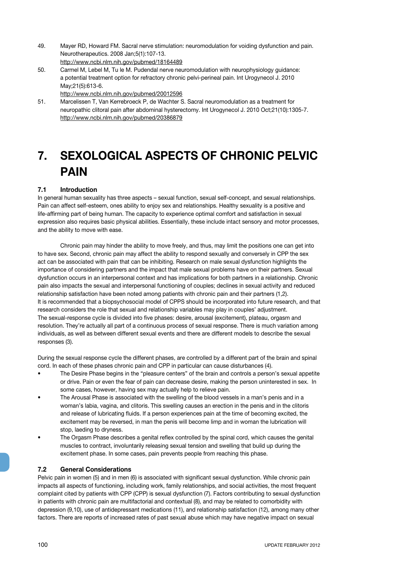- 49. Mayer RD, Howard FM. Sacral nerve stimulation: neuromodulation for voiding dysfunction and pain. Neurotherapeutics. 2008 Jan;5(1):107-13. http://www.ncbi.nlm.nih.gov/pubmed/18164489
- 50. Carmel M, Lebel M, Tu le M. Pudendal nerve neuromodulation with neurophysiology guidance: a potential treatment option for refractory chronic pelvi-perineal pain. Int Urogynecol J. 2010 May;21(5):613-6.

http://www.ncbi.nlm.nih.gov/pubmed/20012596

51. Marcelissen T, Van Kerrebroeck P, de Wachter S. Sacral neuromodulation as a treatment for neuropathic clitoral pain after abdominal hysterectomy. Int Urogynecol J. 2010 Oct;21(10):1305-7. http://www.ncbi.nlm.nih.gov/pubmed/20386879

# **7. Sexological aspects of CHRONIC PELVIC PAIN**

# **7.1 Introduction**

In general human sexuality has three aspects – sexual function, sexual self-concept, and sexual relationships. Pain can affect self-esteem, ones ability to enjoy sex and relationships. Healthy sexuality is a positive and life-affirming part of being human. The capacity to experience optimal comfort and satisfaction in sexual expression also requires basic physical abilities. Essentially, these include intact sensory and motor processes, and the ability to move with ease.

Chronic pain may hinder the ability to move freely, and thus, may limit the positions one can get into to have sex. Second, chronic pain may affect the ability to respond sexually and conversely in CPP the sex act can be associated with pain that can be inhibiting. Research on male sexual dysfunction highlights the importance of considering partners and the impact that male sexual problems have on their partners. Sexual dysfunction occurs in an interpersonal context and has implications for both partners in a relationship. Chronic pain also impacts the sexual and interpersonal functioning of couples; declines in sexual activity and reduced relationship satisfaction have been noted among patients with chronic pain and their partners (1,2). It is recommended that a biopsychosocial model of CPPS should be incorporated into future research, and that research considers the role that sexual and relationship variables may play in couples' adjustment. The sexual-response cycle is divided into five phases: desire, arousal (excitement), plateau, orgasm and resolution. They're actually all part of a continuous process of sexual response. There is much variation among individuals, as well as between different sexual events and there are different models to describe the sexual responses (3).

During the sexual response cycle the different phases, are controlled by a different part of the brain and spinal cord. In each of these phases chronic pain and CPP in particular can cause disturbances (4).

- The Desire Phase begins in the "pleasure centers" of the brain and controls a person's sexual appetite or drive. Pain or even the fear of pain can decrease desire, making the person uninterested in sex. In some cases, however, having sex may actually help to relieve pain.
- The Arousal Phase is associated with the swelling of the blood vessels in a man's penis and in a woman's labia, vagina, and clitoris. This swelling causes an erection in the penis and in the clitoris and release of lubricating fluids. If a person experiences pain at the time of becoming excited, the excitement may be reversed, in man the penis will become limp and in woman the lubrication will stop, laeding to dryness.
- The Orgasm Phase describes a genital reflex controlled by the spinal cord, which causes the genital muscles to contract, involuntarily releasing sexual tension and swelling that build up during the excitement phase. In some cases, pain prevents people from reaching this phase.

# **7.2 General Considerations**

Pelvic pain in women (5) and in men (6) is associated with significant sexual dysfunction. While chronic pain impacts all aspects of functioning, including work, family relationships, and social activities, the most frequent complaint cited by patients with CPP (CPP) is sexual dysfunction (7). Factors contributing to sexual dysfunction in patients with chronic pain are multifactorial and contextual (8), and may be related to comorbidity with depression (9,10), use of antidepressant medications (11), and relationship satisfaction (12), among many other factors. There are reports of increased rates of past sexual abuse which may have negative impact on sexual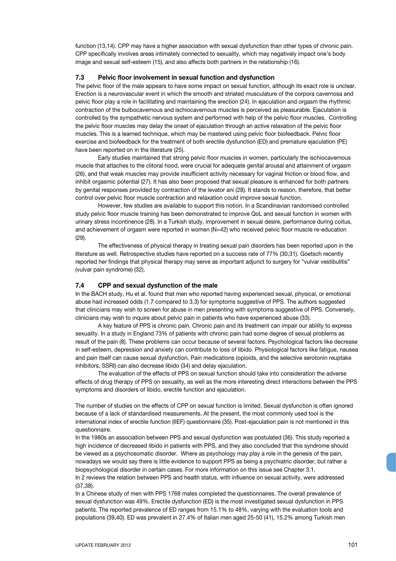function (13,14). CPP may have a higher association with sexual dysfunction than other types of chronic pain. CPP specifically involves areas intimately connected to sexuality, which may negatively impact one's body image and sexual self-esteem (15), and also affects both partners in the relationship (16).

## **7.3 Pelvic floor involvement in sexual function and dysfunction**

The pelvic floor of the male appears to have some impact on sexual function, although its exact role is unclear. Erection is a neurovascular event in which the smooth and striated musculature of the corpora cavernosa and pelvic floor play a role in facilitating and maintaining the erection (24). In ejaculation and orgasm the rhythmic contraction of the bulbocavernous and ischiocavernous muscles is perceived as pleasurable. Ejaculation is controlled by the sympathetic nervous system and performed with help of the pelvic floor muscles. Controlling the pelvic floor muscles may delay the onset of ejaculation through an active relaxation of the pelvic floor muscles. This is a learned technique, which may be mastered using pelvic floor biofeedback. Pelvic floor exercise and biofeedback for the treatment of both erectile dysfunction (ED) and premature ejaculation (PE) have been reported on in the literature (25).

Early studies maintained that strong pelvic floor muscles in women, particularly the ischiocavernous muscle that attaches to the clitoral hood, were crucial for adequate genital arousal and attainment of orgasm (26), and that weak muscles may provide insufficient activity necessary for vaginal friction or blood flow, and inhibit orgasmic potential (27). It has also been proposed that sexual pleasure is enhanced for both partners by genital responses provided by contraction of the levator ani (28). It stands to reason, therefore, that better control over pelvic floor muscle contraction and relaxation could improve sexual function.

However, few studies are available to support this notion. In a Scandinavian randomised controlled study pelvic floor muscle training has been demonstrated to improve QoL and sexual function in women with urinary stress incontinence (28). In a Turkish study, improvement in sexual desire, performance during coitus, and achievement of orgasm were reported in women (N=42) who received pelvic floor muscle re-education (29).

The effectiveness of physical therapy in treating sexual pain disorders has been reported upon in the literature as well. Retrospective studies have reported on a success rate of 77% (30,31). Goetsch recently reported her findings that physical therapy may serve as important adjunct to surgery for "vulvar vestibulitis" (vulvar pain syndrome) (32).

# **7.4 CPP and sexual dysfunction of the male**

In the BACH study, Hu et al. found that men who reported having experienced sexual, physical, or emotional abuse had increased odds (1.7 compared to 3.3) for symptoms suggestive of PPS. The authors suggested that clinicians may wish to screen for abuse in men presenting with symptoms suggestive of PPS. Conversely, clinicians may wish to inquire about pelvic pain in patients who have experienced abuse (33).

A key feature of PPS is chronic pain. Chronic pain and its treatment can impair our ability to express sexuality. In a study in England 73% of patients with chronic pain had some degree of sexual problems as result of the pain (8). These problems can occur because of several factors. Psychological factors like decrease in self-esteem, depression and anxiety can contribute to loss of libido. Physiological factors like fatigue, nausea and pain itself can cause sexual dysfunction. Pain medications (opioids, and the selective serotonin reuptake inhibitors, SSRI) can also decrease libido (34) and delay ejaculation.

The evaluation of the effects of PPS on sexual function should take into consideration the adverse effects of drug therapy of PPS on sexuality, as well as the more interesting direct interactions between the PPS symptoms and disorders of libido, erectile function and ejaculation.

The number of studies on the effects of CPP on sexual function is limited. Sexual dysfunction is often ignored because of a lack of standardised measurements. At the present, the most commonly used tool is the international index of erectile function (IIEF) questionnaire (35). Post-ejaculation pain is not mentioned in this questionnaire.

In the 1980s an association between PPS and sexual dysfunction was postulated (36). This study reported a high incidence of decreased libido in patients with PPS, and they also concluded that this syndrome should be viewed as a psychosomatic disorder. Where as psychology may play a role in the genesis of the pain, nowadays we would say there is little evidence to support PPS as being a psychiatric disorder, but rather a biopsychological disorder in certain cases. For more information on this issue see Chapter 3.1.

In 2 reviews the relation between PPS and health status, with influence on sexual activity, were addressed (37,38).

In a Chinese study of men with PPS 1768 males completed the questionnaires. The overall prevalence of sexual dysfunction was 49%. Erectile dysfunction (ED) is the most investigated sexual dysfunction in PPS patients. The reported prevalence of ED ranges from 15.1% to 48%, varying with the evaluation tools and populations (39,40). ED was prevalent in 27.4% of Italian men aged 25-50 (41), 15.2% among Turkish men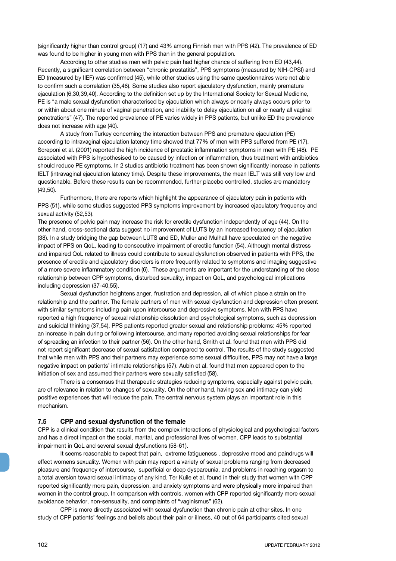(significantly higher than control group) (17) and 43% among Finnish men with PPS (42). The prevalence of ED was found to be higher in young men with PPS than in the general population.

According to other studies men with pelvic pain had higher chance of suffering from ED (43,44). Recently, a significant correlation between "chronic prostatitis", PPS symptoms (measured by NIH-CPSI) and ED (measured by IIEF) was confirmed (45), while other studies using the same questionnaires were not able to confirm such a correlation (35,46). Some studies also report ejaculatory dysfunction, mainly premature ejaculation (6,30,39,40). According to the definition set up by the International Society for Sexual Medicine, PE is "a male sexual dysfunction characterised by ejaculation which always or nearly always occurs prior to or within about one minute of vaginal penetration, and inability to delay ejaculation on all or nearly all vaginal penetrations" (47). The reported prevalence of PE varies widely in PPS patients, but unlike ED the prevalence does not increase with age (40).

A study from Turkey concerning the interaction between PPS and premature ejaculation (PE) according to intravaginal ejaculation latency time showed that 77% of men with PPS suffered from PE (17). Screponi et al. (2001) reported the high incidence of prostatic inflammation symptoms in men with PE (48). PE associated with PPS is hypothesised to be caused by infection or inflammation, thus treatment with antibiotics should reduce PE symptoms. In 2 studies antibiotic treatment has been shown significantly increase in patients IELT (intravaginal ejaculation latency time). Despite these improvements, the mean IELT was still very low and questionable. Before these results can be recommended, further placebo controlled, studies are mandatory (49,50).

Furthermore, there are reports which highlight the appearance of ejaculatory pain in patients with PPS (51), while some studies suggested PPS symptoms improvement by increased ejaculatory frequency and sexual activity (52,53).

The presence of pelvic pain may increase the risk for erectile dysfunction independently of age (44). On the other hand, cross-sectional data suggest no improvement of LUTS by an increased frequency of ejaculation (38). In a study bridging the gap between LUTS and ED, Muller and Mulhall have speculated on the negative impact of PPS on QoL, leading to consecutive impairment of erectile function (54). Although mental distress and impaired QoL related to illness could contribute to sexual dysfunction observed in patients with PPS, the presence of erectile and ejaculatory disorders is more frequently related to symptoms and imaging suggestive of a more severe inflammatory condition (6). These arguments are important for the understanding of the close relationship between CPP symptoms, disturbed sexuality, impact on QoL, and psychological implications including depression (37-40,55).

Sexual dysfunction heightens anger, frustration and depression, all of which place a strain on the relationship and the partner. The female partners of men with sexual dysfunction and depression often present with similar symptoms including pain upon intercourse and depressive symptoms. Men with PPS have reported a high frequency of sexual relationship dissolution and psychological symptoms, such as depression and suicidal thinking (37,54). PPS patients reported greater sexual and relationship problems: 45% reported an increase in pain during or following intercourse, and many reported avoiding sexual relationships for fear of spreading an infection to their partner (56). On the other hand, Smith et al. found that men with PPS did not report significant decrease of sexual satisfaction compared to control. The results of the study suggested that while men with PPS and their partners may experience some sexual difficulties, PPS may not have a large negative impact on patients' intimate relationships (57). Aubin et al. found that men appeared open to the initiation of sex and assumed their partners were sexually satisfied (58).

There is a consensus that therapeutic strategies reducing symptoms, especially against pelvic pain, are of relevance in relation to changes of sexuality. On the other hand, having sex and intimacy can yield positive experiences that will reduce the pain. The central nervous system plays an important role in this mechanism.

## **7.5 CPP and sexual dysfunction of the female**

CPP is a clinical condition that results from the complex interactions of physiological and psychological factors and has a direct impact on the social, marital, and professional lives of women. CPP leads to substantial impairment in QoL and several sexual dysfunctions (58-61).

It seems reasonable to expect that pain, extreme fatigueness , depressive mood and paindrugs will effect womens sexuality. Women with pain may report a variety of sexual problems ranging from decreased pleasure and frequency of intercourse, superficial or deep dyspareunia, and problems in reaching orgasm to a total aversion toward sexual intimacy of any kind. Ter Kuile et al. found in their study that women with CPP reported significantly more pain, depression, and anxiety symptoms and were physically more impaired than women in the control group. In comparison with controls, women with CPP reported significantly more sexual avoidance behavior, non-sensuality, and complaints of "vaginismus" (62).

CPP is more directly associated with sexual dysfunction than chronic pain at other sites. In one study of CPP patients' feelings and beliefs about their pain or illness, 40 out of 64 participants cited sexual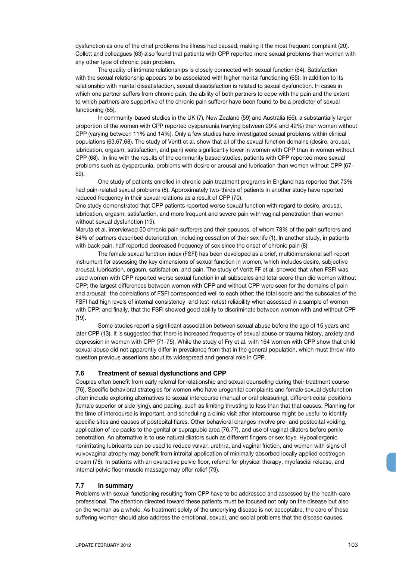dysfunction as one of the chief problems the illness had caused, making it the most frequent complaint (20). Collett and colleagues (63) also found that patients with CPP reported more sexual problems than women with any other type of chronic pain problem.

The quality of intimate relationships is closely connected with sexual function (64). Satisfaction with the sexual relationship appears to be associated with higher marital functioning (65). In addition to its relationship with marital dissatisfaction, sexual dissatisfaction is related to sexual dysfunction. In cases in which one partner suffers from chronic pain, the ability of both partners to cope with the pain and the extent to which partners are supportive of the chronic pain sufferer have been found to be a predictor of sexual functioning (65).

In community-based studies in the UK (7), New Zealand (59) and Australia (66), a substantially larger proportion of the women with CPP reported dyspareunia (varying between 29% and 42%) than women without CPP (varying between 11% and 14%). Only a few studies have investigated sexual problems within clinical populations (63,67,68). The study of Veritt et al. show that all of the sexual function domains (desire, arousal, lubrication, orgasm, satisfaction, and pain) were significantly lower in women with CPP than in women without CPP (68). In line with the results of the community based studies, patients with CPP reported more sexual problems such as dyspareunia, problems with desire or arousal and lubrication than women without CPP (67- 69).

One study of patients enrolled in chronic pain treatment programs in England has reported that 73% had pain-related sexual problems (8). Approximately two-thirds of patients in another study have reported reduced frequency in their sexual relations as a result of CPP (70).

One study demonstrated that CPP patients reported worse sexual function with regard to desire, arousal, lubrication, orgasm, satisfaction, and more frequent and severe pain with vaginal penetration than women without sexual dysfunction (19).

Maruta et al. interviewed 50 chronic pain sufferers and their spouses, of whom 78% of the pain sufferers and 84% of partners described deterioration, including cessation of their sex life (1). In another study, in patients with back pain, half reported decreased frequency of sex since the onset of chronic pain (8)

The female sexual function index (FSFI) has been developed as a brief, multidimensional self-report instrument for assessing the key dimensions of sexual function in women, which includes desire, subjective arousal, lubrication, orgasm, satisfaction, and pain. The study of Veritt FF et al. showed that when FSFI was used women with CPP reported worse sexual function in all subscales and total score than did women without CPP; the largest differences between women with CPP and without CPP were seen for the domains of pain and arousal; the correlations of FSFI corresponded well to each other; the total score and the subscales of the FSFI had high levels of internal consistency and test–retest reliability when assessed in a sample of women with CPP; and finally, that the FSFI showed good ability to discriminate between women with and without CPP (19).

Some studies report a significant association between sexual abuse before the age of 15 years and later CPP (13). It is suggested that there is increased frequency of sexual abuse or trauma history, anxiety and depression in women with CPP (71-75). While the study of Fry et al. with 164 women with CPP show that child sexual abuse did not apparently differ in prevalence from that in the general population, which must throw into question previous assertions about its widespread and general role in CPP.

# **7.6 Treatment of sexual dysfunctions and CPP**

Couples often benefit from early referral for relationship and sexual counseling during their treatment course (76). Specific behavioral strategies for women who have urogenital complaints and female sexual dysfunction often include exploring alternatives to sexual intercourse (manual or oral pleasuring), different coital positions (female superior or side lying), and pacing, such as limiting thrusting to less than that that causes. Planning for the time of intercourse is important, and scheduling a clinic visit after intercourse might be useful to identify specific sites and causes of postcoital flares. Other behavioral changes involve pre- and postcoital voiding, application of ice packs to the genital or suprapubic area (76,77), and use of vaginal dilators before penile penetration. An alternative is to use natural dilators such as different fingers or sex toys. Hypoallergenic nonirritating lubricants can be used to reduce vulvar, urethra, and vaginal friction, and women with signs of vulvovaginal atrophy may benefit from introital application of minimally absorbed locally applied oestrogen cream (78). In patients with an overactive pelvic floor, referral for physical therapy, myofascial release, and internal pelvic floor muscle massage may offer relief (79).

# **7.7 In summary**

Problems with sexual functioning resulting from CPP have to be addressed and assessed by the health-care professional. The attention directed toward these patients must be focused not only on the disease but also on the woman as a whole. As treatment solely of the underlying disease is not acceptable, the care of these suffering women should also address the emotional, sexual, and social problems that the disease causes.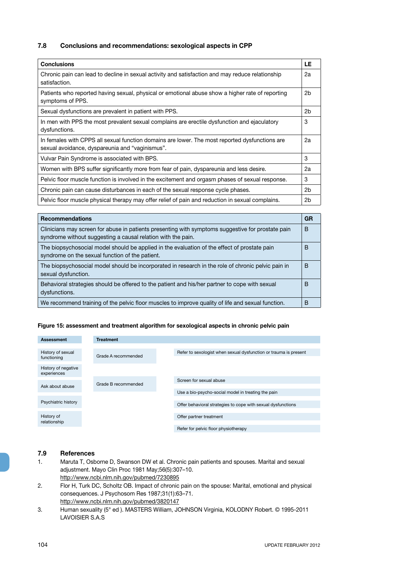# **7.8 Conclusions and recommendations: sexological aspects in CPP**

| <b>Conclusions</b>                                                                                                                                | LE             |
|---------------------------------------------------------------------------------------------------------------------------------------------------|----------------|
| Chronic pain can lead to decline in sexual activity and satisfaction and may reduce relationship<br>satisfaction.                                 | 2a             |
| Patients who reported having sexual, physical or emotional abuse show a higher rate of reporting<br>symptoms of PPS.                              | 2b             |
| Sexual dysfunctions are prevalent in patient with PPS.                                                                                            | 2 <sub>b</sub> |
| In men with PPS the most prevalent sexual complains are erectile dysfunction and ejaculatory<br>dysfunctions.                                     | 3              |
| In females with CPPS all sexual function domains are lower. The most reported dysfunctions are<br>sexual avoidance, dyspareunia and "vaginismus". |                |
| Vulvar Pain Syndrome is associated with BPS.                                                                                                      | 3              |
| Women with BPS suffer significantly more from fear of pain, dyspareunia and less desire.                                                          |                |
| Pelvic floor muscle function is involved in the excitement and orgasm phases of sexual response.                                                  |                |
| Chronic pain can cause disturbances in each of the sexual response cycle phases.                                                                  |                |
| Pelvic floor muscle physical therapy may offer relief of pain and reduction in sexual complains.                                                  | 2b             |
|                                                                                                                                                   |                |

| <b>Recommendations</b>                                                                                                                                            | GR |
|-------------------------------------------------------------------------------------------------------------------------------------------------------------------|----|
| Clinicians may screen for abuse in patients presenting with symptoms suggestive for prostate pain<br>syndrome without suggesting a causal relation with the pain. | в  |
| The biopsychosocial model should be applied in the evaluation of the effect of prostate pain<br>syndrome on the sexual function of the patient.                   | в  |
| The biopsychosocial model should be incorporated in research in the role of chronic pelvic pain in<br>sexual dysfunction.                                         | в  |
| Behavioral strategies should be offered to the patient and his/her partner to cope with sexual<br>dysfunctions.                                                   | в  |
| We recommend training of the pelvic floor muscles to improve quality of life and sexual function.                                                                 | в  |

## **Figure 15: assessment and treatment algorithm for sexological aspects in chronic pelvic pain**

| <b>Assessment</b>                  | <b>Treatment</b>                                   |                                                                  |
|------------------------------------|----------------------------------------------------|------------------------------------------------------------------|
|                                    |                                                    |                                                                  |
| History of sexual<br>functioning   | Grade A recommended                                | Refer to sexologist when sexual dysfunction or trauma is present |
|                                    |                                                    |                                                                  |
| History of negative<br>experiences |                                                    |                                                                  |
|                                    | Screen for sexual abuse                            |                                                                  |
| Ask about abuse                    | Grade B recommended                                |                                                                  |
|                                    | Use a bio-psycho-social model in treating the pain |                                                                  |
| Psychiatric history                |                                                    |                                                                  |
|                                    |                                                    | Offer behavioral strategies to cope with sexual dysfunctions     |
|                                    |                                                    |                                                                  |
| History of<br>relationship         |                                                    | Offer partner treatment                                          |
|                                    |                                                    |                                                                  |
|                                    |                                                    | Refer for pelvic floor physiotherapy                             |

# **7.9 References**

- 1. Maruta T, Osborne D, Swanson DW et al. Chronic pain patients and spouses. Marital and sexual adjustment. Mayo Clin Proc 1981 May;56(5):307–10. http://www.ncbi.nlm.nih.gov/pubmed/7230895
- 2. Flor H, Turk DC, Scholtz OB. Impact of chronic pain on the spouse: Marital, emotional and physical consequences. J Psychosom Res 1987;31(1):63–71. http://www.ncbi.nlm.nih.gov/pubmed/3820147
- 3. Human sexuality (5° ed ). MASTERS William, JOHNSON Virginia, KOLODNY Robert. © 1995-2011 LAVOISIER S.A.S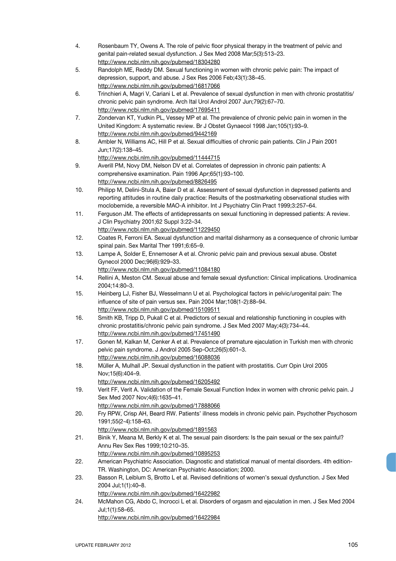- 4. Rosenbaum TY, Owens A. The role of pelvic floor physical therapy in the treatment of pelvic and genital pain-related sexual dysfunction. J Sex Med 2008 Mar;5(3):513–23. http://www.ncbi.nlm.nih.gov/pubmed/18304280
- 5. Randolph ME, Reddy DM. Sexual functioning in women with chronic pelvic pain: The impact of depression, support, and abuse. J Sex Res 2006 Feb;43(1):38–45. http://www.ncbi.nlm.nih.gov/pubmed/16817066
- 6. Trinchieri A, Magri V, Cariani L et al. Prevalence of sexual dysfunction in men with chronic prostatitis/ chronic pelvic pain syndrome. Arch Ital Urol Androl 2007 Jun;79(2):67–70. http://www.ncbi.nlm.nih.gov/pubmed/17695411
- 7. Zondervan KT, Yudkin PL, Vessey MP et al. The prevalence of chronic pelvic pain in women in the United Kingdom: A systematic review. Br J Obstet Gynaecol 1998 Jan;105(1):93–9. http://www.ncbi.nlm.nih.gov/pubmed/9442169
- 8. Ambler N, Williams AC, Hill P et al. Sexual difficulties of chronic pain patients. Clin J Pain 2001 Jun;17(2):138–45.
	- http://www.ncbi.nlm.nih.gov/pubmed/11444715
- 9. Averill PM, Novy DM, Nelson DV et al. Correlates of depression in chronic pain patients: A comprehensive examination. Pain 1996 Apr;65(1):93–100. http://www.ncbi.nlm.nih.gov/pubmed/8826495
- 10. Philipp M, Delini-Stula A, Baier D et al. Assessment of sexual dysfunction in depressed patients and reporting attitudes in routine daily practice: Results of the postmarketing observational studies with moclobemide, a reversible MAO-A inhibitor. Int J Psychiatry Clin Pract 1999;3:257–64.
- 11. Ferguson JM. The effects of antidepressants on sexual functioning in depressed patients: A review. J Clin Psychiatry 2001;62 Suppl 3:22–34. http://www.ncbi.nlm.nih.gov/pubmed/11229450
- 12. Coates R, Ferroni EA. Sexual dysfunction and marital disharmony as a consequence of chronic lumbar spinal pain. Sex Marital Ther 1991;6:65–9.
- 13. Lampe A, Solder E, Ennemoser A et al. Chronic pelvic pain and previous sexual abuse. Obstet Gynecol 2000 Dec;96(6):929–33.

http://www.ncbi.nlm.nih.gov/pubmed/11084180

- 14. Rellini A, Meston CM. Sexual abuse and female sexual dysfunction: Clinical implications. Urodinamica 2004;14:80–3.
- 15. Heinberg LJ, Fisher BJ, Wesselmann U et al. Psychological factors in pelvic/urogenital pain: The influence of site of pain versus sex. Pain 2004 Mar;108(1-2):88–94. http://www.ncbi.nlm.nih.gov/pubmed/15109511
- 16. Smith KB, Tripp D, Pukall C et al. Predictors of sexual and relationship functioning in couples with chronic prostatitis/chronic pelvic pain syndrome. J Sex Med 2007 May;4(3):734–44. http://www.ncbi.nlm.nih.gov/pubmed/17451490
- 17. Gonen M, Kalkan M, Cenker A et al. Prevalence of premature ejaculation in Turkish men with chronic pelvic pain syndrome. J Androl 2005 Sep-Oct;26(5):601–3. http://www.ncbi.nlm.nih.gov/pubmed/16088036
- 18. Müller A, Mulhall JP. Sexual dysfunction in the patient with prostatitis. Curr Opin Urol 2005 Nov;15(6):404–9.
	- http://www.ncbi.nlm.nih.gov/pubmed/16205492
- 19. Verit FF, Verit A. Validation of the Female Sexual Function Index in women with chronic pelvic pain. J Sex Med 2007 Nov;4(6):1635–41.
	- http://www.ncbi.nlm.nih.gov/pubmed/17888066
- 20. Fry RPW, Crisp AH, Beard RW. Patients' illness models in chronic pelvic pain. Psychother Psychosom 1991;55(2-4):158–63.
	- http://www.ncbi.nlm.nih.gov/pubmed/1891563
- 21. Binik Y, Meana M, Berkly K et al. The sexual pain disorders: Is the pain sexual or the sex painful? Annu Rev Sex Res 1999;10:210–35.

http://www.ncbi.nlm.nih.gov/pubmed/10895253

- 22. American Psychiatric Association. Diagnostic and statistical manual of mental disorders. 4th edition-TR. Washington, DC: American Psychiatric Association; 2000.
- 23. Basson R, Leiblum S, Brotto L et al. Revised definitions of women's sexual dysfunction. J Sex Med 2004 Jul;1(1):40–8.
	- http://www.ncbi.nlm.nih.gov/pubmed/16422982
- 24. McMahon CG, Abdo C, Incrocci L et al. Disorders of orgasm and ejaculation in men. J Sex Med 2004 Jul;1(1):58–65.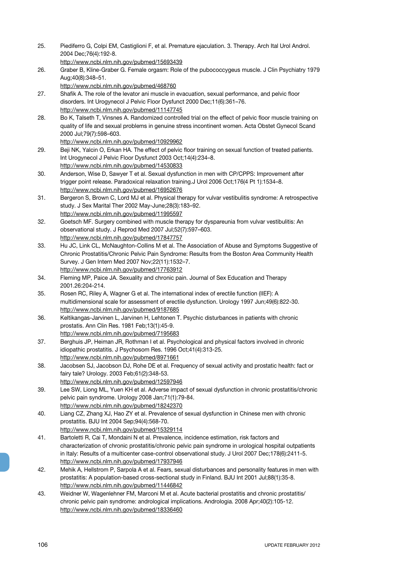2004 Dec;76(4):192-8. http://www.ncbi.nlm.nih.gov/pubmed/15693439 26. Graber B, Kline-Graber G. Female orgasm: Role of the pubococcygeus muscle. J Clin Psychiatry 1979 Aug;40(8):348–51. http://www.ncbi.nlm.nih.gov/pubmed/468760 27. Shafik A. The role of the levator ani muscle in evacuation, sexual performance, and pelvic floor disorders. Int Urogynecol J Pelvic Floor Dysfunct 2000 Dec;11(6):361–76. http://www.ncbi.nlm.nih.gov/pubmed/11147745 28. Bo K, Talseth T, Vinsnes A. Randomized controlled trial on the effect of pelvic floor muscle training on quality of life and sexual problems in genuine stress incontinent women. Acta Obstet Gynecol Scand 2000 Jul;79(7):598–603. http://www.ncbi.nlm.nih.gov/pubmed/10929962 29. Beji NK, Yalcin O, Erkan HA. The effect of pelvic floor training on sexual function of treated patients. Int Urogynecol J Pelvic Floor Dysfunct 2003 Oct;14(4):234–8. http://www.ncbi.nlm.nih.gov/pubmed/14530833 30. Anderson, Wise D, Sawyer T et al. Sexual dysfunction in men with CP/CPPS: Improvement after trigger point release. Paradoxical relaxation training.J Urol 2006 Oct;176(4 Pt 1):1534–8. http://www.ncbi.nlm.nih.gov/pubmed/16952676 31. Bergeron S, Brown C, Lord MJ et al. Physical therapy for vulvar vestibulitis syndrome: A retrospective study. J Sex Marital Ther 2002 May-June;28(3):183–92. http://www.ncbi.nlm.nih.gov/pubmed/11995597 32. Goetsch MF. Surgery combined with muscle therapy for dyspareunia from vulvar vestibulitis: An observational study. J Reprod Med 2007 Jul;52(7):597–603. http://www.ncbi.nlm.nih.gov/pubmed/17847757 33. Hu JC, Link CL, McNaughton-Collins M et al. The Association of Abuse and Symptoms Suggestive of Chronic Prostatitis/Chronic Pelvic Pain Syndrome: Results from the Boston Area Community Health Survey. J Gen Intern Med 2007 Nov;22(11):1532–7. http://www.ncbi.nlm.nih.gov/pubmed/17763912 34. Fleming MP, Paice JA. Sexuality and chronic pain. Journal of Sex Education and Therapy 2001.26:204-214. 35. Rosen RC, Riley A, Wagner G et al. The international index of erectile function (IIEF): A multidimensional scale for assessment of erectile dysfunction. Urology 1997 Jun;49(6):822-30. http://www.ncbi.nlm.nih.gov/pubmed/9187685 36. Keltikangas-Jarvinen L, Jarvinen H, Lehtonen T. Psychic disturbances in patients with chronic prostatis. Ann Clin Res. 1981 Feb;13(1):45-9. http://www.ncbi.nlm.nih.gov/pubmed/7195683 37. Berghuis JP, Heiman JR, Rothman I et al. Psychological and physical factors involved in chronic idiopathic prostatitis. J Psychosom Res. 1996 Oct;41(4):313-25. http://www.ncbi.nlm.nih.gov/pubmed/8971661 38. Jacobsen SJ, Jacobson DJ, Rohe DE et al. Frequency of sexual activity and prostatic health: fact or fairy tale? Urology. 2003 Feb;61(2):348-53. http://www.ncbi.nlm.nih.gov/pubmed/12597946 39. Lee SW, Liong ML, Yuen KH et al. Adverse impact of sexual dysfunction in chronic prostatitis/chronic pelvic pain syndrome. Urology 2008 Jan;71(1):79-84. http://www.ncbi.nlm.nih.gov/pubmed/18242370 40. Liang CZ, Zhang XJ, Hao ZY et al. Prevalence of sexual dysfunction in Chinese men with chronic prostatitis. BJU Int 2004 Sep;94(4):568-70. http://www.ncbi.nlm.nih.gov/pubmed/15329114 41. Bartoletti R, Cai T, Mondaini N et al. Prevalence, incidence estimation, risk factors and characterization of chronic prostatitis/chronic pelvic pain syndrome in urological hospital outpatients in Italy: Results of a multicenter case-control observational study. J Urol 2007 Dec;178(6):2411-5. http://www.ncbi.nlm.nih.gov/pubmed/17937946 42. Mehik A, Hellstrom P, Sarpola A et al. Fears, sexual disturbances and personality features in men with prostatitis: A population-based cross-sectional study in Finland. BJU Int 2001 Jul;88(1):35-8. http://www.ncbi.nlm.nih.gov/pubmed/11446842 43. Weidner W, Wagenlehner FM, Marconi M et al. Acute bacterial prostatitis and chronic prostatitis/ chronic pelvic pain syndrome: andrological implications. Andrologia. 2008 Apr;40(2):105-12. http://www.ncbi.nlm.nih.gov/pubmed/18336460

25. Piediferro G, Colpi EM, Castiglioni F, et al. Premature ejaculation. 3. Therapy. Arch Ital Urol Androl.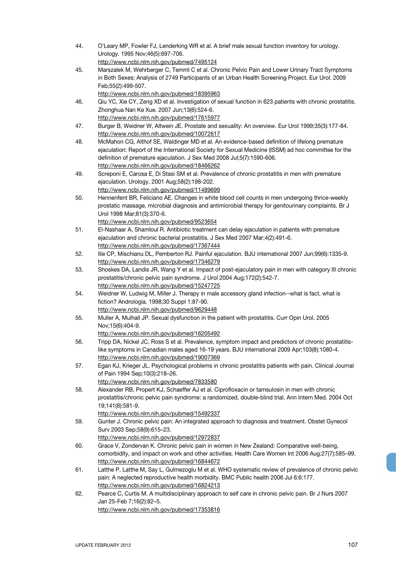- 44. O'Leary MP, Fowler FJ, Lenderking WR et al. A brief male sexual function inventory for urology. Urology. 1995 Nov;46(5):697-706. http://www.ncbi.nlm.nih.gov/pubmed/7495124
- 45. Marszalek M, Wehrberger C, Temml C et al. Chronic Pelvic Pain and Lower Urinary Tract Symptoms in Both Sexes: Analysis of 2749 Participants of an Urban Health Screening Project. Eur Urol. 2009 Feb;55(2):499-507.
	- http://www.ncbi.nlm.nih.gov/pubmed/18395963
- 46. Qiu YC, Xie CY, Zeng XD et al. Investigation of sexual function in 623 patients with chronic prostatitis. Zhonghua Nan Ke Xue. 2007 Jun;13(6):524-6. http://www.ncbi.nlm.nih.gov/pubmed/17615977
- 47. Burger B, Weidner W, Altwein JE. Prostate and sexuality: An overview. Eur Urol 1999;35(3):177-84. http://www.ncbi.nlm.nih.gov/pubmed/10072617
- 48. McMahon CG, Althof SE, Waldinger MD et al. An evidence-based definition of lifelong premature ejaculation: Report of the International Society for Sexual Medicine (ISSM) ad hoc committee for the definition of premature ejaculation. J Sex Med 2008 Jul;5(7):1590-606. http://www.ncbi.nlm.nih.gov/pubmed/18466262
- 49. Screponi E, Carosa E, Di Stasi SM et al. Prevalence of chronic prostatitis in men with premature ejaculation. Urology. 2001 Aug;58(2):198-202. http://www.ncbi.nlm.nih.gov/pubmed/11489699
- 50. Hennenfent BR, Feliciano AE. Changes in white blood cell counts in men undergoing thrice-weekly prostatic massage, microbial diagnosis and antimicrobial therapy for genitourinary complaints. Br J Urol 1998 Mar;81(3):370-6. http://www.ncbi.nlm.nih.gov/pubmed/9523654
- 51. El-Nashaar A, Shamloul R. Antibiotic treatment can delay ejaculation in patients with premature ejaculation and chronic bacterial prostatitis. J Sex Med 2007 Mar;4(2):491-6. http://www.ncbi.nlm.nih.gov/pubmed/17367444
- 52. Ilie CP, Mischianu DL, Pemberton RJ. Painful ejaculation. BJU international 2007 Jun;99(6):1335-9. http://www.ncbi.nlm.nih.gov/pubmed/17346279
- 53. Shoskes DA, Landis JR, Wang Y et al. Impact of post-ejaculatory pain in men with category III chronic prostatitis/chronic pelvic pain syndrome. J Urol 2004 Aug;172(2):542-7. http://www.ncbi.nlm.nih.gov/pubmed/15247725
- 54. Weidner W, Ludwig M, Miller J. Therapy in male accessory gland infection--what is fact, what is fiction? Andrologia. 1998;30 Suppl 1:87-90. http://www.ncbi.nlm.nih.gov/pubmed/9629448
- 55. Muller A, Mulhall JP. Sexual dysfunction in the patient with prostatitis. Curr Opin Urol. 2005 Nov;15(6):404-9.
	- http://www.ncbi.nlm.nih.gov/pubmed/16205492
- 56. Tripp DA, Nickel JC, Ross S et al. Prevalence, symptom impact and predictors of chronic prostatitislike symptoms in Canadian males aged 16-19 years. BJU international 2009 Apr;103(8):1080-4. http://www.ncbi.nlm.nih.gov/pubmed/19007369
- 57. Egan KJ, Krieger JL. Psychological problems in chronic prostatitis patients with pain. Clinical Journal of Pain 1994 Sep;10(3):218–26.
	- http://www.ncbi.nlm.nih.gov/pubmed/7833580
- 58. Alexander RB, Propert KJ, Schaeffer AJ et al. Ciprofloxacin or tamsulosin in men with chronic prostatitis/chronic pelvic pain syndrome: a randomized, double-blind trial. Ann Intern Med. 2004 Oct 19;141(8):581-9.
	- http://www.ncbi.nlm.nih.gov/pubmed/15492337
- 59. Gunter J. Chronic pelvic pain: An integrated approach to diagnosis and treatment. Obstet Gynecol Surv 2003 Sep;58(9):615–23. http://www.ncbi.nlm.nih.gov/pubmed/12972837
- 60. Grace V, Zondervan K. Chronic pelvic pain in women in New Zealand: Comparative well-being, comorbidity, and impact on work and other activities. Health Care Women Int 2006 Aug;27(7):585–99. http://www.ncbi.nlm.nih.gov/pubmed/16844672
- 61. Latthe P, Latthe M, Say L, Gulmezoglu M et al. WHO systematic review of prevalence of chronic pelvic pain: A neglected reproductive health morbidity. BMC Public health 2006 Jul 6;6:177. http://www.ncbi.nlm.nih.gov/pubmed/16824213
- 62. Pearce C, Curtis M. A multidisciplinary approach to self care in chronic pelvic pain. Br J Nurs 2007 Jan 25-Feb 7;16(2):82–5. http://www.ncbi.nlm.nih.gov/pubmed/17353816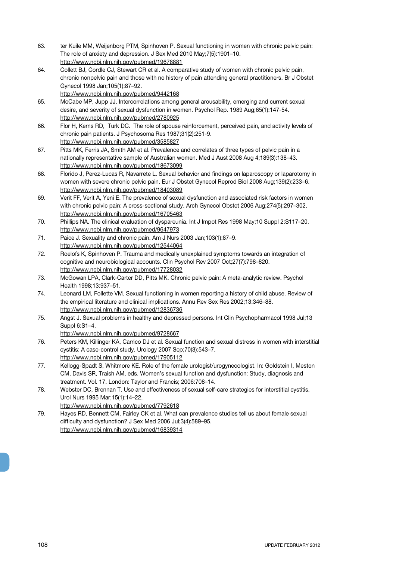- 63. ter Kuile MM, Weijenborg PTM, Spinhoven P. Sexual functioning in women with chronic pelvic pain: The role of anxiety and depression. J Sex Med 2010 May;7(5):1901–10. http://www.ncbi.nlm.nih.gov/pubmed/19678881
- 64. Collett BJ, Cordle CJ, Stewart CR et al. A comparative study of women with chronic pelvic pain, chronic nonpelvic pain and those with no history of pain attending general practitioners. Br J Obstet Gynecol 1998 Jan;105(1):87–92.

- 65. McCabe MP, Jupp JJ. Intercorrelations among general arousability, emerging and current sexual desire, and severity of sexual dysfunction in women. Psychol Rep. 1989 Aug;65(1):147-54. http://www.ncbi.nlm.nih.gov/pubmed/2780925
- 66. Flor H, Kerns RD, Turk DC. The role of spouse reinforcement, perceived pain, and activity levels of chronic pain patients. J Psychosoma Res 1987;31(2):251-9. http://www.ncbi.nlm.nih.gov/pubmed/3585827
- 67. Pitts MK, Ferris JA, Smith AM et al. Prevalence and correlates of three types of pelvic pain in a nationally representative sample of Australian women. Med J Aust 2008 Aug 4;189(3):138–43. http://www.ncbi.nlm.nih.gov/pubmed/18673099
- 68. Florido J, Perez-Lucas R, Navarrete L. Sexual behavior and findings on laparoscopy or laparotomy in women with severe chronic pelvic pain. Eur J Obstet Gynecol Reprod Biol 2008 Aug;139(2):233–6. http://www.ncbi.nlm.nih.gov/pubmed/18403089
- 69. Verit FF, Verit A, Yeni E. The prevalence of sexual dysfunction and associated risk factors in women with chronic pelvic pain: A cross-sectional study. Arch Gynecol Obstet 2006 Aug;274(5):297–302. http://www.ncbi.nlm.nih.gov/pubmed/16705463
- 70. Phillips NA. The clinical evaluation of dyspareunia. Int J Impot Res 1998 May;10 Suppl 2:S117–20. http://www.ncbi.nlm.nih.gov/pubmed/9647973
- 71. Paice J. Sexuality and chronic pain. Am J Nurs 2003 Jan;103(1):87–9. http://www.ncbi.nlm.nih.gov/pubmed/12544064
- 72. Roelofs K, Spinhoven P. Trauma and medically unexplained symptoms towards an integration of cognitive and neurobiological accounts. Clin Psychol Rev 2007 Oct;27(7):798–820. http://www.ncbi.nlm.nih.gov/pubmed/17728032
- 73. McGowan LPA, Clark-Carter DD, Pitts MK. Chronic pelvic pain: A meta-analytic review. Psychol Health 1998;13:937–51.
- 74. Leonard LM, Follette VM. Sexual functioning in women reporting a history of child abuse. Review of the empirical literature and clinical implications. Annu Rev Sex Res 2002;13:346–88. http://www.ncbi.nlm.nih.gov/pubmed/12836736
- 75. Angst J. Sexual problems in healthy and depressed persons. Int Clin Psychopharmacol 1998 Jul;13 Suppl 6:S1–4.
	- http://www.ncbi.nlm.nih.gov/pubmed/9728667
- 76. Peters KM, Killinger KA, Carrico DJ et al. Sexual function and sexual distress in women with interstitial cystitis: A case-control study. Urology 2007 Sep;70(3):543–7. http://www.ncbi.nlm.nih.gov/pubmed/17905112
- 77. Kellogg-Spadt S, Whitmore KE. Role of the female urologist/urogynecologist. In: Goldstein I, Meston CM, Davis SR, Traish AM, eds. Women's sexual function and dysfunction: Study, diagnosis and treatment. Vol. 17. London: Taylor and Francis; 2006:708–14.
- 78. Webster DC, Brennan T. Use and effectiveness of sexual self-care strategies for interstitial cystitis. Urol Nurs 1995 Mar;15(1):14–22.
	- http://www.ncbi.nlm.nih.gov/pubmed/7792618
- 79. Hayes RD, Bennett CM, Fairley CK et al. What can prevalence studies tell us about female sexual difficulty and dysfunction? J Sex Med 2006 Jul;3(4):589–95. http://www.ncbi.nlm.nih.gov/pubmed/16839314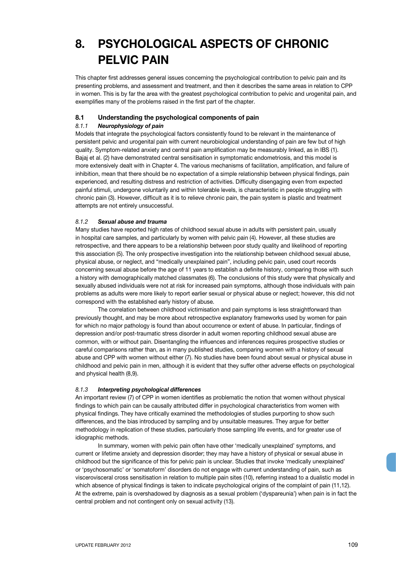# **8. PSYCHOLOGICAL ASPECTS OF CHRONIC PELVIC PAIN**

This chapter first addresses general issues concerning the psychological contribution to pelvic pain and its presenting problems, and assessment and treatment, and then it describes the same areas in relation to CPP in women. This is by far the area with the greatest psychological contribution to pelvic and urogenital pain, and exemplifies many of the problems raised in the first part of the chapter.

## **8.1 Understanding the psychological components of pain**

# *8.1.1 Neurophysiology of pain*

Models that integrate the psychological factors consistently found to be relevant in the maintenance of persistent pelvic and urogenital pain with current neurobiological understanding of pain are few but of high quality. Symptom-related anxiety and central pain amplification may be measurably linked, as in IBS (1). Bajaj et al. (2) have demonstrated central sensitisation in symptomatic endometriosis, and this model is more extensively dealt with in Chapter 4. The various mechanisms of facilitation, amplification, and failure of inhibition, mean that there should be no expectation of a simple relationship between physical findings, pain experienced, and resulting distress and restriction of activities. Difficulty disengaging even from expected painful stimuli, undergone voluntarily and within tolerable levels, is characteristic in people struggling with chronic pain (3). However, difficult as it is to relieve chronic pain, the pain system is plastic and treatment attempts are not entirely unsuccessful.

## *8.1.2 Sexual abuse and trauma*

Many studies have reported high rates of childhood sexual abuse in adults with persistent pain, usually in hospital care samples, and particularly by women with pelvic pain (4). However, all these studies are retrospective, and there appears to be a relationship between poor study quality and likelihood of reporting this association (5). The only prospective investigation into the relationship between childhood sexual abuse, physical abuse, or neglect, and "medically unexplained pain", including pelvic pain, used court records concerning sexual abuse before the age of 11 years to establish a definite history, comparing those with such a history with demographically matched classmates (6). The conclusions of this study were that physically and sexually abused individuals were not at risk for increased pain symptoms, although those individuals with pain problems as adults were more likely to report earlier sexual or physical abuse or neglect; however, this did not correspond with the established early history of abuse.

The correlation between childhood victimisation and pain symptoms is less straightforward than previously thought, and may be more about retrospective explanatory frameworks used by women for pain for which no major pathology is found than about occurrence or extent of abuse. In particular, findings of depression and/or post-traumatic stress disorder in adult women reporting childhood sexual abuse are common, with or without pain. Disentangling the influences and inferences requires prospective studies or careful comparisons rather than, as in many published studies, comparing women with a history of sexual abuse and CPP with women without either (7). No studies have been found about sexual or physical abuse in childhood and pelvic pain in men, although it is evident that they suffer other adverse effects on psychological and physical health (8,9).

## *8.1.3 Interpreting psychological differences*

An important review (7) of CPP in women identifies as problematic the notion that women without physical findings to which pain can be causally attributed differ in psychological characteristics from women with physical findings. They have critically examined the methodologies of studies purporting to show such differences, and the bias introduced by sampling and by unsuitable measures. They argue for better methodology in replication of these studies, particularly those sampling life events, and for greater use of idiographic methods.

In summary, women with pelvic pain often have other 'medically unexplained' symptoms, and current or lifetime anxiety and depression disorder; they may have a history of physical or sexual abuse in childhood but the significance of this for pelvic pain is unclear. Studies that invoke 'medically unexplained' or 'psychosomatic' or 'somatoform' disorders do not engage with current understanding of pain, such as viscerovisceral cross sensitisation in relation to multiple pain sites (10), referring instead to a dualistic model in which absence of physical findings is taken to indicate psychological origins of the complaint of pain (11,12). At the extreme, pain is overshadowed by diagnosis as a sexual problem ('dyspareunia') when pain is in fact the central problem and not contingent only on sexual activity (13).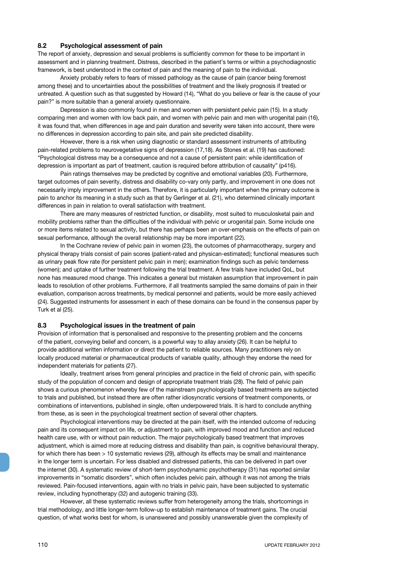#### **8.2 Psychological assessment of pain**

The report of anxiety, depression and sexual problems is sufficiently common for these to be important in assessment and in planning treatment. Distress, described in the patient's terms or within a psychodiagnostic framework, is best understood in the context of pain and the meaning of pain to the individual.

Anxiety probably refers to fears of missed pathology as the cause of pain (cancer being foremost among these) and to uncertainties about the possibilities of treatment and the likely prognosis if treated or untreated. A question such as that suggested by Howard (14), "What do you believe or fear is the cause of your pain?" is more suitable than a general anxiety questionnaire.

Depression is also commonly found in men and women with persistent pelvic pain (15). In a study comparing men and women with low back pain, and women with pelvic pain and men with urogenital pain (16), it was found that, when differences in age and pain duration and severity were taken into account, there were no differences in depression according to pain site, and pain site predicted disability.

However, there is a risk when using diagnostic or standard assessment instruments of attributing pain-related problems to neurovegetative signs of depression (17,18). As Stones et al. (19) has cautioned: "Psychological distress may be a consequence and not a cause of persistent pain: while identification of depression is important as part of treatment, caution is required before attribution of causality" (p416).

Pain ratings themselves may be predicted by cognitive and emotional variables (20). Furthermore, target outcomes of pain severity, distress and disability co-vary only partly, and improvement in one does not necessarily imply improvement in the others. Therefore, it is particularly important when the primary outcome is pain to anchor its meaning in a study such as that by Gerlinger et al. (21), who determined clinically important differences in pain in relation to overall satisfaction with treatment.

There are many measures of restricted function, or disability, most suited to musculosketal pain and mobility problems rather than the difficulties of the individual with pelvic or urogenital pain. Some include one or more items related to sexual activity, but there has perhaps been an over-emphasis on the effects of pain on sexual performance, although the overall relationship may be more important (22).

In the Cochrane review of pelvic pain in women (23), the outcomes of pharmacotherapy, surgery and physical therapy trials consist of pain scores (patient-rated and physican-estimated); functional measures such as urinary peak flow rate (for persistent pelvic pain in men); examination findings such as pelvic tenderness (women); and uptake of further treatment following the trial treatment. A few trials have included QoL, but none has measured mood change. This indicates a general but mistaken assumption that improvement in pain leads to resolution of other problems. Furthermore, if all treatments sampled the same domains of pain in their evaluation, comparison across treatments, by medical personnel and patients, would be more easily achieved (24). Suggested instruments for assessment in each of these domains can be found in the consensus paper by Turk et al (25).

#### **8.3 Psychological issues in the treatment of pain**

Provision of information that is personalised and responsive to the presenting problem and the concerns of the patient, conveying belief and concern, is a powerful way to allay anxiety (26). It can be helpful to provide additional written information or direct the patient to reliable sources. Many practitioners rely on locally produced material or pharmaceutical products of variable quality, although they endorse the need for independent materials for patients (27).

Ideally, treatment arises from general principles and practice in the field of chronic pain, with specific study of the population of concern and design of appropriate treatment trials (28). The field of pelvic pain shows a curious phenomenon whereby few of the mainstream psychologically based treatments are subjected to trials and published, but instead there are often rather idiosyncratic versions of treatment components, or combinations of interventions, published in single, often underpowered trials. It is hard to conclude anything from these, as is seen in the psychological treatment section of several other chapters.

Psychological interventions may be directed at the pain itself, with the intended outcome of reducing pain and its consequent impact on life, or adjustment to pain, with improved mood and function and reduced health care use, with or without pain reduction. The major psychologically based treatment that improves adjustment, which is aimed more at reducing distress and disability than pain, is cognitive behavioural therapy, for which there has been > 10 systematic reviews (29), although its effects may be small and maintenance in the longer term is uncertain. For less disabled and distressed patients, this can be delivered in part over the internet (30). A systematic review of short-term psychodynamic psychotherapy (31) has reported similar improvements in "somatic disorders", which often includes pelvic pain, although it was not among the trials reviewed. Pain-focused interventions, again with no trials in pelvic pain, have been subjected to systematic review, including hypnotherapy (32) and autogenic training (33).

However, all these systematic reviews suffer from heterogeneity among the trials, shortcomings in trial methodology, and little longer-term follow-up to establish maintenance of treatment gains. The crucial question, of what works best for whom, is unanswered and possibly unanswerable given the complexity of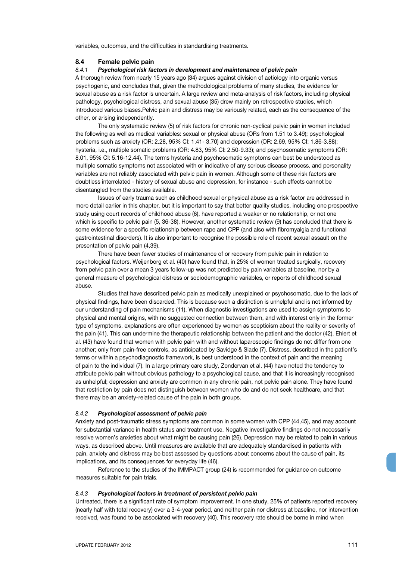variables, outcomes, and the difficulties in standardising treatments.

#### **8.4 Female pelvic pain**

#### *8.4.1 Psychological risk factors in development and maintenance of pelvic pain*

A thorough review from nearly 15 years ago (34) argues against division of aetiology into organic versus psychogenic, and concludes that, given the methodological problems of many studies, the evidence for sexual abuse as a risk factor is uncertain. A large review and meta-analysis of risk factors, including physical pathology, psychological distress, and sexual abuse (35) drew mainly on retrospective studies, which introduced various biases.Pelvic pain and distress may be variously related, each as the consequence of the other, or arising independently.

The only systematic review (5) of risk factors for chronic non-cyclical pelvic pain in women included the following as well as medical variables: sexual or physical abuse (ORs from 1.51 to 3.49); psychological problems such as anxiety (OR: 2.28, 95% CI: 1.41- 3.70) and depression (OR: 2.69, 95% CI: 1.86-3.88); hysteria, i.e., multiple somatic problems (OR: 4.83, 95% CI: 2.50-9.33); and psychosomatic symptoms (OR: 8.01, 95% CI: 5.16-12.44). The terms hysteria and psychosomatic symptoms can best be understood as multiple somatic symptoms not associated with or indicative of any serious disease process, and personality variables are not reliably associated with pelvic pain in women. Although some of these risk factors are doubtless interrelated - history of sexual abuse and depression, for instance - such effects cannot be disentangled from the studies available.

Issues of early trauma such as childhood sexual or physical abuse as a risk factor are addressed in more detail earlier in this chapter, but it is important to say that better quality studies, including one prospective study using court records of childhood abuse (6), have reported a weaker or no relationship, or not one which is specific to pelvic pain (5, 36-38). However, another systematic review (9) has concluded that there is some evidence for a specific relationship between rape and CPP (and also with fibromyalgia and functional gastrointestinal disorders). It is also important to recognise the possible role of recent sexual assault on the presentation of pelvic pain (4,39).

There have been fewer studies of maintenance of or recovery from pelvic pain in relation to psychological factors. Weijenborg et al. (40) have found that, in 25% of women treated surgically, recovery from pelvic pain over a mean 3 years follow-up was not predicted by pain variables at baseline, nor by a general measure of psychological distress or sociodemographic variables, or reports of childhood sexual abuse.

Studies that have described pelvic pain as medically unexplained or psychosomatic, due to the lack of physical findings, have been discarded. This is because such a distinction is unhelpful and is not informed by our understanding of pain mechanisms (11). When diagnostic investigations are used to assign symptoms to physical and mental origins, with no suggested connection between them, and with interest only in the former type of symptoms, explanations are often experienced by women as scepticism about the reality or severity of the pain (41). This can undermine the therapeutic relationship between the patient and the doctor (42). Ehlert et al. (43) have found that women with pelvic pain with and without laparoscopic findings do not differ from one another; only from pain-free controls, as anticipated by Savidge & Slade (7). Distress, described in the patient's terms or within a psychodiagnostic framework, is best understood in the context of pain and the meaning of pain to the individual (7). In a large primary care study, Zondervan et al. (44) have noted the tendency to attribute pelvic pain without obvious pathology to a psychological cause, and that it is increasingly recognised as unhelpful; depression and anxiety are common in any chronic pain, not pelvic pain alone. They have found that restriction by pain does not distinguish between women who do and do not seek healthcare, and that there may be an anxiety-related cause of the pain in both groups.

#### *8.4.2 Psychological assessment of pelvic pain*

Anxiety and post-traumatic stress symptoms are common in some women with CPP (44,45), and may account for substantial variance in health status and treatment use. Negative investigative findings do not necessarily resolve women's anxieties about what might be causing pain (26). Depression may be related to pain in various ways, as described above. Until measures are available that are adequately standardised in patients with pain, anxiety and distress may be best assessed by questions about concerns about the cause of pain, its implications, and its consequences for everyday life (46).

Reference to the studies of the IMMPACT group (24) is recommended for guidance on outcome measures suitable for pain trials.

#### *8.4.3 Psychological factors in treatment of persistent pelvic pain*

Untreated, there is a significant rate of symptom improvement. In one study, 25% of patients reported recovery (nearly half with total recovery) over a 3-4-year period, and neither pain nor distress at baseline, nor intervention received, was found to be associated with recovery (40). This recovery rate should be borne in mind when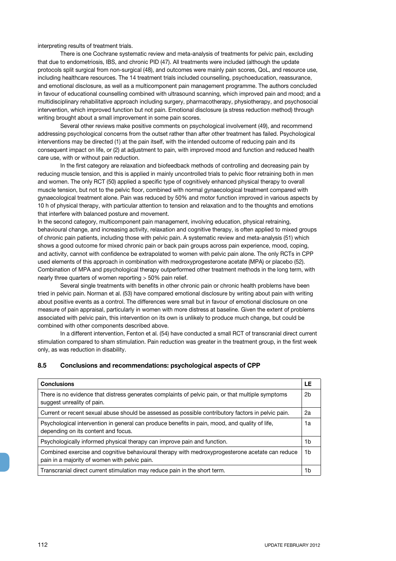interpreting results of treatment trials.

There is one Cochrane systematic review and meta-analysis of treatments for pelvic pain, excluding that due to endometriosis, IBS, and chronic PID (47). All treatments were included (although the update protocols split surgical from non-surgical (48), and outcomes were mainly pain scores, QoL, and resource use, including healthcare resources. The 14 treatment trials included counselling, psychoeducation, reassurance, and emotional disclosure, as well as a multicomponent pain management programme. The authors concluded in favour of educational counselling combined with ultrasound scanning, which improved pain and mood; and a multidisciplinary rehabilitative approach including surgery, pharmacotherapy, physiotherapy, and psychosocial intervention, which improved function but not pain. Emotional disclosure (a stress reduction method) through writing brought about a small improvement in some pain scores.

Several other reviews make positive comments on psychological involvement (49), and recommend addressing psychological concerns from the outset rather than after other treatment has failed. Psychological interventions may be directed (1) at the pain itself, with the intended outcome of reducing pain and its consequent impact on life, or (2) at adjustment to pain, with improved mood and function and reduced health care use, with or without pain reduction.

In the first category are relaxation and biofeedback methods of controlling and decreasing pain by reducing muscle tension, and this is applied in mainly uncontrolled trials to pelvic floor retraining both in men and women. The only RCT (50) applied a specific type of cognitively enhanced physical therapy to overall muscle tension, but not to the pelvic floor, combined with normal gynaecological treatment compared with gynaecological treatment alone. Pain was reduced by 50% and motor function improved in various aspects by 10 h of physical therapy, with particular attention to tension and relaxation and to the thoughts and emotions that interfere with balanced posture and movement.

In the second category, multicomponent pain management, involving education, physical retraining, behavioural change, and increasing activity, relaxation and cognitive therapy, is often applied to mixed groups of chronic pain patients, including those with pelvic pain. A systematic review and meta-analysis (51) which shows a good outcome for mixed chronic pain or back pain groups across pain experience, mood, coping, and activity, cannot with confidence be extrapolated to women with pelvic pain alone. The only RCTs in CPP used elements of this approach in combination with medroxyprogesterone acetate (MPA) or placebo (52). Combination of MPA and psychological therapy outperformed other treatment methods in the long term, with nearly three quarters of women reporting > 50% pain relief.

Several single treatments with benefits in other chronic pain or chronic health problems have been tried in pelvic pain. Norman et al. (53) have compared emotional disclosure by writing about pain with writing about positive events as a control. The differences were small but in favour of emotional disclosure on one measure of pain appraisal, particularly in women with more distress at baseline. Given the extent of problems associated with pelvic pain, this intervention on its own is unlikely to produce much change, but could be combined with other components described above.

In a different intervention, Fenton et al. (54) have conducted a small RCT of transcranial direct current stimulation compared to sham stimulation. Pain reduction was greater in the treatment group, in the first week only, as was reduction in disability.

#### **8.5 Conclusions and recommendations: psychological aspects of CPP**

| <b>Conclusions</b>                                                                                                                               | LE             |
|--------------------------------------------------------------------------------------------------------------------------------------------------|----------------|
| There is no evidence that distress generates complaints of pelvic pain, or that multiple symptoms<br>suggest unreality of pain.                  | 2 <sub>b</sub> |
| Current or recent sexual abuse should be assessed as possible contributory factors in pelvic pain.                                               | 2a             |
| Psychological intervention in general can produce benefits in pain, mood, and quality of life,<br>depending on its content and focus.            | 1a             |
| Psychologically informed physical therapy can improve pain and function.                                                                         | 1b             |
| Combined exercise and cognitive behavioural therapy with medroxyprogesterone acetate can reduce<br>pain in a majority of women with pelvic pain. | 1 <sub>b</sub> |
| Transcranial direct current stimulation may reduce pain in the short term.                                                                       | 1b             |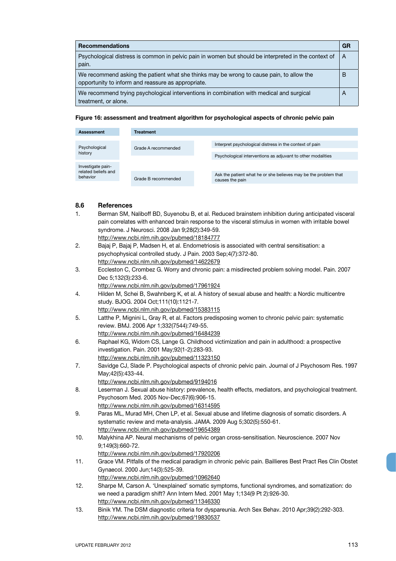| <b>Recommendations</b>                                                                                                                         | GR             |
|------------------------------------------------------------------------------------------------------------------------------------------------|----------------|
| Psychological distress is common in pelvic pain in women but should be interpreted in the context of<br>pain.                                  | $\mathsf{A}$   |
| We recommend asking the patient what she thinks may be wrong to cause pain, to allow the<br>opportunity to inform and reassure as appropriate. | В              |
| We recommend trying psychological interventions in combination with medical and surgical<br>treatment, or alone.                               | $\overline{A}$ |

#### **Figure 16: assessment and treatment algorithm for psychological aspects of chronic pelvic pain**

| <b>Assessment</b>               | <b>Treatment</b>    |                                                                                    |
|---------------------------------|---------------------|------------------------------------------------------------------------------------|
|                                 |                     |                                                                                    |
| Psychological                   | Grade A recommended | Interpret psychological distress in the context of pain                            |
| history                         |                     |                                                                                    |
|                                 |                     | Psychological interventions as adjuvant to other modalities                        |
|                                 |                     |                                                                                    |
| Investigate pain-               |                     |                                                                                    |
| related beliefs and<br>behavior | Grade B recommended | Ask the patient what he or she believes may be the problem that<br>causes the pain |
|                                 |                     |                                                                                    |

# **8.6 References**

| 1.  | Berman SM, Naliboff BD, Suyenobu B, et al. Reduced brainstem inhibition during anticipated visceral      |
|-----|----------------------------------------------------------------------------------------------------------|
|     | pain correlates with enhanced brain response to the visceral stimulus in women with irritable bowel      |
|     | syndrome. J Neurosci. 2008 Jan 9;28(2):349-59.                                                           |
|     | http://www.ncbi.nlm.nih.gov/pubmed/18184777                                                              |
| 2.  | Bajaj P, Bajaj P, Madsen H, et al. Endometriosis is associated with central sensitisation: a             |
|     | psychophysical controlled study. J Pain. 2003 Sep;4(7):372-80.                                           |
|     | http://www.ncbi.nlm.nih.gov/pubmed/14622679                                                              |
| 3.  | Eccleston C, Crombez G. Worry and chronic pain: a misdirected problem solving model. Pain. 2007          |
|     | Dec 5;132(3):233-6.                                                                                      |
|     | http://www.ncbi.nlm.nih.gov/pubmed/17961924                                                              |
| 4.  | Hilden M, Schei B, Swahnberg K, et al. A history of sexual abuse and health: a Nordic multicentre        |
|     | study. BJOG. 2004 Oct;111(10):1121-7.                                                                    |
|     | http://www.ncbi.nlm.nih.gov/pubmed/15383115                                                              |
| 5.  | Latthe P, Mignini L, Gray R, et al. Factors predisposing women to chronic pelvic pain: systematic        |
|     | review. BMJ. 2006 Apr 1;332(7544):749-55.                                                                |
|     | http://www.ncbi.nlm.nih.gov/pubmed/16484239                                                              |
| 6.  | Raphael KG, Widom CS, Lange G. Childhood victimization and pain in adulthood: a prospective              |
|     | investigation. Pain. 2001 May;92(1-2):283-93.                                                            |
|     | http://www.ncbi.nlm.nih.gov/pubmed/11323150                                                              |
| 7.  | Savidge CJ, Slade P. Psychological aspects of chronic pelvic pain. Journal of J Psychosom Res. 1997      |
|     | May: 42(5): 433-44.                                                                                      |
|     | http://www.ncbi.nlm.nih.gov/pubmed/9194016                                                               |
| 8.  | Leserman J. Sexual abuse history: prevalence, health effects, mediators, and psychological treatment.    |
|     | Psychosom Med. 2005 Nov-Dec;67(6):906-15.                                                                |
|     | http://www.ncbi.nlm.nih.gov/pubmed/16314595                                                              |
| 9.  | Paras ML, Murad MH, Chen LP, et al. Sexual abuse and lifetime diagnosis of somatic disorders. A          |
|     | systematic review and meta-analysis. JAMA. 2009 Aug 5;302(5):550-61.                                     |
|     | http://www.ncbi.nlm.nih.gov/pubmed/19654389                                                              |
| 10. | Malykhina AP. Neural mechanisms of pelvic organ cross-sensitisation. Neuroscience. 2007 Nov              |
|     | 9;149(3):660-72.                                                                                         |
|     | http://www.ncbi.nlm.nih.gov/pubmed/17920206                                                              |
| 11. | Grace VM. Pitfalls of the medical paradigm in chronic pelvic pain. Baillieres Best Pract Res Clin Obstet |
|     | Gynaecol. 2000 Jun;14(3):525-39.                                                                         |
|     | http://www.ncbi.nlm.nih.gov/pubmed/10962640                                                              |
| 12  | Sharne M. Carson A. 'Hoevolained' somatic symptoms, functional syndromes, and somatization: do           |

- 12. Sharpe M, Carson A. 'Unexplained' somatic symptoms, functional syndromes, and somatization: do we need a paradigm shift? Ann Intern Med. 2001 May 1;134(9 Pt 2):926-30. http://www.ncbi.nlm.nih.gov/pubmed/11346330
- 13. Binik YM. The DSM diagnostic criteria for dyspareunia. Arch Sex Behav. 2010 Apr;39(2):292-303. http://www.ncbi.nlm.nih.gov/pubmed/19830537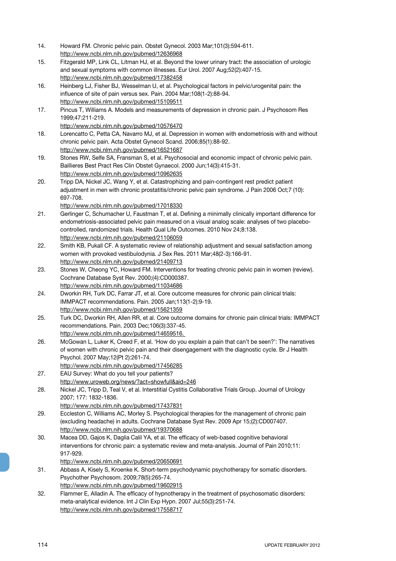- 14. Howard FM. Chronic pelvic pain. Obstet Gynecol. 2003 Mar;101(3):594-611. http://www.ncbi.nlm.nih.gov/pubmed/12636968
- 15. Fitzgerald MP, Link CL, Litman HJ, et al. Beyond the lower urinary tract: the association of urologic and sexual symptoms with common illnesses. Eur Urol. 2007 Aug;52(2):407-15. http://www.ncbi.nlm.nih.gov/pubmed/17382458
- 16. Heinberg LJ, Fisher BJ, Wesselman U, et al. Psychological factors in pelvic/urogenital pain: the influence of site of pain versus sex. Pain. 2004 Mar;108(1-2):88-94. http://www.ncbi.nlm.nih.gov/pubmed/15109511
- 17. Pincus T, Williams A. Models and measurements of depression in chronic pain. J Psychosom Res 1999;47:211-219.

http://www.ncbi.nlm.nih.gov/pubmed/10576470

- 18. Lorencatto C, Petta CA, Navarro MJ, et al. Depression in women with endometriosis with and without chronic pelvic pain. Acta Obstet Gynecol Scand. 2006;85(1):88-92. http://www.ncbi.nlm.nih.gov/pubmed/16521687
- 19. Stones RW, Selfe SA, Fransman S, et al. Psychosocial and economic impact of chronic pelvic pain. Baillieres Best Pract Res Clin Obstet Gynaecol. 2000 Jun;14(3):415-31. http://www.ncbi.nlm.nih.gov/pubmed/10962635
- 20. Tripp DA, Nickel JC, Wang Y, et al. Catastrophizing and pain-contingent rest predict patient adjustment in men with chronic prostatitis/chronic pelvic pain syndrome. J Pain 2006 Oct;7 (10): 697-708.

http://www.ncbi.nlm.nih.gov/pubmed/17018330

- 21. Gerlinger C, Schumacher U, Faustman T, et al. Defining a minimally clinically important difference for endometriosis-associated pelvic pain measured on a visual analog scale: analyses of two placebocontrolled, randomized trials. Health Qual Life Outcomes. 2010 Nov 24;8:138. http://www.ncbi.nlm.nih.gov/pubmed/21106059
- 22. Smith KB, Pukall CF. A systematic review of relationship adjustment and sexual satisfaction among women with provoked vestibulodynia. J Sex Res. 2011 Mar;48(2-3):166-91. http://www.ncbi.nlm.nih.gov/pubmed/21409713
- 23. Stones W, Cheong YC, Howard FM. Interventions for treating chronic pelvic pain in women (review). Cochrane Database Syst Rev. 2000;(4):CD000387. http://www.ncbi.nlm.nih.gov/pubmed/11034686
- 24. Dworkin RH, Turk DC, Farrar JT, et al. Core outcome measures for chronic pain clinical trials: IMMPACT recommendations. Pain. 2005 Jan;113(1-2):9-19. http://www.ncbi.nlm.nih.gov/pubmed/15621359
- 25. Turk DC, Dworkin RH, Allen RR, et al. Core outcome domains for chronic pain clinical trials: IMMPACT recommendations. Pain. 2003 Dec;106(3):337-45. http://www.ncbi.nlm.nih.gov/pubmed/14659516.
- 26. McGowan L, Luker K, Creed F, et al. 'How do you explain a pain that can't be seen?': The narratives of women with chronic pelvic pain and their disengagement with the diagnostic cycle. Br J Health Psychol. 2007 May;12(Pt 2):261-74.
	- http://www.ncbi.nlm.nih.gov/pubmed/17456285
- 27. EAU Survey: What do you tell your patients? http://www.uroweb.org/news/?act=showfull&aid=246
- 28. Nickel JC, Tripp D, Teal V, et al. Interstitial Cystitis Collaborative Trials Group. Journal of Urology 2007; 177: 1832-1836.

http://www.ncbi.nlm.nih.gov/pubmed/17437831

- 29. Eccleston C, Williams AC, Morley S. Psychological therapies for the management of chronic pain (excluding headache) in adults. Cochrane Database Syst Rev. 2009 Apr 15;(2):CD007407. http://www.ncbi.nlm.nih.gov/pubmed/19370688
- 30. Macea DD, Gajos K, Daglia Calil YA, et al. The efficacy of web-based cognitive behavioral interventions for chronic pain: a systematic review and meta-analysis. Journal of Pain 2010;11: 917-929.
	- http://www.ncbi.nlm.nih.gov/pubmed/20650691
- 31. Abbass A, Kisely S, Kroenke K. Short-term psychodynamic psychotherapy for somatic disorders. Psychother Psychosom. 2009;78(5):265-74. http://www.ncbi.nlm.nih.gov/pubmed/19602915
- 32. Flammer E, Alladin A. The efficacy of hypnotherapy in the treatment of psychosomatic disorders: meta-analytical evidence. Int J Clin Exp Hypn. 2007 Jul;55(3):251-74. http://www.ncbi.nlm.nih.gov/pubmed/17558717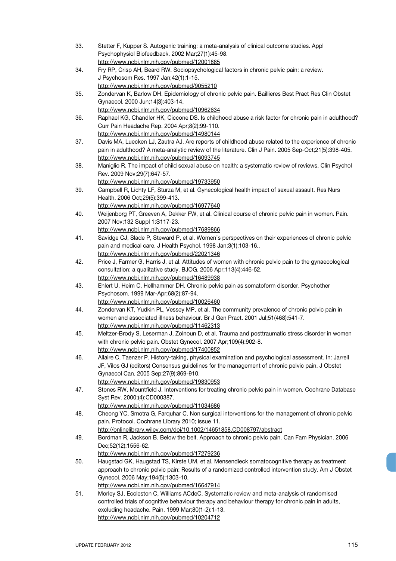- 33. Stetter F, Kupper S. Autogenic training: a meta-analysis of clinical outcome studies. Appl Psychophysiol Biofeedback. 2002 Mar;27(1):45-98. http://www.ncbi.nlm.nih.gov/pubmed/12001885
- 34. Fry RP, Crisp AH, Beard RW. Sociopsychological factors in chronic pelvic pain: a review. J Psychosom Res. 1997 Jan;42(1):1-15. http://www.ncbi.nlm.nih.gov/pubmed/9055210
- 35. Zondervan K, Barlow DH. Epidemiology of chronic pelvic pain. Baillieres Best Pract Res Clin Obstet Gynaecol. 2000 Jun;14(3):403-14.
- http://www.ncbi.nlm.nih.gov/pubmed/10962634 36. Raphael KG, Chandler HK, Ciccone DS. Is childhood abuse a risk factor for chronic pain in adulthood? Curr Pain Headache Rep. 2004 Apr;8(2):99-110. http://www.ncbi.nlm.nih.gov/pubmed/14980144
- 37. Davis MA, Luecken LJ, Zautra AJ. Are reports of childhood abuse related to the experience of chronic pain in adulthood? A meta-analytic review of the literature. Clin J Pain. 2005 Sep-Oct;21(5):398-405. http://www.ncbi.nlm.nih.gov/pubmed/16093745
- 38. Maniglio R. The impact of child sexual abuse on health: a systematic review of reviews. Clin Psychol Rev. 2009 Nov;29(7):647-57.
	- http://www.ncbi.nlm.nih.gov/pubmed/19733950
- 39. Campbell R, Lichty LF, Sturza M, et al. Gynecological health impact of sexual assault. Res Nurs Health. 2006 Oct;29(5):399-413. http://www.ncbi.nlm.nih.gov/pubmed/16977640
- 40. Weijenborg PT, Greeven A, Dekker FW, et al. Clinical course of chronic pelvic pain in women. Pain. 2007 Nov;132 Suppl 1:S117-23. http://www.ncbi.nlm.nih.gov/pubmed/17689866
- 41. Savidge CJ, Slade P, Steward P, et al. Women's perspectives on their experiences of chronic pelvic pain and medical care. J Health Psychol. 1998 Jan;3(1):103-16.. http://www.ncbi.nlm.nih.gov/pubmed/22021346
- 42. Price J, Farmer G, Harris J, et al. Attitudes of women with chronic pelvic pain to the gynaecological consultation: a qualitative study. BJOG. 2006 Apr;113(4):446-52. http://www.ncbi.nlm.nih.gov/pubmed/16489938
- 43. Ehlert U, Heim C, Hellhammer DH. Chronic pelvic pain as somatoform disorder. Psychother Psychosom. 1999 Mar-Apr;68(2):87-94. http://www.ncbi.nlm.nih.gov/pubmed/10026460
- 44. Zondervan KT, Yudkin PL, Vessey MP, et al. The community prevalence of chronic pelvic pain in women and associated illness behaviour. Br J Gen Pract. 2001 Jul;51(468):541-7. http://www.ncbi.nlm.nih.gov/pubmed/11462313
- 45. Meltzer-Brody S, Leserman J, Zolnoun D, et al. Trauma and posttraumatic stress disorder in women with chronic pelvic pain. Obstet Gynecol. 2007 Apr;109(4):902-8. http://www.ncbi.nlm.nih.gov/pubmed/17400852
- 46. Allaire C, Taenzer P. History-taking, physical examination and psychological assessment. In: Jarrell JF, Vilos GJ (editors) Consensus guidelines for the management of chronic pelvic pain. J Obstet Gynaecol Can. 2005 Sep;27(9):869-910. http://www.ncbi.nlm.nih.gov/pubmed/19830953
- 47. Stones RW, Mountfield J. Interventions for treating chronic pelvic pain in women. Cochrane Database Syst Rev. 2000;(4):CD000387.
	- http://www.ncbi.nlm.nih.gov/pubmed/11034686
- 48. Cheong YC, Smotra G, Farquhar C. Non surgical interventions for the management of chronic pelvic pain. Protocol. Cochrane Library 2010; issue 11.
	- http://onlinelibrary.wiley.com/doi/10.1002/14651858.CD008797/abstract
- 49. Bordman R, Jackson B. Below the belt. Approach to chronic pelvic pain. Can Fam Physician. 2006 Dec;52(12):1556-62.
	- http://www.ncbi.nlm.nih.gov/pubmed/17279236
- 50. Haugstad GK, Haugstad TS, Kirste UM, et al. Mensendieck somatocognitive therapy as treatment approach to chronic pelvic pain: Results of a randomized controlled intervention study. Am J Obstet Gynecol. 2006 May;194(5):1303-10. http://www.ncbi.nlm.nih.gov/pubmed/16647914
- 51. Morley SJ, Eccleston C, Williams ACdeC. Systematic review and meta-analysis of randomised controlled trials of cognitive behaviour therapy and behaviour therapy for chronic pain in adults, excluding headache. Pain. 1999 Mar;80(1-2):1-13. http://www.ncbi.nlm.nih.gov/pubmed/10204712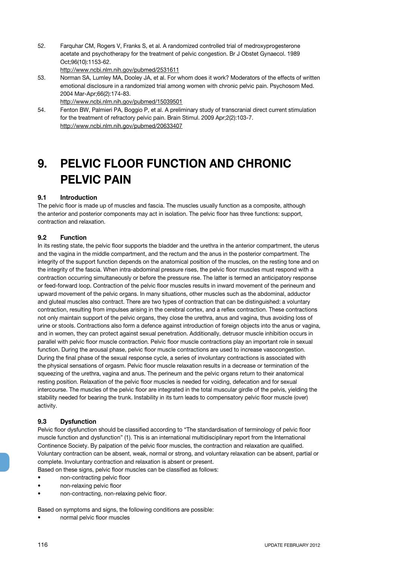52. Farquhar CM, Rogers V, Franks S, et al. A randomized controlled trial of medroxyprogesterone acetate and psychotherapy for the treatment of pelvic congestion. Br J Obstet Gynaecol. 1989 Oct;96(10):1153-62.

http://www.ncbi.nlm.nih.gov/pubmed/2531611

53. Norman SA, Lumley MA, Dooley JA, et al. For whom does it work? Moderators of the effects of written emotional disclosure in a randomized trial among women with chronic pelvic pain. Psychosom Med. 2004 Mar-Apr;66(2):174-83.

http://www.ncbi.nlm.nih.gov/pubmed/15039501

54. Fenton BW, Palmieri PA, Boggio P, et al. A preliminary study of transcranial direct current stimulation for the treatment of refractory pelvic pain. Brain Stimul. 2009 Apr;2(2):103-7. http://www.ncbi.nlm.nih.gov/pubmed/20633407

# **9. PELVIC FLOOR FUNCTION AND CHRONIC PELVIC PAIN**

# **9.1 Introduction**

The pelvic floor is made up of muscles and fascia. The muscles usually function as a composite, although the anterior and posterior components may act in isolation. The pelvic floor has three functions: support, contraction and relaxation.

# **9.2 Function**

In its resting state, the pelvic floor supports the bladder and the urethra in the anterior compartment, the uterus and the vagina in the middle compartment, and the rectum and the anus in the posterior compartment. The integrity of the support function depends on the anatomical position of the muscles, on the resting tone and on the integrity of the fascia. When intra-abdominal pressure rises, the pelvic floor muscles must respond with a contraction occurring simultaneously or before the pressure rise. The latter is termed an anticipatory response or feed-forward loop. Contraction of the pelvic floor muscles results in inward movement of the perineum and upward movement of the pelvic organs. In many situations, other muscles such as the abdominal, adductor and gluteal muscles also contract. There are two types of contraction that can be distinguished: a voluntary contraction, resulting from impulses arising in the cerebral cortex, and a reflex contraction. These contractions not only maintain support of the pelvic organs, they close the urethra, anus and vagina, thus avoiding loss of urine or stools. Contractions also form a defence against introduction of foreign objects into the anus or vagina, and in women, they can protect against sexual penetration. Additionally, detrusor muscle inhibition occurs in parallel with pelvic floor muscle contraction. Pelvic floor muscle contractions play an important role in sexual function. During the arousal phase, pelvic floor muscle contractions are used to increase vasocongestion. During the final phase of the sexual response cycle, a series of involuntary contractions is associated with the physical sensations of orgasm. Pelvic floor muscle relaxation results in a decrease or termination of the squeezing of the urethra, vagina and anus. The perineum and the pelvic organs return to their anatomical resting position. Relaxation of the pelvic floor muscles is needed for voiding, defecation and for sexual intercourse. The muscles of the pelvic floor are integrated in the total muscular girdle of the pelvis, yielding the stability needed for bearing the trunk. Instability in its turn leads to compensatory pelvic floor muscle (over) activity.

## **9.3 Dysfunction**

Pelvic floor dysfunction should be classified according to "The standardisation of terminology of pelvic floor muscle function and dysfunction" (1). This is an international multidisciplinary report from the International Continence Society. By palpation of the pelvic floor muscles, the contraction and relaxation are qualified. Voluntary contraction can be absent, weak, normal or strong, and voluntary relaxation can be absent, partial or complete. Involuntary contraction and relaxation is absent or present.

Based on these signs, pelvic floor muscles can be classified as follows:

- non-contracting pelvic floor
- non-relaxing pelvic floor
- non-contracting, non-relaxing pelvic floor.

Based on symptoms and signs, the following conditions are possible:

normal pelvic floor muscles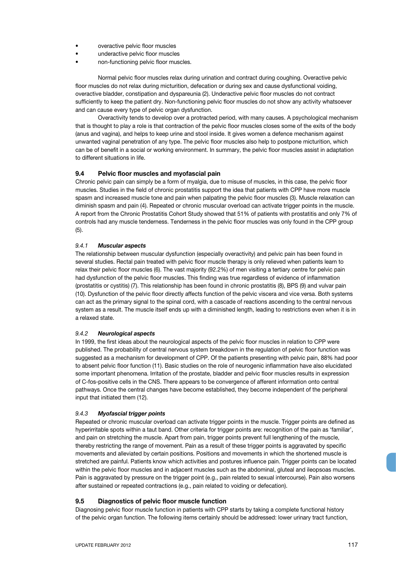- overactive pelvic floor muscles
- underactive pelvic floor muscles
- non-functioning pelvic floor muscles.

Normal pelvic floor muscles relax during urination and contract during coughing. Overactive pelvic floor muscles do not relax during micturition, defecation or during sex and cause dysfunctional voiding, overactive bladder, constipation and dyspareunia (2). Underactive pelvic floor muscles do not contract sufficiently to keep the patient dry. Non-functioning pelvic floor muscles do not show any activity whatsoever and can cause every type of pelvic organ dysfunction.

Overactivity tends to develop over a protracted period, with many causes. A psychological mechanism that is thought to play a role is that contraction of the pelvic floor muscles closes some of the exits of the body (anus and vagina), and helps to keep urine and stool inside. It gives women a defence mechanism against unwanted vaginal penetration of any type. The pelvic floor muscles also help to postpone micturition, which can be of benefit in a social or working environment. In summary, the pelvic floor muscles assist in adaptation to different situations in life.

# **9.4 Pelvic floor muscles and myofascial pain**

Chronic pelvic pain can simply be a form of myalgia, due to misuse of muscles, in this case, the pelvic floor muscles. Studies in the field of chronic prostatitis support the idea that patients with CPP have more muscle spasm and increased muscle tone and pain when palpating the pelvic floor muscles (3). Muscle relaxation can diminish spasm and pain (4). Repeated or chronic muscular overload can activate trigger points in the muscle. A report from the Chronic Prostatitis Cohort Study showed that 51% of patients with prostatitis and only 7% of controls had any muscle tenderness. Tenderness in the pelvic floor muscles was only found in the CPP group (5).

#### *9.4.1 Muscular aspects*

The relationship between muscular dysfunction (especially overactivity) and pelvic pain has been found in several studies. Rectal pain treated with pelvic floor muscle therapy is only relieved when patients learn to relax their pelvic floor muscles (6). The vast majority (92.2%) of men visiting a tertiary centre for pelvic pain had dysfunction of the pelvic floor muscles. This finding was true regardless of evidence of inflammation (prostatitis or cystitis) (7). This relationship has been found in chronic prostatitis (8), BPS (9) and vulvar pain (10). Dysfunction of the pelvic floor directly affects function of the pelvic viscera and vice versa. Both systems can act as the primary signal to the spinal cord, with a cascade of reactions ascending to the central nervous system as a result. The muscle itself ends up with a diminished length, leading to restrictions even when it is in a relaxed state.

## *9.4.2 Neurological aspects*

In 1999, the first ideas about the neurological aspects of the pelvic floor muscles in relation to CPP were published. The probability of central nervous system breakdown in the regulation of pelvic floor function was suggested as a mechanism for development of CPP. Of the patients presenting with pelvic pain, 88% had poor to absent pelvic floor function (11). Basic studies on the role of neurogenic inflammation have also elucidated some important phenomena. Irritation of the prostate, bladder and pelvic floor muscles results in expression of C-fos-positive cells in the CNS. There appears to be convergence of afferent information onto central pathways. Once the central changes have become established, they become independent of the peripheral input that initiated them (12).

## *9.4.3 Myofascial trigger points*

Repeated or chronic muscular overload can activate trigger points in the muscle. Trigger points are defined as hyperirritable spots within a taut band. Other criteria for trigger points are: recognition of the pain as 'familiar', and pain on stretching the muscle. Apart from pain, trigger points prevent full lengthening of the muscle, thereby restricting the range of movement. Pain as a result of these trigger points is aggravated by specific movements and alleviated by certain positions. Positions and movements in which the shortened muscle is stretched are painful. Patients know which activities and postures influence pain. Trigger points can be located within the pelvic floor muscles and in adjacent muscles such as the abdominal, gluteal and ileopsoas muscles. Pain is aggravated by pressure on the trigger point (e.g., pain related to sexual intercourse). Pain also worsens after sustained or repeated contractions (e.g., pain related to voiding or defecation).

## **9.5 Diagnostics of pelvic floor muscle function**

Diagnosing pelvic floor muscle function in patients with CPP starts by taking a complete functional history of the pelvic organ function. The following items certainly should be addressed: lower urinary tract function,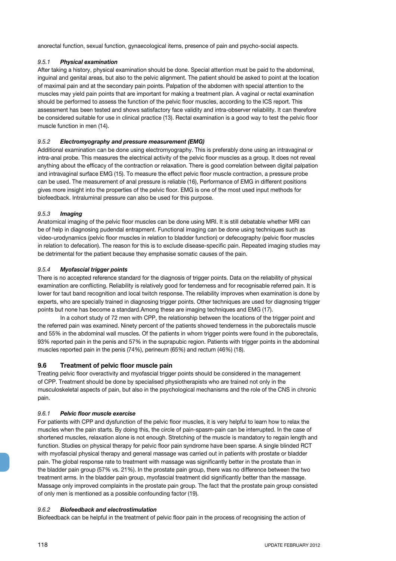anorectal function, sexual function, gynaecological items, presence of pain and psycho-social aspects.

## *9.5.1 Physical examination*

After taking a history, physical examination should be done. Special attention must be paid to the abdominal, inguinal and genital areas, but also to the pelvic alignment. The patient should be asked to point at the location of maximal pain and at the secondary pain points. Palpation of the abdomen with special attention to the muscles may yield pain points that are important for making a treatment plan. A vaginal or rectal examination should be performed to assess the function of the pelvic floor muscles, according to the ICS report. This assessment has been tested and shows satisfactory face validity and intra-observer reliability. It can therefore be considered suitable for use in clinical practice (13). Rectal examination is a good way to test the pelvic floor muscle function in men (14).

## *9.5.2 Electromyography and pressure measurement (EMG)*

Additional examination can be done using electromyography. This is preferably done using an intravaginal or intra-anal probe. This measures the electrical activity of the pelvic floor muscles as a group. It does not reveal anything about the efficacy of the contraction or relaxation. There is good correlation between digital palpation and intravaginal surface EMG (15). To measure the effect pelvic floor muscle contraction, a pressure probe can be used. The measurement of anal pressure is reliable (16), Performance of EMG in different positions gives more insight into the properties of the pelvic floor. EMG is one of the most used input methods for biofeedback. Intraluminal pressure can also be used for this purpose.

# *9.5.3 Imaging*

Anatomical imaging of the pelvic floor muscles can be done using MRI. It is still debatable whether MRI can be of help in diagnosing pudendal entrapment. Functional imaging can be done using techniques such as video-urodynamics (pelvic floor muscles in relation to bladder function) or defecography (pelvic floor muscles in relation to defecation). The reason for this is to exclude disease-specific pain. Repeated imaging studies may be detrimental for the patient because they emphasise somatic causes of the pain.

# *9.5.4 Myofascial trigger points*

There is no accepted reference standard for the diagnosis of trigger points. Data on the reliability of physical examination are conflicting. Reliability is relatively good for tenderness and for recognisable referred pain. It is lower for taut band recognition and local twitch response. The reliability improves when examination is done by experts, who are specially trained in diagnosing trigger points. Other techniques are used for diagnosing trigger points but none has become a standard.Among these are imaging techniques and EMG (17).

In a cohort study of 72 men with CPP, the relationship between the locations of the trigger point and the referred pain was examined. Ninety percent of the patients showed tenderness in the puborectalis muscle and 55% in the abdominal wall muscles. Of the patients in whom trigger points were found in the puborectalis, 93% reported pain in the penis and 57% in the suprapubic region. Patients with trigger points in the abdominal muscles reported pain in the penis (74%), perineum (65%) and rectum (46%) (18).

# **9.6 Treatment of pelvic floor muscle pain**

Treating pelvic floor overactivity and myofascial trigger points should be considered in the management of CPP. Treatment should be done by specialised physiotherapists who are trained not only in the musculoskeletal aspects of pain, but also in the psychological mechanisms and the role of the CNS in chronic pain.

## *9.6.1 Pelvic floor muscle exercise*

For patients with CPP and dysfunction of the pelvic floor muscles, it is very helpful to learn how to relax the muscles when the pain starts. By doing this, the circle of pain-spasm-pain can be interrupted. In the case of shortened muscles, relaxation alone is not enough. Stretching of the muscle is mandatory to regain length and function. Studies on physical therapy for pelvic floor pain syndrome have been sparse. A single blinded RCT with myofascial physical therapy and general massage was carried out in patients with prostate or bladder pain. The global response rate to treatment with massage was significantly better in the prostate than in the bladder pain group (57% vs. 21%). In the prostate pain group, there was no difference between the two treatment arms. In the bladder pain group, myofascial treatment did significantly better than the massage. Massage only improved complaints in the prostate pain group. The fact that the prostate pain group consisted of only men is mentioned as a possible confounding factor (19).

## *9.6.2 Biofeedback and electrostimulation*

Biofeedback can be helpful in the treatment of pelvic floor pain in the process of recognising the action of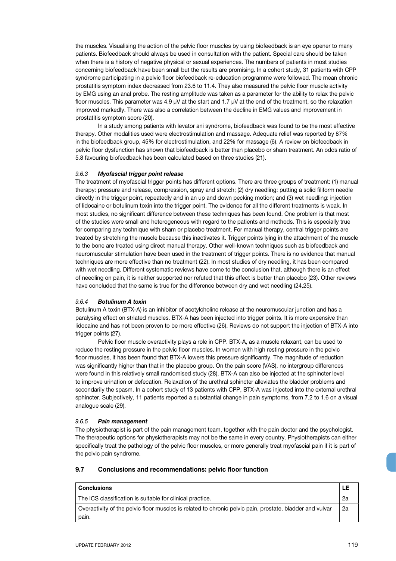the muscles. Visualising the action of the pelvic floor muscles by using biofeedback is an eye opener to many patients. Biofeedback should always be used in consultation with the patient. Special care should be taken when there is a history of negative physical or sexual experiences. The numbers of patients in most studies concerning biofeedback have been small but the results are promising. In a cohort study, 31 patients with CPP syndrome participating in a pelvic floor biofeedback re-education programme were followed. The mean chronic prostatitis symptom index decreased from 23.6 to 11.4. They also measured the pelvic floor muscle activity by EMG using an anal probe. The resting amplitude was taken as a parameter for the ability to relax the pelvic floor muscles. This parameter was 4.9 μV at the start and 1.7 μV at the end of the treatment, so the relaxation improved markedly. There was also a correlation between the decline in EMG values and improvement in prostatitis symptom score (20).

In a study among patients with levator ani syndrome, biofeedback was found to be the most effective therapy. Other modalities used were electrostimulation and massage. Adequate relief was reported by 87% in the biofeedback group, 45% for electrostimulation, and 22% for massage (6). A review on biofeedback in pelvic floor dysfunction has shown that biofeedback is better than placebo or sham treatment. An odds ratio of 5.8 favouring biofeedback has been calculated based on three studies (21).

#### *9.6.3 Myofascial trigger point release*

The treatment of myofascial trigger points has different options. There are three groups of treatment: (1) manual therapy: pressure and release, compression, spray and stretch; (2) dry needling: putting a solid filiform needle directly in the trigger point, repeatedly and in an up and down pecking motion; and (3) wet needling: injection of lidocaine or botulinum toxin into the trigger point. The evidence for all the different treatments is weak. In most studies, no significant difference between these techniques has been found. One problem is that most of the studies were small and heterogeneous with regard to the patients and methods. This is especially true for comparing any technique with sham or placebo treatment. For manual therapy, central trigger points are treated by stretching the muscle because this inactivates it. Trigger points lying in the attachment of the muscle to the bone are treated using direct manual therapy. Other well-known techniques such as biofeedback and neuromuscular stimulation have been used in the treatment of trigger points. There is no evidence that manual techniques are more effective than no treatment (22). In most studies of dry needling, it has been compared with wet needling. Different systematic reviews have come to the conclusion that, although there is an effect of needling on pain, it is neither supported nor refuted that this effect is better than placebo (23). Other reviews have concluded that the same is true for the difference between dry and wet needling (24,25).

#### *9.6.4 Botulinum A toxin*

Botulinum A toxin (BTX-A) is an inhibitor of acetylcholine release at the neuromuscular junction and has a paralysing effect on striated muscles. BTX-A has been injected into trigger points. It is more expensive than lidocaine and has not been proven to be more effective (26). Reviews do not support the injection of BTX-A into trigger points (27).

Pelvic floor muscle overactivity plays a role in CPP. BTX-A, as a muscle relaxant, can be used to reduce the resting pressure in the pelvic floor muscles. In women with high resting pressure in the pelvic floor muscles, it has been found that BTX-A lowers this pressure significantly. The magnitude of reduction was significantly higher than that in the placebo group. On the pain score (VAS), no intergroup differences were found in this relatively small randomised study (28). BTX-A can also be injected at the sphincter level to improve urination or defecation. Relaxation of the urethral sphincter alleviates the bladder problems and secondarily the spasm. In a cohort study of 13 patients with CPP, BTX-A was injected into the external urethral sphincter. Subjectively, 11 patients reported a substantial change in pain symptoms, from 7.2 to 1.6 on a visual analogue scale (29).

#### *9.6.5 Pain management*

The physiotherapist is part of the pain management team, together with the pain doctor and the psychologist. The therapeutic options for physiotherapists may not be the same in every country. Physiotherapists can either specifically treat the pathology of the pelvic floor muscles, or more generally treat myofascial pain if it is part of the pelvic pain syndrome.

## **9.7 Conclusions and recommendations: pelvic floor function**

| <b>Conclusions</b>                                                                                       |    |
|----------------------------------------------------------------------------------------------------------|----|
| The ICS classification is suitable for clinical practice.                                                | 2a |
| Overactivity of the pelvic floor muscles is related to chronic pelvic pain, prostate, bladder and vulvar | 2a |
| pain.                                                                                                    |    |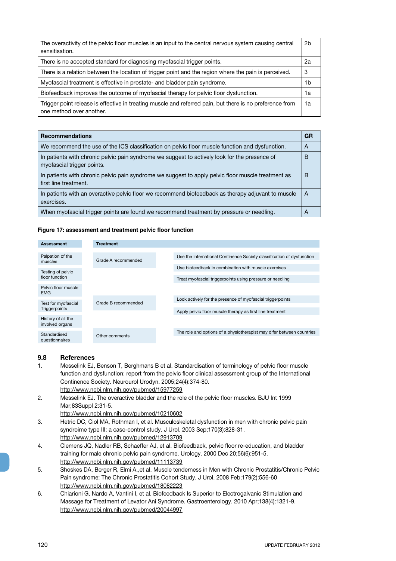| The overactivity of the pelvic floor muscles is an input to the central nervous system causing central<br>sensitisation.             | 2b |
|--------------------------------------------------------------------------------------------------------------------------------------|----|
| There is no accepted standard for diagnosing myofascial trigger points.                                                              | 2a |
| There is a relation between the location of trigger point and the region where the pain is perceived.                                | 3  |
| Myofascial treatment is effective in prostate- and bladder pain syndrome.                                                            | 1b |
| Biofeedback improves the outcome of myofascial therapy for pelvic floor dysfunction.                                                 | 1a |
| Trigger point release is effective in treating muscle and referred pain, but there is no preference from<br>one method over another. | 1a |

| <b>Recommendations</b>                                                                                                      | <b>GR</b> |
|-----------------------------------------------------------------------------------------------------------------------------|-----------|
| We recommend the use of the ICS classification on pelvic floor muscle function and dysfunction.                             | A         |
| In patients with chronic pelvic pain syndrome we suggest to actively look for the presence of<br>myofascial trigger points. | B         |
| In patients with chronic pelvic pain syndrome we suggest to apply pelvic floor muscle treatment as<br>first line treatment. | В         |
| In patients with an overactive pelvic floor we recommend biofeedback as therapy adjuvant to muscle<br>exercises.            | A         |
| When myofascial trigger points are found we recommend treatment by pressure or needling.                                    | A         |

#### **Figure 17: assessment and treatment pelvic floor function**

| <b>Assessment</b>                     | <b>Treatment</b>    |                                                                        |
|---------------------------------------|---------------------|------------------------------------------------------------------------|
|                                       |                     |                                                                        |
| Palpation of the<br>muscles           | Grade A recommended | Use the International Continence Society classification of dysfunction |
|                                       |                     |                                                                        |
|                                       |                     | Use biofeedback in combination with muscle exercises                   |
| Testing of pelvic                     |                     |                                                                        |
| floor function                        |                     | Treat myofascial triggerpoints using pressure or needling              |
|                                       |                     |                                                                        |
| Pelvic floor muscle<br><b>EMG</b>     |                     |                                                                        |
|                                       |                     |                                                                        |
| Test for myofascial                   | Grade B recommended | Look actively for the presence of myofascial triggerpoints             |
|                                       |                     |                                                                        |
| Triggerpoints                         |                     | Apply pelvic floor muscle therapy as first line treatment              |
|                                       |                     |                                                                        |
| History of all the<br>involved organs |                     |                                                                        |
|                                       |                     | The role and options of a physiotherapist may difer between countries  |
| Standardised                          | Other comments      |                                                                        |
| questionnaires                        |                     |                                                                        |

## **9.8 References**

- 1. Messelink EJ, Benson T, Berghmans B et al. Standardisation of terminology of pelvic floor muscle function and dysfunction: report from the pelvic floor clinical assessment group of the International Continence Society. Neurourol Urodyn. 2005;24(4):374-80. http://www.ncbi.nlm.nih.gov/pubmed/15977259
- 2. Messelink EJ. The overactive bladder and the role of the pelvic floor muscles. BJU Int 1999 Mar;83Suppl 2:31-5.

http://www.ncbi.nlm.nih.gov/pubmed/10210602

- 3. Hetric DC, Ciol MA, Rothman I, et al. Musculoskeletal dysfunction in men with chronic pelvic pain syndroime type III: a case-control study. J Urol. 2003 Sep;170(3):828-31. http://www.ncbi.nlm.nih.gov/pubmed/12913709
- 4. Clemens JQ, Nadler RB, Schaeffer AJ, et al. Biofeedback, pelvic floor re-education, and bladder training for male chronic pelvic pain syndrome. Urology. 2000 Dec 20;56(6):951-5. http://www.ncbi.nlm.nih.gov/pubmed/11113739
- 5. Shoskes DA, Berger R, Elmi A.,et al. Muscle tenderness in Men with Chronic Prostatitis/Chronic Pelvic Pain syndrome: The Chronic Prostatitis Cohort Study. J Urol. 2008 Feb;179(2):556-60 http://www.ncbi.nlm.nih.gov/pubmed/18082223
- 6. Chiarioni G, Nardo A, Vantini I, et al. Biofeedback Is Superior to Electrogalvanic Stimulation and Massage for Treatment of Levator Ani Syndrome. Gastroenterology. 2010 Apr;138(4):1321-9. http://www.ncbi.nlm.nih.gov/pubmed/20044997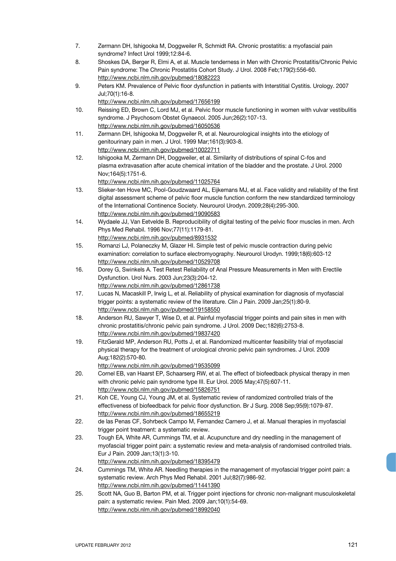- 7. Zermann DH, Ishigooka M, Doggweiler R, Schmidt RA. Chronic prostatitis: a myofascial pain syndrome? Infect Urol 1999;12:84-6.
- 8. Shoskes DA, Berger R, Elmi A, et al. Muscle tenderness in Men with Chronic Prostatitis/Chronic Pelvic Pain syndrome: The Chronic Prostatitis Cohort Study. J Urol. 2008 Feb;179(2):556-60. http://www.ncbi.nlm.nih.gov/pubmed/18082223
- 9. Peters KM. Prevalence of Pelvic floor dysfunction in patients with Interstitial Cystitis. Urology. 2007 Jul;70(1):16-8.
	- http://www.ncbi.nlm.nih.gov/pubmed/17656199
- 10. Reissing ED, Brown C, Lord MJ, et al. Pelvic floor muscle functioning in women with vulvar vestibulitis syndrome. J Psychosom Obstet Gynaecol. 2005 Jun;26(2):107-13. http://www.ncbi.nlm.nih.gov/pubmed/16050536
- 11. Zermann DH, Ishigooka M, Doggweiler R, et al. Neurourological insights into the etiology of genitourinary pain in men. J Urol. 1999 Mar;161(3):903-8. http://www.ncbi.nlm.nih.gov/pubmed/10022711
- 12. Ishigooka M, Zermann DH, Doggweiler, et al. Similarity of distributions of spinal C-fos and plasma extravasation after acute chemical irritation of the bladder and the prostate. J Urol. 2000 Nov;164(5):1751-6.
	- http://www.ncbi.nlm.nih.gov/pubmed/11025764
- 13. Slieker-ten Hove MC, Pool-Goudzwaard AL, Eijkemans MJ, et al. Face validity and reliability of the first digital assessment scheme of pelvic floor muscle function conform the new standardized terminology of the International Continence Society. Neurourol Urodyn. 2009;28(4):295-300. http://www.ncbi.nlm.nih.gov/pubmed/19090583
- 14. Wydaele JJ, Van Eetvelde B. Reproducibility of digital testing of the pelvic floor muscles in men. Arch Phys Med Rehabil. 1996 Nov;77(11):1179-81. http://www.ncbi.nlm.nih.gov/pubmed/8931532
- 15. Romanzi LJ, Polaneczky M, Glazer HI. Simple test of pelvic muscle contraction during pelvic examination: correlation to surface electromyography. Neurourol Urodyn. 1999;18(6):603-12 http://www.ncbi.nlm.nih.gov/pubmed/10529708
- 16. Dorey G, Swinkels A. Test Retest Reliability of Anal Pressure Measurements in Men with Erectile Dysfunction. Urol Nurs. 2003 Jun;23(3):204-12. http://www.ncbi.nlm.nih.gov/pubmed/12861738
- 17. Lucas N, Macaskill P, Irwig L, et al. Reliability of physical examination for diagnosis of myofascial trigger points: a systematic review of the literature. Clin J Pain. 2009 Jan;25(1):80-9. http://www.ncbi.nlm.nih.gov/pubmed/19158550
- 18. Anderson RU, Sawyer T, Wise D, et al. Painful myofascial trigger points and pain sites in men with chronic prostatitis/chronic pelvic pain syndrome. J Urol. 2009 Dec;182(6):2753-8. http://www.ncbi.nlm.nih.gov/pubmed/19837420
- 19. FitzGerald MP, Anderson RU, Potts J, et al. Randomized multicenter feasibility trial of myofascial physical therapy for the treatment of urological chronic pelvic pain syndromes. J Urol. 2009 Aug;182(2):570-80.
	- http://www.ncbi.nlm.nih.gov/pubmed/19535099
- 20. Cornel EB, van Haarst EP, Schaarserg RW, et al. The effect of biofeedback physical therapy in men with chronic pelvic pain syndrome type III. Eur Urol. 2005 May;47(5):607-11. http://www.ncbi.nlm.nih.gov/pubmed/15826751
- 21. Koh CE, Young CJ, Young JM, et al. Systematic review of randomized controlled trials of the effectiveness of biofeedback for pelvic floor dysfunction. Br J Surg. 2008 Sep;95(9):1079-87. http://www.ncbi.nlm.nih.gov/pubmed/18655219
- 22. de las Penas CF, Sohrbeck Campo M, Fernandez Carnero J, et al. Manual therapies in myofascial trigger point treatment: a systematic review.
- 23. Tough EA, White AR, Cummings TM, et al. Acupuncture and dry needling in the management of myofascial trigger point pain: a systematic review and meta-analysis of randomised controlled trials. Eur J Pain. 2009 Jan;13(1):3-10. http://www.ncbi.nlm.nih.gov/pubmed/18395479
- 24. Cummings TM, White AR. Needling therapies in the management of myofascial trigger point pain: a systematic review. Arch Phys Med Rehabil. 2001 Jul;82(7):986-92. http://www.ncbi.nlm.nih.gov/pubmed/11441390
- 25. Scott NA, Guo B, Barton PM, et al. Trigger point injections for chronic non-malignant musculoskeletal pain: a systematic review. Pain Med. 2009 Jan;10(1):54-69. http://www.ncbi.nlm.nih.gov/pubmed/18992040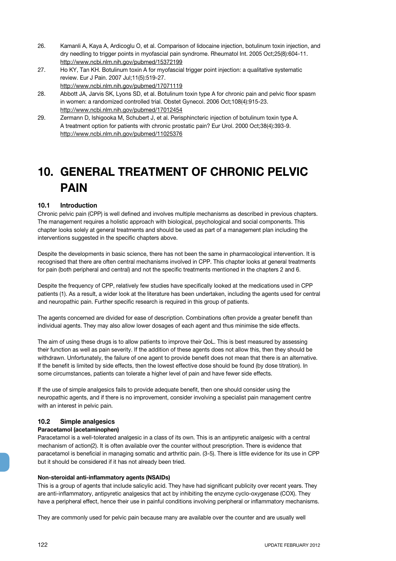- 26. Kamanli A, Kaya A, Ardicoglu O, et al. Comparison of lidocaine injection, botulinum toxin injection, and dry needling to trigger points in myofascial pain syndrome. Rheumatol Int. 2005 Oct;25(8):604-11. http://www.ncbi.nlm.nih.gov/pubmed/15372199
- 27. Ho KY, Tan KH. Botulinum toxin A for myofascial trigger point injection: a qualitative systematic review. Eur J Pain. 2007 Jul;11(5):519-27. http://www.ncbi.nlm.nih.gov/pubmed/17071119
- 28. Abbott JA, Jarvis SK, Lyons SD, et al. Botulinum toxin type A for chronic pain and pelvic floor spasm in women: a randomized controlled trial. Obstet Gynecol. 2006 Oct;108(4):915-23. http://www.ncbi.nlm.nih.gov/pubmed/17012454
- 29. Zermann D, Ishigooka M, Schubert J, et al. Perisphincteric injection of botulinum toxin type A. A treatment option for patients with chronic prostatic pain? Eur Urol. 2000 Oct;38(4):393-9. http://www.ncbi.nlm.nih.gov/pubmed/11025376

# **10. GENERAL TREATMENT OF CHRONIC PELVIC PAIN**

# **10.1 Introduction**

Chronic pelvic pain (CPP) is well defined and involves multiple mechanisms as described in previous chapters. The management requires a holistic approach with biological, psychological and social components. This chapter looks solely at general treatments and should be used as part of a management plan including the interventions suggested in the specific chapters above.

Despite the developments in basic science, there has not been the same in pharmacological intervention. It is recognised that there are often central mechanisms involved in CPP. This chapter looks at general treatments for pain (both peripheral and central) and not the specific treatments mentioned in the chapters 2 and 6.

Despite the frequency of CPP, relatively few studies have specifically looked at the medications used in CPP patients (1). As a result, a wider look at the literature has been undertaken, including the agents used for central and neuropathic pain. Further specific research is required in this group of patients.

The agents concerned are divided for ease of description. Combinations often provide a greater benefit than individual agents. They may also allow lower dosages of each agent and thus minimise the side effects.

The aim of using these drugs is to allow patients to improve their QoL. This is best measured by assessing their function as well as pain severity. If the addition of these agents does not allow this, then they should be withdrawn. Unfortunately, the failure of one agent to provide benefit does not mean that there is an alternative. If the benefit is limited by side effects, then the lowest effective dose should be found (by dose titration). In some circumstances, patients can tolerate a higher level of pain and have fewer side effects.

If the use of simple analgesics fails to provide adequate benefit, then one should consider using the neuropathic agents, and if there is no improvement, consider involving a specialist pain management centre with an interest in pelvic pain.

# **10.2 Simple analgesics**

# **Paracetamol (acetaminophen)**

Paracetamol is a well-tolerated analgesic in a class of its own. This is an antipyretic analgesic with a central mechanism of action(2). It is often available over the counter without prescription. There is evidence that paracetamol is beneficial in managing somatic and arthritic pain. (3-5). There is little evidence for its use in CPP but it should be considered if it has not already been tried.

## **Non-steroidal anti-inflammatory agents (NSAIDs)**

This is a group of agents that include salicylic acid. They have had significant publicity over recent years. They are anti-inflammatory, antipyretic analgesics that act by inhibiting the enzyme cyclo-oxygenase (COX). They have a peripheral effect, hence their use in painful conditions involving peripheral or inflammatory mechanisms.

They are commonly used for pelvic pain because many are available over the counter and are usually well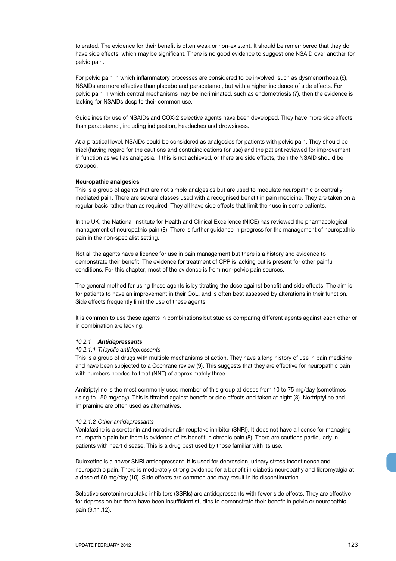tolerated. The evidence for their benefit is often weak or non-existent. It should be remembered that they do have side effects, which may be significant. There is no good evidence to suggest one NSAID over another for pelvic pain.

For pelvic pain in which inflammatory processes are considered to be involved, such as dysmenorrhoea (6), NSAIDs are more effective than placebo and paracetamol, but with a higher incidence of side effects. For pelvic pain in which central mechanisms may be incriminated, such as endometriosis (7), then the evidence is lacking for NSAIDs despite their common use.

Guidelines for use of NSAIDs and COX-2 selective agents have been developed. They have more side effects than paracetamol, including indigestion, headaches and drowsiness.

At a practical level, NSAIDs could be considered as analgesics for patients with pelvic pain. They should be tried (having regard for the cautions and contraindications for use) and the patient reviewed for improvement in function as well as analgesia. If this is not achieved, or there are side effects, then the NSAID should be stopped.

#### **Neuropathic analgesics**

This is a group of agents that are not simple analgesics but are used to modulate neuropathic or centrally mediated pain. There are several classes used with a recognised benefit in pain medicine. They are taken on a regular basis rather than as required. They all have side effects that limit their use in some patients.

In the UK, the National Institute for Health and Clinical Excellence (NICE) has reviewed the pharmacological management of neuropathic pain (8). There is further guidance in progress for the management of neuropathic pain in the non-specialist setting.

Not all the agents have a licence for use in pain management but there is a history and evidence to demonstrate their benefit. The evidence for treatment of CPP is lacking but is present for other painful conditions. For this chapter, most of the evidence is from non-pelvic pain sources.

The general method for using these agents is by titrating the dose against benefit and side effects. The aim is for patients to have an improvement in their QoL, and is often best assessed by alterations in their function. Side effects frequently limit the use of these agents.

It is common to use these agents in combinations but studies comparing different agents against each other or in combination are lacking.

#### *10.2.1 Antidepressants*

#### *10.2.1.1 Tricyclic antidepressants*

This is a group of drugs with multiple mechanisms of action. They have a long history of use in pain medicine and have been subjected to a Cochrane review (9). This suggests that they are effective for neuropathic pain with numbers needed to treat (NNT) of approximately three.

Amitriptyline is the most commonly used member of this group at doses from 10 to 75 mg/day (sometimes rising to 150 mg/day). This is titrated against benefit or side effects and taken at night (8). Nortriptyline and imipramine are often used as alternatives.

#### *10.2.1.2 Other antidepressants*

Venlafaxine is a serotonin and noradrenalin reuptake inhibiter (SNRI). It does not have a license for managing neuropathic pain but there is evidence of its benefit in chronic pain (8). There are cautions particularly in patients with heart disease. This is a drug best used by those familiar with its use.

Duloxetine is a newer SNRI antidepressant. It is used for depression, urinary stress incontinence and neuropathic pain. There is moderately strong evidence for a benefit in diabetic neuropathy and fibromyalgia at a dose of 60 mg/day (10). Side effects are common and may result in its discontinuation.

Selective serotonin reuptake inhibitors (SSRIs) are antidepressants with fewer side effects. They are effective for depression but there have been insufficient studies to demonstrate their benefit in pelvic or neuropathic pain (9,11,12).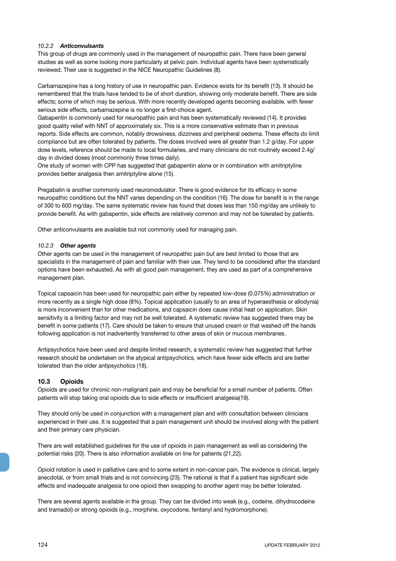#### *10.2.2 Anticonvulsants*

This group of drugs are commonly used in the management of neuropathic pain. There have been general studies as well as some looking more particularly at pelvic pain. Individual agents have been systematically reviewed. Their use is suggested in the NICE Neuropathic Guidelines (8).

Carbamazepine has a long history of use in neuropathic pain. Evidence exists for its benefit (13). It should be remembered that the trials have tended to be of short duration, showing only moderate benefit. There are side effects; some of which may be serious. With more recently developed agents becoming available, with fewer serious side effects, carbamazepine is no longer a first-choice agent.

Gabapentin is commonly used for neuropathic pain and has been systematically reviewed (14). It provides good quality relief with NNT of approximately six. This is a more conservative estimate than in previous reports. Side effects are common, notably drowsiness, dizziness and peripheral oedema. These effects do limit compliance but are often tolerated by patients. The doses involved were all greater than 1.2 g/day. For upper dose levels, reference should be made to local formularies, and many clinicians do not routinely exceed 2.4g/ day in divided doses (most commonly three times daily).

One study of women with CPP has suggested that gabapentin alone or in combination with amitriptyline provides better analgesia then amitriptyline alone (15).

Pregabalin is another commonly used neuromodulator. There is good evidence for its efficacy in some neuropathic conditions but the NNT varies depending on the condition (16). The dose for benefit is in the range of 300 to 600 mg/day. The same systematic review has found that doses less than 150 mg/day are unlikely to provide benefit. As with gabapentin, side effects are relatively common and may not be tolerated by patients.

Other anticonvulsants are available but not commonly used for managing pain.

#### *10.2.3 Other agents*

Other agents can be used in the management of neuropathic pain but are best limited to those that are specialists in the management of pain and familiar with their use. They tend to be considered after the standard options have been exhausted. As with all good pain management, they are used as part of a comprehensive management plan.

Topical capsaicin has been used for neuropathic pain either by repeated low-dose (0.075%) administration or more recently as a single high dose (8%). Topical application (usually to an area of hyperaesthesia or allodynia) is more inconvenient than for other medications, and capsaicin does cause initial heat on application. Skin sensitivity is a limiting factor and may not be well tolerated. A systematic review has suggested there may be benefit in some patients (17). Care should be taken to ensure that unused cream or that washed off the hands following application is not inadvertently transferred to other areas of skin or mucous membranes.

Antipsychotics have been used and despite limited research, a systematic review has suggested that further research should be undertaken on the atypical antipsychotics, which have fewer side effects and are better tolerated than the older antipsychotics (18).

## **10.3 Opioids**

Opioids are used for chronic non-malignant pain and may be beneficial for a small number of patients. Often patients will stop taking oral opioids due to side effects or insufficient analgesia(19).

They should only be used in conjunction with a management plan and with consultation between clinicians experienced in their use. It is suggested that a pain management unit should be involved along with the patient and their primary care physician.

There are well established guidelines for the use of opioids in pain management as well as considering the potential risks (20). There is also information available on line for patients (21,22).

Opioid rotation is used in palliative care and to some extent in non-cancer pain. The evidence is clinical, largely anecdotal, or from small trials and is not convincing (23). The rational is that if a patient has significant side effects and inadequate analgesia to one opioid then swapping to another agent may be better tolerated.

There are several agents available in the group. They can be divided into weak (e.g., codeine, dihydrocodeine and tramadol) or strong opioids (e.g., morphine, oxycodone, fentanyl and hydromorphone).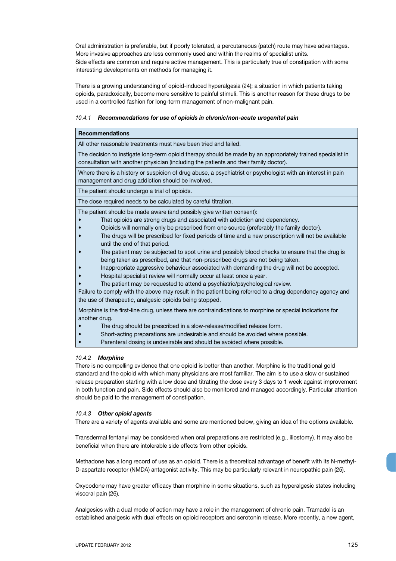Oral administration is preferable, but if poorly tolerated, a percutaneous (patch) route may have advantages. More invasive approaches are less commonly used and within the realms of specialist units. Side effects are common and require active management. This is particularly true of constipation with some interesting developments on methods for managing it.

There is a growing understanding of opioid-induced hyperalgesia (24); a situation in which patients taking opioids, paradoxically, become more sensitive to painful stimuli. This is another reason for these drugs to be used in a controlled fashion for long-term management of non-malignant pain.

#### *10.4.1 Recommendations for use of opioids in chronic/non-acute urogenital pain*

| <b>Recommendations</b>                                                                                                                                                                                                                                                                                                                                                                                                                                                                                                                                                                                                                                                                                                                                                                                                                                                                                                                                                                                     |
|------------------------------------------------------------------------------------------------------------------------------------------------------------------------------------------------------------------------------------------------------------------------------------------------------------------------------------------------------------------------------------------------------------------------------------------------------------------------------------------------------------------------------------------------------------------------------------------------------------------------------------------------------------------------------------------------------------------------------------------------------------------------------------------------------------------------------------------------------------------------------------------------------------------------------------------------------------------------------------------------------------|
| All other reasonable treatments must have been tried and failed.                                                                                                                                                                                                                                                                                                                                                                                                                                                                                                                                                                                                                                                                                                                                                                                                                                                                                                                                           |
| The decision to instigate long-term opioid therapy should be made by an appropriately trained specialist in<br>consultation with another physician (including the patients and their family doctor).                                                                                                                                                                                                                                                                                                                                                                                                                                                                                                                                                                                                                                                                                                                                                                                                       |
| Where there is a history or suspicion of drug abuse, a psychiatrist or psychologist with an interest in pain<br>management and drug addiction should be involved.                                                                                                                                                                                                                                                                                                                                                                                                                                                                                                                                                                                                                                                                                                                                                                                                                                          |
| The patient should undergo a trial of opioids.                                                                                                                                                                                                                                                                                                                                                                                                                                                                                                                                                                                                                                                                                                                                                                                                                                                                                                                                                             |
| The dose required needs to be calculated by careful titration.                                                                                                                                                                                                                                                                                                                                                                                                                                                                                                                                                                                                                                                                                                                                                                                                                                                                                                                                             |
| The patient should be made aware (and possibly give written consent):<br>That opioids are strong drugs and associated with addiction and dependency.<br>Opioids will normally only be prescribed from one source (preferably the family doctor).<br>The drugs will be prescribed for fixed periods of time and a new prescription will not be available<br>until the end of that period.<br>The patient may be subjected to spot urine and possibly blood checks to ensure that the drug is<br>being taken as prescribed, and that non-prescribed drugs are not being taken.<br>Inappropriate aggressive behaviour associated with demanding the drug will not be accepted.<br>Hospital specialist review will normally occur at least once a year.<br>The patient may be requested to attend a psychiatric/psychological review.<br>Failure to comply with the above may result in the patient being referred to a drug dependency agency and<br>the use of therapeutic, analgesic opioids being stopped. |
| Morphine is the first-line drug, unless there are contraindications to morphine or special indications for<br>another drug.<br>The drug should be prescribed in a slow-release/modified release form.<br>Short-acting preparations are undesirable and should be avoided where possible.                                                                                                                                                                                                                                                                                                                                                                                                                                                                                                                                                                                                                                                                                                                   |

 $\bullet$  Parenteral dosing is undesirable and should be avoided where possible.

#### *10.4.2 Morphine*

There is no compelling evidence that one opioid is better than another. Morphine is the traditional gold standard and the opioid with which many physicians are most familiar. The aim is to use a slow or sustained release preparation starting with a low dose and titrating the dose every 3 days to 1 week against improvement in both function and pain. Side effects should also be monitored and managed accordingly. Particular attention should be paid to the management of constipation.

#### *10.4.3 Other opioid agents*

There are a variety of agents available and some are mentioned below, giving an idea of the options available.

Transdermal fentanyl may be considered when oral preparations are restricted (e.g., iliostomy). It may also be beneficial when there are intolerable side effects from other opioids.

Methadone has a long record of use as an opioid. There is a theoretical advantage of benefit with its N-methyl-D-aspartate receptor (NMDA) antagonist activity. This may be particularly relevant in neuropathic pain (25).

Oxycodone may have greater efficacy than morphine in some situations, such as hyperalgesic states including visceral pain (26).

Analgesics with a dual mode of action may have a role in the management of chronic pain. Tramadol is an established analgesic with dual effects on opioid receptors and serotonin release. More recently, a new agent,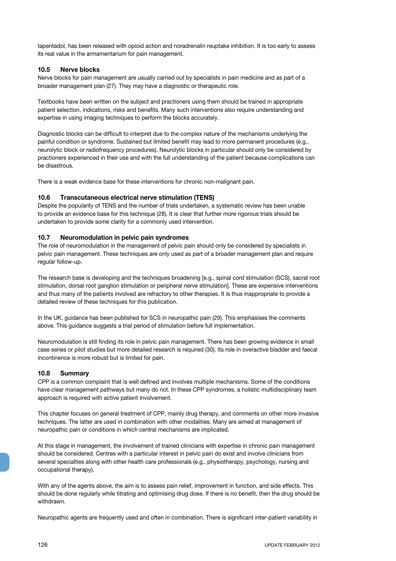tapentadol, has been released with opioid action and noradrenalin reuptake inhibition. It is too early to assess its real value in the armamentarium for pain management.

## **10.5 Nerve blocks**

Nerve blocks for pain management are usually carried out by specialists in pain medicine and as part of a broader management plan (27). They may have a diagnostic or therapeutic role.

Textbooks have been written on the subject and practioners using them should be trained in appropriate patient selection, indications, risks and benefits. Many such interventions also require understanding and expertise in using imaging techniques to perform the blocks accurately.

Diagnostic blocks can be difficult to interpret due to the complex nature of the mechanisms underlying the painful condition or syndrome. Sustained but limited benefit may lead to more permanent procedures (e.g., neurolytic block or radiofrequency procedures). Neurolytic blocks in particular should only be considered by practioners experienced in their use and with the full understanding of the patient because complications can be disastrous.

There is a weak evidence base for these interventions for chronic non-malignant pain.

# **10.6 Transcutaneous electrical nerve stimulation (TENS)**

Despite the popularity of TENS and the number of trials undertaken, a systematic review has been unable to provide an evidence base for this technique (28). It is clear that further more rigorous trials should be undertaken to provide some clarity for a commonly used intervention.

# **10.7 Neuromodulation in pelvic pain syndromes**

The role of neuromodulation in the management of pelvic pain should only be considered by specialists in pelvic pain management. These techniques are only used as part of a broader management plan and require regular follow-up.

The research base is developing and the techniques broadening [e.g., spinal cord stimulation (SCS), sacral root stimulation, dorsal root ganglion stimulation or peripheral nerve stimulation]. These are expensive interventions and thus many of the patients involved are refractory to other therapies. It is thus inappropriate to provide a detailed review of these techniques for this publication.

In the UK, guidance has been published for SCS in neuropathic pain (29). This emphasises the comments above. This guidance suggests a trial period of stimulation before full implementation.

Neuromodulation is still finding its role in pelvic pain management. There has been growing evidence in small case series or pilot studies but more detailed research is required (30). Its role in overactive bladder and faecal incontinence is more robust but is limited for pain.

## **10.8 Summary**

CPP is a common complaint that is well defined and involves multiple mechanisms. Some of the conditions have clear management pathways but many do not. In these CPP syndromes, a holistic multidisciplinary team approach is required with active patient involvement.

This chapter focuses on general treatment of CPP, mainly drug therapy, and comments on other more invasive techniques. The latter are used in combination with other modalities. Many are aimed at management of neuropathic pain or conditions in which central mechanisms are implicated.

At this stage in management, the involvement of trained clinicians with expertise in chronic pain management should be considered. Centres with a particular interest in pelvic pain do exist and involve clinicians from several specialties along with other health care professionals (e.g., physiotherapy, psychology, nursing and occupational therapy).

With any of the agents above, the aim is to assess pain relief, improvement in function, and side effects. This should be done regularly while titrating and optimising drug dose. If there is no benefit, then the drug should be withdrawn.

Neuropathic agents are frequently used and often in combination. There is significant inter-patient variability in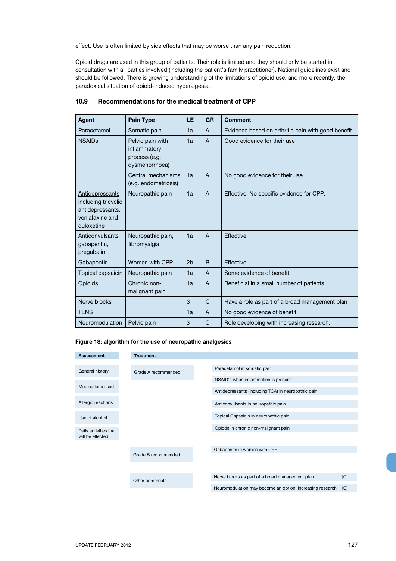effect. Use is often limited by side effects that may be worse than any pain reduction.

Opioid drugs are used in this group of patients. Their role is limited and they should only be started in consultation with all parties involved (including the patient's family practitioner). National guidelines exist and should be followed. There is growing understanding of the limitations of opioid use, and more recently, the paradoxical situation of opioid-induced hyperalgesia.

| Agent                                                                                       | <b>Pain Type</b>                                                    | LE             | <b>GR</b>      | <b>Comment</b>                                     |
|---------------------------------------------------------------------------------------------|---------------------------------------------------------------------|----------------|----------------|----------------------------------------------------|
| Paracetamol                                                                                 | Somatic pain                                                        | 1a             | A              | Evidence based on arthritic pain with good benefit |
| <b>NSAIDs</b>                                                                               | Pelvic pain with<br>inflammatory<br>process (e.g.<br>dysmenorrhoea) | 1a             | A              | Good evidence for their use                        |
|                                                                                             | Central mechanisms<br>(e.g. endometriosis)                          | 1a             | A              | No good evidence for their use                     |
| Antidepressants<br>including tricyclic<br>antidepressants,<br>venlafaxine and<br>duloxetine | Neuropathic pain                                                    | 1a             | A              | Effective. No specific evidence for CPP.           |
| Anticonvulsants<br>gabapentin,<br>pregabalin                                                | Neuropathic pain,<br>fibromyalgia                                   | 1a             | A              | Effective                                          |
| Gabapentin                                                                                  | Women with CPP                                                      | 2 <sub>b</sub> | <sub>B</sub>   | Effective                                          |
| Topical capsaicin                                                                           | Neuropathic pain                                                    | 1a             | A              | Some evidence of benefit                           |
| Opioids                                                                                     | Chronic non-<br>malignant pain                                      | 1a             | $\overline{A}$ | Beneficial in a small number of patients           |
| Nerve blocks                                                                                |                                                                     | 3              | C              | Have a role as part of a broad management plan     |
| <b>TENS</b>                                                                                 |                                                                     | 1a             | A              | No good evidence of benefit                        |
| Neuromodulation                                                                             | Pelvic pain                                                         | 3              | C              | Role developing with increasing research.          |

## **10.9 Recommendations for the medical treatment of CPP**

# **Figure 18: algorithm for the use of neuropathic analgesics**

| <b>Assessment</b>     | <b>Treatment</b>    |                                                                 |  |
|-----------------------|---------------------|-----------------------------------------------------------------|--|
| General history       | Grade A recommended | Paracetamol in somatic pain                                     |  |
|                       |                     | NSAID's when inflammation is present                            |  |
| Medications used      |                     | Antidepressants (including TCA) in neuropathic pain             |  |
| Allergic reactions    |                     | Anticonvulsants in neuropathic pain                             |  |
| Use of alcohol        |                     | Topical Capsaicin in neuropathic pain                           |  |
| Daily activities that |                     | Opiods in chronic non-malignant pain                            |  |
| will be effected      |                     |                                                                 |  |
|                       | Grade B recommended | Gabapentin in women with CPP                                    |  |
|                       |                     |                                                                 |  |
|                       |                     |                                                                 |  |
|                       | Other comments      | Nerve blocks as part of a broad management plan<br> C           |  |
|                       |                     | Neuromodulation may become an option, increasing research<br> C |  |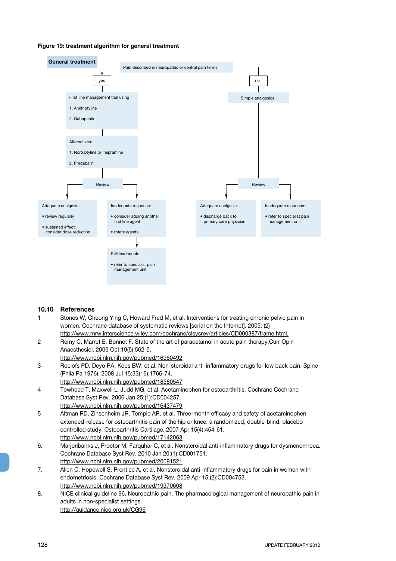## **Figure 19: treatment algorithm for general treatment**



# **10.10 References**

- 1 Stones W, Cheong Ying C, Howard Fred M, et al. Interventions for treating chronic pelvic pain in women. Cochrane database of systematic reviews [serial on the Internet]. 2005; (2) http://www.mrw.interscience.wiley.com/cochrane/clsysrev/articles/CD000387/frame.html.
- 2 Remy C, Marret E, Bonnet F. State of the art of paracetamol in acute pain therapy.Curr Opin Anaesthesiol. 2006 Oct;19(5):562-5.
	- http://www.ncbi.nlm.nih.gov/pubmed/16960492
- 3 Roelofs PD, Deyo RA, Koes BW, et al. Non-steroidal anti-inflammatory drugs for low back pain. Spine (Phila Pa 1976). 2008 Jul 15;33(16):1766-74. http://www.ncbi.nlm.nih.gov/pubmed/18580547
- 4 Towheed T, Maxwell L, Judd MG, et al. Acetaminophen for osteoarthritis. Cochrane Cochrane Database Syst Rev. 2006 Jan 25;(1):CD004257.
- http://www.ncbi.nlm.nih.gov/pubmed/16437479 5 Altman RD, Zinsenheim JR, Temple AR, et al. Three-month efficacy and safety of acetaminophen extended-release for osteoarthritis pain of the hip or knee: a randomized, double-blind, placebocontrolled study. Osteoarthritis Cartilage. 2007 Apr;15(4):454-61.
	- http://www.ncbi.nlm.nih.gov/pubmed/17142063
- 6. Marjoribanks J, Proctor M, Farquhar C, et al. Nonsteroidal anti-inflammatory drugs for dysmenorrhoea. Cochrane Database Syst Rev. 2010 Jan 20;(1):CD001751. http://www.ncbi.nlm.nih.gov/pubmed/20091521
- 7. Allen C, Hopewell S, Prentice A, et al. Nonsteroidal anti-inflammatory drugs for pain in women with endometriosis. Cochrane Database Syst Rev. 2009 Apr 15;(2):CD004753. http://www.ncbi.nlm.nih.gov/pubmed/19370608
- 8. NICE clinical guideline 96. Neuropathic pain. The pharmacological management of neuropathic pain in adults in non-specialist settings. http://guidance.nice.org.uk/CG96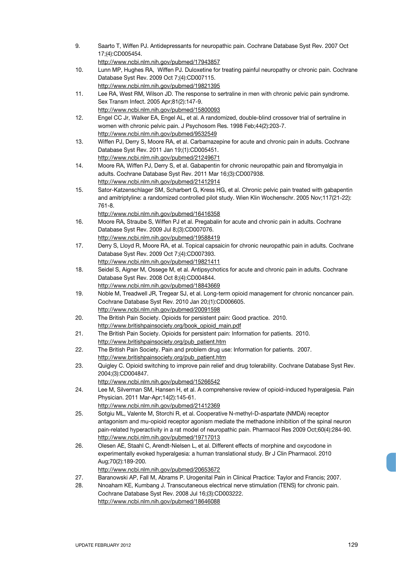- 9. Saarto T, Wiffen PJ. Antidepressants for neuropathic pain. Cochrane Database Syst Rev. 2007 Oct 17;(4):CD005454.
	- http://www.ncbi.nlm.nih.gov/pubmed/17943857
- 10. Lunn MP, Hughes RA, Wiffen PJ. Duloxetine for treating painful neuropathy or chronic pain. Cochrane Database Syst Rev. 2009 Oct 7;(4):CD007115. http://www.ncbi.nlm.nih.gov/pubmed/19821395
- 11. Lee RA, West RM, Wilson JD. The response to sertraline in men with chronic pelvic pain syndrome. Sex Transm Infect. 2005 Apr;81(2):147-9. http://www.ncbi.nlm.nih.gov/pubmed/15800093
- 12. Engel CC Jr, Walker EA, Engel AL, et al. A randomized, double-blind crossover trial of sertraline in women with chronic pelvic pain. J Psychosom Res. 1998 Feb;44(2):203-7. http://www.ncbi.nlm.nih.gov/pubmed/9532549
- 13. Wiffen PJ, Derry S, Moore RA, et al. Carbamazepine for acute and chronic pain in adults. Cochrane Database Syst Rev. 2011 Jan 19;(1):CD005451. http://www.ncbi.nlm.nih.gov/pubmed/21249671
- 14. Moore RA, Wiffen PJ, Derry S, et al. Gabapentin for chronic neuropathic pain and fibromyalgia in adults. Cochrane Database Syst Rev. 2011 Mar 16;(3):CD007938. http://www.ncbi.nlm.nih.gov/pubmed/21412914
- 15. Sator-Katzenschlager SM, Scharbert G, Kress HG, et al. Chronic pelvic pain treated with gabapentin and amitriptyline: a randomized controlled pilot study. Wien Klin Wochenschr. 2005 Nov;117(21-22): 761-8.
	- http://www.ncbi.nlm.nih.gov/pubmed/16416358
- 16. Moore RA, Straube S, Wiffen PJ et al. Pregabalin for acute and chronic pain in adults. Cochrane Database Syst Rev. 2009 Jul 8;(3):CD007076. http://www.ncbi.nlm.nih.gov/pubmed/19588419
- 17. Derry S, Lloyd R, Moore RA, et al. Topical capsaicin for chronic neuropathic pain in adults. Cochrane Database Syst Rev. 2009 Oct 7;(4):CD007393. http://www.ncbi.nlm.nih.gov/pubmed/19821411
- 18. Seidel S, Aigner M, Ossege M, et al. Antipsychotics for acute and chronic pain in adults. Cochrane Database Syst Rev. 2008 Oct 8;(4):CD004844. http://www.ncbi.nlm.nih.gov/pubmed/18843669
- 19. Noble M, Treadwell JR, Tregear SJ, et al. Long-term opioid management for chronic noncancer pain. Cochrane Database Syst Rev. 2010 Jan 20;(1):CD006605. http://www.ncbi.nlm.nih.gov/pubmed/20091598
- 20. The British Pain Society. Opioids for persistent pain: Good practice. 2010. http://www.britishpainsociety.org/book\_opioid\_main.pdf
- 21. The British Pain Society. Opioids for persistent pain: Information for patients. 2010. http://www.britishpainsociety.org/pub\_patient.htm
- 22. The British Pain Society. Pain and problem drug use: Information for patients. 2007. http://www.britishpainsociety.org/pub\_patient.htm
- 23. Quigley C. Opioid switching to improve pain relief and drug tolerability. Cochrane Database Syst Rev. 2004;(3):CD004847.
	- http://www.ncbi.nlm.nih.gov/pubmed/15266542
- 24. Lee M, Silverman SM, Hansen H, et al. A comprehensive review of opioid-induced hyperalgesia. Pain Physician. 2011 Mar-Apr;14(2):145-61.
	- http://www.ncbi.nlm.nih.gov/pubmed/21412369
- 25. Sotgiu ML, Valente M, Storchi R, et al. Cooperative N-methyl-D-aspartate (NMDA) receptor antagonism and mu-opioid receptor agonism mediate the methadone inhibition of the spinal neuron pain-related hyperactivity in a rat model of neuropathic pain. Pharmacol Res 2009 Oct;60(4):284-90. http://www.ncbi.nlm.nih.gov/pubmed/19717013
- 26. Olesen AE, Staahl C, Arendt-Nielsen L, et al. Different effects of morphine and oxycodone in experimentally evoked hyperalgesia: a human translational study. Br J Clin Pharmacol. 2010 Aug;70(2):189-200.
	- http://www.ncbi.nlm.nih.gov/pubmed/20653672
- 27. Baranowski AP, Fall M, Abrams P. Urogenital Pain in Clinical Practice: Taylor and Francis; 2007.
- 28. Nnoaham KE, Kumbang J. Transcutaneous electrical nerve stimulation (TENS) for chronic pain. Cochrane Database Syst Rev. 2008 Jul 16;(3):CD003222. http://www.ncbi.nlm.nih.gov/pubmed/18646088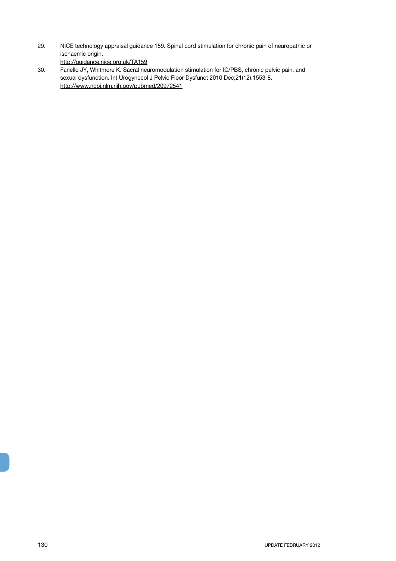- 29. NICE technology appraisal guidance 159. Spinal cord stimulation for chronic pain of neuropathic or ischaemic origin. http://guidance.nice.org.uk/TA159
- 30. Fariello JY, Whitmore K. Sacral neuromodulation stimulation for IC/PBS, chronic pelvic pain, and sexual dysfunction. Int Urogynecol J Pelvic Floor Dysfunct 2010 Dec;21(12):1553-8. http://www.ncbi.nlm.nih.gov/pubmed/20972541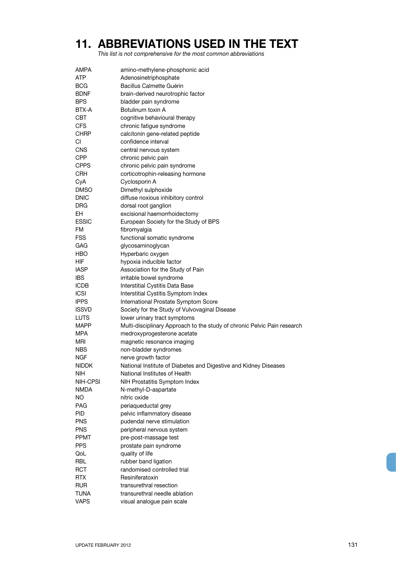# **11. ABBREVIATIONS USED IN THE TEXT**

*This list is not comprehensive for the most common abbreviations*

| AMPA               | amino-methylene-phosphonic acid                                          |
|--------------------|--------------------------------------------------------------------------|
| ATP                | Adenosinetriphosphate                                                    |
| <b>BCG</b>         | Bacillus Calmette Guérin                                                 |
| <b>BDNF</b>        | brain-derived neurotrophic factor                                        |
| <b>BPS</b>         | bladder pain syndrome                                                    |
| BTX-A              | Botulinum toxin A                                                        |
| CBT                | cognitive behavioural therapy                                            |
| <b>CFS</b>         | chronic fatigue syndrome                                                 |
| <b>CHRP</b>        | calcitonin gene-related peptide                                          |
| СI                 | confidence interval                                                      |
| <b>CNS</b>         | central nervous system                                                   |
| CPP                | chronic pelvic pain                                                      |
| <b>CPPS</b>        | chronic pelvic pain syndrome                                             |
| CRH                | corticotrophin-releasing hormone                                         |
|                    |                                                                          |
| CyA<br><b>DMSO</b> | Cyclosporin A                                                            |
| <b>DNIC</b>        | Dimethyl sulphoxide                                                      |
|                    | diffuse noxious inhibitory control                                       |
| DRG.               | dorsal root ganglion                                                     |
| EH                 | excisional haemorrhoidectomy                                             |
| <b>ESSIC</b>       | European Society for the Study of BPS                                    |
| FM                 | fibromyalgia                                                             |
| <b>FSS</b>         | functional somatic syndrome                                              |
| GAG.               | glycosaminoglycan                                                        |
| <b>HBO</b>         | Hyperbaric oxygen                                                        |
| HIF                | hypoxia inducible factor                                                 |
| <b>IASP</b>        | Association for the Study of Pain                                        |
| <b>IBS</b>         | irritable bowel syndrome                                                 |
| <b>ICDB</b>        | Interstitial Cystitis Data Base                                          |
| <b>ICSI</b>        | Interstitial Cystitis Symptom Index                                      |
| <b>IPPS</b>        | International Prostate Symptom Score                                     |
| <b>ISSVD</b>       | Society for the Study of Vulvovaginal Disease                            |
| LUTS               | lower urinary tract symptoms                                             |
| <b>MAPP</b>        | Multi-disciplinary Approach to the study of chronic Pelvic Pain research |
| MPA                | medroxyprogesterone acetate                                              |
| MRI                | magnetic resonance imaging                                               |
| <b>NBS</b>         | non-bladder syndromes                                                    |
| <b>NGF</b>         | nerve growth factor                                                      |
| <b>NIDDK</b>       | National Institute of Diabetes and Digestive and Kidney Diseases         |
| <b>NIH</b>         | National Institutes of Health                                            |
| NIH-CPSI           | NIH Prostatitis Symptom Index                                            |
| <b>NMDA</b>        | N-methyl-D-aspartate                                                     |
| NO                 | nitric oxide                                                             |
| <b>PAG</b>         | periaqueductal grey                                                      |
| <b>PID</b>         | pelvic inflammatory disease                                              |
| <b>PNS</b>         | pudendal nerve stimulation                                               |
| <b>PNS</b>         | peripheral nervous system                                                |
| <b>PPMT</b>        | pre-post-massage test                                                    |
| <b>PPS</b>         | prostate pain syndrome                                                   |
| QoL                | quality of life                                                          |
| RBL                | rubber band ligation                                                     |
| <b>RCT</b>         | randomised controlled trial                                              |
| <b>RTX</b>         | Resiniferatoxin                                                          |
| <b>RUR</b>         | transurethral resection                                                  |
| <b>TUNA</b>        | transurethral needle ablation                                            |
| <b>VAPS</b>        | visual analogue pain scale                                               |
|                    |                                                                          |